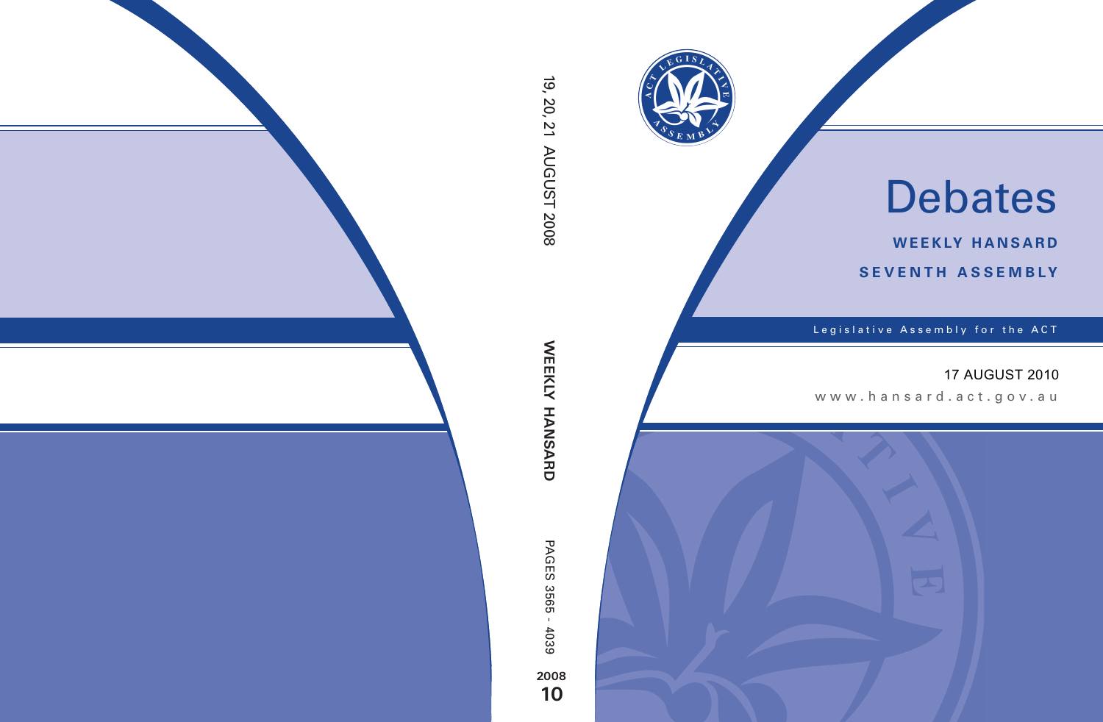

# Debates

**weekly hansard seventh asseMBly**

Legislative Assembly for the ACT

# 17 AUGUST 2010

www .hansard.act.go v.au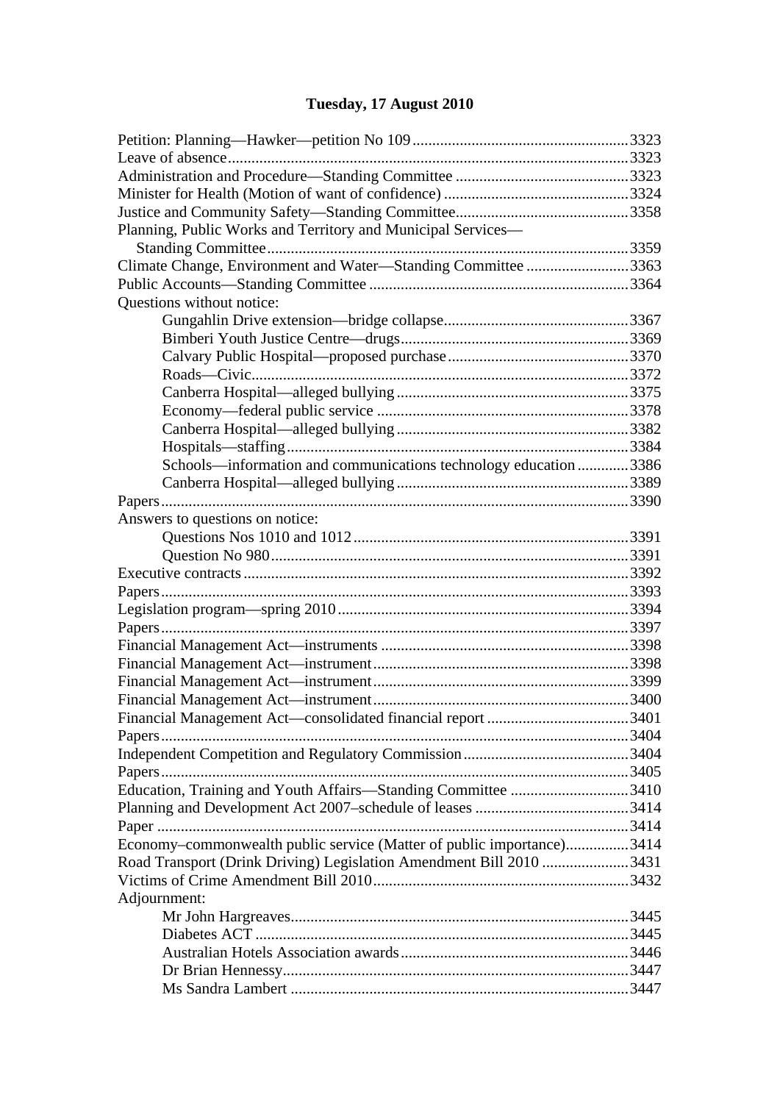# **[Tuesday, 17 August 2010](#page-3-0)**

| Planning, Public Works and Territory and Municipal Services-          |  |
|-----------------------------------------------------------------------|--|
|                                                                       |  |
| Climate Change, Environment and Water-Standing Committee 3363         |  |
|                                                                       |  |
| Questions without notice:                                             |  |
|                                                                       |  |
|                                                                       |  |
|                                                                       |  |
|                                                                       |  |
|                                                                       |  |
|                                                                       |  |
|                                                                       |  |
|                                                                       |  |
|                                                                       |  |
| Schools—information and communications technology education 3386      |  |
|                                                                       |  |
|                                                                       |  |
| Answers to questions on notice:                                       |  |
|                                                                       |  |
|                                                                       |  |
|                                                                       |  |
|                                                                       |  |
|                                                                       |  |
|                                                                       |  |
|                                                                       |  |
|                                                                       |  |
|                                                                       |  |
|                                                                       |  |
|                                                                       |  |
|                                                                       |  |
|                                                                       |  |
|                                                                       |  |
| Education, Training and Youth Affairs—Standing Committee 3410         |  |
|                                                                       |  |
|                                                                       |  |
| Economy-commonwealth public service (Matter of public importance)3414 |  |
| Road Transport (Drink Driving) Legislation Amendment Bill 2010 3431   |  |
|                                                                       |  |
| Adjournment:                                                          |  |
|                                                                       |  |
|                                                                       |  |
|                                                                       |  |
|                                                                       |  |
|                                                                       |  |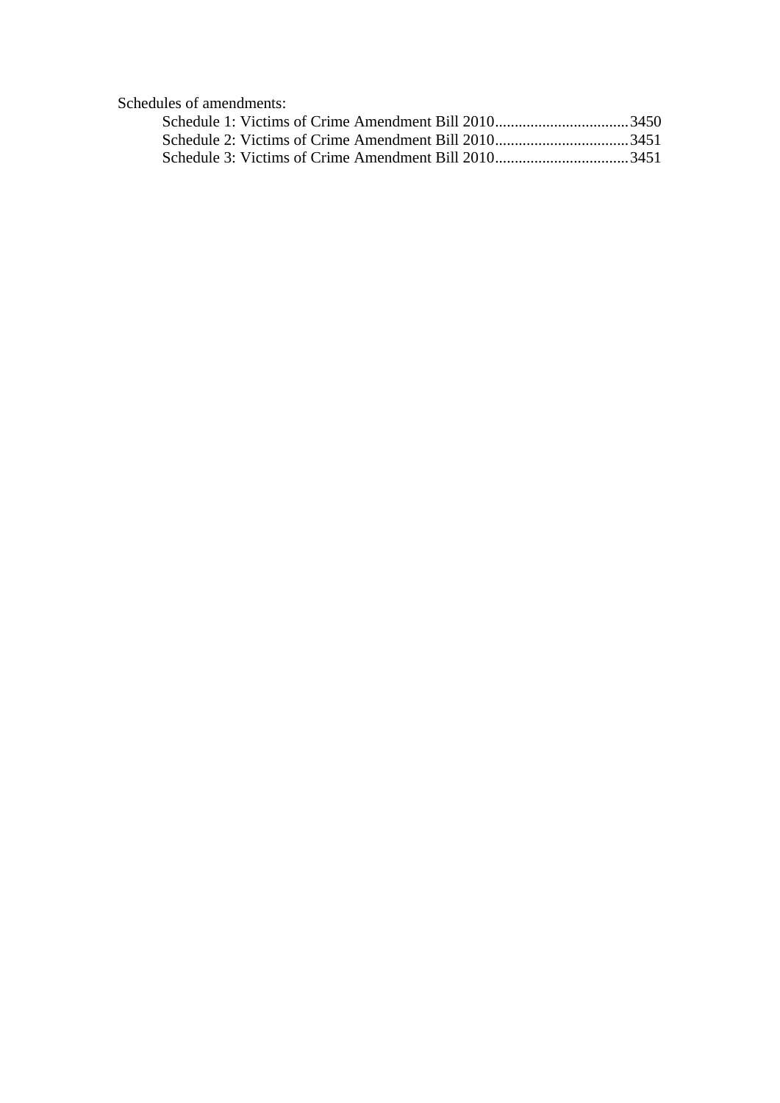[Schedules of amendments:](#page-130-0)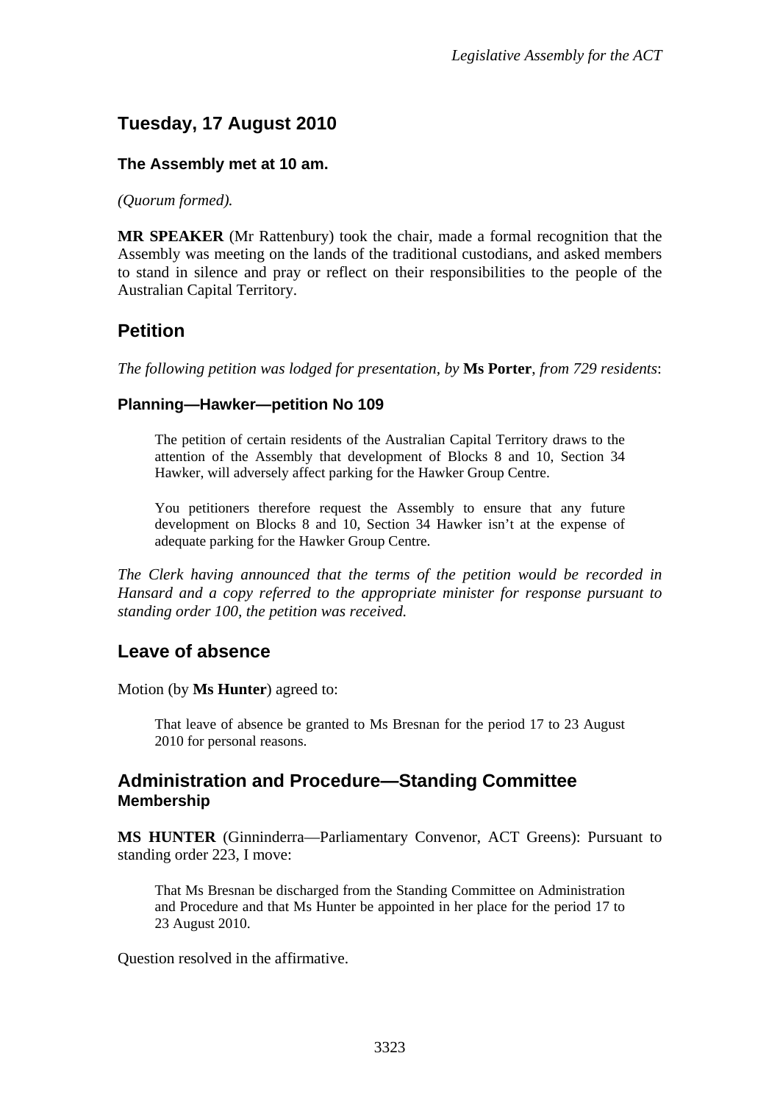# <span id="page-3-0"></span>**Tuesday, 17 August 2010**

#### **The Assembly met at 10 am.**

*(Quorum formed).* 

**MR SPEAKER** (Mr Rattenbury) took the chair, made a formal recognition that the Assembly was meeting on the lands of the traditional custodians, and asked members to stand in silence and pray or reflect on their responsibilities to the people of the Australian Capital Territory.

## <span id="page-3-1"></span>**Petition**

*The following petition was lodged for presentation, by* **Ms Porter**, *from 729 residents*:

#### **Planning—Hawker—petition No 109**

The petition of certain residents of the Australian Capital Territory draws to the attention of the Assembly that development of Blocks 8 and 10, Section 34 Hawker, will adversely affect parking for the Hawker Group Centre.

You petitioners therefore request the Assembly to ensure that any future development on Blocks 8 and 10, Section 34 Hawker isn't at the expense of adequate parking for the Hawker Group Centre.

*The Clerk having announced that the terms of the petition would be recorded in Hansard and a copy referred to the appropriate minister for response pursuant to standing order 100, the petition was received.*

## <span id="page-3-2"></span>**Leave of absence**

Motion (by **Ms Hunter**) agreed to:

That leave of absence be granted to Ms Bresnan for the period 17 to 23 August 2010 for personal reasons.

## <span id="page-3-3"></span>**Administration and Procedure—Standing Committee Membership**

**MS HUNTER** (Ginninderra—Parliamentary Convenor, ACT Greens): Pursuant to standing order 223, I move:

That Ms Bresnan be discharged from the Standing Committee on Administration and Procedure and that Ms Hunter be appointed in her place for the period 17 to 23 August 2010.

Question resolved in the affirmative.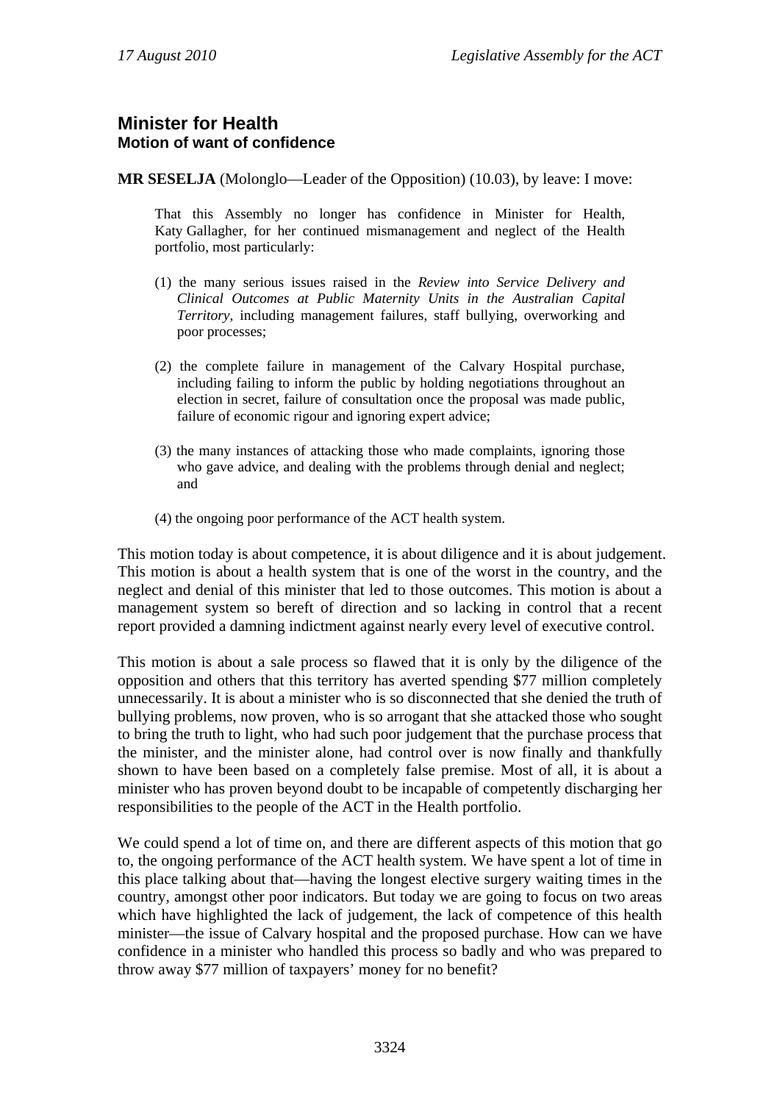## <span id="page-4-0"></span>**Minister for Health Motion of want of confidence**

**MR SESELJA** (Molonglo—Leader of the Opposition) (10.03), by leave: I move:

That this Assembly no longer has confidence in Minister for Health, Katy Gallagher, for her continued mismanagement and neglect of the Health portfolio, most particularly:

- (1) the many serious issues raised in the *Review into Service Delivery and Clinical Outcomes at Public Maternity Units in the Australian Capital Territory*, including management failures, staff bullying, overworking and poor processes;
- (2) the complete failure in management of the Calvary Hospital purchase, including failing to inform the public by holding negotiations throughout an election in secret, failure of consultation once the proposal was made public, failure of economic rigour and ignoring expert advice;
- (3) the many instances of attacking those who made complaints, ignoring those who gave advice, and dealing with the problems through denial and neglect; and
- (4) the ongoing poor performance of the ACT health system.

This motion today is about competence, it is about diligence and it is about judgement. This motion is about a health system that is one of the worst in the country, and the neglect and denial of this minister that led to those outcomes. This motion is about a management system so bereft of direction and so lacking in control that a recent report provided a damning indictment against nearly every level of executive control.

This motion is about a sale process so flawed that it is only by the diligence of the opposition and others that this territory has averted spending \$77 million completely unnecessarily. It is about a minister who is so disconnected that she denied the truth of bullying problems, now proven, who is so arrogant that she attacked those who sought to bring the truth to light, who had such poor judgement that the purchase process that the minister, and the minister alone, had control over is now finally and thankfully shown to have been based on a completely false premise. Most of all, it is about a minister who has proven beyond doubt to be incapable of competently discharging her responsibilities to the people of the ACT in the Health portfolio.

We could spend a lot of time on, and there are different aspects of this motion that go to, the ongoing performance of the ACT health system. We have spent a lot of time in this place talking about that—having the longest elective surgery waiting times in the country, amongst other poor indicators. But today we are going to focus on two areas which have highlighted the lack of judgement, the lack of competence of this health minister—the issue of Calvary hospital and the proposed purchase. How can we have confidence in a minister who handled this process so badly and who was prepared to throw away \$77 million of taxpayers' money for no benefit?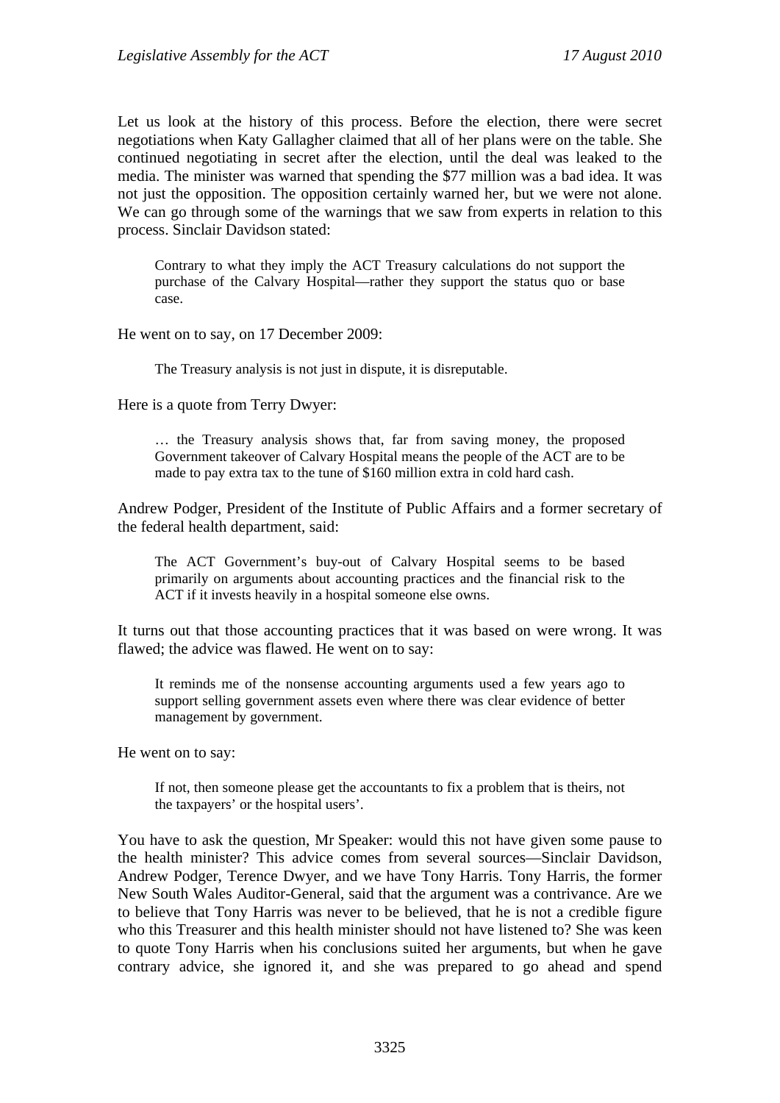Let us look at the history of this process. Before the election, there were secret negotiations when Katy Gallagher claimed that all of her plans were on the table. She continued negotiating in secret after the election, until the deal was leaked to the media. The minister was warned that spending the \$77 million was a bad idea. It was not just the opposition. The opposition certainly warned her, but we were not alone. We can go through some of the warnings that we saw from experts in relation to this process. Sinclair Davidson stated:

Contrary to what they imply the ACT Treasury calculations do not support the purchase of the Calvary Hospital—rather they support the status quo or base case.

He went on to say, on 17 December 2009:

The Treasury analysis is not just in dispute, it is disreputable.

Here is a quote from Terry Dwyer:

… the Treasury analysis shows that, far from saving money, the proposed Government takeover of Calvary Hospital means the people of the ACT are to be made to pay extra tax to the tune of \$160 million extra in cold hard cash.

Andrew Podger, President of the Institute of Public Affairs and a former secretary of the federal health department, said:

The ACT Government's buy-out of Calvary Hospital seems to be based primarily on arguments about accounting practices and the financial risk to the ACT if it invests heavily in a hospital someone else owns.

It turns out that those accounting practices that it was based on were wrong. It was flawed; the advice was flawed. He went on to say:

It reminds me of the nonsense accounting arguments used a few years ago to support selling government assets even where there was clear evidence of better management by government.

He went on to say:

If not, then someone please get the accountants to fix a problem that is theirs, not the taxpayers' or the hospital users'.

You have to ask the question, Mr Speaker: would this not have given some pause to the health minister? This advice comes from several sources—Sinclair Davidson, Andrew Podger, Terence Dwyer, and we have Tony Harris. Tony Harris, the former New South Wales Auditor-General, said that the argument was a contrivance. Are we to believe that Tony Harris was never to be believed, that he is not a credible figure who this Treasurer and this health minister should not have listened to? She was keen to quote Tony Harris when his conclusions suited her arguments, but when he gave contrary advice, she ignored it, and she was prepared to go ahead and spend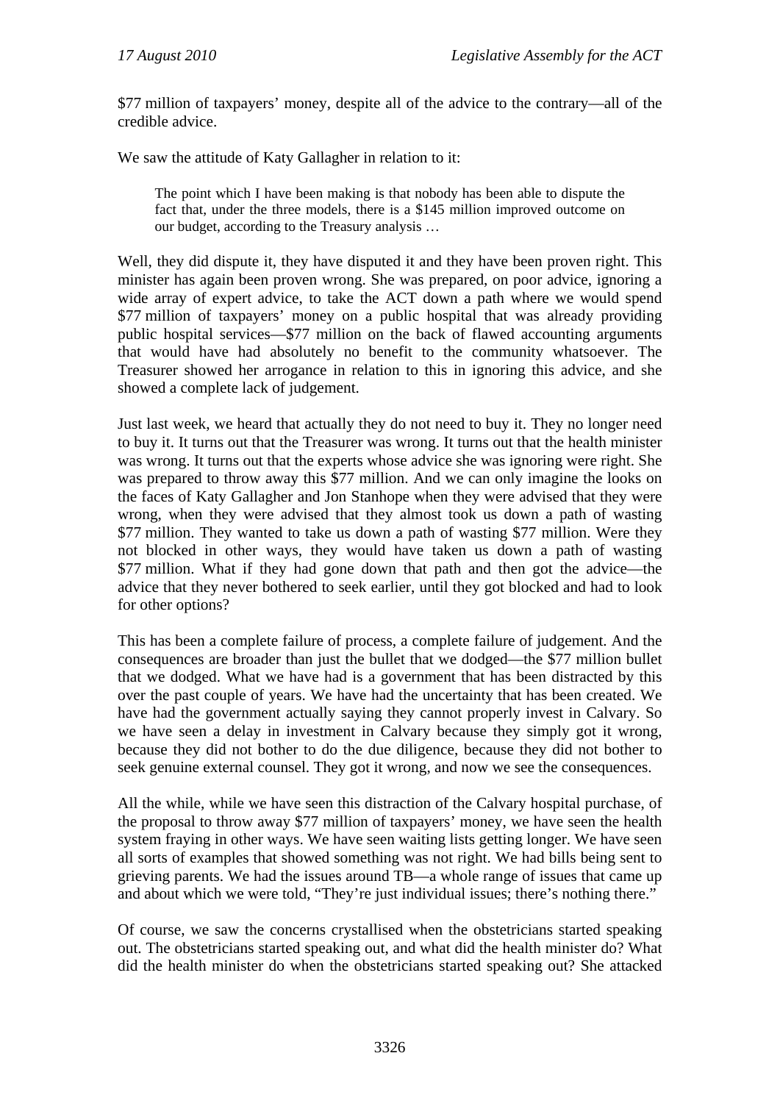\$77 million of taxpayers' money, despite all of the advice to the contrary—all of the credible advice.

We saw the attitude of Katy Gallagher in relation to it:

The point which I have been making is that nobody has been able to dispute the fact that, under the three models, there is a \$145 million improved outcome on our budget, according to the Treasury analysis …

Well, they did dispute it, they have disputed it and they have been proven right. This minister has again been proven wrong. She was prepared, on poor advice, ignoring a wide array of expert advice, to take the ACT down a path where we would spend \$77 million of taxpayers' money on a public hospital that was already providing public hospital services—\$77 million on the back of flawed accounting arguments that would have had absolutely no benefit to the community whatsoever. The Treasurer showed her arrogance in relation to this in ignoring this advice, and she showed a complete lack of judgement.

Just last week, we heard that actually they do not need to buy it. They no longer need to buy it. It turns out that the Treasurer was wrong. It turns out that the health minister was wrong. It turns out that the experts whose advice she was ignoring were right. She was prepared to throw away this \$77 million. And we can only imagine the looks on the faces of Katy Gallagher and Jon Stanhope when they were advised that they were wrong, when they were advised that they almost took us down a path of wasting \$77 million. They wanted to take us down a path of wasting \$77 million. Were they not blocked in other ways, they would have taken us down a path of wasting \$77 million. What if they had gone down that path and then got the advice—the advice that they never bothered to seek earlier, until they got blocked and had to look for other options?

This has been a complete failure of process, a complete failure of judgement. And the consequences are broader than just the bullet that we dodged—the \$77 million bullet that we dodged. What we have had is a government that has been distracted by this over the past couple of years. We have had the uncertainty that has been created. We have had the government actually saying they cannot properly invest in Calvary. So we have seen a delay in investment in Calvary because they simply got it wrong, because they did not bother to do the due diligence, because they did not bother to seek genuine external counsel. They got it wrong, and now we see the consequences.

All the while, while we have seen this distraction of the Calvary hospital purchase, of the proposal to throw away \$77 million of taxpayers' money, we have seen the health system fraying in other ways. We have seen waiting lists getting longer. We have seen all sorts of examples that showed something was not right. We had bills being sent to grieving parents. We had the issues around TB—a whole range of issues that came up and about which we were told, "They're just individual issues; there's nothing there."

Of course, we saw the concerns crystallised when the obstetricians started speaking out. The obstetricians started speaking out, and what did the health minister do? What did the health minister do when the obstetricians started speaking out? She attacked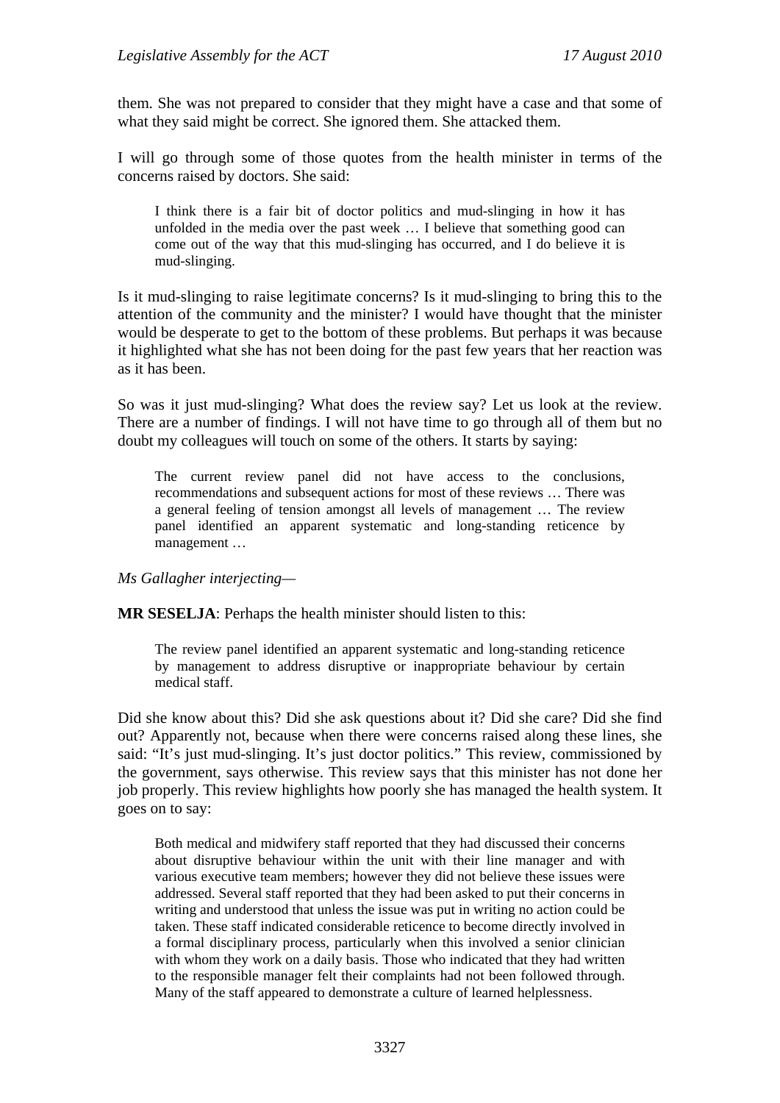them. She was not prepared to consider that they might have a case and that some of what they said might be correct. She ignored them. She attacked them.

I will go through some of those quotes from the health minister in terms of the concerns raised by doctors. She said:

I think there is a fair bit of doctor politics and mud-slinging in how it has unfolded in the media over the past week … I believe that something good can come out of the way that this mud-slinging has occurred, and I do believe it is mud-slinging.

Is it mud-slinging to raise legitimate concerns? Is it mud-slinging to bring this to the attention of the community and the minister? I would have thought that the minister would be desperate to get to the bottom of these problems. But perhaps it was because it highlighted what she has not been doing for the past few years that her reaction was as it has been.

So was it just mud-slinging? What does the review say? Let us look at the review. There are a number of findings. I will not have time to go through all of them but no doubt my colleagues will touch on some of the others. It starts by saying:

The current review panel did not have access to the conclusions, recommendations and subsequent actions for most of these reviews … There was a general feeling of tension amongst all levels of management … The review panel identified an apparent systematic and long-standing reticence by management …

*Ms Gallagher interjecting—* 

**MR SESELJA**: Perhaps the health minister should listen to this:

The review panel identified an apparent systematic and long-standing reticence by management to address disruptive or inappropriate behaviour by certain medical staff.

Did she know about this? Did she ask questions about it? Did she care? Did she find out? Apparently not, because when there were concerns raised along these lines, she said: "It's just mud-slinging. It's just doctor politics." This review, commissioned by the government, says otherwise. This review says that this minister has not done her job properly. This review highlights how poorly she has managed the health system. It goes on to say:

Both medical and midwifery staff reported that they had discussed their concerns about disruptive behaviour within the unit with their line manager and with various executive team members; however they did not believe these issues were addressed. Several staff reported that they had been asked to put their concerns in writing and understood that unless the issue was put in writing no action could be taken. These staff indicated considerable reticence to become directly involved in a formal disciplinary process, particularly when this involved a senior clinician with whom they work on a daily basis. Those who indicated that they had written to the responsible manager felt their complaints had not been followed through. Many of the staff appeared to demonstrate a culture of learned helplessness.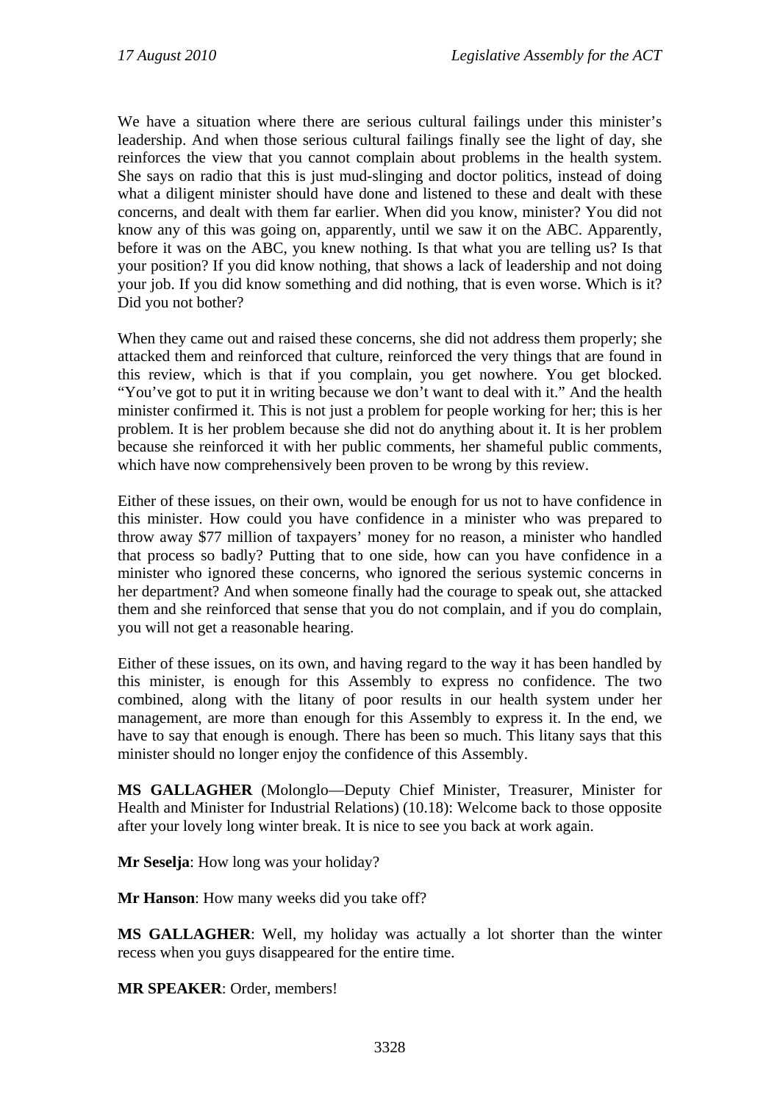We have a situation where there are serious cultural failings under this minister's leadership. And when those serious cultural failings finally see the light of day, she reinforces the view that you cannot complain about problems in the health system. She says on radio that this is just mud-slinging and doctor politics, instead of doing what a diligent minister should have done and listened to these and dealt with these concerns, and dealt with them far earlier. When did you know, minister? You did not know any of this was going on, apparently, until we saw it on the ABC. Apparently, before it was on the ABC, you knew nothing. Is that what you are telling us? Is that your position? If you did know nothing, that shows a lack of leadership and not doing your job. If you did know something and did nothing, that is even worse. Which is it? Did you not bother?

When they came out and raised these concerns, she did not address them properly; she attacked them and reinforced that culture, reinforced the very things that are found in this review, which is that if you complain, you get nowhere. You get blocked. "You've got to put it in writing because we don't want to deal with it." And the health minister confirmed it. This is not just a problem for people working for her; this is her problem. It is her problem because she did not do anything about it. It is her problem because she reinforced it with her public comments, her shameful public comments, which have now comprehensively been proven to be wrong by this review.

Either of these issues, on their own, would be enough for us not to have confidence in this minister. How could you have confidence in a minister who was prepared to throw away \$77 million of taxpayers' money for no reason, a minister who handled that process so badly? Putting that to one side, how can you have confidence in a minister who ignored these concerns, who ignored the serious systemic concerns in her department? And when someone finally had the courage to speak out, she attacked them and she reinforced that sense that you do not complain, and if you do complain, you will not get a reasonable hearing.

Either of these issues, on its own, and having regard to the way it has been handled by this minister, is enough for this Assembly to express no confidence. The two combined, along with the litany of poor results in our health system under her management, are more than enough for this Assembly to express it. In the end, we have to say that enough is enough. There has been so much. This litany says that this minister should no longer enjoy the confidence of this Assembly.

**MS GALLAGHER** (Molonglo—Deputy Chief Minister, Treasurer, Minister for Health and Minister for Industrial Relations) (10.18): Welcome back to those opposite after your lovely long winter break. It is nice to see you back at work again.

**Mr Seselja**: How long was your holiday?

**Mr Hanson**: How many weeks did you take off?

**MS GALLAGHER**: Well, my holiday was actually a lot shorter than the winter recess when you guys disappeared for the entire time.

**MR SPEAKER**: Order, members!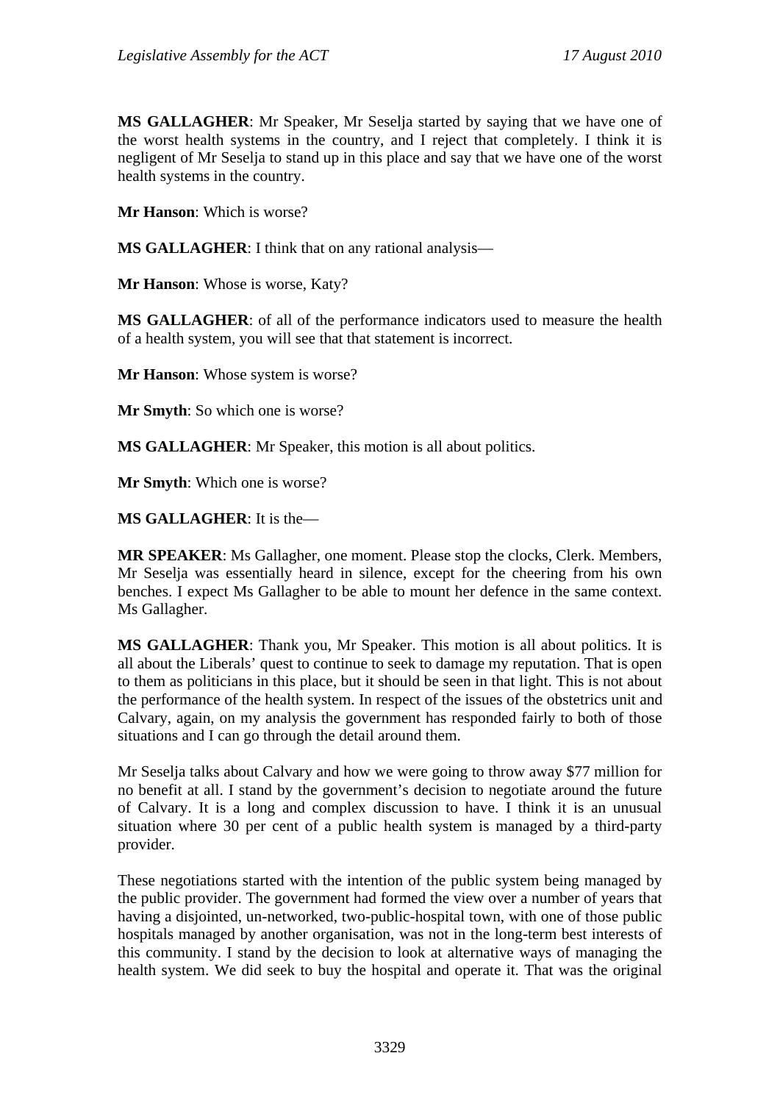**MS GALLAGHER**: Mr Speaker, Mr Seselja started by saying that we have one of the worst health systems in the country, and I reject that completely. I think it is negligent of Mr Seselja to stand up in this place and say that we have one of the worst health systems in the country.

**Mr Hanson**: Which is worse?

**MS GALLAGHER**: I think that on any rational analysis—

**Mr Hanson**: Whose is worse, Katy?

**MS GALLAGHER**: of all of the performance indicators used to measure the health of a health system, you will see that that statement is incorrect.

**Mr Hanson**: Whose system is worse?

**Mr Smyth**: So which one is worse?

**MS GALLAGHER**: Mr Speaker, this motion is all about politics.

**Mr Smyth**: Which one is worse?

**MS GALLAGHER**: It is the—

**MR SPEAKER**: Ms Gallagher, one moment. Please stop the clocks, Clerk. Members, Mr Seselja was essentially heard in silence, except for the cheering from his own benches. I expect Ms Gallagher to be able to mount her defence in the same context. Ms Gallagher.

**MS GALLAGHER**: Thank you, Mr Speaker. This motion is all about politics. It is all about the Liberals' quest to continue to seek to damage my reputation. That is open to them as politicians in this place, but it should be seen in that light. This is not about the performance of the health system. In respect of the issues of the obstetrics unit and Calvary, again, on my analysis the government has responded fairly to both of those situations and I can go through the detail around them.

Mr Seselja talks about Calvary and how we were going to throw away \$77 million for no benefit at all. I stand by the government's decision to negotiate around the future of Calvary. It is a long and complex discussion to have. I think it is an unusual situation where 30 per cent of a public health system is managed by a third-party provider.

These negotiations started with the intention of the public system being managed by the public provider. The government had formed the view over a number of years that having a disjointed, un-networked, two-public-hospital town, with one of those public hospitals managed by another organisation, was not in the long-term best interests of this community. I stand by the decision to look at alternative ways of managing the health system. We did seek to buy the hospital and operate it. That was the original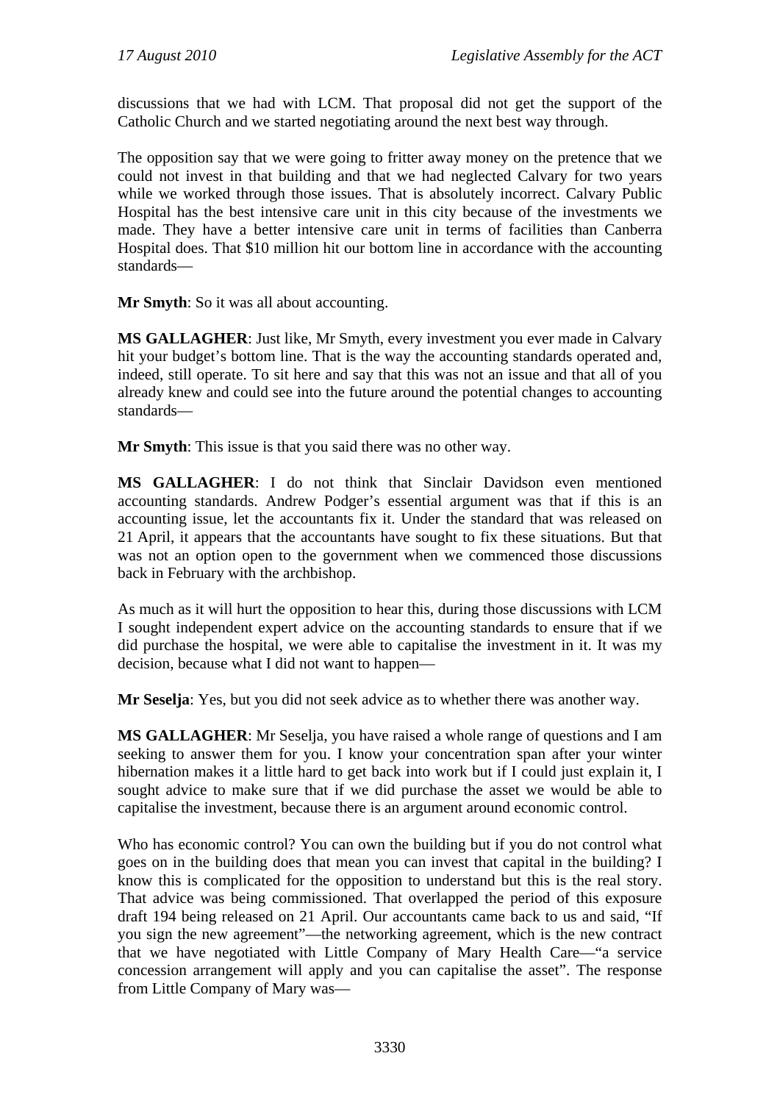discussions that we had with LCM. That proposal did not get the support of the Catholic Church and we started negotiating around the next best way through.

The opposition say that we were going to fritter away money on the pretence that we could not invest in that building and that we had neglected Calvary for two years while we worked through those issues. That is absolutely incorrect. Calvary Public Hospital has the best intensive care unit in this city because of the investments we made. They have a better intensive care unit in terms of facilities than Canberra Hospital does. That \$10 million hit our bottom line in accordance with the accounting standards—

**Mr Smyth**: So it was all about accounting.

**MS GALLAGHER**: Just like, Mr Smyth, every investment you ever made in Calvary hit your budget's bottom line. That is the way the accounting standards operated and, indeed, still operate. To sit here and say that this was not an issue and that all of you already knew and could see into the future around the potential changes to accounting standards—

**Mr Smyth**: This issue is that you said there was no other way.

**MS GALLAGHER**: I do not think that Sinclair Davidson even mentioned accounting standards. Andrew Podger's essential argument was that if this is an accounting issue, let the accountants fix it. Under the standard that was released on 21 April, it appears that the accountants have sought to fix these situations. But that was not an option open to the government when we commenced those discussions back in February with the archbishop.

As much as it will hurt the opposition to hear this, during those discussions with LCM I sought independent expert advice on the accounting standards to ensure that if we did purchase the hospital, we were able to capitalise the investment in it. It was my decision, because what I did not want to happen—

**Mr Seselja**: Yes, but you did not seek advice as to whether there was another way.

**MS GALLAGHER**: Mr Seselja, you have raised a whole range of questions and I am seeking to answer them for you. I know your concentration span after your winter hibernation makes it a little hard to get back into work but if I could just explain it, I sought advice to make sure that if we did purchase the asset we would be able to capitalise the investment, because there is an argument around economic control.

Who has economic control? You can own the building but if you do not control what goes on in the building does that mean you can invest that capital in the building? I know this is complicated for the opposition to understand but this is the real story. That advice was being commissioned. That overlapped the period of this exposure draft 194 being released on 21 April. Our accountants came back to us and said, "If you sign the new agreement"—the networking agreement, which is the new contract that we have negotiated with Little Company of Mary Health Care—"a service concession arrangement will apply and you can capitalise the asset". The response from Little Company of Mary was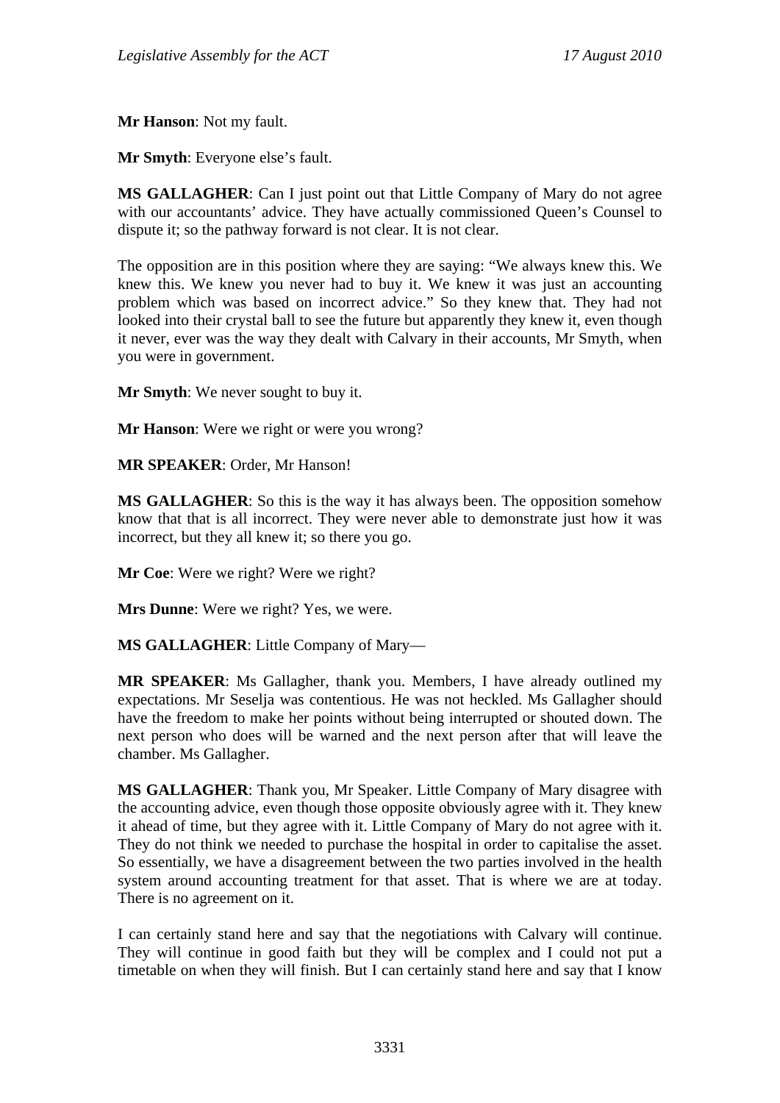**Mr Hanson**: Not my fault.

**Mr Smyth**: Everyone else's fault.

**MS GALLAGHER**: Can I just point out that Little Company of Mary do not agree with our accountants' advice. They have actually commissioned Queen's Counsel to dispute it; so the pathway forward is not clear. It is not clear.

The opposition are in this position where they are saying: "We always knew this. We knew this. We knew you never had to buy it. We knew it was just an accounting problem which was based on incorrect advice." So they knew that. They had not looked into their crystal ball to see the future but apparently they knew it, even though it never, ever was the way they dealt with Calvary in their accounts, Mr Smyth, when you were in government.

**Mr Smyth**: We never sought to buy it.

**Mr Hanson**: Were we right or were you wrong?

**MR SPEAKER**: Order, Mr Hanson!

**MS GALLAGHER**: So this is the way it has always been. The opposition somehow know that that is all incorrect. They were never able to demonstrate just how it was incorrect, but they all knew it; so there you go.

**Mr Coe**: Were we right? Were we right?

**Mrs Dunne**: Were we right? Yes, we were.

**MS GALLAGHER**: Little Company of Mary—

**MR SPEAKER**: Ms Gallagher, thank you. Members, I have already outlined my expectations. Mr Seselja was contentious. He was not heckled. Ms Gallagher should have the freedom to make her points without being interrupted or shouted down. The next person who does will be warned and the next person after that will leave the chamber. Ms Gallagher.

**MS GALLAGHER**: Thank you, Mr Speaker. Little Company of Mary disagree with the accounting advice, even though those opposite obviously agree with it. They knew it ahead of time, but they agree with it. Little Company of Mary do not agree with it. They do not think we needed to purchase the hospital in order to capitalise the asset. So essentially, we have a disagreement between the two parties involved in the health system around accounting treatment for that asset. That is where we are at today. There is no agreement on it.

I can certainly stand here and say that the negotiations with Calvary will continue. They will continue in good faith but they will be complex and I could not put a timetable on when they will finish. But I can certainly stand here and say that I know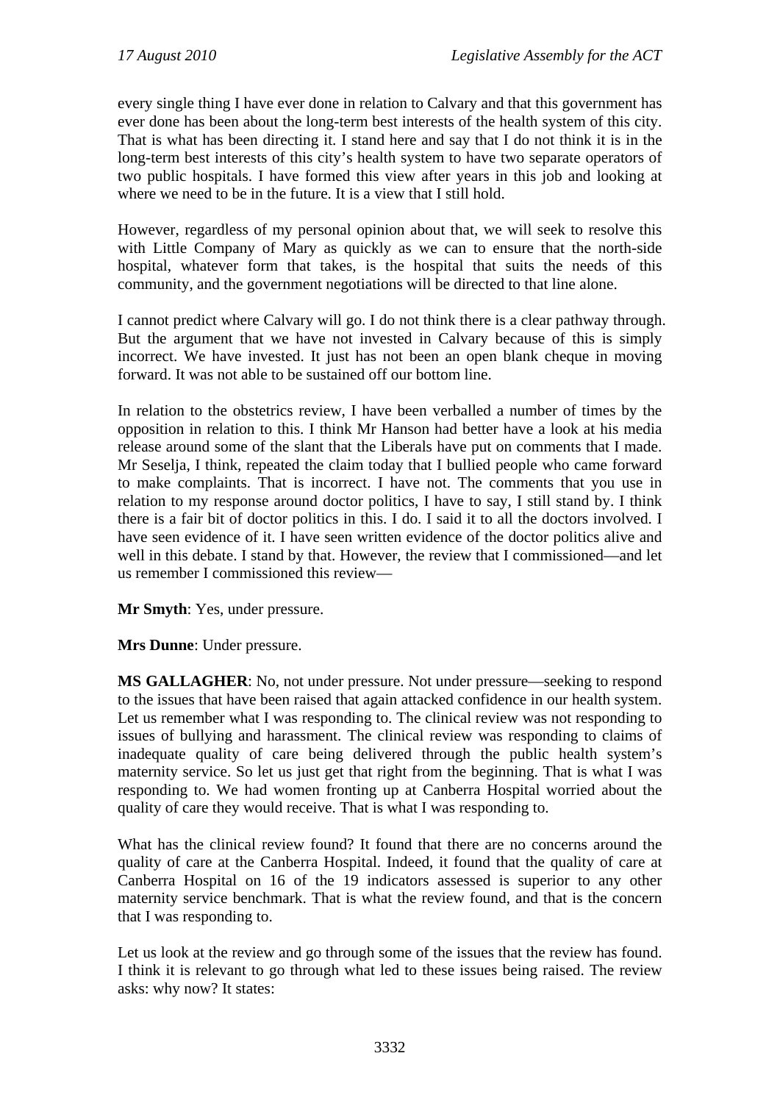every single thing I have ever done in relation to Calvary and that this government has ever done has been about the long-term best interests of the health system of this city. That is what has been directing it. I stand here and say that I do not think it is in the long-term best interests of this city's health system to have two separate operators of two public hospitals. I have formed this view after years in this job and looking at where we need to be in the future. It is a view that I still hold.

However, regardless of my personal opinion about that, we will seek to resolve this with Little Company of Mary as quickly as we can to ensure that the north-side hospital, whatever form that takes, is the hospital that suits the needs of this community, and the government negotiations will be directed to that line alone.

I cannot predict where Calvary will go. I do not think there is a clear pathway through. But the argument that we have not invested in Calvary because of this is simply incorrect. We have invested. It just has not been an open blank cheque in moving forward. It was not able to be sustained off our bottom line.

In relation to the obstetrics review, I have been verballed a number of times by the opposition in relation to this. I think Mr Hanson had better have a look at his media release around some of the slant that the Liberals have put on comments that I made. Mr Seselja, I think, repeated the claim today that I bullied people who came forward to make complaints. That is incorrect. I have not. The comments that you use in relation to my response around doctor politics, I have to say, I still stand by. I think there is a fair bit of doctor politics in this. I do. I said it to all the doctors involved. I have seen evidence of it. I have seen written evidence of the doctor politics alive and well in this debate. I stand by that. However, the review that I commissioned—and let us remember I commissioned this review—

**Mr Smyth**: Yes, under pressure.

**Mrs Dunne**: Under pressure.

**MS GALLAGHER**: No, not under pressure. Not under pressure—seeking to respond to the issues that have been raised that again attacked confidence in our health system. Let us remember what I was responding to. The clinical review was not responding to issues of bullying and harassment. The clinical review was responding to claims of inadequate quality of care being delivered through the public health system's maternity service. So let us just get that right from the beginning. That is what I was responding to. We had women fronting up at Canberra Hospital worried about the quality of care they would receive. That is what I was responding to.

What has the clinical review found? It found that there are no concerns around the quality of care at the Canberra Hospital. Indeed, it found that the quality of care at Canberra Hospital on 16 of the 19 indicators assessed is superior to any other maternity service benchmark. That is what the review found, and that is the concern that I was responding to.

Let us look at the review and go through some of the issues that the review has found. I think it is relevant to go through what led to these issues being raised. The review asks: why now? It states: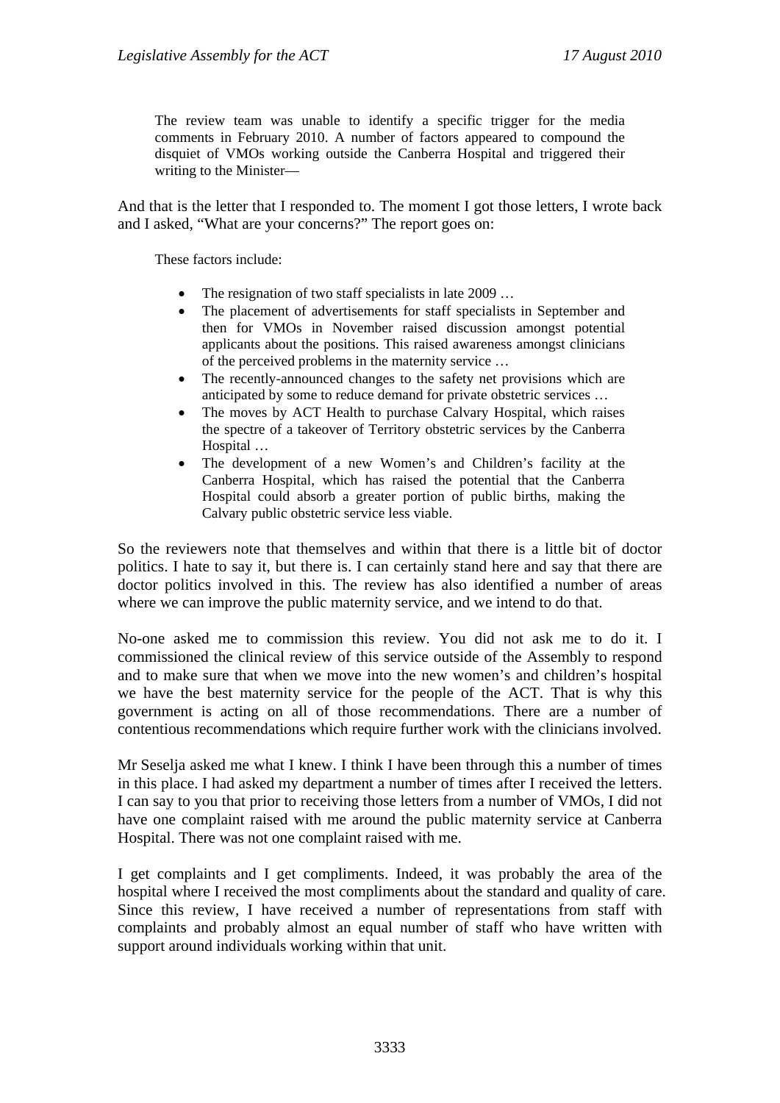The review team was unable to identify a specific trigger for the media comments in February 2010. A number of factors appeared to compound the disquiet of VMOs working outside the Canberra Hospital and triggered their writing to the Minister—

And that is the letter that I responded to. The moment I got those letters, I wrote back and I asked, "What are your concerns?" The report goes on:

These factors include:

- The resignation of two staff specialists in late 2009 ...
- The placement of advertisements for staff specialists in September and then for VMOs in November raised discussion amongst potential applicants about the positions. This raised awareness amongst clinicians of the perceived problems in the maternity service …
- The recently-announced changes to the safety net provisions which are anticipated by some to reduce demand for private obstetric services …
- The moves by ACT Health to purchase Calvary Hospital, which raises the spectre of a takeover of Territory obstetric services by the Canberra Hospital …
- The development of a new Women's and Children's facility at the Canberra Hospital, which has raised the potential that the Canberra Hospital could absorb a greater portion of public births, making the Calvary public obstetric service less viable.

So the reviewers note that themselves and within that there is a little bit of doctor politics. I hate to say it, but there is. I can certainly stand here and say that there are doctor politics involved in this. The review has also identified a number of areas where we can improve the public maternity service, and we intend to do that.

No-one asked me to commission this review. You did not ask me to do it. I commissioned the clinical review of this service outside of the Assembly to respond and to make sure that when we move into the new women's and children's hospital we have the best maternity service for the people of the ACT. That is why this government is acting on all of those recommendations. There are a number of contentious recommendations which require further work with the clinicians involved.

Mr Seselja asked me what I knew. I think I have been through this a number of times in this place. I had asked my department a number of times after I received the letters. I can say to you that prior to receiving those letters from a number of VMOs, I did not have one complaint raised with me around the public maternity service at Canberra Hospital. There was not one complaint raised with me.

I get complaints and I get compliments. Indeed, it was probably the area of the hospital where I received the most compliments about the standard and quality of care. Since this review, I have received a number of representations from staff with complaints and probably almost an equal number of staff who have written with support around individuals working within that unit.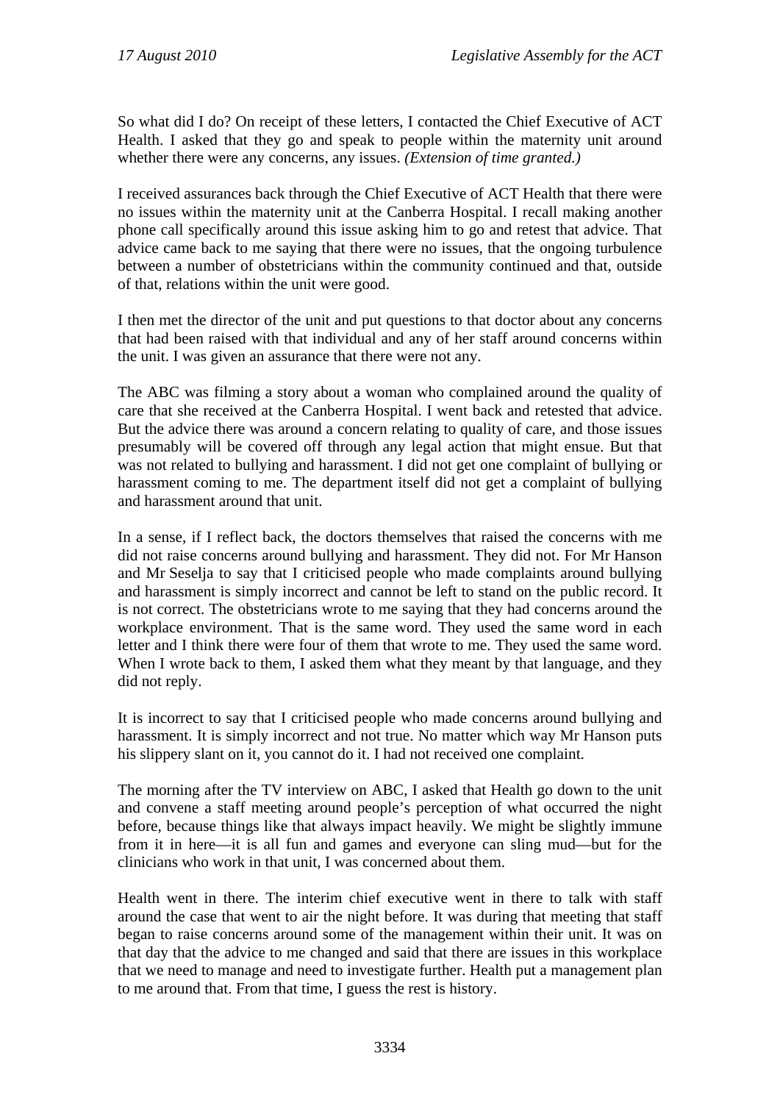So what did I do? On receipt of these letters, I contacted the Chief Executive of ACT Health. I asked that they go and speak to people within the maternity unit around whether there were any concerns, any issues. *(Extension of time granted.)* 

I received assurances back through the Chief Executive of ACT Health that there were no issues within the maternity unit at the Canberra Hospital. I recall making another phone call specifically around this issue asking him to go and retest that advice. That advice came back to me saying that there were no issues, that the ongoing turbulence between a number of obstetricians within the community continued and that, outside of that, relations within the unit were good.

I then met the director of the unit and put questions to that doctor about any concerns that had been raised with that individual and any of her staff around concerns within the unit. I was given an assurance that there were not any.

The ABC was filming a story about a woman who complained around the quality of care that she received at the Canberra Hospital. I went back and retested that advice. But the advice there was around a concern relating to quality of care, and those issues presumably will be covered off through any legal action that might ensue. But that was not related to bullying and harassment. I did not get one complaint of bullying or harassment coming to me. The department itself did not get a complaint of bullying and harassment around that unit.

In a sense, if I reflect back, the doctors themselves that raised the concerns with me did not raise concerns around bullying and harassment. They did not. For Mr Hanson and Mr Seselja to say that I criticised people who made complaints around bullying and harassment is simply incorrect and cannot be left to stand on the public record. It is not correct. The obstetricians wrote to me saying that they had concerns around the workplace environment. That is the same word. They used the same word in each letter and I think there were four of them that wrote to me. They used the same word. When I wrote back to them, I asked them what they meant by that language, and they did not reply.

It is incorrect to say that I criticised people who made concerns around bullying and harassment. It is simply incorrect and not true. No matter which way Mr Hanson puts his slippery slant on it, you cannot do it. I had not received one complaint.

The morning after the TV interview on ABC, I asked that Health go down to the unit and convene a staff meeting around people's perception of what occurred the night before, because things like that always impact heavily. We might be slightly immune from it in here—it is all fun and games and everyone can sling mud—but for the clinicians who work in that unit, I was concerned about them.

Health went in there. The interim chief executive went in there to talk with staff around the case that went to air the night before. It was during that meeting that staff began to raise concerns around some of the management within their unit. It was on that day that the advice to me changed and said that there are issues in this workplace that we need to manage and need to investigate further. Health put a management plan to me around that. From that time, I guess the rest is history.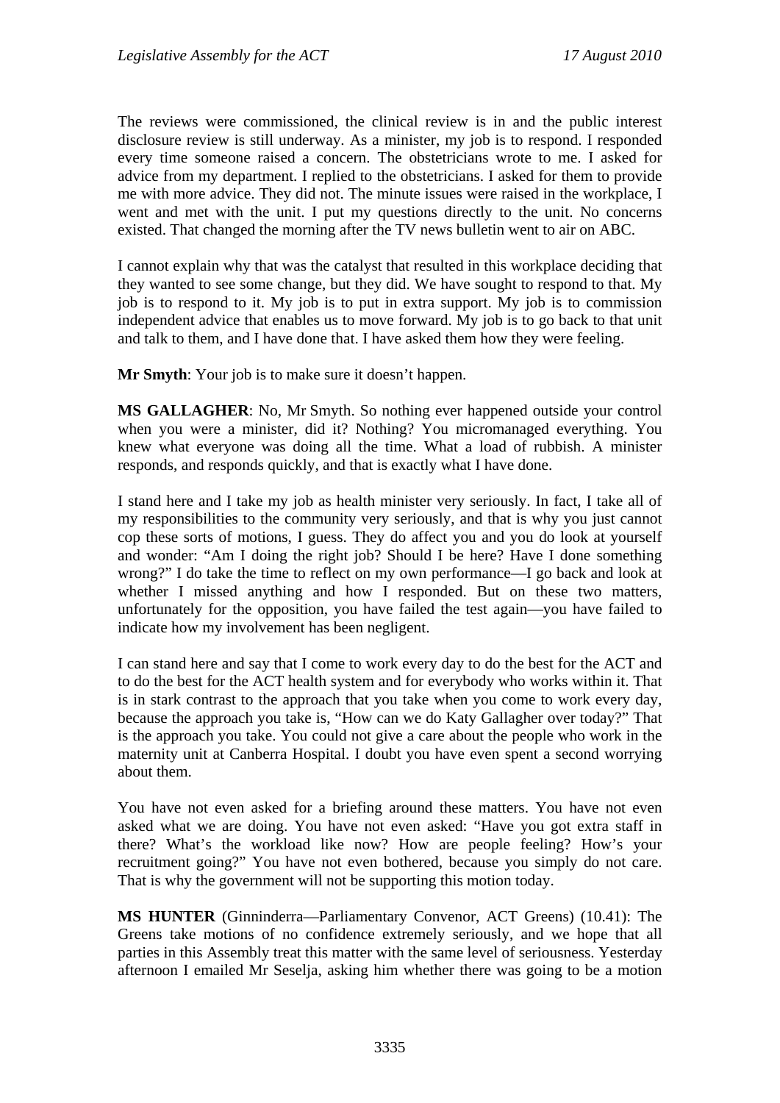The reviews were commissioned, the clinical review is in and the public interest disclosure review is still underway. As a minister, my job is to respond. I responded every time someone raised a concern. The obstetricians wrote to me. I asked for advice from my department. I replied to the obstetricians. I asked for them to provide me with more advice. They did not. The minute issues were raised in the workplace, I went and met with the unit. I put my questions directly to the unit. No concerns existed. That changed the morning after the TV news bulletin went to air on ABC.

I cannot explain why that was the catalyst that resulted in this workplace deciding that they wanted to see some change, but they did. We have sought to respond to that. My job is to respond to it. My job is to put in extra support. My job is to commission independent advice that enables us to move forward. My job is to go back to that unit and talk to them, and I have done that. I have asked them how they were feeling.

**Mr Smyth**: Your job is to make sure it doesn't happen.

**MS GALLAGHER**: No, Mr Smyth. So nothing ever happened outside your control when you were a minister, did it? Nothing? You micromanaged everything. You knew what everyone was doing all the time. What a load of rubbish. A minister responds, and responds quickly, and that is exactly what I have done.

I stand here and I take my job as health minister very seriously. In fact, I take all of my responsibilities to the community very seriously, and that is why you just cannot cop these sorts of motions, I guess. They do affect you and you do look at yourself and wonder: "Am I doing the right job? Should I be here? Have I done something wrong?" I do take the time to reflect on my own performance—I go back and look at whether I missed anything and how I responded. But on these two matters, unfortunately for the opposition, you have failed the test again—you have failed to indicate how my involvement has been negligent.

I can stand here and say that I come to work every day to do the best for the ACT and to do the best for the ACT health system and for everybody who works within it. That is in stark contrast to the approach that you take when you come to work every day, because the approach you take is, "How can we do Katy Gallagher over today?" That is the approach you take. You could not give a care about the people who work in the maternity unit at Canberra Hospital. I doubt you have even spent a second worrying about them.

You have not even asked for a briefing around these matters. You have not even asked what we are doing. You have not even asked: "Have you got extra staff in there? What's the workload like now? How are people feeling? How's your recruitment going?" You have not even bothered, because you simply do not care. That is why the government will not be supporting this motion today.

**MS HUNTER** (Ginninderra—Parliamentary Convenor, ACT Greens) (10.41): The Greens take motions of no confidence extremely seriously, and we hope that all parties in this Assembly treat this matter with the same level of seriousness. Yesterday afternoon I emailed Mr Seselja, asking him whether there was going to be a motion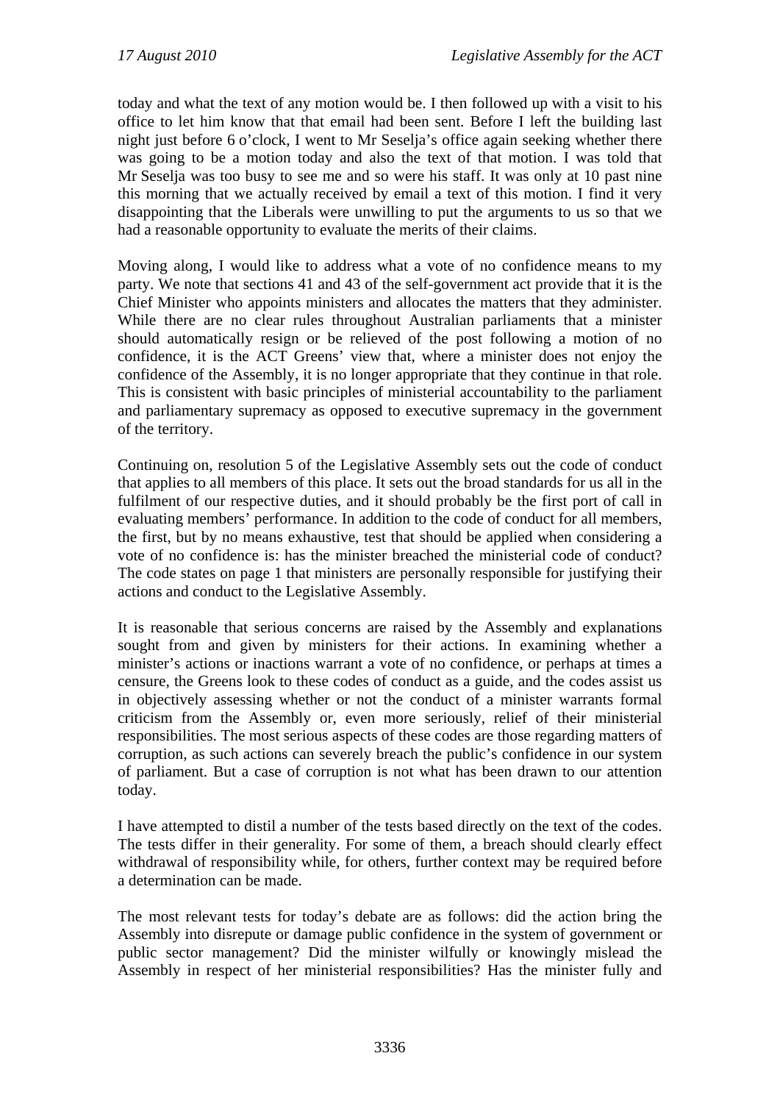today and what the text of any motion would be. I then followed up with a visit to his office to let him know that that email had been sent. Before I left the building last night just before 6 o'clock, I went to Mr Seselja's office again seeking whether there was going to be a motion today and also the text of that motion. I was told that Mr Seselja was too busy to see me and so were his staff. It was only at 10 past nine this morning that we actually received by email a text of this motion. I find it very disappointing that the Liberals were unwilling to put the arguments to us so that we had a reasonable opportunity to evaluate the merits of their claims.

Moving along, I would like to address what a vote of no confidence means to my party. We note that sections 41 and 43 of the self-government act provide that it is the Chief Minister who appoints ministers and allocates the matters that they administer. While there are no clear rules throughout Australian parliaments that a minister should automatically resign or be relieved of the post following a motion of no confidence, it is the ACT Greens' view that, where a minister does not enjoy the confidence of the Assembly, it is no longer appropriate that they continue in that role. This is consistent with basic principles of ministerial accountability to the parliament and parliamentary supremacy as opposed to executive supremacy in the government of the territory.

Continuing on, resolution 5 of the Legislative Assembly sets out the code of conduct that applies to all members of this place. It sets out the broad standards for us all in the fulfilment of our respective duties, and it should probably be the first port of call in evaluating members' performance. In addition to the code of conduct for all members, the first, but by no means exhaustive, test that should be applied when considering a vote of no confidence is: has the minister breached the ministerial code of conduct? The code states on page 1 that ministers are personally responsible for justifying their actions and conduct to the Legislative Assembly.

It is reasonable that serious concerns are raised by the Assembly and explanations sought from and given by ministers for their actions. In examining whether a minister's actions or inactions warrant a vote of no confidence, or perhaps at times a censure, the Greens look to these codes of conduct as a guide, and the codes assist us in objectively assessing whether or not the conduct of a minister warrants formal criticism from the Assembly or, even more seriously, relief of their ministerial responsibilities. The most serious aspects of these codes are those regarding matters of corruption, as such actions can severely breach the public's confidence in our system of parliament. But a case of corruption is not what has been drawn to our attention today.

I have attempted to distil a number of the tests based directly on the text of the codes. The tests differ in their generality. For some of them, a breach should clearly effect withdrawal of responsibility while, for others, further context may be required before a determination can be made.

The most relevant tests for today's debate are as follows: did the action bring the Assembly into disrepute or damage public confidence in the system of government or public sector management? Did the minister wilfully or knowingly mislead the Assembly in respect of her ministerial responsibilities? Has the minister fully and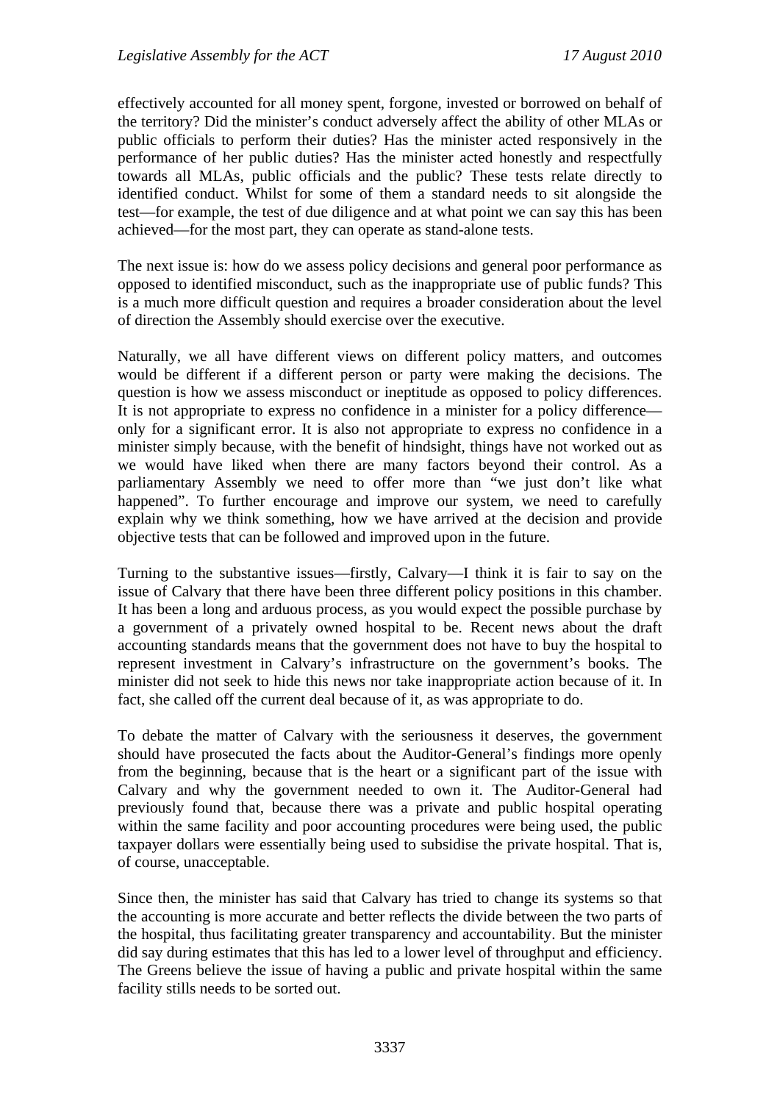effectively accounted for all money spent, forgone, invested or borrowed on behalf of the territory? Did the minister's conduct adversely affect the ability of other MLAs or public officials to perform their duties? Has the minister acted responsively in the performance of her public duties? Has the minister acted honestly and respectfully towards all MLAs, public officials and the public? These tests relate directly to identified conduct. Whilst for some of them a standard needs to sit alongside the test—for example, the test of due diligence and at what point we can say this has been achieved—for the most part, they can operate as stand-alone tests.

The next issue is: how do we assess policy decisions and general poor performance as opposed to identified misconduct, such as the inappropriate use of public funds? This is a much more difficult question and requires a broader consideration about the level of direction the Assembly should exercise over the executive.

Naturally, we all have different views on different policy matters, and outcomes would be different if a different person or party were making the decisions. The question is how we assess misconduct or ineptitude as opposed to policy differences. It is not appropriate to express no confidence in a minister for a policy difference only for a significant error. It is also not appropriate to express no confidence in a minister simply because, with the benefit of hindsight, things have not worked out as we would have liked when there are many factors beyond their control. As a parliamentary Assembly we need to offer more than "we just don't like what happened". To further encourage and improve our system, we need to carefully explain why we think something, how we have arrived at the decision and provide objective tests that can be followed and improved upon in the future.

Turning to the substantive issues—firstly, Calvary—I think it is fair to say on the issue of Calvary that there have been three different policy positions in this chamber. It has been a long and arduous process, as you would expect the possible purchase by a government of a privately owned hospital to be. Recent news about the draft accounting standards means that the government does not have to buy the hospital to represent investment in Calvary's infrastructure on the government's books. The minister did not seek to hide this news nor take inappropriate action because of it. In fact, she called off the current deal because of it, as was appropriate to do.

To debate the matter of Calvary with the seriousness it deserves, the government should have prosecuted the facts about the Auditor-General's findings more openly from the beginning, because that is the heart or a significant part of the issue with Calvary and why the government needed to own it. The Auditor-General had previously found that, because there was a private and public hospital operating within the same facility and poor accounting procedures were being used, the public taxpayer dollars were essentially being used to subsidise the private hospital. That is, of course, unacceptable.

Since then, the minister has said that Calvary has tried to change its systems so that the accounting is more accurate and better reflects the divide between the two parts of the hospital, thus facilitating greater transparency and accountability. But the minister did say during estimates that this has led to a lower level of throughput and efficiency. The Greens believe the issue of having a public and private hospital within the same facility stills needs to be sorted out.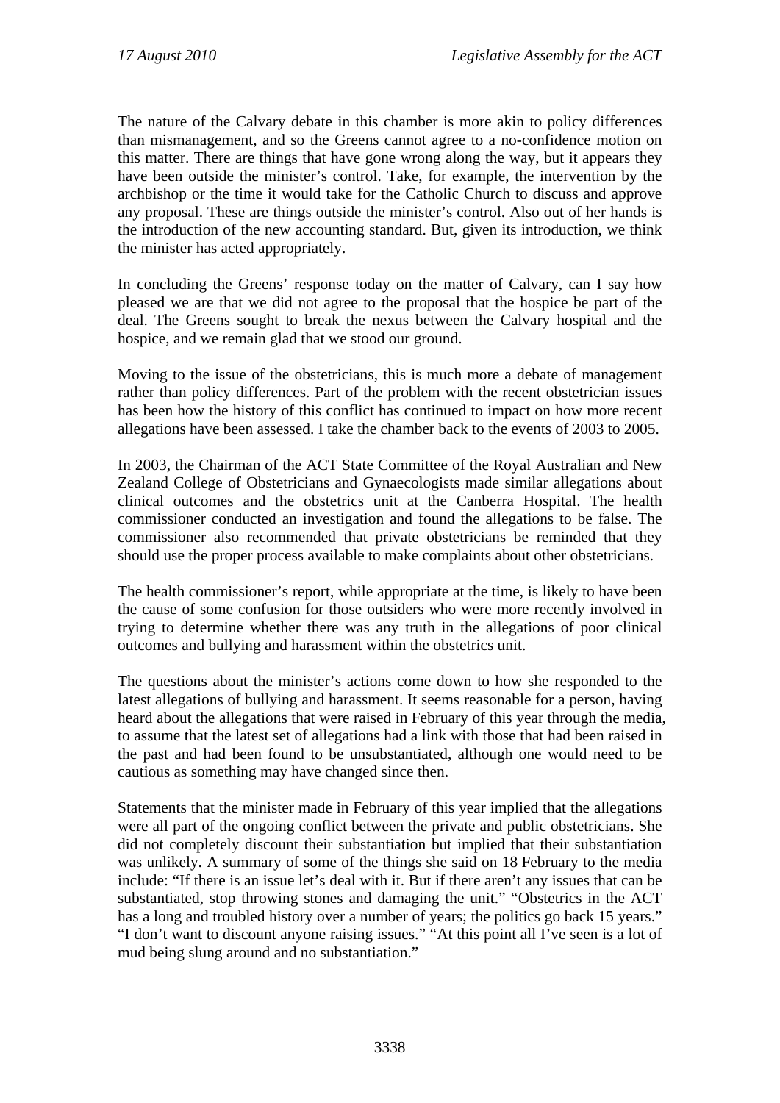The nature of the Calvary debate in this chamber is more akin to policy differences than mismanagement, and so the Greens cannot agree to a no-confidence motion on this matter. There are things that have gone wrong along the way, but it appears they have been outside the minister's control. Take, for example, the intervention by the archbishop or the time it would take for the Catholic Church to discuss and approve any proposal. These are things outside the minister's control. Also out of her hands is the introduction of the new accounting standard. But, given its introduction, we think the minister has acted appropriately.

In concluding the Greens' response today on the matter of Calvary, can I say how pleased we are that we did not agree to the proposal that the hospice be part of the deal. The Greens sought to break the nexus between the Calvary hospital and the hospice, and we remain glad that we stood our ground.

Moving to the issue of the obstetricians, this is much more a debate of management rather than policy differences. Part of the problem with the recent obstetrician issues has been how the history of this conflict has continued to impact on how more recent allegations have been assessed. I take the chamber back to the events of 2003 to 2005.

In 2003, the Chairman of the ACT State Committee of the Royal Australian and New Zealand College of Obstetricians and Gynaecologists made similar allegations about clinical outcomes and the obstetrics unit at the Canberra Hospital. The health commissioner conducted an investigation and found the allegations to be false. The commissioner also recommended that private obstetricians be reminded that they should use the proper process available to make complaints about other obstetricians.

The health commissioner's report, while appropriate at the time, is likely to have been the cause of some confusion for those outsiders who were more recently involved in trying to determine whether there was any truth in the allegations of poor clinical outcomes and bullying and harassment within the obstetrics unit.

The questions about the minister's actions come down to how she responded to the latest allegations of bullying and harassment. It seems reasonable for a person, having heard about the allegations that were raised in February of this year through the media, to assume that the latest set of allegations had a link with those that had been raised in the past and had been found to be unsubstantiated, although one would need to be cautious as something may have changed since then.

Statements that the minister made in February of this year implied that the allegations were all part of the ongoing conflict between the private and public obstetricians. She did not completely discount their substantiation but implied that their substantiation was unlikely. A summary of some of the things she said on 18 February to the media include: "If there is an issue let's deal with it. But if there aren't any issues that can be substantiated, stop throwing stones and damaging the unit." "Obstetrics in the ACT has a long and troubled history over a number of years; the politics go back 15 years." "I don't want to discount anyone raising issues." "At this point all I've seen is a lot of mud being slung around and no substantiation."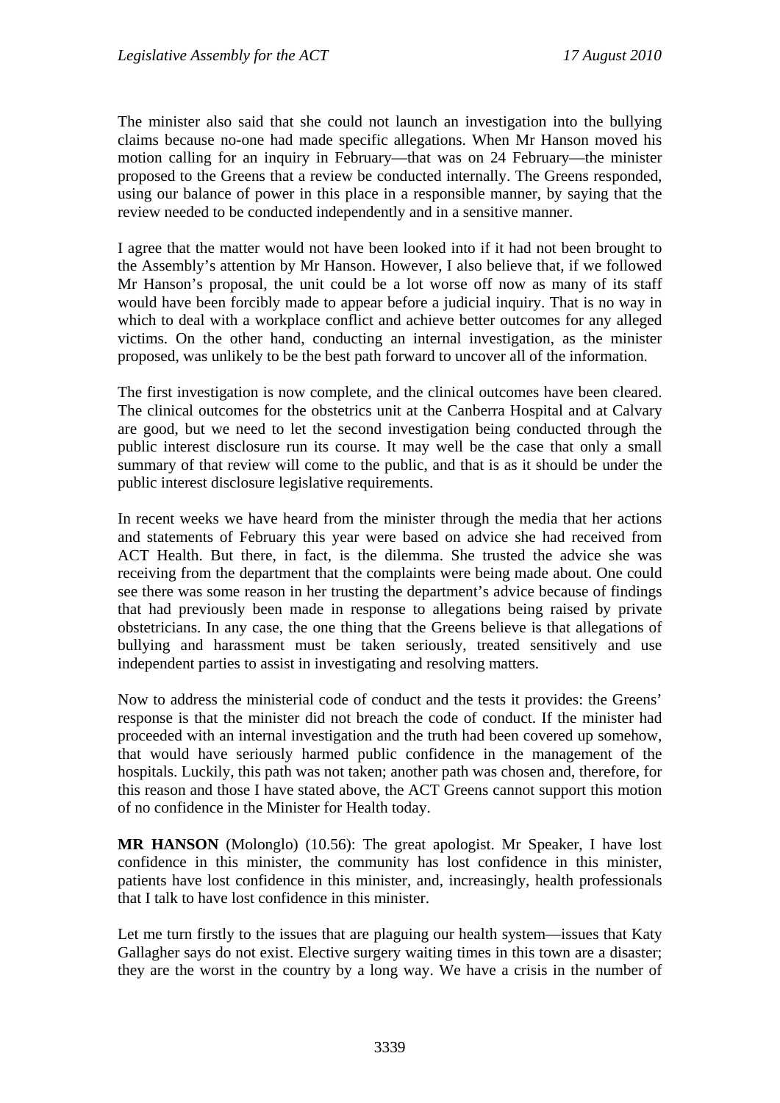The minister also said that she could not launch an investigation into the bullying claims because no-one had made specific allegations. When Mr Hanson moved his motion calling for an inquiry in February—that was on 24 February—the minister proposed to the Greens that a review be conducted internally. The Greens responded, using our balance of power in this place in a responsible manner, by saying that the review needed to be conducted independently and in a sensitive manner.

I agree that the matter would not have been looked into if it had not been brought to the Assembly's attention by Mr Hanson. However, I also believe that, if we followed Mr Hanson's proposal, the unit could be a lot worse off now as many of its staff would have been forcibly made to appear before a judicial inquiry. That is no way in which to deal with a workplace conflict and achieve better outcomes for any alleged victims. On the other hand, conducting an internal investigation, as the minister proposed, was unlikely to be the best path forward to uncover all of the information.

The first investigation is now complete, and the clinical outcomes have been cleared. The clinical outcomes for the obstetrics unit at the Canberra Hospital and at Calvary are good, but we need to let the second investigation being conducted through the public interest disclosure run its course. It may well be the case that only a small summary of that review will come to the public, and that is as it should be under the public interest disclosure legislative requirements.

In recent weeks we have heard from the minister through the media that her actions and statements of February this year were based on advice she had received from ACT Health. But there, in fact, is the dilemma. She trusted the advice she was receiving from the department that the complaints were being made about. One could see there was some reason in her trusting the department's advice because of findings that had previously been made in response to allegations being raised by private obstetricians. In any case, the one thing that the Greens believe is that allegations of bullying and harassment must be taken seriously, treated sensitively and use independent parties to assist in investigating and resolving matters.

Now to address the ministerial code of conduct and the tests it provides: the Greens' response is that the minister did not breach the code of conduct. If the minister had proceeded with an internal investigation and the truth had been covered up somehow, that would have seriously harmed public confidence in the management of the hospitals. Luckily, this path was not taken; another path was chosen and, therefore, for this reason and those I have stated above, the ACT Greens cannot support this motion of no confidence in the Minister for Health today.

**MR HANSON** (Molonglo) (10.56): The great apologist. Mr Speaker, I have lost confidence in this minister, the community has lost confidence in this minister, patients have lost confidence in this minister, and, increasingly, health professionals that I talk to have lost confidence in this minister.

Let me turn firstly to the issues that are plaguing our health system—issues that Katy Gallagher says do not exist. Elective surgery waiting times in this town are a disaster; they are the worst in the country by a long way. We have a crisis in the number of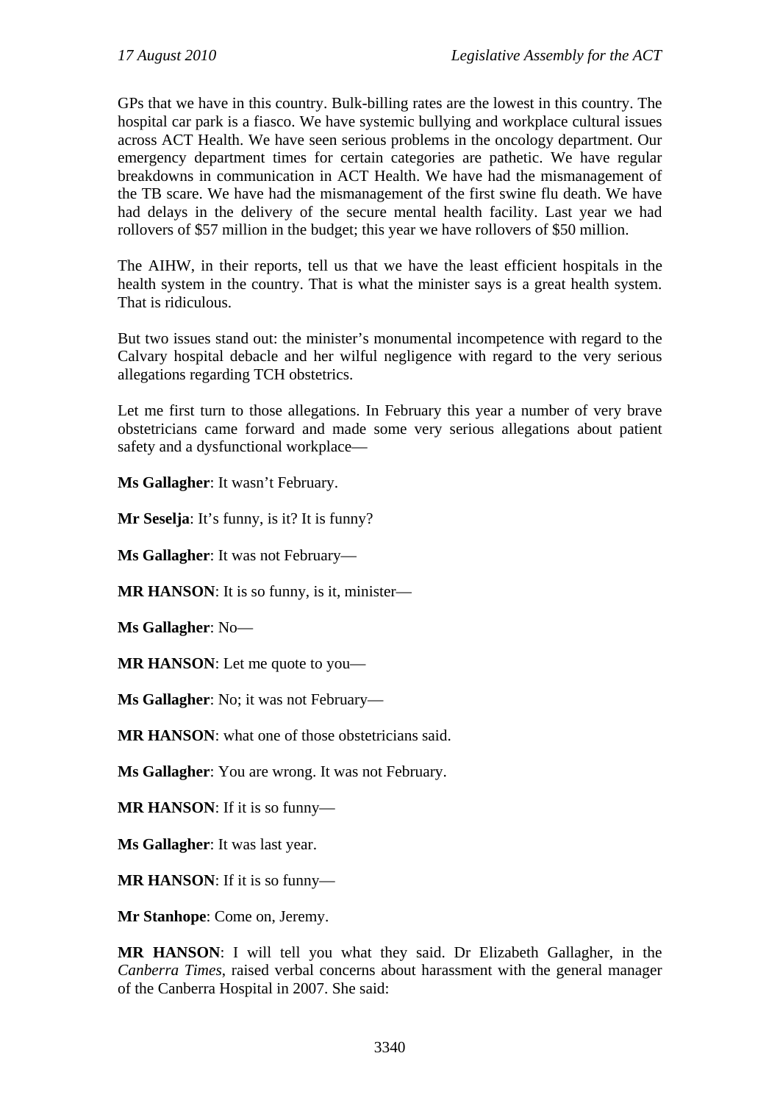GPs that we have in this country. Bulk-billing rates are the lowest in this country. The hospital car park is a fiasco. We have systemic bullying and workplace cultural issues across ACT Health. We have seen serious problems in the oncology department. Our emergency department times for certain categories are pathetic. We have regular breakdowns in communication in ACT Health. We have had the mismanagement of the TB scare. We have had the mismanagement of the first swine flu death. We have had delays in the delivery of the secure mental health facility. Last year we had rollovers of \$57 million in the budget; this year we have rollovers of \$50 million.

The AIHW, in their reports, tell us that we have the least efficient hospitals in the health system in the country. That is what the minister says is a great health system. That is ridiculous.

But two issues stand out: the minister's monumental incompetence with regard to the Calvary hospital debacle and her wilful negligence with regard to the very serious allegations regarding TCH obstetrics.

Let me first turn to those allegations. In February this year a number of very brave obstetricians came forward and made some very serious allegations about patient safety and a dysfunctional workplace—

**Ms Gallagher**: It wasn't February.

**Mr Seselja**: It's funny, is it? It is funny?

**Ms Gallagher**: It was not February—

**MR HANSON**: It is so funny, is it, minister—

**Ms Gallagher**: No—

**MR HANSON**: Let me quote to you—

**Ms Gallagher**: No; it was not February—

**MR HANSON**: what one of those obstetricians said.

**Ms Gallagher**: You are wrong. It was not February.

**MR HANSON**: If it is so funny—

**Ms Gallagher**: It was last year.

**MR HANSON**: If it is so funny—

**Mr Stanhope**: Come on, Jeremy.

**MR HANSON**: I will tell you what they said. Dr Elizabeth Gallagher, in the *Canberra Times*, raised verbal concerns about harassment with the general manager of the Canberra Hospital in 2007. She said: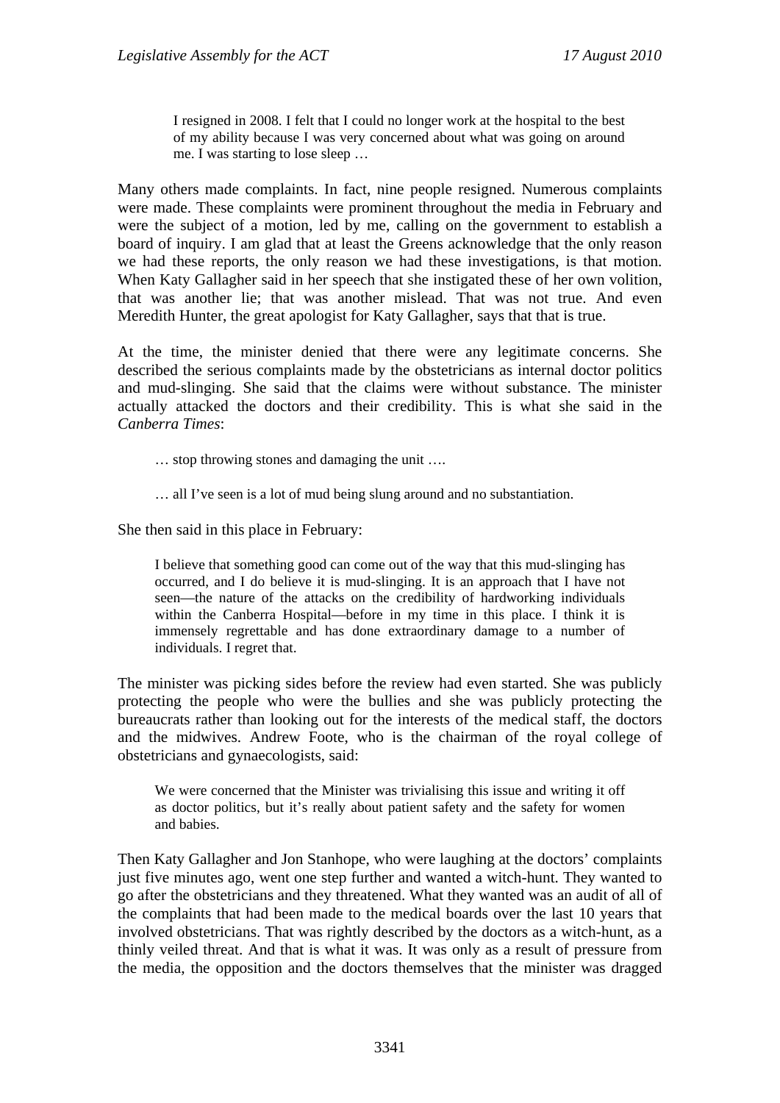I resigned in 2008. I felt that I could no longer work at the hospital to the best of my ability because I was very concerned about what was going on around me. I was starting to lose sleep …

Many others made complaints. In fact, nine people resigned. Numerous complaints were made. These complaints were prominent throughout the media in February and were the subject of a motion, led by me, calling on the government to establish a board of inquiry. I am glad that at least the Greens acknowledge that the only reason we had these reports, the only reason we had these investigations, is that motion. When Katy Gallagher said in her speech that she instigated these of her own volition, that was another lie; that was another mislead. That was not true. And even Meredith Hunter, the great apologist for Katy Gallagher, says that that is true.

At the time, the minister denied that there were any legitimate concerns. She described the serious complaints made by the obstetricians as internal doctor politics and mud-slinging. She said that the claims were without substance. The minister actually attacked the doctors and their credibility. This is what she said in the *Canberra Times*:

… stop throwing stones and damaging the unit ….

… all I've seen is a lot of mud being slung around and no substantiation.

She then said in this place in February:

I believe that something good can come out of the way that this mud-slinging has occurred, and I do believe it is mud-slinging. It is an approach that I have not seen—the nature of the attacks on the credibility of hardworking individuals within the Canberra Hospital—before in my time in this place. I think it is immensely regrettable and has done extraordinary damage to a number of individuals. I regret that.

The minister was picking sides before the review had even started. She was publicly protecting the people who were the bullies and she was publicly protecting the bureaucrats rather than looking out for the interests of the medical staff, the doctors and the midwives. Andrew Foote, who is the chairman of the royal college of obstetricians and gynaecologists, said:

We were concerned that the Minister was trivialising this issue and writing it off as doctor politics, but it's really about patient safety and the safety for women and babies.

Then Katy Gallagher and Jon Stanhope, who were laughing at the doctors' complaints just five minutes ago, went one step further and wanted a witch-hunt. They wanted to go after the obstetricians and they threatened. What they wanted was an audit of all of the complaints that had been made to the medical boards over the last 10 years that involved obstetricians. That was rightly described by the doctors as a witch-hunt, as a thinly veiled threat. And that is what it was. It was only as a result of pressure from the media, the opposition and the doctors themselves that the minister was dragged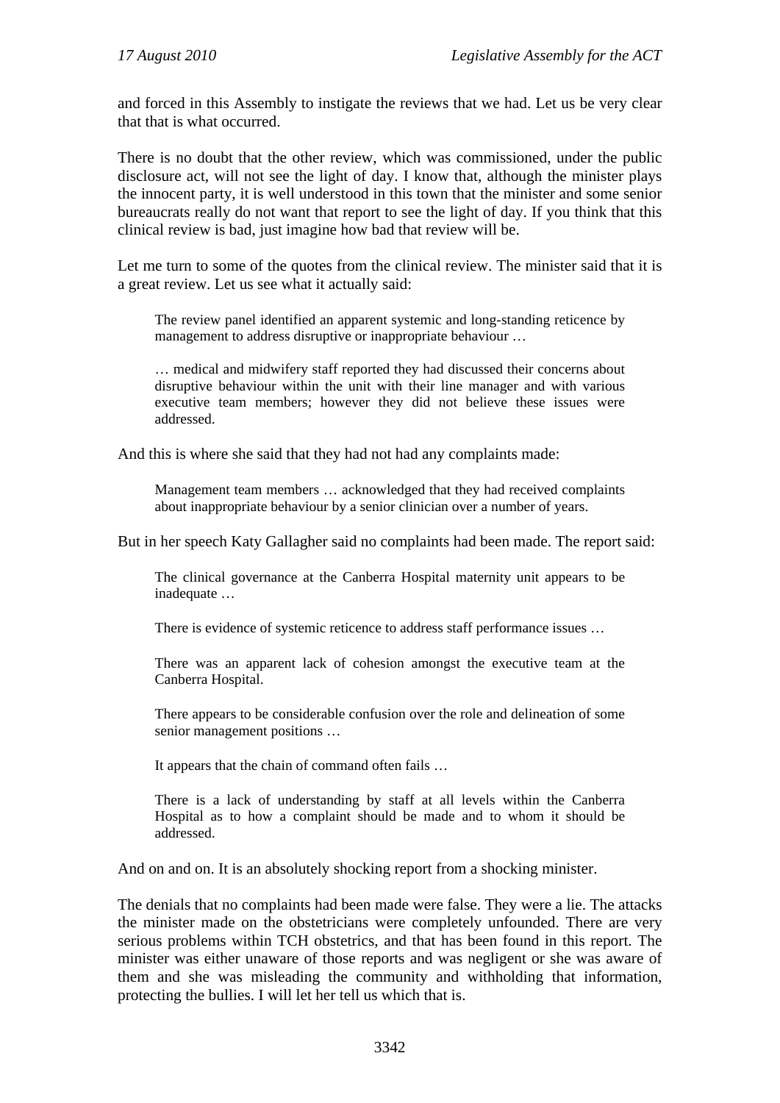and forced in this Assembly to instigate the reviews that we had. Let us be very clear that that is what occurred.

There is no doubt that the other review, which was commissioned, under the public disclosure act, will not see the light of day. I know that, although the minister plays the innocent party, it is well understood in this town that the minister and some senior bureaucrats really do not want that report to see the light of day. If you think that this clinical review is bad, just imagine how bad that review will be.

Let me turn to some of the quotes from the clinical review. The minister said that it is a great review. Let us see what it actually said:

The review panel identified an apparent systemic and long-standing reticence by management to address disruptive or inappropriate behaviour …

… medical and midwifery staff reported they had discussed their concerns about disruptive behaviour within the unit with their line manager and with various executive team members; however they did not believe these issues were addressed.

And this is where she said that they had not had any complaints made:

Management team members … acknowledged that they had received complaints about inappropriate behaviour by a senior clinician over a number of years.

But in her speech Katy Gallagher said no complaints had been made. The report said:

The clinical governance at the Canberra Hospital maternity unit appears to be inadequate …

There is evidence of systemic reticence to address staff performance issues …

There was an apparent lack of cohesion amongst the executive team at the Canberra Hospital.

There appears to be considerable confusion over the role and delineation of some senior management positions …

It appears that the chain of command often fails …

There is a lack of understanding by staff at all levels within the Canberra Hospital as to how a complaint should be made and to whom it should be addressed.

And on and on. It is an absolutely shocking report from a shocking minister.

The denials that no complaints had been made were false. They were a lie. The attacks the minister made on the obstetricians were completely unfounded. There are very serious problems within TCH obstetrics, and that has been found in this report. The minister was either unaware of those reports and was negligent or she was aware of them and she was misleading the community and withholding that information, protecting the bullies. I will let her tell us which that is.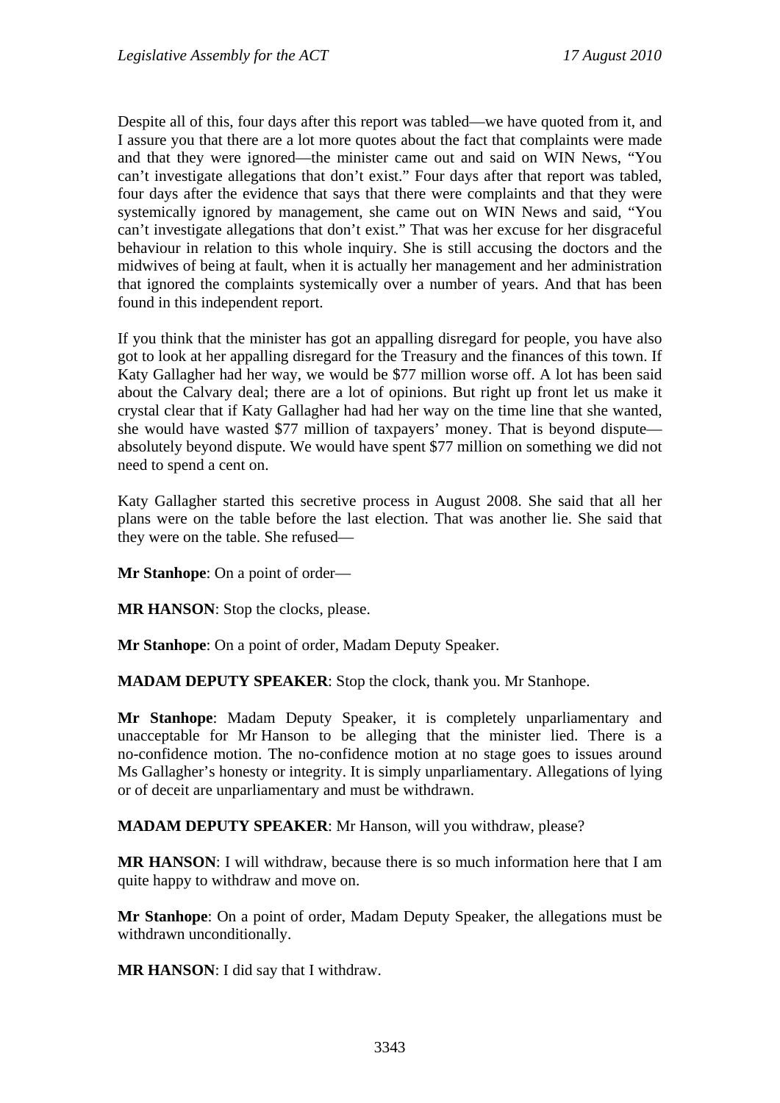Despite all of this, four days after this report was tabled—we have quoted from it, and I assure you that there are a lot more quotes about the fact that complaints were made and that they were ignored—the minister came out and said on WIN News, "You can't investigate allegations that don't exist." Four days after that report was tabled, four days after the evidence that says that there were complaints and that they were systemically ignored by management, she came out on WIN News and said, "You can't investigate allegations that don't exist." That was her excuse for her disgraceful behaviour in relation to this whole inquiry. She is still accusing the doctors and the midwives of being at fault, when it is actually her management and her administration that ignored the complaints systemically over a number of years. And that has been found in this independent report.

If you think that the minister has got an appalling disregard for people, you have also got to look at her appalling disregard for the Treasury and the finances of this town. If Katy Gallagher had her way, we would be \$77 million worse off. A lot has been said about the Calvary deal; there are a lot of opinions. But right up front let us make it crystal clear that if Katy Gallagher had had her way on the time line that she wanted, she would have wasted \$77 million of taxpayers' money. That is beyond dispute absolutely beyond dispute. We would have spent \$77 million on something we did not need to spend a cent on.

Katy Gallagher started this secretive process in August 2008. She said that all her plans were on the table before the last election. That was another lie. She said that they were on the table. She refused—

**Mr Stanhope**: On a point of order—

**MR HANSON:** Stop the clocks, please.

**Mr Stanhope**: On a point of order, Madam Deputy Speaker.

**MADAM DEPUTY SPEAKER**: Stop the clock, thank you. Mr Stanhope.

**Mr Stanhope**: Madam Deputy Speaker, it is completely unparliamentary and unacceptable for Mr Hanson to be alleging that the minister lied. There is a no-confidence motion. The no-confidence motion at no stage goes to issues around Ms Gallagher's honesty or integrity. It is simply unparliamentary. Allegations of lying or of deceit are unparliamentary and must be withdrawn.

**MADAM DEPUTY SPEAKER**: Mr Hanson, will you withdraw, please?

**MR HANSON**: I will withdraw, because there is so much information here that I am quite happy to withdraw and move on.

**Mr Stanhope**: On a point of order, Madam Deputy Speaker, the allegations must be withdrawn unconditionally.

**MR HANSON**: I did say that I withdraw.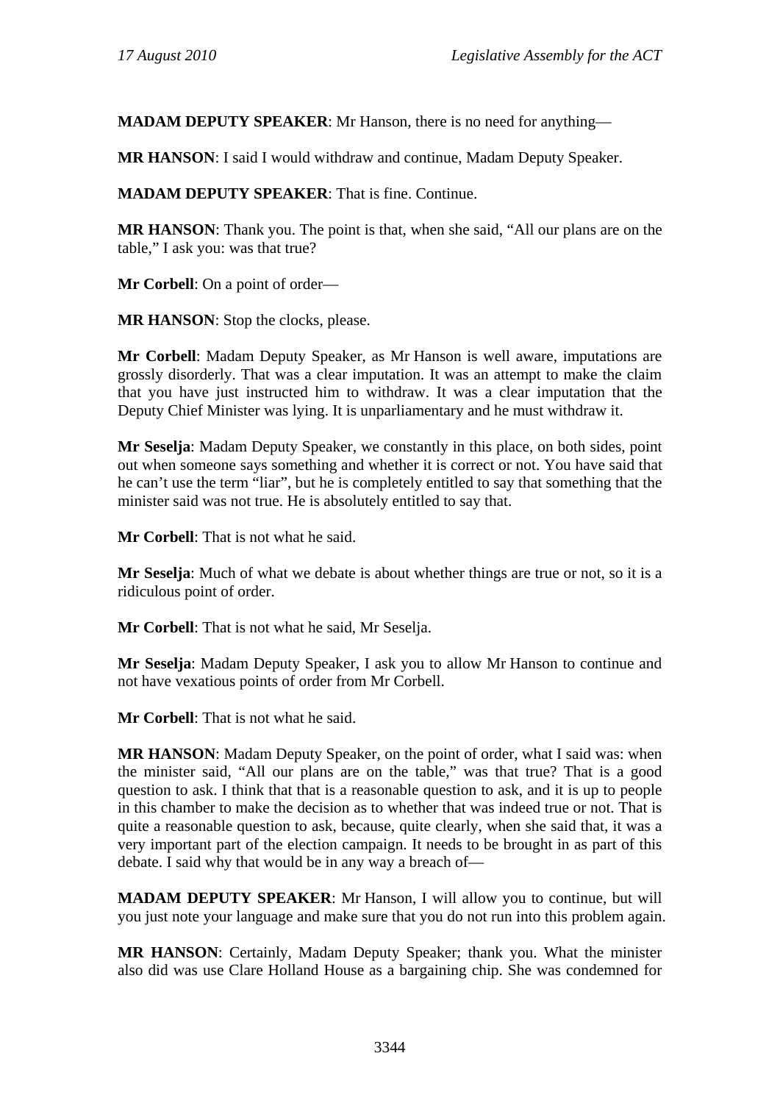**MADAM DEPUTY SPEAKER**: Mr Hanson, there is no need for anything—

**MR HANSON**: I said I would withdraw and continue, Madam Deputy Speaker.

**MADAM DEPUTY SPEAKER**: That is fine. Continue.

**MR HANSON**: Thank you. The point is that, when she said, "All our plans are on the table," I ask you: was that true?

**Mr Corbell**: On a point of order—

**MR HANSON:** Stop the clocks, please.

**Mr Corbell**: Madam Deputy Speaker, as Mr Hanson is well aware, imputations are grossly disorderly. That was a clear imputation. It was an attempt to make the claim that you have just instructed him to withdraw. It was a clear imputation that the Deputy Chief Minister was lying. It is unparliamentary and he must withdraw it.

**Mr Seselja**: Madam Deputy Speaker, we constantly in this place, on both sides, point out when someone says something and whether it is correct or not. You have said that he can't use the term "liar", but he is completely entitled to say that something that the minister said was not true. He is absolutely entitled to say that.

**Mr Corbell**: That is not what he said.

**Mr Seselja**: Much of what we debate is about whether things are true or not, so it is a ridiculous point of order.

**Mr Corbell**: That is not what he said, Mr Seselja.

**Mr Seselja**: Madam Deputy Speaker, I ask you to allow Mr Hanson to continue and not have vexatious points of order from Mr Corbell.

**Mr Corbell**: That is not what he said.

**MR HANSON**: Madam Deputy Speaker, on the point of order, what I said was: when the minister said, "All our plans are on the table," was that true? That is a good question to ask. I think that that is a reasonable question to ask, and it is up to people in this chamber to make the decision as to whether that was indeed true or not. That is quite a reasonable question to ask, because, quite clearly, when she said that, it was a very important part of the election campaign. It needs to be brought in as part of this debate. I said why that would be in any way a breach of—

**MADAM DEPUTY SPEAKER**: Mr Hanson, I will allow you to continue, but will you just note your language and make sure that you do not run into this problem again.

**MR HANSON**: Certainly, Madam Deputy Speaker; thank you. What the minister also did was use Clare Holland House as a bargaining chip. She was condemned for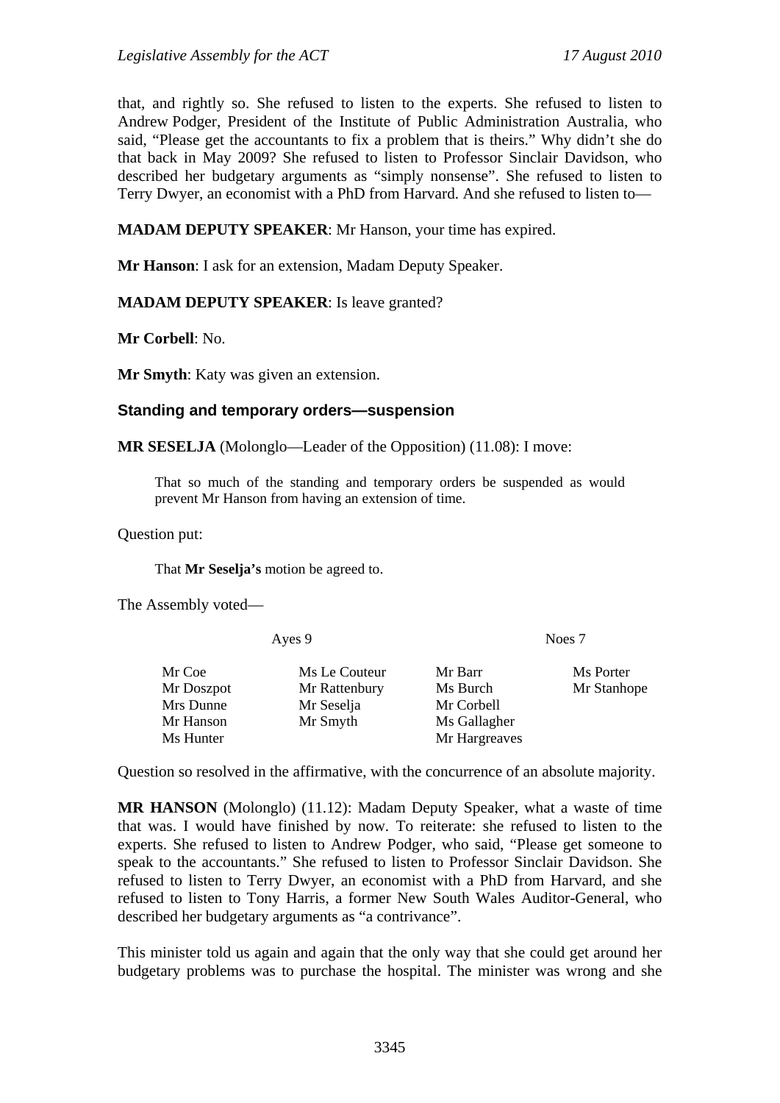that, and rightly so. She refused to listen to the experts. She refused to listen to Andrew Podger, President of the Institute of Public Administration Australia, who said, "Please get the accountants to fix a problem that is theirs." Why didn't she do that back in May 2009? She refused to listen to Professor Sinclair Davidson, who described her budgetary arguments as "simply nonsense". She refused to listen to Terry Dwyer, an economist with a PhD from Harvard. And she refused to listen to—

**MADAM DEPUTY SPEAKER**: Mr Hanson, your time has expired.

**Mr Hanson**: I ask for an extension, Madam Deputy Speaker.

#### **MADAM DEPUTY SPEAKER**: Is leave granted?

**Mr Corbell**: No.

**Mr Smyth**: Katy was given an extension.

#### **Standing and temporary orders—suspension**

**MR SESELJA** (Molonglo—Leader of the Opposition) (11.08): I move:

That so much of the standing and temporary orders be suspended as would prevent Mr Hanson from having an extension of time.

Question put:

That **Mr Seselja's** motion be agreed to.

The Assembly voted—

Ayes 9 Noes 7

Mr Coe Ms Le Couteur Mr Barr Ms Porter Mr Doszpot Mr Rattenbury Ms Burch Mr Stanhope Mrs Dunne Mr Seselja Mr Corbell Mr Hanson Mr Smyth Ms Gallagher Ms Hunter Mr Hargreaves

Question so resolved in the affirmative, with the concurrence of an absolute majority.

**MR HANSON** (Molonglo) (11.12): Madam Deputy Speaker, what a waste of time that was. I would have finished by now. To reiterate: she refused to listen to the experts. She refused to listen to Andrew Podger, who said, "Please get someone to speak to the accountants." She refused to listen to Professor Sinclair Davidson. She refused to listen to Terry Dwyer, an economist with a PhD from Harvard, and she refused to listen to Tony Harris, a former New South Wales Auditor-General, who described her budgetary arguments as "a contrivance".

This minister told us again and again that the only way that she could get around her budgetary problems was to purchase the hospital. The minister was wrong and she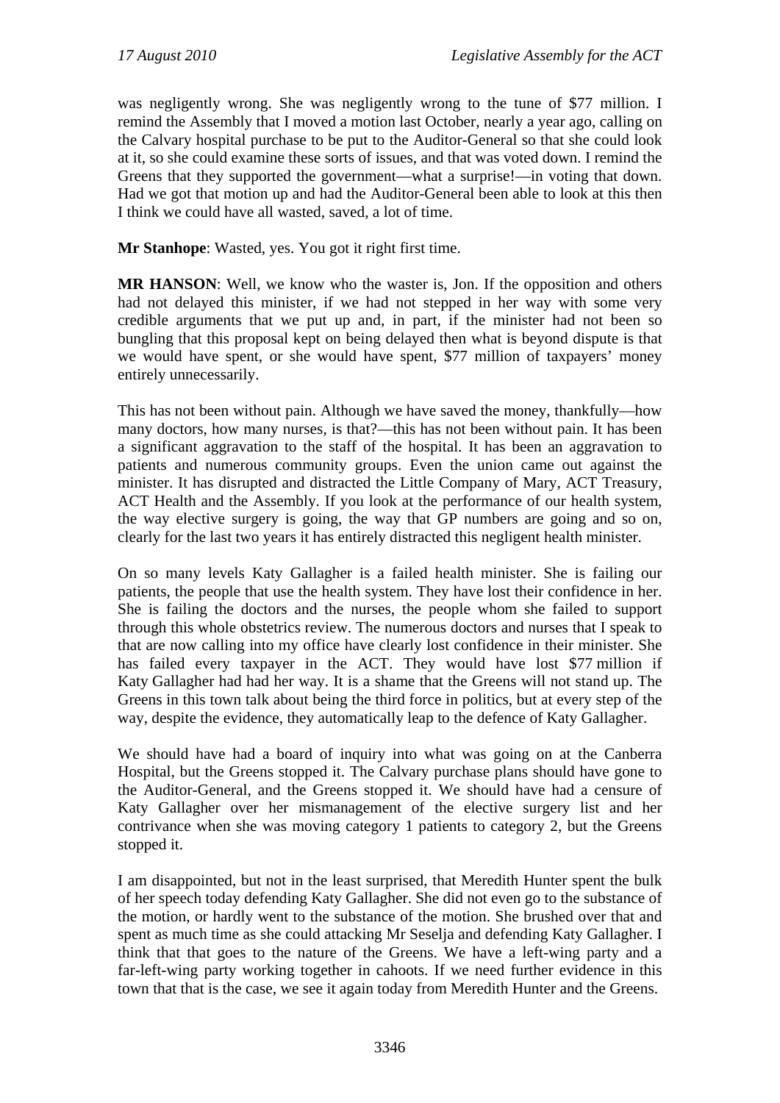was negligently wrong. She was negligently wrong to the tune of \$77 million. I remind the Assembly that I moved a motion last October, nearly a year ago, calling on the Calvary hospital purchase to be put to the Auditor-General so that she could look at it, so she could examine these sorts of issues, and that was voted down. I remind the Greens that they supported the government—what a surprise!—in voting that down. Had we got that motion up and had the Auditor-General been able to look at this then I think we could have all wasted, saved, a lot of time.

**Mr Stanhope**: Wasted, yes. You got it right first time.

**MR HANSON**: Well, we know who the waster is, Jon. If the opposition and others had not delayed this minister, if we had not stepped in her way with some very credible arguments that we put up and, in part, if the minister had not been so bungling that this proposal kept on being delayed then what is beyond dispute is that we would have spent, or she would have spent, \$77 million of taxpayers' money entirely unnecessarily.

This has not been without pain. Although we have saved the money, thankfully—how many doctors, how many nurses, is that?—this has not been without pain. It has been a significant aggravation to the staff of the hospital. It has been an aggravation to patients and numerous community groups. Even the union came out against the minister. It has disrupted and distracted the Little Company of Mary, ACT Treasury, ACT Health and the Assembly. If you look at the performance of our health system, the way elective surgery is going, the way that GP numbers are going and so on, clearly for the last two years it has entirely distracted this negligent health minister.

On so many levels Katy Gallagher is a failed health minister. She is failing our patients, the people that use the health system. They have lost their confidence in her. She is failing the doctors and the nurses, the people whom she failed to support through this whole obstetrics review. The numerous doctors and nurses that I speak to that are now calling into my office have clearly lost confidence in their minister. She has failed every taxpayer in the ACT. They would have lost \$77 million if Katy Gallagher had had her way. It is a shame that the Greens will not stand up. The Greens in this town talk about being the third force in politics, but at every step of the way, despite the evidence, they automatically leap to the defence of Katy Gallagher.

We should have had a board of inquiry into what was going on at the Canberra Hospital, but the Greens stopped it. The Calvary purchase plans should have gone to the Auditor-General, and the Greens stopped it. We should have had a censure of Katy Gallagher over her mismanagement of the elective surgery list and her contrivance when she was moving category 1 patients to category 2, but the Greens stopped it.

I am disappointed, but not in the least surprised, that Meredith Hunter spent the bulk of her speech today defending Katy Gallagher. She did not even go to the substance of the motion, or hardly went to the substance of the motion. She brushed over that and spent as much time as she could attacking Mr Seselja and defending Katy Gallagher. I think that that goes to the nature of the Greens. We have a left-wing party and a far-left-wing party working together in cahoots. If we need further evidence in this town that that is the case, we see it again today from Meredith Hunter and the Greens.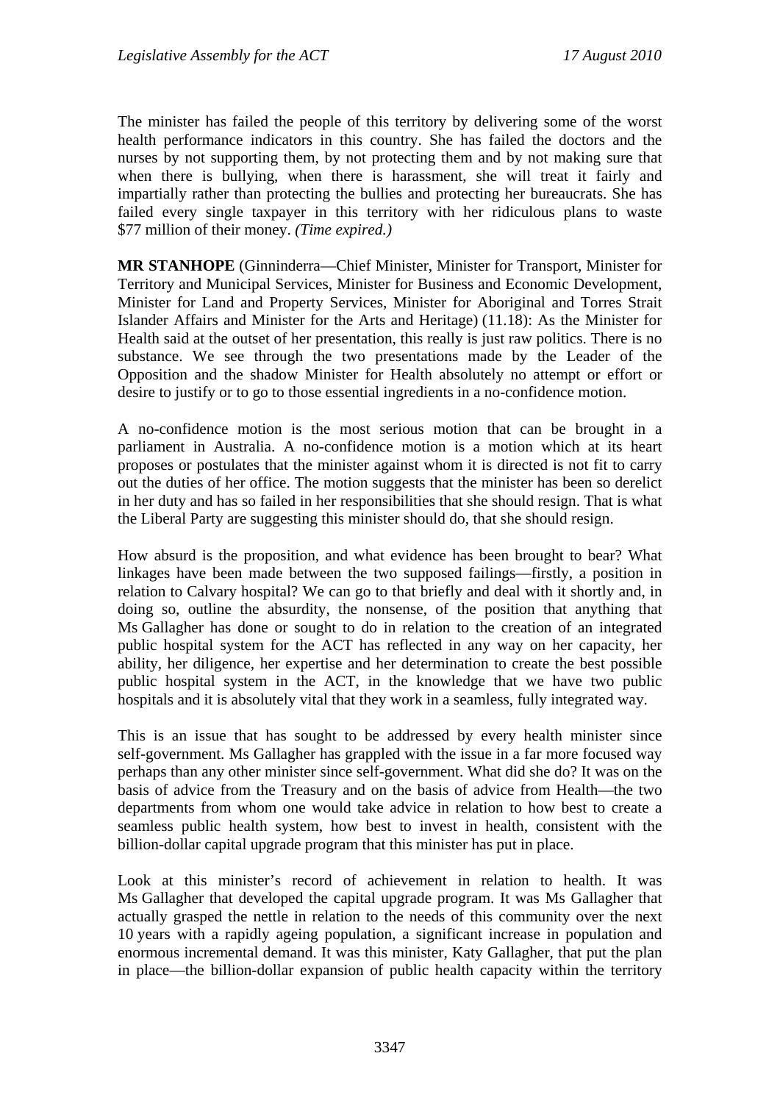The minister has failed the people of this territory by delivering some of the worst health performance indicators in this country. She has failed the doctors and the nurses by not supporting them, by not protecting them and by not making sure that when there is bullying, when there is harassment, she will treat it fairly and impartially rather than protecting the bullies and protecting her bureaucrats. She has failed every single taxpayer in this territory with her ridiculous plans to waste \$77 million of their money. *(Time expired.)*

**MR STANHOPE** (Ginninderra—Chief Minister, Minister for Transport, Minister for Territory and Municipal Services, Minister for Business and Economic Development, Minister for Land and Property Services, Minister for Aboriginal and Torres Strait Islander Affairs and Minister for the Arts and Heritage) (11.18): As the Minister for Health said at the outset of her presentation, this really is just raw politics. There is no substance. We see through the two presentations made by the Leader of the Opposition and the shadow Minister for Health absolutely no attempt or effort or desire to justify or to go to those essential ingredients in a no-confidence motion.

A no-confidence motion is the most serious motion that can be brought in a parliament in Australia. A no-confidence motion is a motion which at its heart proposes or postulates that the minister against whom it is directed is not fit to carry out the duties of her office. The motion suggests that the minister has been so derelict in her duty and has so failed in her responsibilities that she should resign. That is what the Liberal Party are suggesting this minister should do, that she should resign.

How absurd is the proposition, and what evidence has been brought to bear? What linkages have been made between the two supposed failings—firstly, a position in relation to Calvary hospital? We can go to that briefly and deal with it shortly and, in doing so, outline the absurdity, the nonsense, of the position that anything that Ms Gallagher has done or sought to do in relation to the creation of an integrated public hospital system for the ACT has reflected in any way on her capacity, her ability, her diligence, her expertise and her determination to create the best possible public hospital system in the ACT, in the knowledge that we have two public hospitals and it is absolutely vital that they work in a seamless, fully integrated way.

This is an issue that has sought to be addressed by every health minister since self-government. Ms Gallagher has grappled with the issue in a far more focused way perhaps than any other minister since self-government. What did she do? It was on the basis of advice from the Treasury and on the basis of advice from Health—the two departments from whom one would take advice in relation to how best to create a seamless public health system, how best to invest in health, consistent with the billion-dollar capital upgrade program that this minister has put in place.

Look at this minister's record of achievement in relation to health. It was Ms Gallagher that developed the capital upgrade program. It was Ms Gallagher that actually grasped the nettle in relation to the needs of this community over the next 10 years with a rapidly ageing population, a significant increase in population and enormous incremental demand. It was this minister, Katy Gallagher, that put the plan in place—the billion-dollar expansion of public health capacity within the territory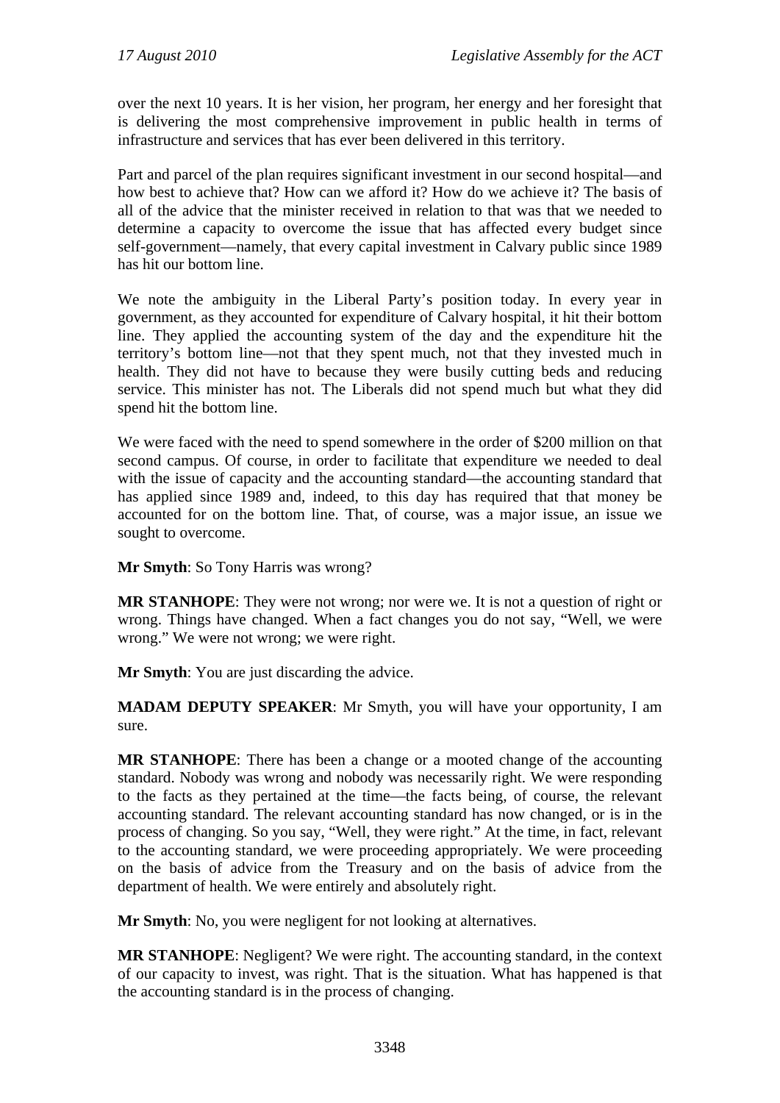over the next 10 years. It is her vision, her program, her energy and her foresight that is delivering the most comprehensive improvement in public health in terms of infrastructure and services that has ever been delivered in this territory.

Part and parcel of the plan requires significant investment in our second hospital—and how best to achieve that? How can we afford it? How do we achieve it? The basis of all of the advice that the minister received in relation to that was that we needed to determine a capacity to overcome the issue that has affected every budget since self-government—namely, that every capital investment in Calvary public since 1989 has hit our bottom line.

We note the ambiguity in the Liberal Party's position today. In every year in government, as they accounted for expenditure of Calvary hospital, it hit their bottom line. They applied the accounting system of the day and the expenditure hit the territory's bottom line—not that they spent much, not that they invested much in health. They did not have to because they were busily cutting beds and reducing service. This minister has not. The Liberals did not spend much but what they did spend hit the bottom line.

We were faced with the need to spend somewhere in the order of \$200 million on that second campus. Of course, in order to facilitate that expenditure we needed to deal with the issue of capacity and the accounting standard—the accounting standard that has applied since 1989 and, indeed, to this day has required that that money be accounted for on the bottom line. That, of course, was a major issue, an issue we sought to overcome.

**Mr Smyth**: So Tony Harris was wrong?

**MR STANHOPE**: They were not wrong; nor were we. It is not a question of right or wrong. Things have changed. When a fact changes you do not say, "Well, we were wrong." We were not wrong; we were right.

**Mr Smyth**: You are just discarding the advice.

**MADAM DEPUTY SPEAKER**: Mr Smyth, you will have your opportunity, I am sure.

**MR STANHOPE**: There has been a change or a mooted change of the accounting standard. Nobody was wrong and nobody was necessarily right. We were responding to the facts as they pertained at the time—the facts being, of course, the relevant accounting standard. The relevant accounting standard has now changed, or is in the process of changing. So you say, "Well, they were right." At the time, in fact, relevant to the accounting standard, we were proceeding appropriately. We were proceeding on the basis of advice from the Treasury and on the basis of advice from the department of health. We were entirely and absolutely right.

**Mr Smyth**: No, you were negligent for not looking at alternatives.

**MR STANHOPE**: Negligent? We were right. The accounting standard, in the context of our capacity to invest, was right. That is the situation. What has happened is that the accounting standard is in the process of changing.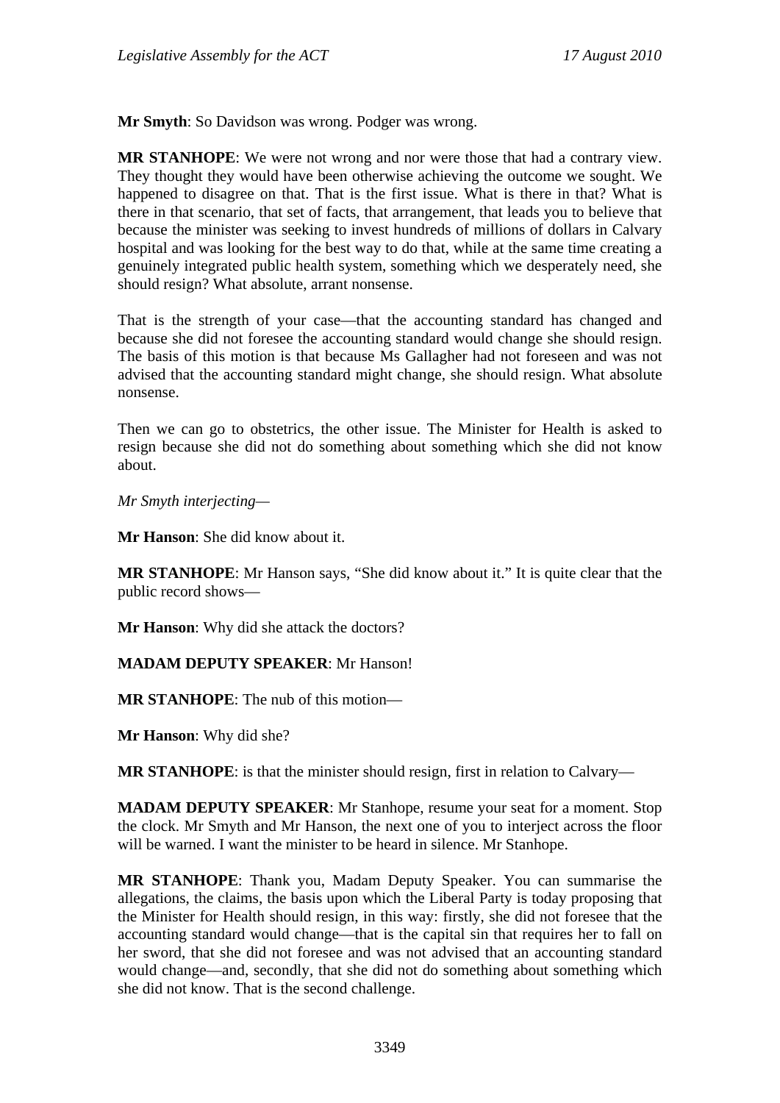**Mr Smyth**: So Davidson was wrong. Podger was wrong.

**MR STANHOPE**: We were not wrong and nor were those that had a contrary view. They thought they would have been otherwise achieving the outcome we sought. We happened to disagree on that. That is the first issue. What is there in that? What is there in that scenario, that set of facts, that arrangement, that leads you to believe that because the minister was seeking to invest hundreds of millions of dollars in Calvary hospital and was looking for the best way to do that, while at the same time creating a genuinely integrated public health system, something which we desperately need, she should resign? What absolute, arrant nonsense.

That is the strength of your case—that the accounting standard has changed and because she did not foresee the accounting standard would change she should resign. The basis of this motion is that because Ms Gallagher had not foreseen and was not advised that the accounting standard might change, she should resign. What absolute nonsense.

Then we can go to obstetrics, the other issue. The Minister for Health is asked to resign because she did not do something about something which she did not know about.

*Mr Smyth interjecting—* 

**Mr Hanson**: She did know about it.

**MR STANHOPE**: Mr Hanson says, "She did know about it." It is quite clear that the public record shows—

**Mr Hanson**: Why did she attack the doctors?

**MADAM DEPUTY SPEAKER**: Mr Hanson!

**MR STANHOPE**: The nub of this motion—

**Mr Hanson**: Why did she?

**MR STANHOPE**: is that the minister should resign, first in relation to Calvary—

**MADAM DEPUTY SPEAKER**: Mr Stanhope, resume your seat for a moment. Stop the clock. Mr Smyth and Mr Hanson, the next one of you to interject across the floor will be warned. I want the minister to be heard in silence. Mr Stanhope.

**MR STANHOPE**: Thank you, Madam Deputy Speaker. You can summarise the allegations, the claims, the basis upon which the Liberal Party is today proposing that the Minister for Health should resign, in this way: firstly, she did not foresee that the accounting standard would change—that is the capital sin that requires her to fall on her sword, that she did not foresee and was not advised that an accounting standard would change—and, secondly, that she did not do something about something which she did not know. That is the second challenge.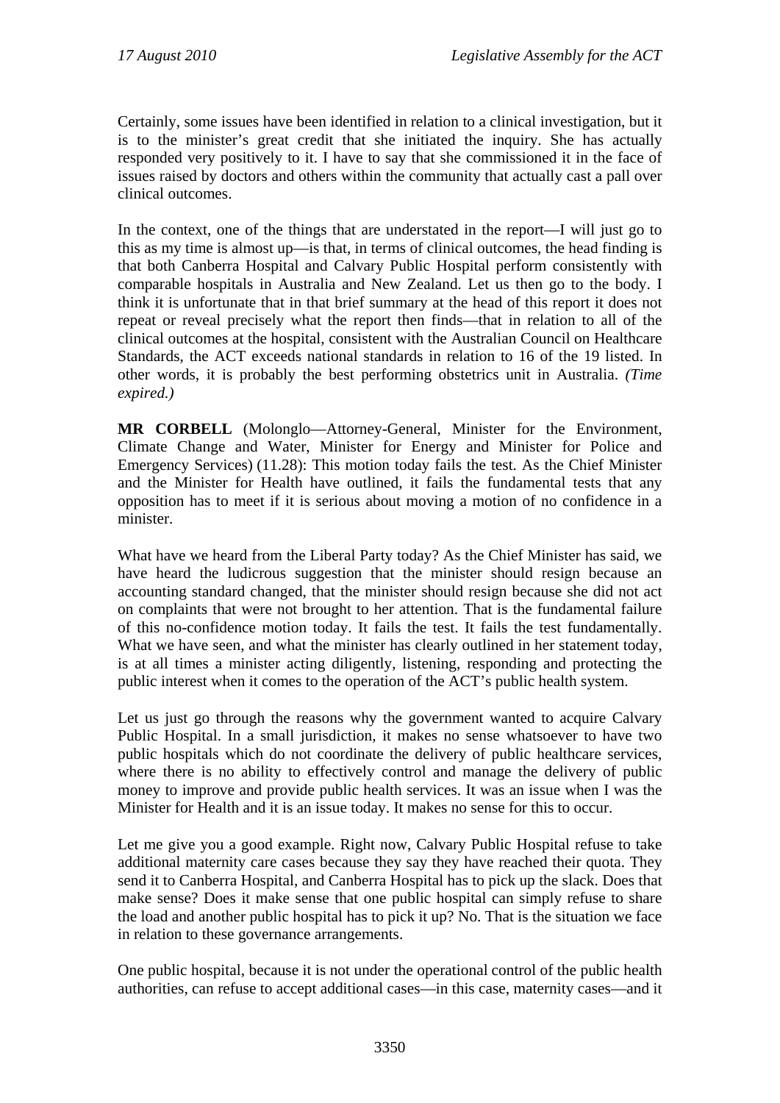Certainly, some issues have been identified in relation to a clinical investigation, but it is to the minister's great credit that she initiated the inquiry. She has actually responded very positively to it. I have to say that she commissioned it in the face of issues raised by doctors and others within the community that actually cast a pall over clinical outcomes.

In the context, one of the things that are understated in the report—I will just go to this as my time is almost up—is that, in terms of clinical outcomes, the head finding is that both Canberra Hospital and Calvary Public Hospital perform consistently with comparable hospitals in Australia and New Zealand. Let us then go to the body. I think it is unfortunate that in that brief summary at the head of this report it does not repeat or reveal precisely what the report then finds—that in relation to all of the clinical outcomes at the hospital, consistent with the Australian Council on Healthcare Standards, the ACT exceeds national standards in relation to 16 of the 19 listed. In other words, it is probably the best performing obstetrics unit in Australia. *(Time expired.)*

**MR CORBELL** (Molonglo—Attorney-General, Minister for the Environment, Climate Change and Water, Minister for Energy and Minister for Police and Emergency Services) (11.28): This motion today fails the test. As the Chief Minister and the Minister for Health have outlined, it fails the fundamental tests that any opposition has to meet if it is serious about moving a motion of no confidence in a minister.

What have we heard from the Liberal Party today? As the Chief Minister has said, we have heard the ludicrous suggestion that the minister should resign because an accounting standard changed, that the minister should resign because she did not act on complaints that were not brought to her attention. That is the fundamental failure of this no-confidence motion today. It fails the test. It fails the test fundamentally. What we have seen, and what the minister has clearly outlined in her statement today, is at all times a minister acting diligently, listening, responding and protecting the public interest when it comes to the operation of the ACT's public health system.

Let us just go through the reasons why the government wanted to acquire Calvary Public Hospital. In a small jurisdiction, it makes no sense whatsoever to have two public hospitals which do not coordinate the delivery of public healthcare services, where there is no ability to effectively control and manage the delivery of public money to improve and provide public health services. It was an issue when I was the Minister for Health and it is an issue today. It makes no sense for this to occur.

Let me give you a good example. Right now, Calvary Public Hospital refuse to take additional maternity care cases because they say they have reached their quota. They send it to Canberra Hospital, and Canberra Hospital has to pick up the slack. Does that make sense? Does it make sense that one public hospital can simply refuse to share the load and another public hospital has to pick it up? No. That is the situation we face in relation to these governance arrangements.

One public hospital, because it is not under the operational control of the public health authorities, can refuse to accept additional cases—in this case, maternity cases—and it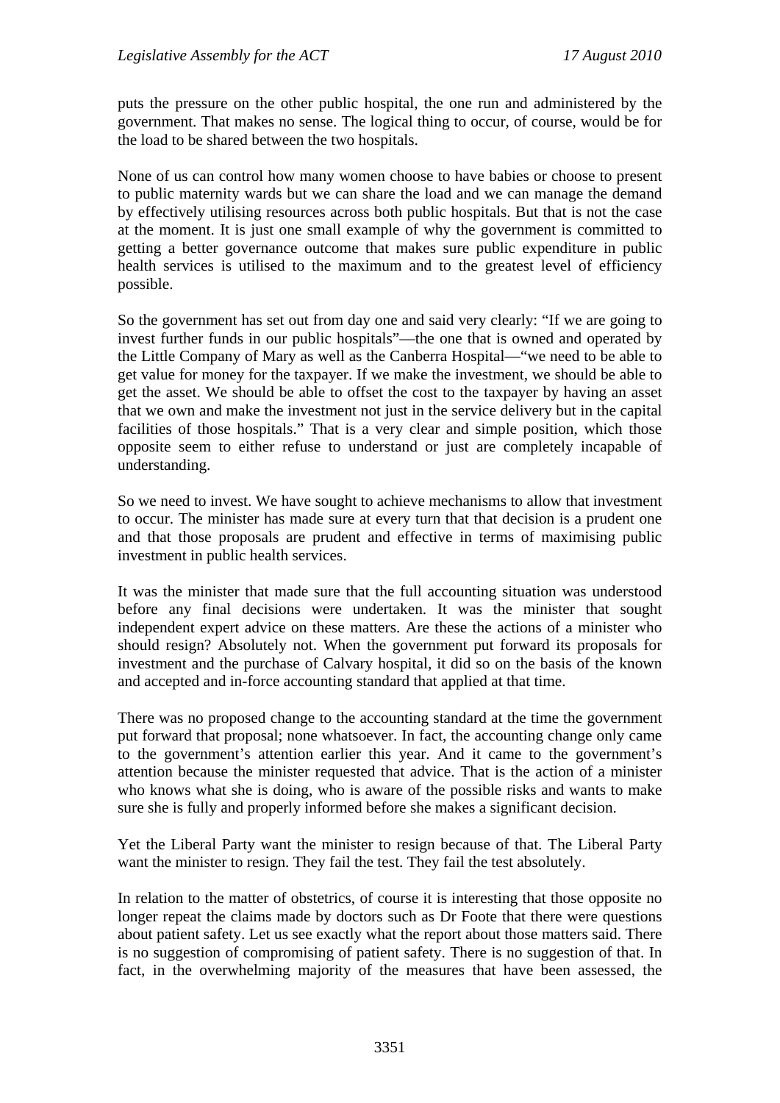puts the pressure on the other public hospital, the one run and administered by the government. That makes no sense. The logical thing to occur, of course, would be for the load to be shared between the two hospitals.

None of us can control how many women choose to have babies or choose to present to public maternity wards but we can share the load and we can manage the demand by effectively utilising resources across both public hospitals. But that is not the case at the moment. It is just one small example of why the government is committed to getting a better governance outcome that makes sure public expenditure in public health services is utilised to the maximum and to the greatest level of efficiency possible.

So the government has set out from day one and said very clearly: "If we are going to invest further funds in our public hospitals"—the one that is owned and operated by the Little Company of Mary as well as the Canberra Hospital—"we need to be able to get value for money for the taxpayer. If we make the investment, we should be able to get the asset. We should be able to offset the cost to the taxpayer by having an asset that we own and make the investment not just in the service delivery but in the capital facilities of those hospitals." That is a very clear and simple position, which those opposite seem to either refuse to understand or just are completely incapable of understanding.

So we need to invest. We have sought to achieve mechanisms to allow that investment to occur. The minister has made sure at every turn that that decision is a prudent one and that those proposals are prudent and effective in terms of maximising public investment in public health services.

It was the minister that made sure that the full accounting situation was understood before any final decisions were undertaken. It was the minister that sought independent expert advice on these matters. Are these the actions of a minister who should resign? Absolutely not. When the government put forward its proposals for investment and the purchase of Calvary hospital, it did so on the basis of the known and accepted and in-force accounting standard that applied at that time.

There was no proposed change to the accounting standard at the time the government put forward that proposal; none whatsoever. In fact, the accounting change only came to the government's attention earlier this year. And it came to the government's attention because the minister requested that advice. That is the action of a minister who knows what she is doing, who is aware of the possible risks and wants to make sure she is fully and properly informed before she makes a significant decision.

Yet the Liberal Party want the minister to resign because of that. The Liberal Party want the minister to resign. They fail the test. They fail the test absolutely.

In relation to the matter of obstetrics, of course it is interesting that those opposite no longer repeat the claims made by doctors such as Dr Foote that there were questions about patient safety. Let us see exactly what the report about those matters said. There is no suggestion of compromising of patient safety. There is no suggestion of that. In fact, in the overwhelming majority of the measures that have been assessed, the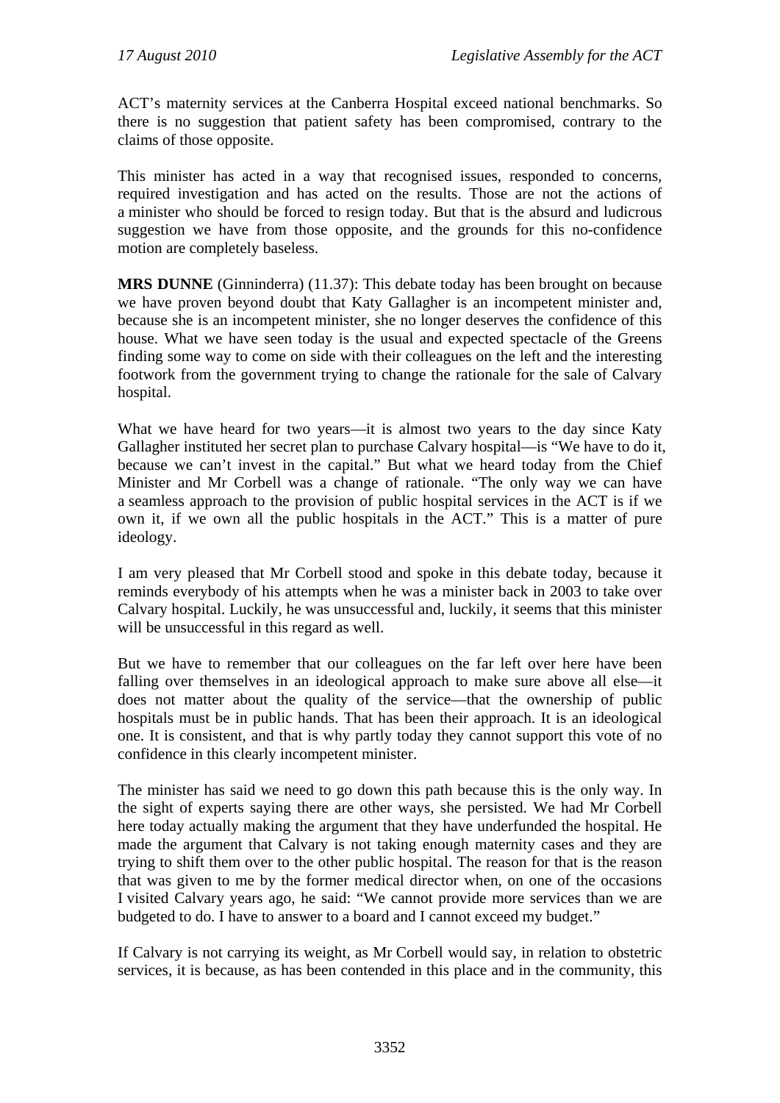ACT's maternity services at the Canberra Hospital exceed national benchmarks. So there is no suggestion that patient safety has been compromised, contrary to the claims of those opposite.

This minister has acted in a way that recognised issues, responded to concerns, required investigation and has acted on the results. Those are not the actions of a minister who should be forced to resign today. But that is the absurd and ludicrous suggestion we have from those opposite, and the grounds for this no-confidence motion are completely baseless.

**MRS DUNNE** (Ginninderra) (11.37): This debate today has been brought on because we have proven beyond doubt that Katy Gallagher is an incompetent minister and, because she is an incompetent minister, she no longer deserves the confidence of this house. What we have seen today is the usual and expected spectacle of the Greens finding some way to come on side with their colleagues on the left and the interesting footwork from the government trying to change the rationale for the sale of Calvary hospital.

What we have heard for two years—it is almost two years to the day since Katy Gallagher instituted her secret plan to purchase Calvary hospital—is "We have to do it, because we can't invest in the capital." But what we heard today from the Chief Minister and Mr Corbell was a change of rationale. "The only way we can have a seamless approach to the provision of public hospital services in the ACT is if we own it, if we own all the public hospitals in the ACT." This is a matter of pure ideology.

I am very pleased that Mr Corbell stood and spoke in this debate today, because it reminds everybody of his attempts when he was a minister back in 2003 to take over Calvary hospital. Luckily, he was unsuccessful and, luckily, it seems that this minister will be unsuccessful in this regard as well.

But we have to remember that our colleagues on the far left over here have been falling over themselves in an ideological approach to make sure above all else—it does not matter about the quality of the service—that the ownership of public hospitals must be in public hands. That has been their approach. It is an ideological one. It is consistent, and that is why partly today they cannot support this vote of no confidence in this clearly incompetent minister.

The minister has said we need to go down this path because this is the only way. In the sight of experts saying there are other ways, she persisted. We had Mr Corbell here today actually making the argument that they have underfunded the hospital. He made the argument that Calvary is not taking enough maternity cases and they are trying to shift them over to the other public hospital. The reason for that is the reason that was given to me by the former medical director when, on one of the occasions I visited Calvary years ago, he said: "We cannot provide more services than we are budgeted to do. I have to answer to a board and I cannot exceed my budget."

If Calvary is not carrying its weight, as Mr Corbell would say, in relation to obstetric services, it is because, as has been contended in this place and in the community, this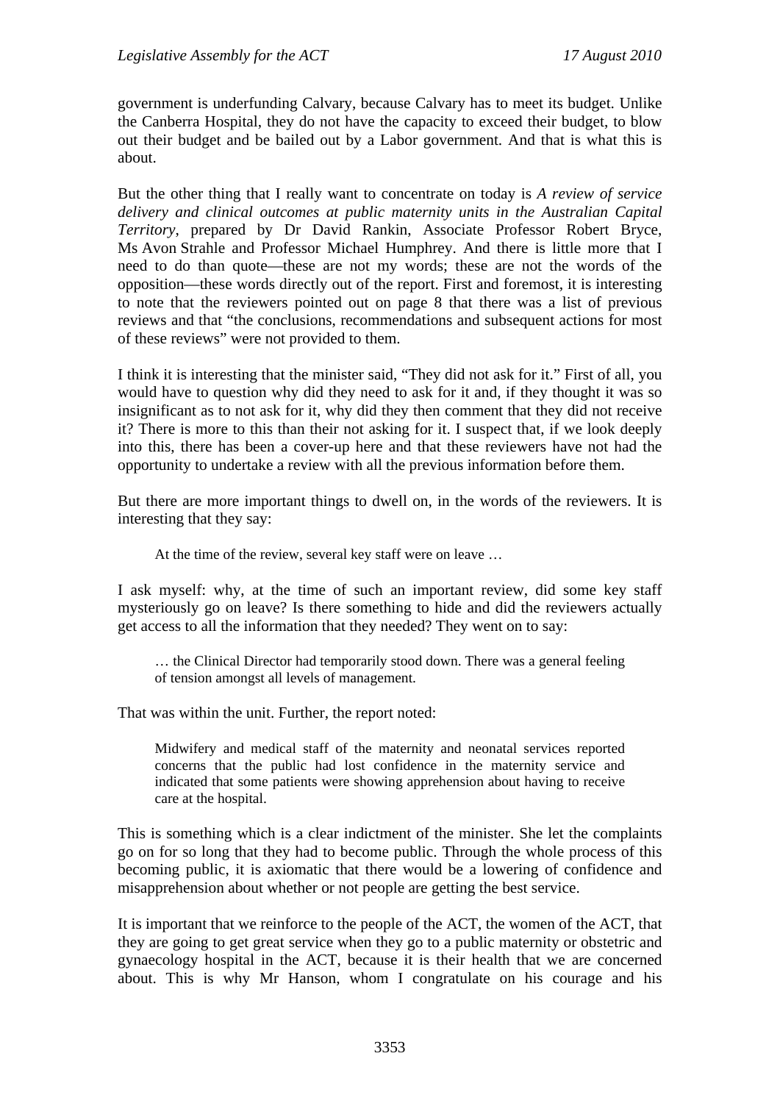government is underfunding Calvary, because Calvary has to meet its budget. Unlike the Canberra Hospital, they do not have the capacity to exceed their budget, to blow out their budget and be bailed out by a Labor government. And that is what this is about.

But the other thing that I really want to concentrate on today is *A review of service delivery and clinical outcomes at public maternity units in the Australian Capital Territory*, prepared by Dr David Rankin, Associate Professor Robert Bryce, Ms Avon Strahle and Professor Michael Humphrey. And there is little more that I need to do than quote—these are not my words; these are not the words of the opposition—these words directly out of the report. First and foremost, it is interesting to note that the reviewers pointed out on page 8 that there was a list of previous reviews and that "the conclusions, recommendations and subsequent actions for most of these reviews" were not provided to them.

I think it is interesting that the minister said, "They did not ask for it." First of all, you would have to question why did they need to ask for it and, if they thought it was so insignificant as to not ask for it, why did they then comment that they did not receive it? There is more to this than their not asking for it. I suspect that, if we look deeply into this, there has been a cover-up here and that these reviewers have not had the opportunity to undertake a review with all the previous information before them.

But there are more important things to dwell on, in the words of the reviewers. It is interesting that they say:

At the time of the review, several key staff were on leave …

I ask myself: why, at the time of such an important review, did some key staff mysteriously go on leave? Is there something to hide and did the reviewers actually get access to all the information that they needed? They went on to say:

… the Clinical Director had temporarily stood down. There was a general feeling of tension amongst all levels of management.

That was within the unit. Further, the report noted:

Midwifery and medical staff of the maternity and neonatal services reported concerns that the public had lost confidence in the maternity service and indicated that some patients were showing apprehension about having to receive care at the hospital.

This is something which is a clear indictment of the minister. She let the complaints go on for so long that they had to become public. Through the whole process of this becoming public, it is axiomatic that there would be a lowering of confidence and misapprehension about whether or not people are getting the best service.

It is important that we reinforce to the people of the ACT, the women of the ACT, that they are going to get great service when they go to a public maternity or obstetric and gynaecology hospital in the ACT, because it is their health that we are concerned about. This is why Mr Hanson, whom I congratulate on his courage and his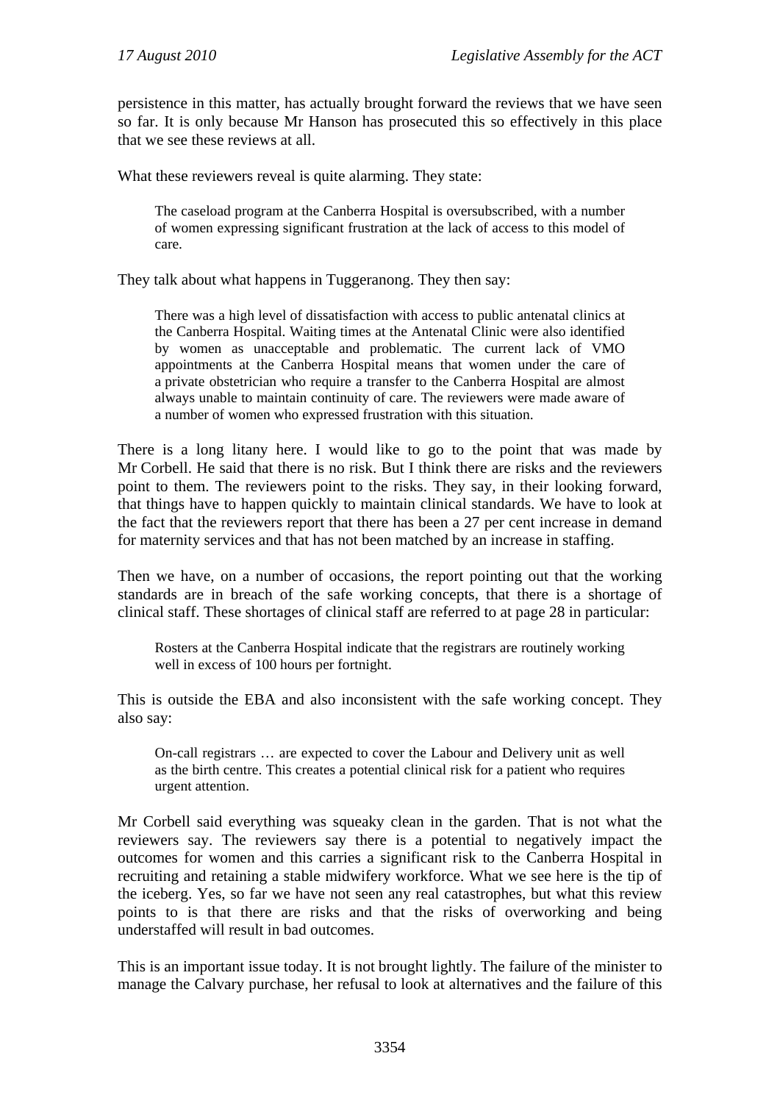persistence in this matter, has actually brought forward the reviews that we have seen so far. It is only because Mr Hanson has prosecuted this so effectively in this place that we see these reviews at all.

What these reviewers reveal is quite alarming. They state:

The caseload program at the Canberra Hospital is oversubscribed, with a number of women expressing significant frustration at the lack of access to this model of care.

They talk about what happens in Tuggeranong. They then say:

There was a high level of dissatisfaction with access to public antenatal clinics at the Canberra Hospital. Waiting times at the Antenatal Clinic were also identified by women as unacceptable and problematic. The current lack of VMO appointments at the Canberra Hospital means that women under the care of a private obstetrician who require a transfer to the Canberra Hospital are almost always unable to maintain continuity of care. The reviewers were made aware of a number of women who expressed frustration with this situation.

There is a long litany here. I would like to go to the point that was made by Mr Corbell. He said that there is no risk. But I think there are risks and the reviewers point to them. The reviewers point to the risks. They say, in their looking forward, that things have to happen quickly to maintain clinical standards. We have to look at the fact that the reviewers report that there has been a 27 per cent increase in demand for maternity services and that has not been matched by an increase in staffing.

Then we have, on a number of occasions, the report pointing out that the working standards are in breach of the safe working concepts, that there is a shortage of clinical staff. These shortages of clinical staff are referred to at page 28 in particular:

Rosters at the Canberra Hospital indicate that the registrars are routinely working well in excess of 100 hours per fortnight.

This is outside the EBA and also inconsistent with the safe working concept. They also say:

On-call registrars … are expected to cover the Labour and Delivery unit as well as the birth centre. This creates a potential clinical risk for a patient who requires urgent attention.

Mr Corbell said everything was squeaky clean in the garden. That is not what the reviewers say. The reviewers say there is a potential to negatively impact the outcomes for women and this carries a significant risk to the Canberra Hospital in recruiting and retaining a stable midwifery workforce. What we see here is the tip of the iceberg. Yes, so far we have not seen any real catastrophes, but what this review points to is that there are risks and that the risks of overworking and being understaffed will result in bad outcomes.

This is an important issue today. It is not brought lightly. The failure of the minister to manage the Calvary purchase, her refusal to look at alternatives and the failure of this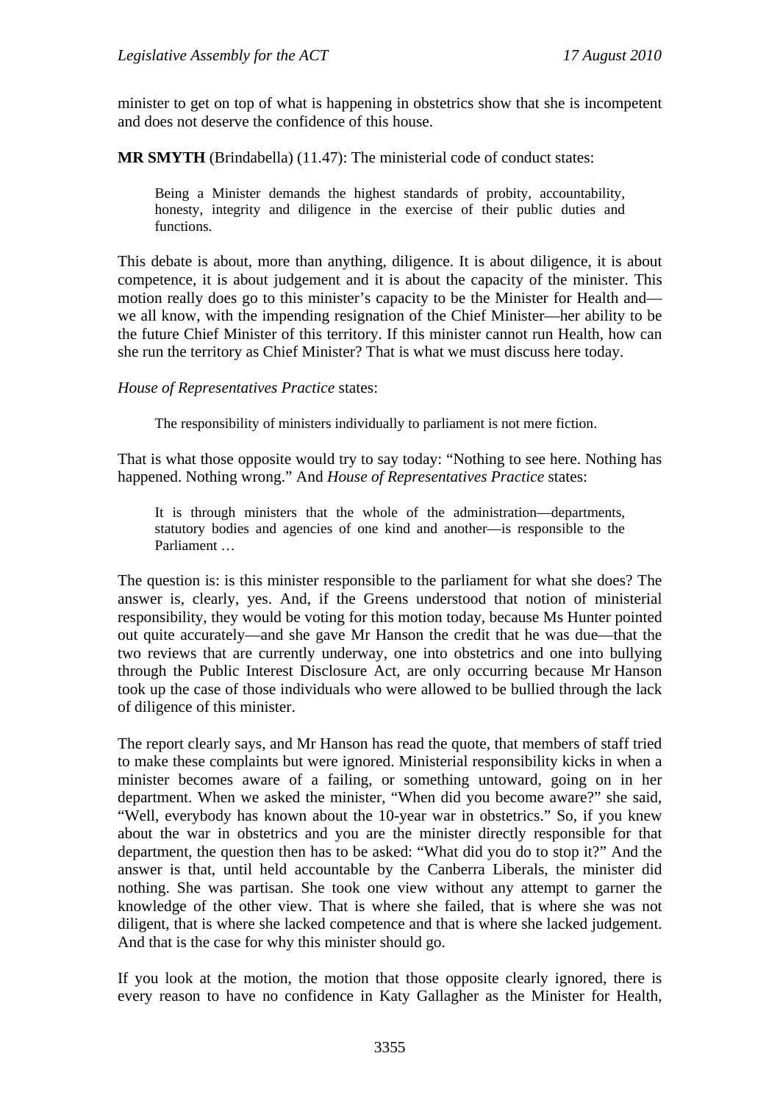minister to get on top of what is happening in obstetrics show that she is incompetent and does not deserve the confidence of this house.

**MR SMYTH** (Brindabella) (11.47): The ministerial code of conduct states:

Being a Minister demands the highest standards of probity, accountability, honesty, integrity and diligence in the exercise of their public duties and functions.

This debate is about, more than anything, diligence. It is about diligence, it is about competence, it is about judgement and it is about the capacity of the minister. This motion really does go to this minister's capacity to be the Minister for Health and we all know, with the impending resignation of the Chief Minister—her ability to be the future Chief Minister of this territory. If this minister cannot run Health, how can she run the territory as Chief Minister? That is what we must discuss here today.

*House of Representatives Practice* states:

The responsibility of ministers individually to parliament is not mere fiction.

That is what those opposite would try to say today: "Nothing to see here. Nothing has happened. Nothing wrong." And *House of Representatives Practice* states:

It is through ministers that the whole of the administration—departments, statutory bodies and agencies of one kind and another—is responsible to the Parliament …

The question is: is this minister responsible to the parliament for what she does? The answer is, clearly, yes. And, if the Greens understood that notion of ministerial responsibility, they would be voting for this motion today, because Ms Hunter pointed out quite accurately—and she gave Mr Hanson the credit that he was due—that the two reviews that are currently underway, one into obstetrics and one into bullying through the Public Interest Disclosure Act, are only occurring because Mr Hanson took up the case of those individuals who were allowed to be bullied through the lack of diligence of this minister.

The report clearly says, and Mr Hanson has read the quote, that members of staff tried to make these complaints but were ignored. Ministerial responsibility kicks in when a minister becomes aware of a failing, or something untoward, going on in her department. When we asked the minister, "When did you become aware?" she said, "Well, everybody has known about the 10-year war in obstetrics." So, if you knew about the war in obstetrics and you are the minister directly responsible for that department, the question then has to be asked: "What did you do to stop it?" And the answer is that, until held accountable by the Canberra Liberals, the minister did nothing. She was partisan. She took one view without any attempt to garner the knowledge of the other view. That is where she failed, that is where she was not diligent, that is where she lacked competence and that is where she lacked judgement. And that is the case for why this minister should go.

If you look at the motion, the motion that those opposite clearly ignored, there is every reason to have no confidence in Katy Gallagher as the Minister for Health,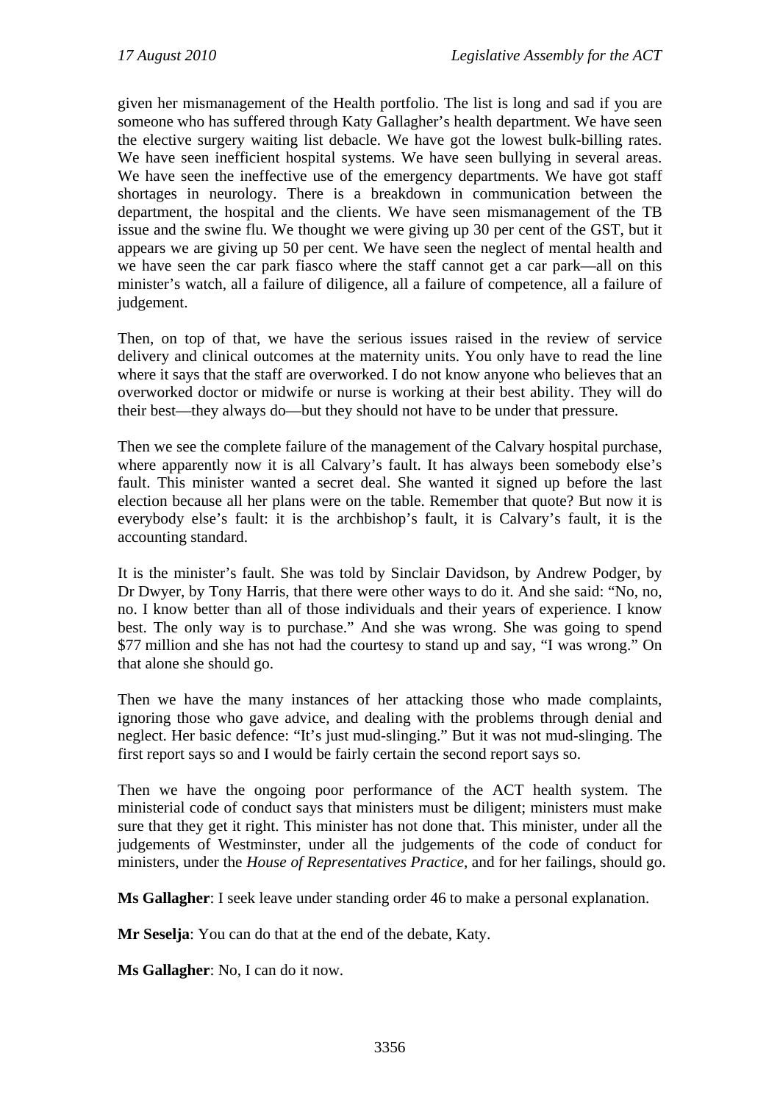given her mismanagement of the Health portfolio. The list is long and sad if you are someone who has suffered through Katy Gallagher's health department. We have seen the elective surgery waiting list debacle. We have got the lowest bulk-billing rates. We have seen inefficient hospital systems. We have seen bullying in several areas. We have seen the ineffective use of the emergency departments. We have got staff shortages in neurology. There is a breakdown in communication between the department, the hospital and the clients. We have seen mismanagement of the TB issue and the swine flu. We thought we were giving up 30 per cent of the GST, but it appears we are giving up 50 per cent. We have seen the neglect of mental health and we have seen the car park fiasco where the staff cannot get a car park—all on this minister's watch, all a failure of diligence, all a failure of competence, all a failure of judgement.

Then, on top of that, we have the serious issues raised in the review of service delivery and clinical outcomes at the maternity units. You only have to read the line where it says that the staff are overworked. I do not know anyone who believes that an overworked doctor or midwife or nurse is working at their best ability. They will do their best—they always do—but they should not have to be under that pressure.

Then we see the complete failure of the management of the Calvary hospital purchase, where apparently now it is all Calvary's fault. It has always been somebody else's fault. This minister wanted a secret deal. She wanted it signed up before the last election because all her plans were on the table. Remember that quote? But now it is everybody else's fault: it is the archbishop's fault, it is Calvary's fault, it is the accounting standard.

It is the minister's fault. She was told by Sinclair Davidson, by Andrew Podger, by Dr Dwyer, by Tony Harris, that there were other ways to do it. And she said: "No, no, no. I know better than all of those individuals and their years of experience. I know best. The only way is to purchase." And she was wrong. She was going to spend \$77 million and she has not had the courtesy to stand up and say, "I was wrong." On that alone she should go.

Then we have the many instances of her attacking those who made complaints, ignoring those who gave advice, and dealing with the problems through denial and neglect. Her basic defence: "It's just mud-slinging." But it was not mud-slinging. The first report says so and I would be fairly certain the second report says so.

Then we have the ongoing poor performance of the ACT health system. The ministerial code of conduct says that ministers must be diligent; ministers must make sure that they get it right. This minister has not done that. This minister, under all the judgements of Westminster, under all the judgements of the code of conduct for ministers, under the *House of Representatives Practice*, and for her failings, should go.

**Ms Gallagher**: I seek leave under standing order 46 to make a personal explanation.

**Mr Seselja**: You can do that at the end of the debate, Katy.

**Ms Gallagher**: No, I can do it now.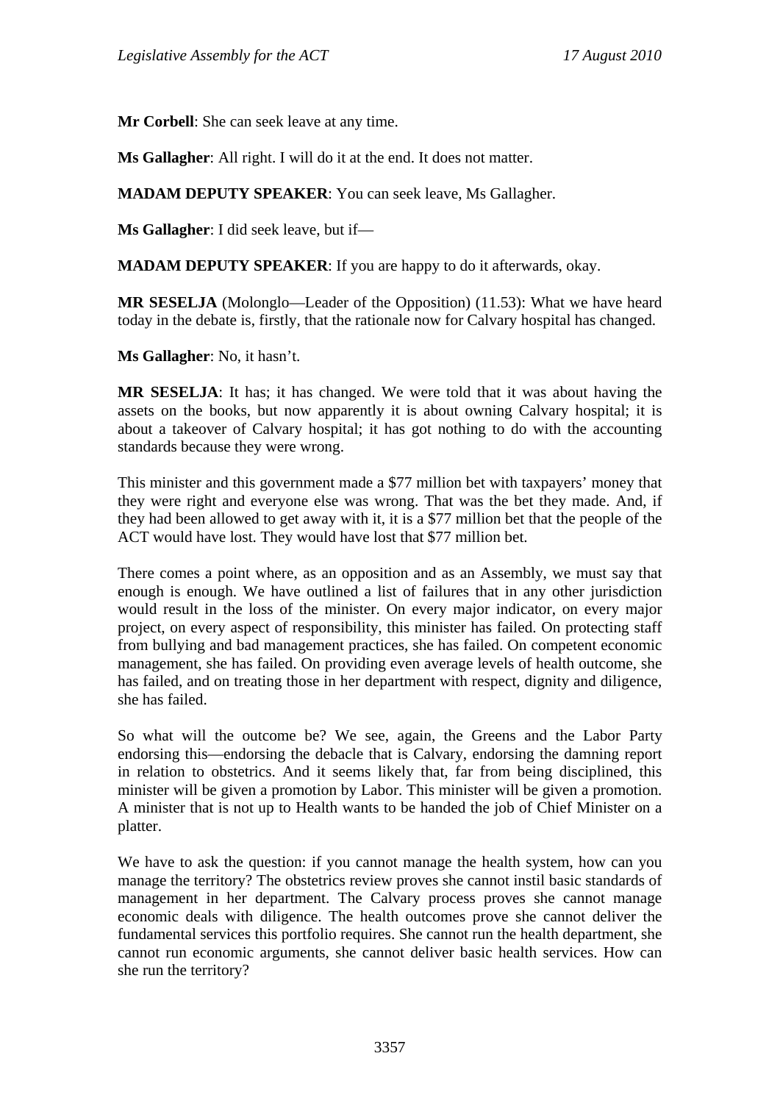**Mr Corbell**: She can seek leave at any time.

**Ms Gallagher**: All right. I will do it at the end. It does not matter.

**MADAM DEPUTY SPEAKER**: You can seek leave, Ms Gallagher.

**Ms Gallagher**: I did seek leave, but if—

**MADAM DEPUTY SPEAKER**: If you are happy to do it afterwards, okay.

**MR SESELJA** (Molonglo—Leader of the Opposition) (11.53): What we have heard today in the debate is, firstly, that the rationale now for Calvary hospital has changed.

**Ms Gallagher**: No, it hasn't.

**MR SESELJA**: It has; it has changed. We were told that it was about having the assets on the books, but now apparently it is about owning Calvary hospital; it is about a takeover of Calvary hospital; it has got nothing to do with the accounting standards because they were wrong.

This minister and this government made a \$77 million bet with taxpayers' money that they were right and everyone else was wrong. That was the bet they made. And, if they had been allowed to get away with it, it is a \$77 million bet that the people of the ACT would have lost. They would have lost that \$77 million bet.

There comes a point where, as an opposition and as an Assembly, we must say that enough is enough. We have outlined a list of failures that in any other jurisdiction would result in the loss of the minister. On every major indicator, on every major project, on every aspect of responsibility, this minister has failed. On protecting staff from bullying and bad management practices, she has failed. On competent economic management, she has failed. On providing even average levels of health outcome, she has failed, and on treating those in her department with respect, dignity and diligence, she has failed.

So what will the outcome be? We see, again, the Greens and the Labor Party endorsing this—endorsing the debacle that is Calvary, endorsing the damning report in relation to obstetrics. And it seems likely that, far from being disciplined, this minister will be given a promotion by Labor. This minister will be given a promotion. A minister that is not up to Health wants to be handed the job of Chief Minister on a platter.

We have to ask the question: if you cannot manage the health system, how can you manage the territory? The obstetrics review proves she cannot instil basic standards of management in her department. The Calvary process proves she cannot manage economic deals with diligence. The health outcomes prove she cannot deliver the fundamental services this portfolio requires. She cannot run the health department, she cannot run economic arguments, she cannot deliver basic health services. How can she run the territory?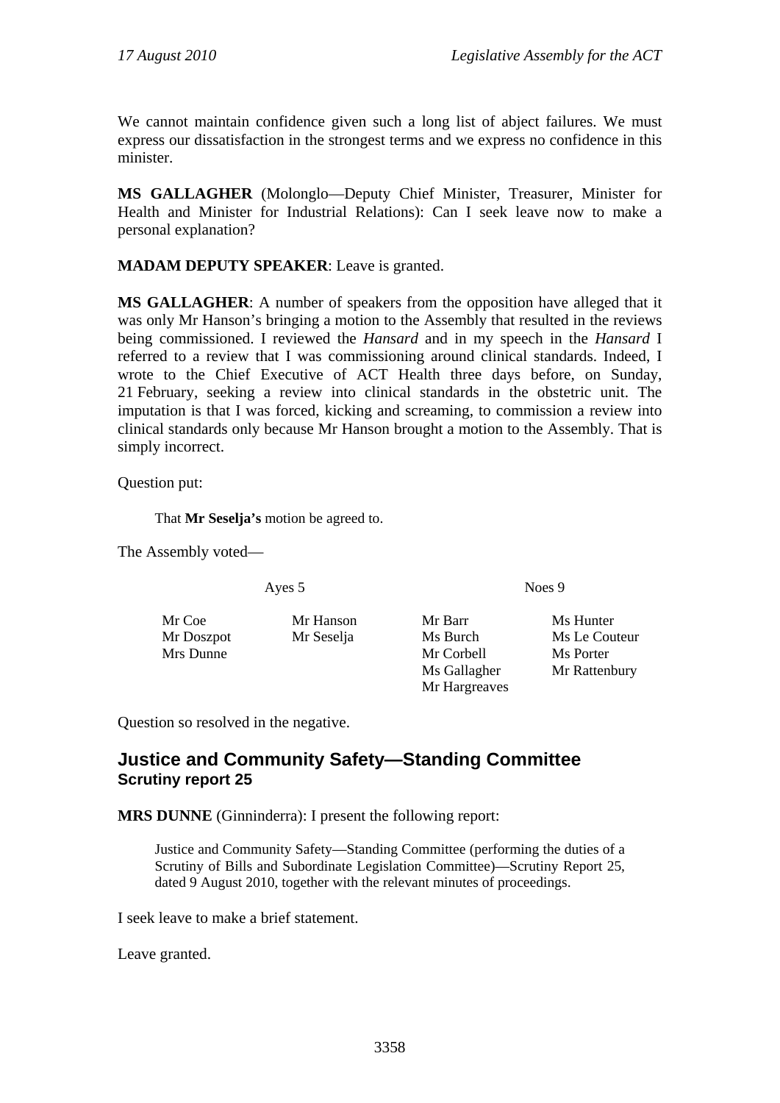We cannot maintain confidence given such a long list of abject failures. We must express our dissatisfaction in the strongest terms and we express no confidence in this minister.

**MS GALLAGHER** (Molonglo—Deputy Chief Minister, Treasurer, Minister for Health and Minister for Industrial Relations): Can I seek leave now to make a personal explanation?

## **MADAM DEPUTY SPEAKER**: Leave is granted.

**MS GALLAGHER**: A number of speakers from the opposition have alleged that it was only Mr Hanson's bringing a motion to the Assembly that resulted in the reviews being commissioned. I reviewed the *Hansard* and in my speech in the *Hansard* I referred to a review that I was commissioning around clinical standards. Indeed, I wrote to the Chief Executive of ACT Health three days before, on Sunday, 21 February, seeking a review into clinical standards in the obstetric unit. The imputation is that I was forced, kicking and screaming, to commission a review into clinical standards only because Mr Hanson brought a motion to the Assembly. That is simply incorrect.

Question put:

That **Mr Seselja's** motion be agreed to.

The Assembly voted—

Ayes 5 Noes 9

Mr Coe Mr Hanson Mr Barr Ms Hunter Mr Doszpot Mr Seselja Ms Burch Ms Le Couteur Mrs Dunne Mr Corbell Ms Porter

Mr Hargreaves

Ms Gallagher Mr Rattenbury

Question so resolved in the negative.

# **Justice and Community Safety—Standing Committee Scrutiny report 25**

**MRS DUNNE** (Ginninderra): I present the following report:

Justice and Community Safety—Standing Committee (performing the duties of a Scrutiny of Bills and Subordinate Legislation Committee)—Scrutiny Report 25*,* dated 9 August 2010, together with the relevant minutes of proceedings.

I seek leave to make a brief statement.

Leave granted.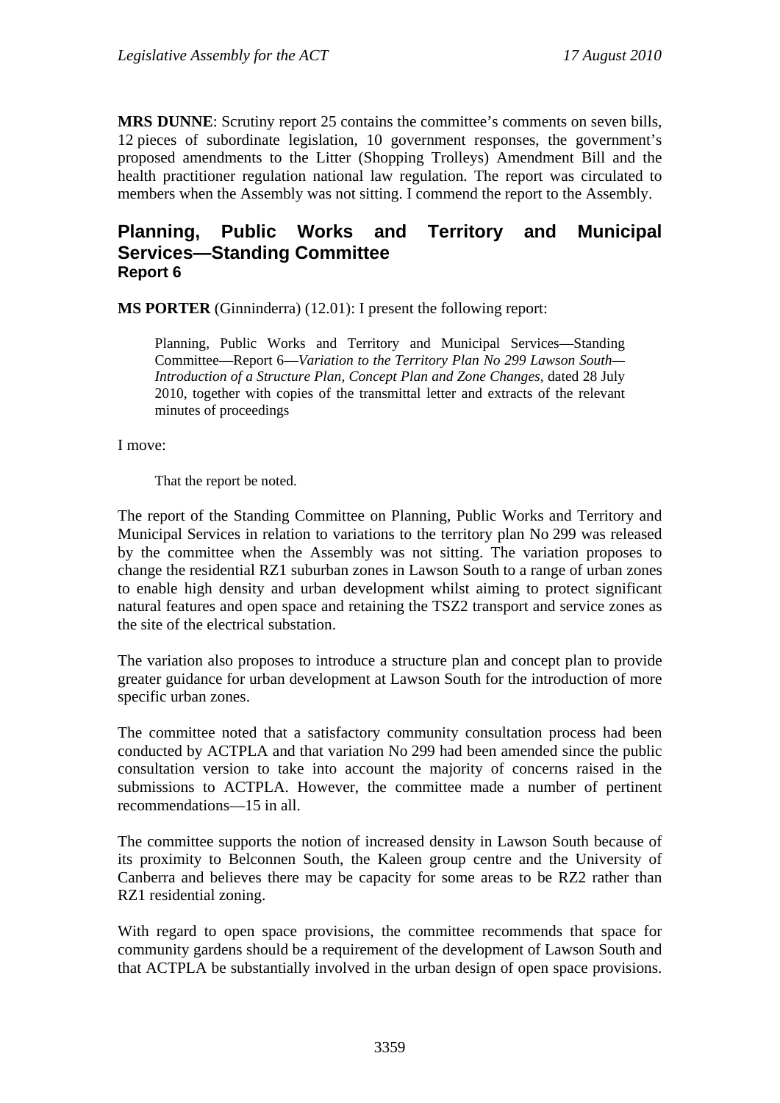**MRS DUNNE**: Scrutiny report 25 contains the committee's comments on seven bills, 12 pieces of subordinate legislation, 10 government responses, the government's proposed amendments to the Litter (Shopping Trolleys) Amendment Bill and the health practitioner regulation national law regulation. The report was circulated to members when the Assembly was not sitting. I commend the report to the Assembly.

# **Planning, Public Works and Territory and Municipal Services—Standing Committee Report 6**

**MS PORTER** (Ginninderra) (12.01): I present the following report:

Planning, Public Works and Territory and Municipal Services—Standing Committee—Report 6—*Variation to the Territory Plan No 299 Lawson South— Introduction of a Structure Plan, Concept Plan and Zone Changes*, dated 28 July 2010, together with copies of the transmittal letter and extracts of the relevant minutes of proceedings

I move:

That the report be noted.

The report of the Standing Committee on Planning, Public Works and Territory and Municipal Services in relation to variations to the territory plan No 299 was released by the committee when the Assembly was not sitting. The variation proposes to change the residential RZ1 suburban zones in Lawson South to a range of urban zones to enable high density and urban development whilst aiming to protect significant natural features and open space and retaining the TSZ2 transport and service zones as the site of the electrical substation.

The variation also proposes to introduce a structure plan and concept plan to provide greater guidance for urban development at Lawson South for the introduction of more specific urban zones.

The committee noted that a satisfactory community consultation process had been conducted by ACTPLA and that variation No 299 had been amended since the public consultation version to take into account the majority of concerns raised in the submissions to ACTPLA. However, the committee made a number of pertinent recommendations—15 in all.

The committee supports the notion of increased density in Lawson South because of its proximity to Belconnen South, the Kaleen group centre and the University of Canberra and believes there may be capacity for some areas to be RZ2 rather than RZ1 residential zoning.

With regard to open space provisions, the committee recommends that space for community gardens should be a requirement of the development of Lawson South and that ACTPLA be substantially involved in the urban design of open space provisions.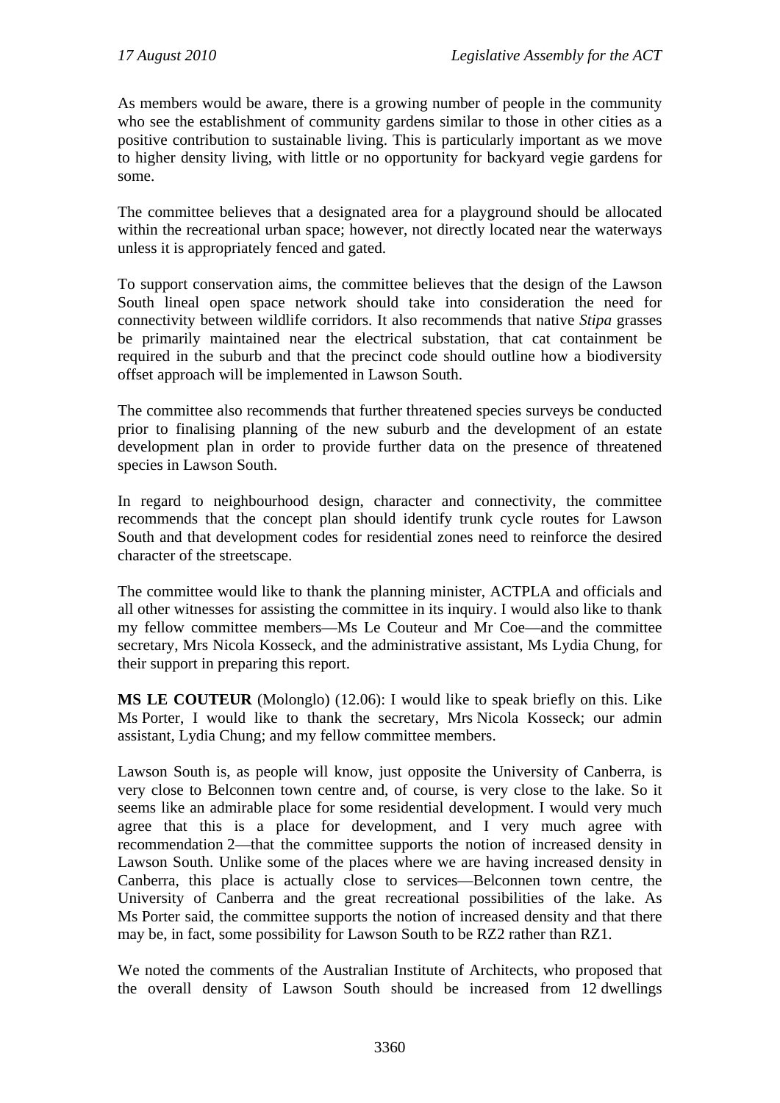As members would be aware, there is a growing number of people in the community who see the establishment of community gardens similar to those in other cities as a positive contribution to sustainable living. This is particularly important as we move to higher density living, with little or no opportunity for backyard vegie gardens for some.

The committee believes that a designated area for a playground should be allocated within the recreational urban space; however, not directly located near the waterways unless it is appropriately fenced and gated.

To support conservation aims, the committee believes that the design of the Lawson South lineal open space network should take into consideration the need for connectivity between wildlife corridors. It also recommends that native *Stipa* grasses be primarily maintained near the electrical substation, that cat containment be required in the suburb and that the precinct code should outline how a biodiversity offset approach will be implemented in Lawson South.

The committee also recommends that further threatened species surveys be conducted prior to finalising planning of the new suburb and the development of an estate development plan in order to provide further data on the presence of threatened species in Lawson South.

In regard to neighbourhood design, character and connectivity, the committee recommends that the concept plan should identify trunk cycle routes for Lawson South and that development codes for residential zones need to reinforce the desired character of the streetscape.

The committee would like to thank the planning minister, ACTPLA and officials and all other witnesses for assisting the committee in its inquiry. I would also like to thank my fellow committee members—Ms Le Couteur and Mr Coe—and the committee secretary, Mrs Nicola Kosseck, and the administrative assistant, Ms Lydia Chung, for their support in preparing this report.

**MS LE COUTEUR** (Molonglo) (12.06): I would like to speak briefly on this. Like Ms Porter, I would like to thank the secretary, Mrs Nicola Kosseck; our admin assistant, Lydia Chung; and my fellow committee members.

Lawson South is, as people will know, just opposite the University of Canberra, is very close to Belconnen town centre and, of course, is very close to the lake. So it seems like an admirable place for some residential development. I would very much agree that this is a place for development, and I very much agree with recommendation 2—that the committee supports the notion of increased density in Lawson South. Unlike some of the places where we are having increased density in Canberra, this place is actually close to services—Belconnen town centre, the University of Canberra and the great recreational possibilities of the lake. As Ms Porter said, the committee supports the notion of increased density and that there may be, in fact, some possibility for Lawson South to be RZ2 rather than RZ1.

We noted the comments of the Australian Institute of Architects, who proposed that the overall density of Lawson South should be increased from 12 dwellings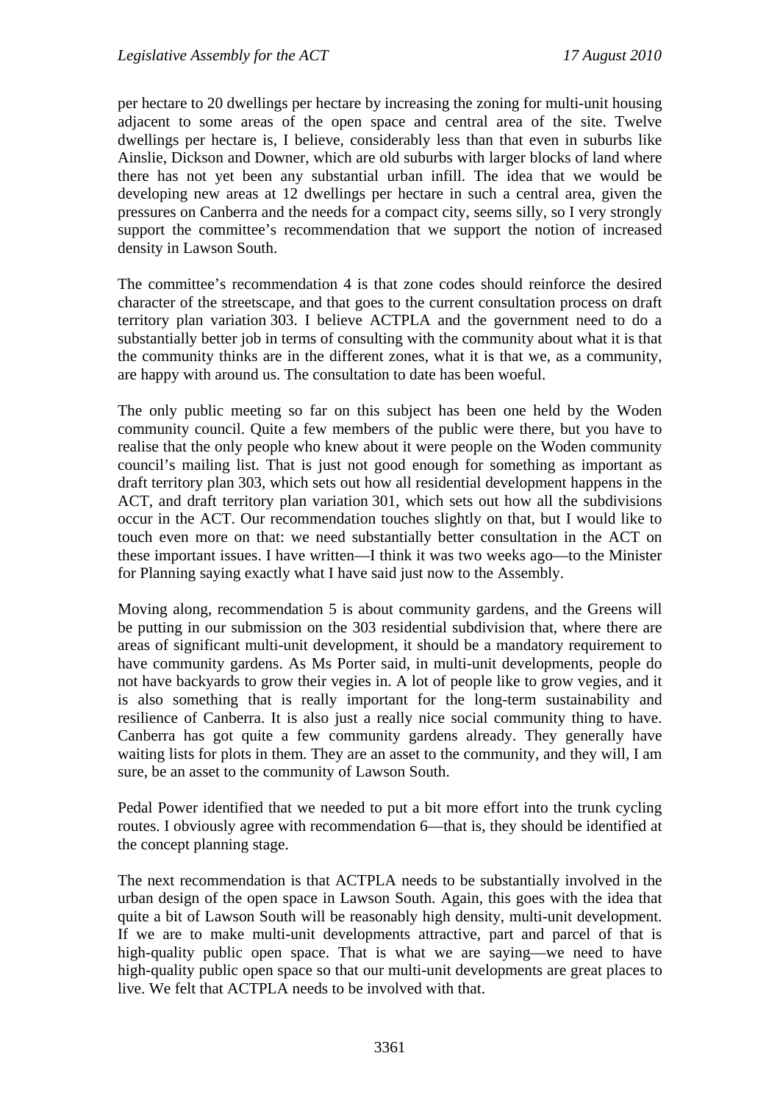per hectare to 20 dwellings per hectare by increasing the zoning for multi-unit housing adjacent to some areas of the open space and central area of the site. Twelve dwellings per hectare is, I believe, considerably less than that even in suburbs like Ainslie, Dickson and Downer, which are old suburbs with larger blocks of land where there has not yet been any substantial urban infill. The idea that we would be developing new areas at 12 dwellings per hectare in such a central area, given the pressures on Canberra and the needs for a compact city, seems silly, so I very strongly support the committee's recommendation that we support the notion of increased density in Lawson South.

The committee's recommendation 4 is that zone codes should reinforce the desired character of the streetscape, and that goes to the current consultation process on draft territory plan variation 303. I believe ACTPLA and the government need to do a substantially better job in terms of consulting with the community about what it is that the community thinks are in the different zones, what it is that we, as a community, are happy with around us. The consultation to date has been woeful.

The only public meeting so far on this subject has been one held by the Woden community council. Quite a few members of the public were there, but you have to realise that the only people who knew about it were people on the Woden community council's mailing list. That is just not good enough for something as important as draft territory plan 303, which sets out how all residential development happens in the ACT, and draft territory plan variation 301, which sets out how all the subdivisions occur in the ACT. Our recommendation touches slightly on that, but I would like to touch even more on that: we need substantially better consultation in the ACT on these important issues. I have written—I think it was two weeks ago—to the Minister for Planning saying exactly what I have said just now to the Assembly.

Moving along, recommendation 5 is about community gardens, and the Greens will be putting in our submission on the 303 residential subdivision that, where there are areas of significant multi-unit development, it should be a mandatory requirement to have community gardens. As Ms Porter said, in multi-unit developments, people do not have backyards to grow their vegies in. A lot of people like to grow vegies, and it is also something that is really important for the long-term sustainability and resilience of Canberra. It is also just a really nice social community thing to have. Canberra has got quite a few community gardens already. They generally have waiting lists for plots in them. They are an asset to the community, and they will, I am sure, be an asset to the community of Lawson South.

Pedal Power identified that we needed to put a bit more effort into the trunk cycling routes. I obviously agree with recommendation 6—that is, they should be identified at the concept planning stage.

The next recommendation is that ACTPLA needs to be substantially involved in the urban design of the open space in Lawson South. Again, this goes with the idea that quite a bit of Lawson South will be reasonably high density, multi-unit development. If we are to make multi-unit developments attractive, part and parcel of that is high-quality public open space. That is what we are saying—we need to have high-quality public open space so that our multi-unit developments are great places to live. We felt that ACTPLA needs to be involved with that.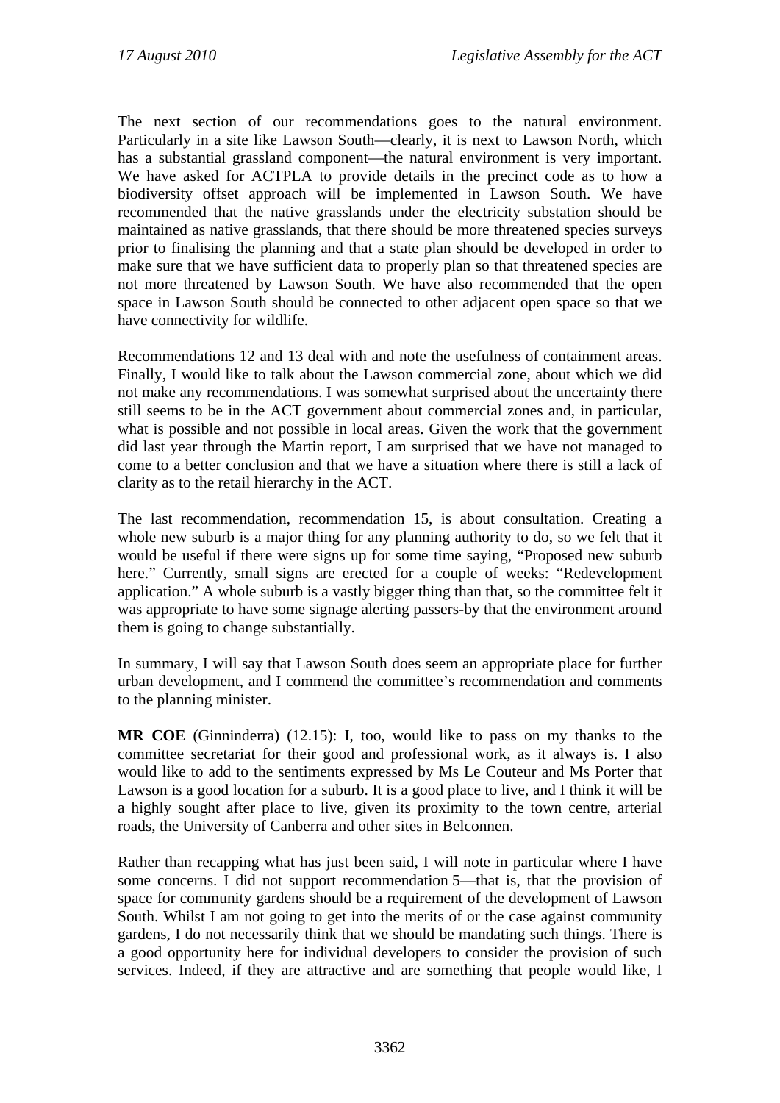The next section of our recommendations goes to the natural environment. Particularly in a site like Lawson South—clearly, it is next to Lawson North, which has a substantial grassland component—the natural environment is very important. We have asked for ACTPLA to provide details in the precinct code as to how a biodiversity offset approach will be implemented in Lawson South. We have recommended that the native grasslands under the electricity substation should be maintained as native grasslands, that there should be more threatened species surveys prior to finalising the planning and that a state plan should be developed in order to make sure that we have sufficient data to properly plan so that threatened species are not more threatened by Lawson South. We have also recommended that the open space in Lawson South should be connected to other adjacent open space so that we have connectivity for wildlife.

Recommendations 12 and 13 deal with and note the usefulness of containment areas. Finally, I would like to talk about the Lawson commercial zone, about which we did not make any recommendations. I was somewhat surprised about the uncertainty there still seems to be in the ACT government about commercial zones and, in particular, what is possible and not possible in local areas. Given the work that the government did last year through the Martin report, I am surprised that we have not managed to come to a better conclusion and that we have a situation where there is still a lack of clarity as to the retail hierarchy in the ACT.

The last recommendation, recommendation 15, is about consultation. Creating a whole new suburb is a major thing for any planning authority to do, so we felt that it would be useful if there were signs up for some time saying, "Proposed new suburb here." Currently, small signs are erected for a couple of weeks: "Redevelopment application." A whole suburb is a vastly bigger thing than that, so the committee felt it was appropriate to have some signage alerting passers-by that the environment around them is going to change substantially.

In summary, I will say that Lawson South does seem an appropriate place for further urban development, and I commend the committee's recommendation and comments to the planning minister.

**MR COE** (Ginninderra) (12.15): I, too, would like to pass on my thanks to the committee secretariat for their good and professional work, as it always is. I also would like to add to the sentiments expressed by Ms Le Couteur and Ms Porter that Lawson is a good location for a suburb. It is a good place to live, and I think it will be a highly sought after place to live, given its proximity to the town centre, arterial roads, the University of Canberra and other sites in Belconnen.

Rather than recapping what has just been said, I will note in particular where I have some concerns. I did not support recommendation 5—that is, that the provision of space for community gardens should be a requirement of the development of Lawson South. Whilst I am not going to get into the merits of or the case against community gardens, I do not necessarily think that we should be mandating such things. There is a good opportunity here for individual developers to consider the provision of such services. Indeed, if they are attractive and are something that people would like, I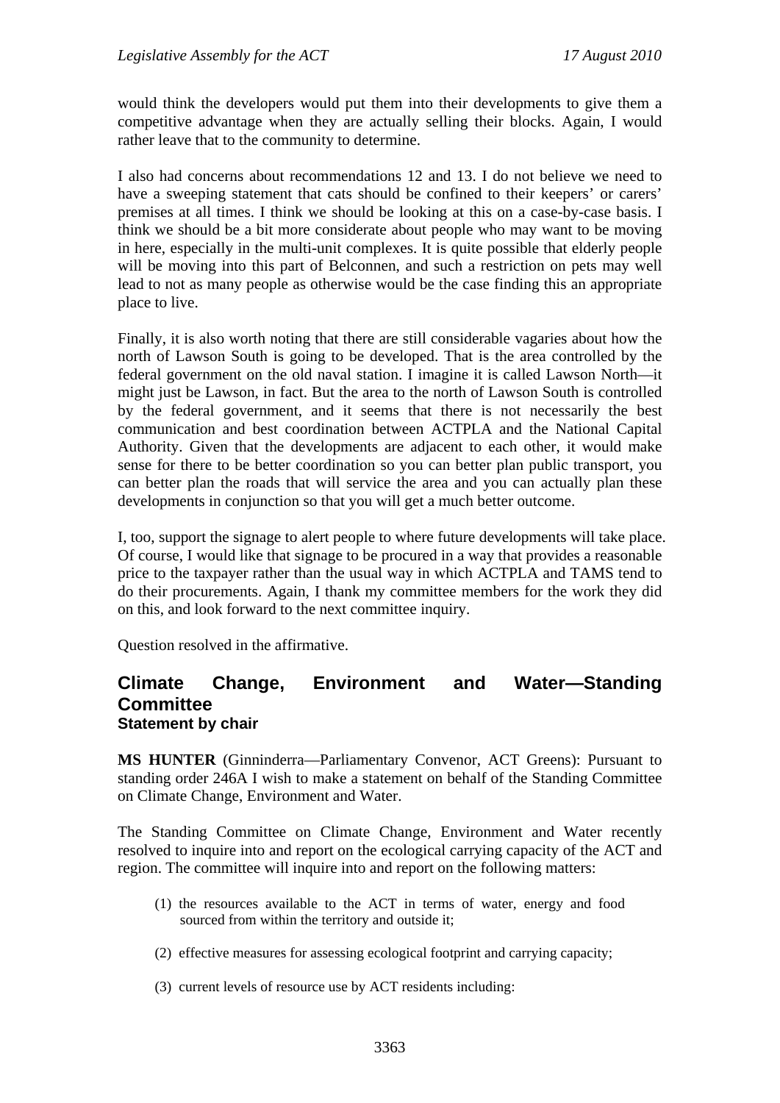would think the developers would put them into their developments to give them a competitive advantage when they are actually selling their blocks. Again, I would rather leave that to the community to determine.

I also had concerns about recommendations 12 and 13. I do not believe we need to have a sweeping statement that cats should be confined to their keepers' or carers' premises at all times. I think we should be looking at this on a case-by-case basis. I think we should be a bit more considerate about people who may want to be moving in here, especially in the multi-unit complexes. It is quite possible that elderly people will be moving into this part of Belconnen, and such a restriction on pets may well lead to not as many people as otherwise would be the case finding this an appropriate place to live.

Finally, it is also worth noting that there are still considerable vagaries about how the north of Lawson South is going to be developed. That is the area controlled by the federal government on the old naval station. I imagine it is called Lawson North—it might just be Lawson, in fact. But the area to the north of Lawson South is controlled by the federal government, and it seems that there is not necessarily the best communication and best coordination between ACTPLA and the National Capital Authority. Given that the developments are adjacent to each other, it would make sense for there to be better coordination so you can better plan public transport, you can better plan the roads that will service the area and you can actually plan these developments in conjunction so that you will get a much better outcome.

I, too, support the signage to alert people to where future developments will take place. Of course, I would like that signage to be procured in a way that provides a reasonable price to the taxpayer rather than the usual way in which ACTPLA and TAMS tend to do their procurements. Again, I thank my committee members for the work they did on this, and look forward to the next committee inquiry.

Question resolved in the affirmative.

# **Climate Change, Environment and Water—Standing Committee Statement by chair**

**MS HUNTER** (Ginninderra—Parliamentary Convenor, ACT Greens): Pursuant to standing order 246A I wish to make a statement on behalf of the Standing Committee on Climate Change, Environment and Water.

The Standing Committee on Climate Change, Environment and Water recently resolved to inquire into and report on the ecological carrying capacity of the ACT and region. The committee will inquire into and report on the following matters:

- (1) the resources available to the ACT in terms of water, energy and food sourced from within the territory and outside it;
- (2) effective measures for assessing ecological footprint and carrying capacity;
- (3) current levels of resource use by ACT residents including: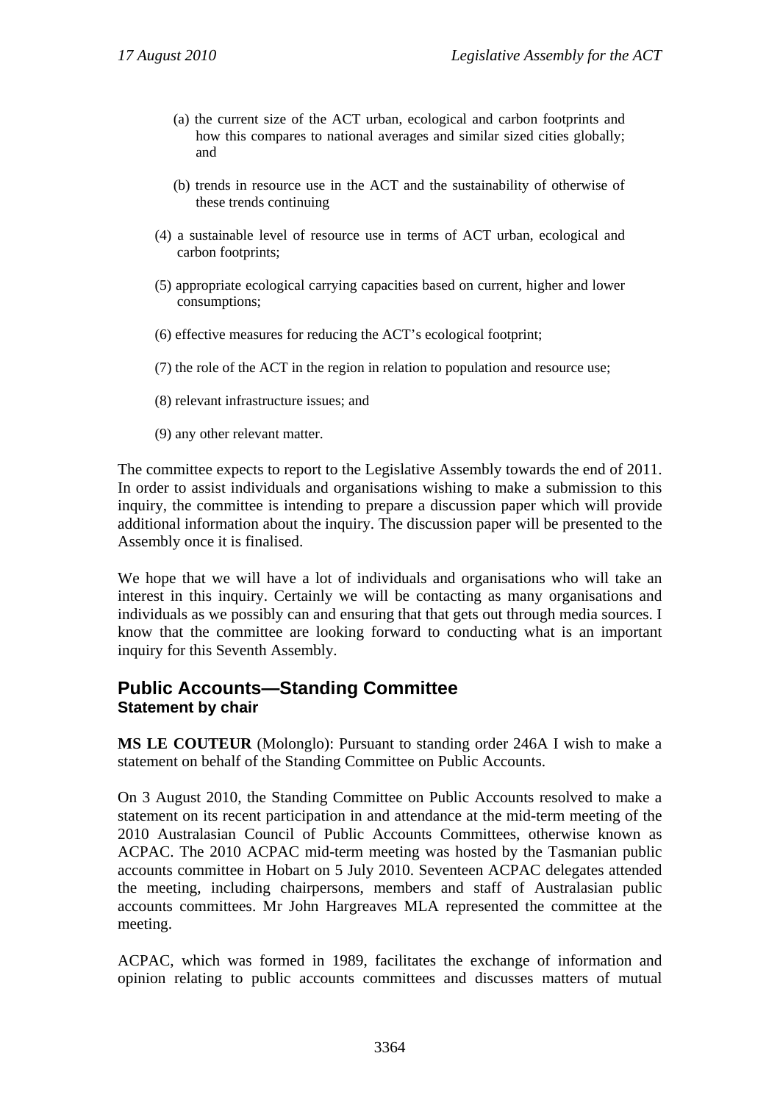- (a) the current size of the ACT urban, ecological and carbon footprints and how this compares to national averages and similar sized cities globally; and
- (b) trends in resource use in the ACT and the sustainability of otherwise of these trends continuing
- (4) a sustainable level of resource use in terms of ACT urban, ecological and carbon footprints;
- (5) appropriate ecological carrying capacities based on current, higher and lower consumptions;
- (6) effective measures for reducing the ACT's ecological footprint;
- (7) the role of the ACT in the region in relation to population and resource use;
- (8) relevant infrastructure issues; and
- (9) any other relevant matter.

The committee expects to report to the Legislative Assembly towards the end of 2011. In order to assist individuals and organisations wishing to make a submission to this inquiry, the committee is intending to prepare a discussion paper which will provide additional information about the inquiry. The discussion paper will be presented to the Assembly once it is finalised.

We hope that we will have a lot of individuals and organisations who will take an interest in this inquiry. Certainly we will be contacting as many organisations and individuals as we possibly can and ensuring that that gets out through media sources. I know that the committee are looking forward to conducting what is an important inquiry for this Seventh Assembly.

# **Public Accounts—Standing Committee Statement by chair**

**MS LE COUTEUR** (Molonglo): Pursuant to standing order 246A I wish to make a statement on behalf of the Standing Committee on Public Accounts.

On 3 August 2010, the Standing Committee on Public Accounts resolved to make a statement on its recent participation in and attendance at the mid-term meeting of the 2010 Australasian Council of Public Accounts Committees, otherwise known as ACPAC. The 2010 ACPAC mid-term meeting was hosted by the Tasmanian public accounts committee in Hobart on 5 July 2010. Seventeen ACPAC delegates attended the meeting, including chairpersons, members and staff of Australasian public accounts committees. Mr John Hargreaves MLA represented the committee at the meeting.

ACPAC, which was formed in 1989, facilitates the exchange of information and opinion relating to public accounts committees and discusses matters of mutual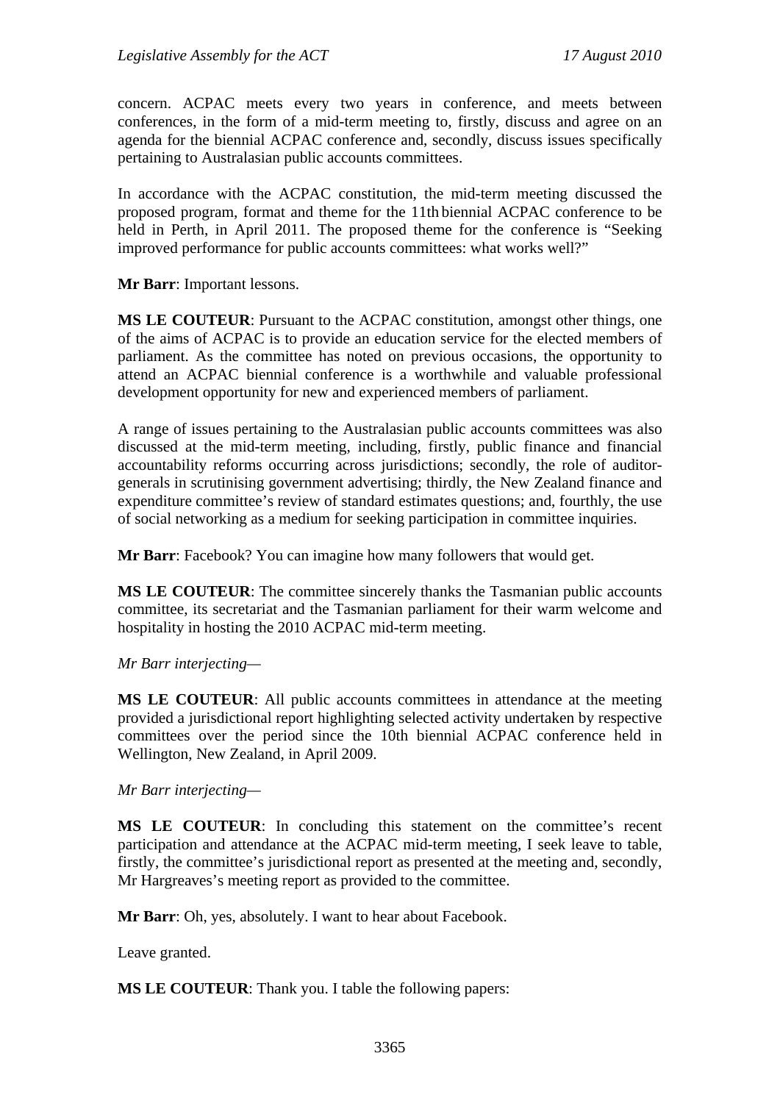concern. ACPAC meets every two years in conference, and meets between conferences, in the form of a mid-term meeting to, firstly, discuss and agree on an agenda for the biennial ACPAC conference and, secondly, discuss issues specifically pertaining to Australasian public accounts committees.

In accordance with the ACPAC constitution, the mid-term meeting discussed the proposed program, format and theme for the 11th biennial ACPAC conference to be held in Perth, in April 2011. The proposed theme for the conference is "Seeking improved performance for public accounts committees: what works well?"

**Mr Barr**: Important lessons.

**MS LE COUTEUR**: Pursuant to the ACPAC constitution, amongst other things, one of the aims of ACPAC is to provide an education service for the elected members of parliament. As the committee has noted on previous occasions, the opportunity to attend an ACPAC biennial conference is a worthwhile and valuable professional development opportunity for new and experienced members of parliament.

A range of issues pertaining to the Australasian public accounts committees was also discussed at the mid-term meeting, including, firstly, public finance and financial accountability reforms occurring across jurisdictions; secondly, the role of auditorgenerals in scrutinising government advertising; thirdly, the New Zealand finance and expenditure committee's review of standard estimates questions; and, fourthly, the use of social networking as a medium for seeking participation in committee inquiries.

**Mr Barr**: Facebook? You can imagine how many followers that would get.

**MS LE COUTEUR**: The committee sincerely thanks the Tasmanian public accounts committee, its secretariat and the Tasmanian parliament for their warm welcome and hospitality in hosting the 2010 ACPAC mid-term meeting.

#### *Mr Barr interjecting—*

**MS LE COUTEUR**: All public accounts committees in attendance at the meeting provided a jurisdictional report highlighting selected activity undertaken by respective committees over the period since the 10th biennial ACPAC conference held in Wellington, New Zealand, in April 2009.

*Mr Barr interjecting—* 

**MS LE COUTEUR**: In concluding this statement on the committee's recent participation and attendance at the ACPAC mid-term meeting, I seek leave to table, firstly, the committee's jurisdictional report as presented at the meeting and, secondly, Mr Hargreaves's meeting report as provided to the committee.

**Mr Barr**: Oh, yes, absolutely. I want to hear about Facebook.

Leave granted.

**MS LE COUTEUR**: Thank you. I table the following papers: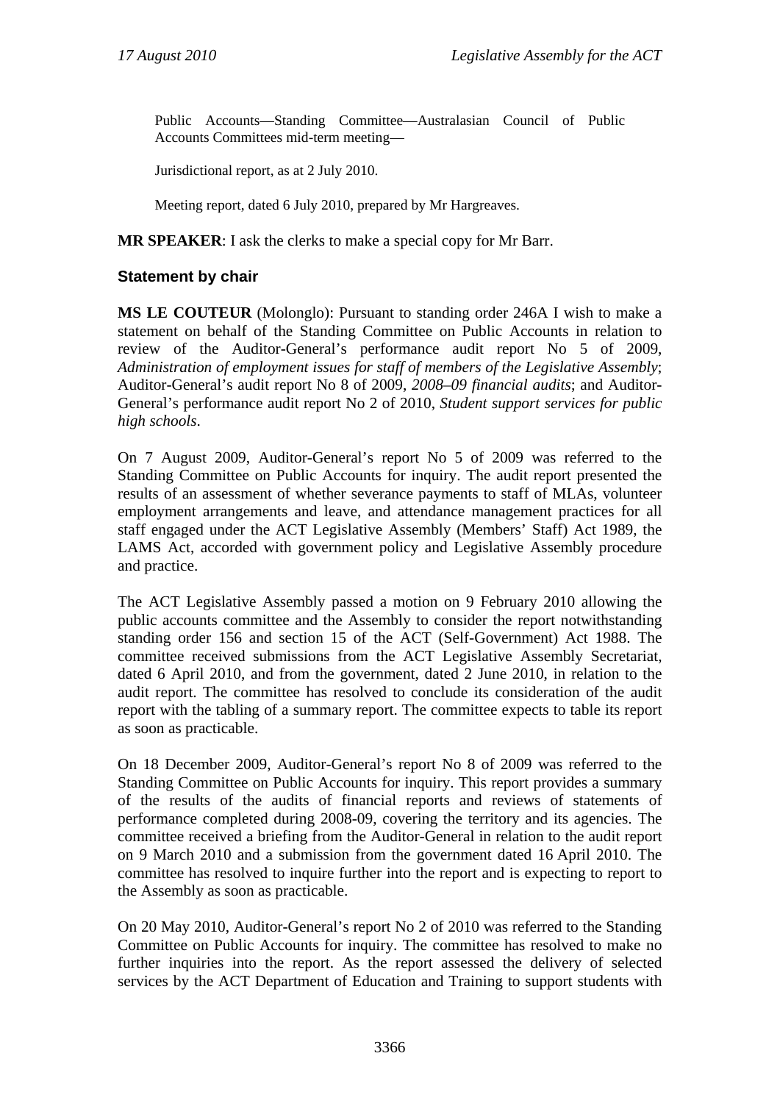Public Accounts—Standing Committee—Australasian Council of Public Accounts Committees mid-term meeting—

Jurisdictional report, as at 2 July 2010.

Meeting report, dated 6 July 2010, prepared by Mr Hargreaves.

**MR SPEAKER**: I ask the clerks to make a special copy for Mr Barr.

#### **Statement by chair**

**MS LE COUTEUR** (Molonglo): Pursuant to standing order 246A I wish to make a statement on behalf of the Standing Committee on Public Accounts in relation to review of the Auditor-General's performance audit report No 5 of 2009, *Administration of employment issues for staff of members of the Legislative Assembly*; Auditor-General's audit report No 8 of 2009, *2008–09 financial audits*; and Auditor-General's performance audit report No 2 of 2010, *Student support services for public high schools*.

On 7 August 2009, Auditor-General's report No 5 of 2009 was referred to the Standing Committee on Public Accounts for inquiry. The audit report presented the results of an assessment of whether severance payments to staff of MLAs, volunteer employment arrangements and leave, and attendance management practices for all staff engaged under the ACT Legislative Assembly (Members' Staff) Act 1989, the LAMS Act, accorded with government policy and Legislative Assembly procedure and practice.

The ACT Legislative Assembly passed a motion on 9 February 2010 allowing the public accounts committee and the Assembly to consider the report notwithstanding standing order 156 and section 15 of the ACT (Self-Government) Act 1988. The committee received submissions from the ACT Legislative Assembly Secretariat, dated 6 April 2010, and from the government, dated 2 June 2010, in relation to the audit report. The committee has resolved to conclude its consideration of the audit report with the tabling of a summary report. The committee expects to table its report as soon as practicable.

On 18 December 2009, Auditor-General's report No 8 of 2009 was referred to the Standing Committee on Public Accounts for inquiry. This report provides a summary of the results of the audits of financial reports and reviews of statements of performance completed during 2008-09, covering the territory and its agencies. The committee received a briefing from the Auditor-General in relation to the audit report on 9 March 2010 and a submission from the government dated 16 April 2010. The committee has resolved to inquire further into the report and is expecting to report to the Assembly as soon as practicable.

On 20 May 2010, Auditor-General's report No 2 of 2010 was referred to the Standing Committee on Public Accounts for inquiry. The committee has resolved to make no further inquiries into the report. As the report assessed the delivery of selected services by the ACT Department of Education and Training to support students with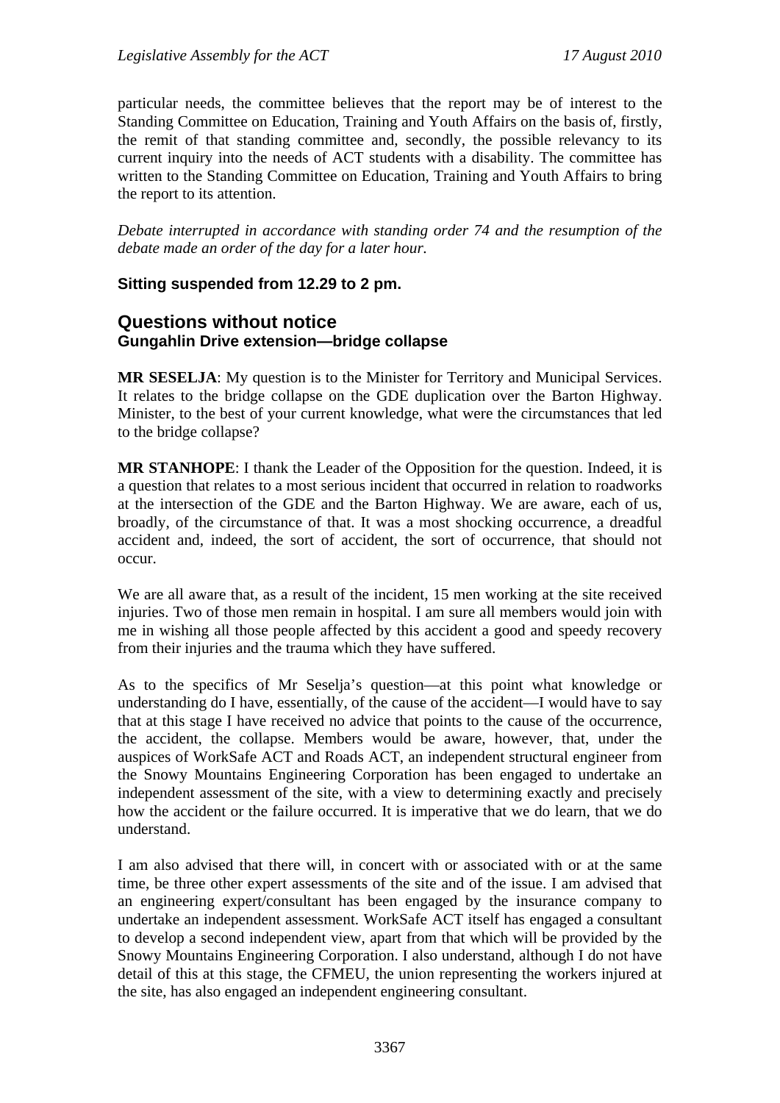particular needs, the committee believes that the report may be of interest to the Standing Committee on Education, Training and Youth Affairs on the basis of, firstly, the remit of that standing committee and, secondly, the possible relevancy to its current inquiry into the needs of ACT students with a disability. The committee has written to the Standing Committee on Education, Training and Youth Affairs to bring the report to its attention.

*Debate interrupted in accordance with standing order 74 and the resumption of the debate made an order of the day for a later hour.* 

#### **Sitting suspended from 12.29 to 2 pm.**

## **Questions without notice Gungahlin Drive extension—bridge collapse**

**MR SESELJA**: My question is to the Minister for Territory and Municipal Services. It relates to the bridge collapse on the GDE duplication over the Barton Highway. Minister, to the best of your current knowledge, what were the circumstances that led to the bridge collapse?

**MR STANHOPE**: I thank the Leader of the Opposition for the question. Indeed, it is a question that relates to a most serious incident that occurred in relation to roadworks at the intersection of the GDE and the Barton Highway. We are aware, each of us, broadly, of the circumstance of that. It was a most shocking occurrence, a dreadful accident and, indeed, the sort of accident, the sort of occurrence, that should not occur.

We are all aware that, as a result of the incident, 15 men working at the site received injuries. Two of those men remain in hospital. I am sure all members would join with me in wishing all those people affected by this accident a good and speedy recovery from their injuries and the trauma which they have suffered.

As to the specifics of Mr Seselja's question—at this point what knowledge or understanding do I have, essentially, of the cause of the accident—I would have to say that at this stage I have received no advice that points to the cause of the occurrence, the accident, the collapse. Members would be aware, however, that, under the auspices of WorkSafe ACT and Roads ACT, an independent structural engineer from the Snowy Mountains Engineering Corporation has been engaged to undertake an independent assessment of the site, with a view to determining exactly and precisely how the accident or the failure occurred. It is imperative that we do learn, that we do understand.

I am also advised that there will, in concert with or associated with or at the same time, be three other expert assessments of the site and of the issue. I am advised that an engineering expert/consultant has been engaged by the insurance company to undertake an independent assessment. WorkSafe ACT itself has engaged a consultant to develop a second independent view, apart from that which will be provided by the Snowy Mountains Engineering Corporation. I also understand, although I do not have detail of this at this stage, the CFMEU, the union representing the workers injured at the site, has also engaged an independent engineering consultant.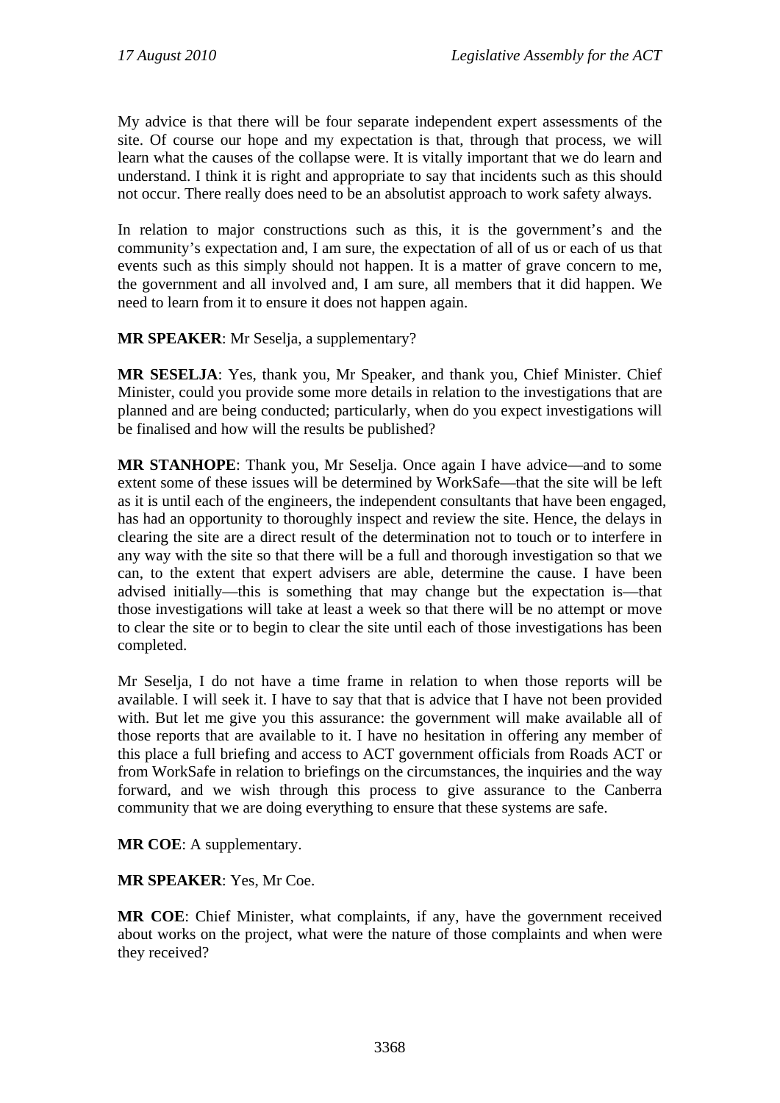My advice is that there will be four separate independent expert assessments of the site. Of course our hope and my expectation is that, through that process, we will learn what the causes of the collapse were. It is vitally important that we do learn and understand. I think it is right and appropriate to say that incidents such as this should not occur. There really does need to be an absolutist approach to work safety always.

In relation to major constructions such as this, it is the government's and the community's expectation and, I am sure, the expectation of all of us or each of us that events such as this simply should not happen. It is a matter of grave concern to me, the government and all involved and, I am sure, all members that it did happen. We need to learn from it to ensure it does not happen again.

**MR SPEAKER**: Mr Seselja, a supplementary?

**MR SESELJA**: Yes, thank you, Mr Speaker, and thank you, Chief Minister. Chief Minister, could you provide some more details in relation to the investigations that are planned and are being conducted; particularly, when do you expect investigations will be finalised and how will the results be published?

**MR STANHOPE**: Thank you, Mr Seselja. Once again I have advice—and to some extent some of these issues will be determined by WorkSafe—that the site will be left as it is until each of the engineers, the independent consultants that have been engaged, has had an opportunity to thoroughly inspect and review the site. Hence, the delays in clearing the site are a direct result of the determination not to touch or to interfere in any way with the site so that there will be a full and thorough investigation so that we can, to the extent that expert advisers are able, determine the cause. I have been advised initially—this is something that may change but the expectation is—that those investigations will take at least a week so that there will be no attempt or move to clear the site or to begin to clear the site until each of those investigations has been completed.

Mr Seselja, I do not have a time frame in relation to when those reports will be available. I will seek it. I have to say that that is advice that I have not been provided with. But let me give you this assurance: the government will make available all of those reports that are available to it. I have no hesitation in offering any member of this place a full briefing and access to ACT government officials from Roads ACT or from WorkSafe in relation to briefings on the circumstances, the inquiries and the way forward, and we wish through this process to give assurance to the Canberra community that we are doing everything to ensure that these systems are safe.

**MR COE**: A supplementary.

**MR SPEAKER**: Yes, Mr Coe.

**MR COE**: Chief Minister, what complaints, if any, have the government received about works on the project, what were the nature of those complaints and when were they received?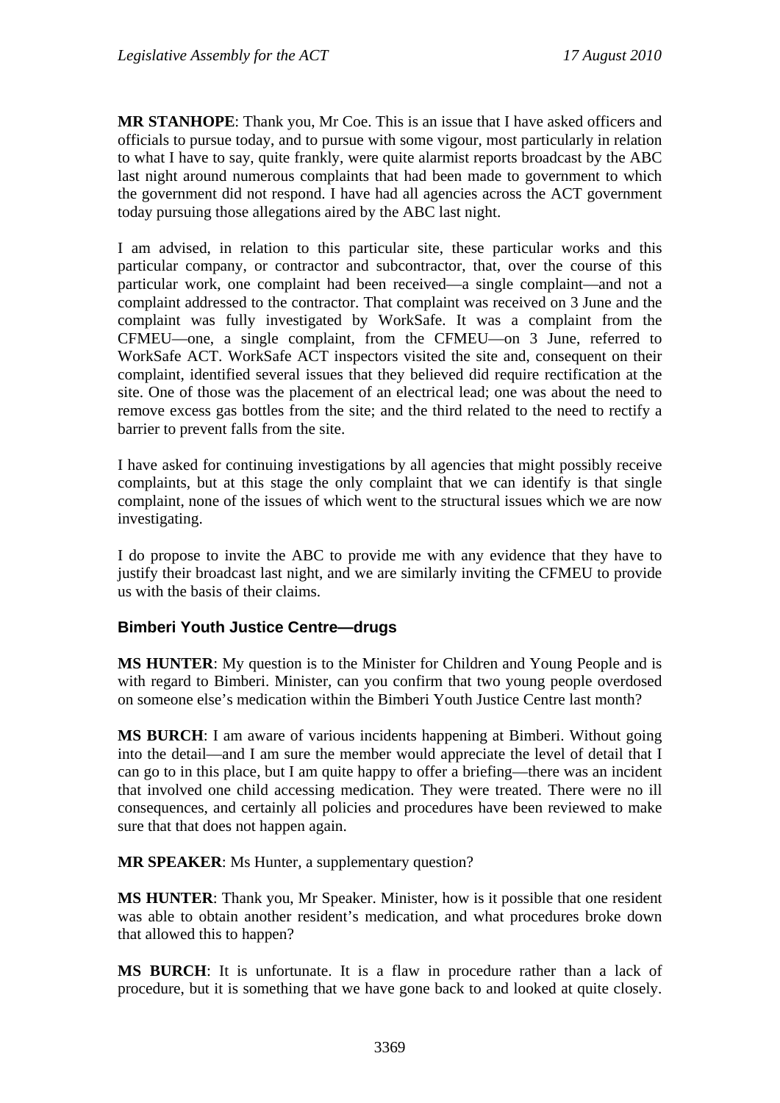**MR STANHOPE**: Thank you, Mr Coe. This is an issue that I have asked officers and officials to pursue today, and to pursue with some vigour, most particularly in relation to what I have to say, quite frankly, were quite alarmist reports broadcast by the ABC last night around numerous complaints that had been made to government to which the government did not respond. I have had all agencies across the ACT government today pursuing those allegations aired by the ABC last night.

I am advised, in relation to this particular site, these particular works and this particular company, or contractor and subcontractor, that, over the course of this particular work, one complaint had been received—a single complaint—and not a complaint addressed to the contractor. That complaint was received on 3 June and the complaint was fully investigated by WorkSafe. It was a complaint from the CFMEU—one, a single complaint, from the CFMEU—on 3 June, referred to WorkSafe ACT. WorkSafe ACT inspectors visited the site and, consequent on their complaint, identified several issues that they believed did require rectification at the site. One of those was the placement of an electrical lead; one was about the need to remove excess gas bottles from the site; and the third related to the need to rectify a barrier to prevent falls from the site.

I have asked for continuing investigations by all agencies that might possibly receive complaints, but at this stage the only complaint that we can identify is that single complaint, none of the issues of which went to the structural issues which we are now investigating.

I do propose to invite the ABC to provide me with any evidence that they have to justify their broadcast last night, and we are similarly inviting the CFMEU to provide us with the basis of their claims.

#### **Bimberi Youth Justice Centre—drugs**

**MS HUNTER**: My question is to the Minister for Children and Young People and is with regard to Bimberi. Minister, can you confirm that two young people overdosed on someone else's medication within the Bimberi Youth Justice Centre last month?

**MS BURCH**: I am aware of various incidents happening at Bimberi. Without going into the detail—and I am sure the member would appreciate the level of detail that I can go to in this place, but I am quite happy to offer a briefing—there was an incident that involved one child accessing medication. They were treated. There were no ill consequences, and certainly all policies and procedures have been reviewed to make sure that that does not happen again.

**MR SPEAKER**: Ms Hunter, a supplementary question?

**MS HUNTER**: Thank you, Mr Speaker. Minister, how is it possible that one resident was able to obtain another resident's medication, and what procedures broke down that allowed this to happen?

**MS BURCH**: It is unfortunate. It is a flaw in procedure rather than a lack of procedure, but it is something that we have gone back to and looked at quite closely.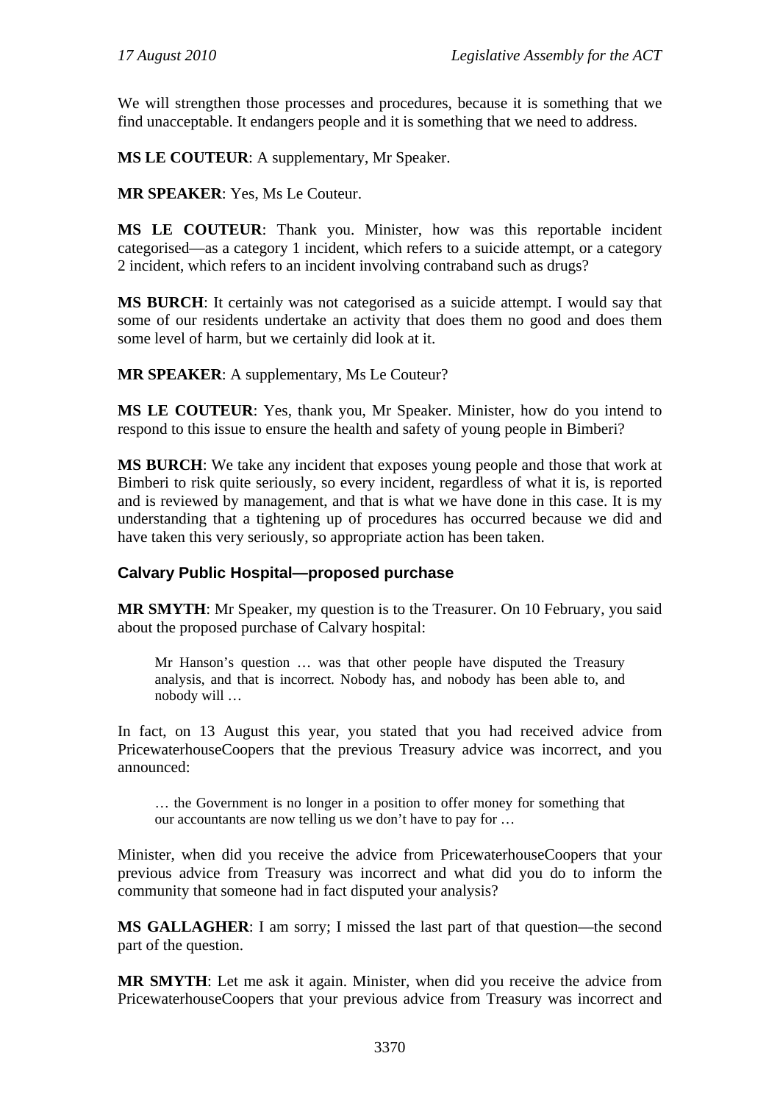We will strengthen those processes and procedures, because it is something that we find unacceptable. It endangers people and it is something that we need to address.

**MS LE COUTEUR**: A supplementary, Mr Speaker.

**MR SPEAKER**: Yes, Ms Le Couteur.

**MS LE COUTEUR**: Thank you. Minister, how was this reportable incident categorised—as a category 1 incident, which refers to a suicide attempt, or a category 2 incident, which refers to an incident involving contraband such as drugs?

**MS BURCH**: It certainly was not categorised as a suicide attempt. I would say that some of our residents undertake an activity that does them no good and does them some level of harm, but we certainly did look at it.

**MR SPEAKER**: A supplementary, Ms Le Couteur?

**MS LE COUTEUR**: Yes, thank you, Mr Speaker. Minister, how do you intend to respond to this issue to ensure the health and safety of young people in Bimberi?

**MS BURCH**: We take any incident that exposes young people and those that work at Bimberi to risk quite seriously, so every incident, regardless of what it is, is reported and is reviewed by management, and that is what we have done in this case. It is my understanding that a tightening up of procedures has occurred because we did and have taken this very seriously, so appropriate action has been taken.

# **Calvary Public Hospital—proposed purchase**

**MR SMYTH**: Mr Speaker, my question is to the Treasurer. On 10 February, you said about the proposed purchase of Calvary hospital:

Mr Hanson's question … was that other people have disputed the Treasury analysis, and that is incorrect. Nobody has, and nobody has been able to, and nobody will …

In fact, on 13 August this year, you stated that you had received advice from PricewaterhouseCoopers that the previous Treasury advice was incorrect, and you announced:

… the Government is no longer in a position to offer money for something that our accountants are now telling us we don't have to pay for …

Minister, when did you receive the advice from PricewaterhouseCoopers that your previous advice from Treasury was incorrect and what did you do to inform the community that someone had in fact disputed your analysis?

**MS GALLAGHER**: I am sorry; I missed the last part of that question—the second part of the question.

**MR SMYTH**: Let me ask it again. Minister, when did you receive the advice from PricewaterhouseCoopers that your previous advice from Treasury was incorrect and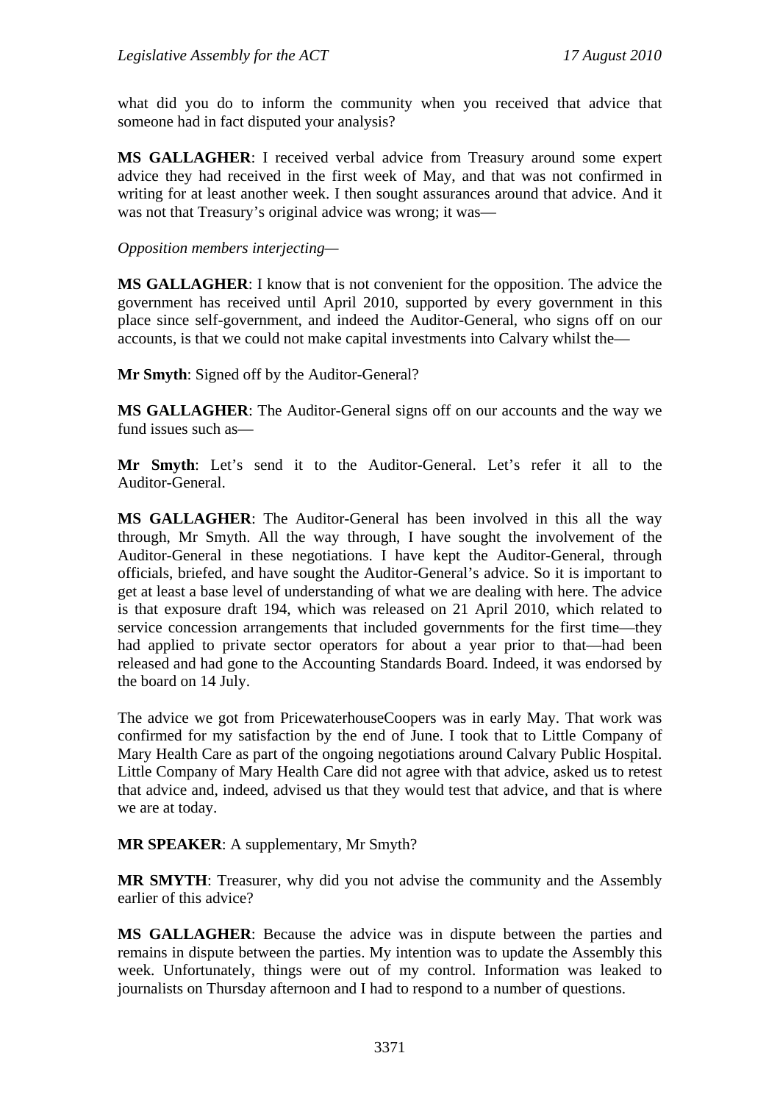what did you do to inform the community when you received that advice that someone had in fact disputed your analysis?

**MS GALLAGHER**: I received verbal advice from Treasury around some expert advice they had received in the first week of May, and that was not confirmed in writing for at least another week. I then sought assurances around that advice. And it was not that Treasury's original advice was wrong; it was—

*Opposition members interjecting—* 

**MS GALLAGHER**: I know that is not convenient for the opposition. The advice the government has received until April 2010, supported by every government in this place since self-government, and indeed the Auditor-General, who signs off on our accounts, is that we could not make capital investments into Calvary whilst the—

**Mr Smyth**: Signed off by the Auditor-General?

**MS GALLAGHER**: The Auditor-General signs off on our accounts and the way we fund issues such as—

**Mr Smyth**: Let's send it to the Auditor-General. Let's refer it all to the Auditor-General.

**MS GALLAGHER**: The Auditor-General has been involved in this all the way through, Mr Smyth. All the way through, I have sought the involvement of the Auditor-General in these negotiations. I have kept the Auditor-General, through officials, briefed, and have sought the Auditor-General's advice. So it is important to get at least a base level of understanding of what we are dealing with here. The advice is that exposure draft 194, which was released on 21 April 2010, which related to service concession arrangements that included governments for the first time—they had applied to private sector operators for about a year prior to that—had been released and had gone to the Accounting Standards Board. Indeed, it was endorsed by the board on 14 July.

The advice we got from PricewaterhouseCoopers was in early May. That work was confirmed for my satisfaction by the end of June. I took that to Little Company of Mary Health Care as part of the ongoing negotiations around Calvary Public Hospital. Little Company of Mary Health Care did not agree with that advice, asked us to retest that advice and, indeed, advised us that they would test that advice, and that is where we are at today.

**MR SPEAKER**: A supplementary, Mr Smyth?

**MR SMYTH**: Treasurer, why did you not advise the community and the Assembly earlier of this advice?

**MS GALLAGHER**: Because the advice was in dispute between the parties and remains in dispute between the parties. My intention was to update the Assembly this week. Unfortunately, things were out of my control. Information was leaked to journalists on Thursday afternoon and I had to respond to a number of questions.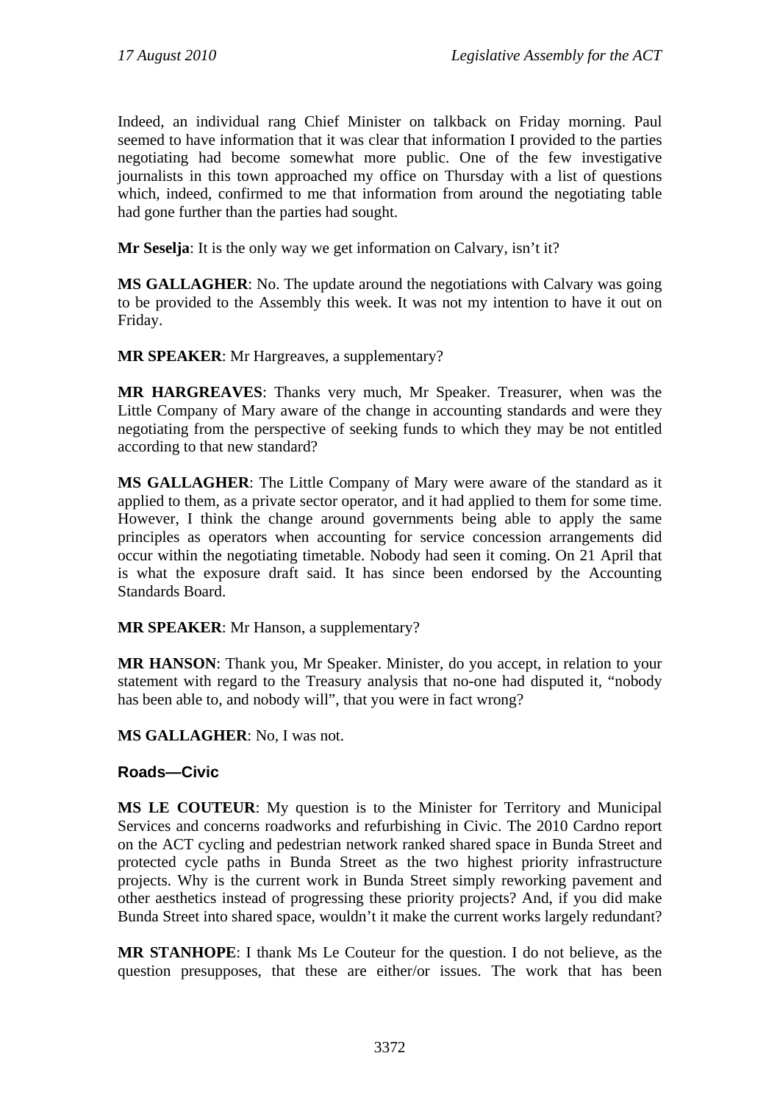Indeed, an individual rang Chief Minister on talkback on Friday morning. Paul seemed to have information that it was clear that information I provided to the parties negotiating had become somewhat more public. One of the few investigative journalists in this town approached my office on Thursday with a list of questions which, indeed, confirmed to me that information from around the negotiating table had gone further than the parties had sought.

**Mr Seselja**: It is the only way we get information on Calvary, isn't it?

**MS GALLAGHER**: No. The update around the negotiations with Calvary was going to be provided to the Assembly this week. It was not my intention to have it out on Friday.

**MR SPEAKER**: Mr Hargreaves, a supplementary?

**MR HARGREAVES**: Thanks very much, Mr Speaker. Treasurer, when was the Little Company of Mary aware of the change in accounting standards and were they negotiating from the perspective of seeking funds to which they may be not entitled according to that new standard?

**MS GALLAGHER**: The Little Company of Mary were aware of the standard as it applied to them, as a private sector operator, and it had applied to them for some time. However, I think the change around governments being able to apply the same principles as operators when accounting for service concession arrangements did occur within the negotiating timetable. Nobody had seen it coming. On 21 April that is what the exposure draft said. It has since been endorsed by the Accounting Standards Board.

**MR SPEAKER**: Mr Hanson, a supplementary?

**MR HANSON**: Thank you, Mr Speaker. Minister, do you accept, in relation to your statement with regard to the Treasury analysis that no-one had disputed it, "nobody has been able to, and nobody will", that you were in fact wrong?

**MS GALLAGHER**: No, I was not.

#### **Roads—Civic**

**MS LE COUTEUR**: My question is to the Minister for Territory and Municipal Services and concerns roadworks and refurbishing in Civic. The 2010 Cardno report on the ACT cycling and pedestrian network ranked shared space in Bunda Street and protected cycle paths in Bunda Street as the two highest priority infrastructure projects. Why is the current work in Bunda Street simply reworking pavement and other aesthetics instead of progressing these priority projects? And, if you did make Bunda Street into shared space, wouldn't it make the current works largely redundant?

**MR STANHOPE**: I thank Ms Le Couteur for the question. I do not believe, as the question presupposes, that these are either/or issues. The work that has been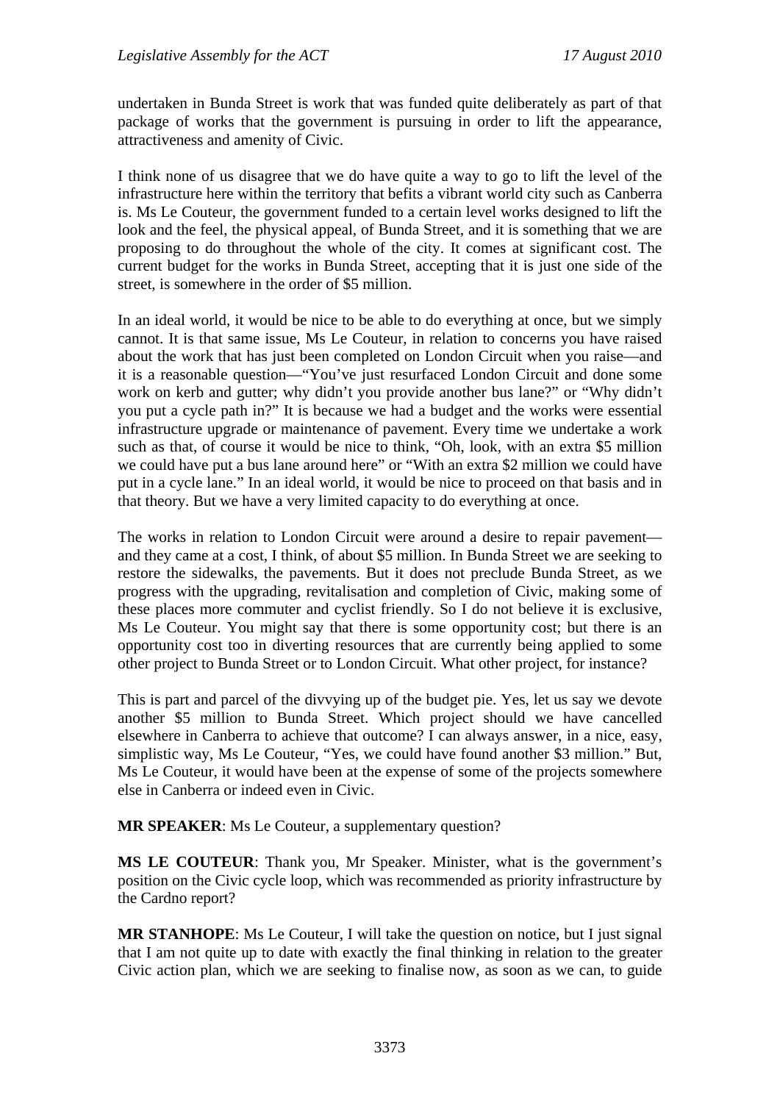undertaken in Bunda Street is work that was funded quite deliberately as part of that package of works that the government is pursuing in order to lift the appearance, attractiveness and amenity of Civic.

I think none of us disagree that we do have quite a way to go to lift the level of the infrastructure here within the territory that befits a vibrant world city such as Canberra is. Ms Le Couteur, the government funded to a certain level works designed to lift the look and the feel, the physical appeal, of Bunda Street, and it is something that we are proposing to do throughout the whole of the city. It comes at significant cost. The current budget for the works in Bunda Street, accepting that it is just one side of the street, is somewhere in the order of \$5 million.

In an ideal world, it would be nice to be able to do everything at once, but we simply cannot. It is that same issue, Ms Le Couteur, in relation to concerns you have raised about the work that has just been completed on London Circuit when you raise—and it is a reasonable question—"You've just resurfaced London Circuit and done some work on kerb and gutter; why didn't you provide another bus lane?" or "Why didn't you put a cycle path in?" It is because we had a budget and the works were essential infrastructure upgrade or maintenance of pavement. Every time we undertake a work such as that, of course it would be nice to think, "Oh, look, with an extra \$5 million we could have put a bus lane around here" or "With an extra \$2 million we could have put in a cycle lane." In an ideal world, it would be nice to proceed on that basis and in that theory. But we have a very limited capacity to do everything at once.

The works in relation to London Circuit were around a desire to repair pavement and they came at a cost, I think, of about \$5 million. In Bunda Street we are seeking to restore the sidewalks, the pavements. But it does not preclude Bunda Street, as we progress with the upgrading, revitalisation and completion of Civic, making some of these places more commuter and cyclist friendly. So I do not believe it is exclusive, Ms Le Couteur. You might say that there is some opportunity cost; but there is an opportunity cost too in diverting resources that are currently being applied to some other project to Bunda Street or to London Circuit. What other project, for instance?

This is part and parcel of the divvying up of the budget pie. Yes, let us say we devote another \$5 million to Bunda Street. Which project should we have cancelled elsewhere in Canberra to achieve that outcome? I can always answer, in a nice, easy, simplistic way, Ms Le Couteur, "Yes, we could have found another \$3 million." But, Ms Le Couteur, it would have been at the expense of some of the projects somewhere else in Canberra or indeed even in Civic.

**MR SPEAKER**: Ms Le Couteur, a supplementary question?

**MS LE COUTEUR**: Thank you, Mr Speaker. Minister, what is the government's position on the Civic cycle loop, which was recommended as priority infrastructure by the Cardno report?

**MR STANHOPE**: Ms Le Couteur, I will take the question on notice, but I just signal that I am not quite up to date with exactly the final thinking in relation to the greater Civic action plan, which we are seeking to finalise now, as soon as we can, to guide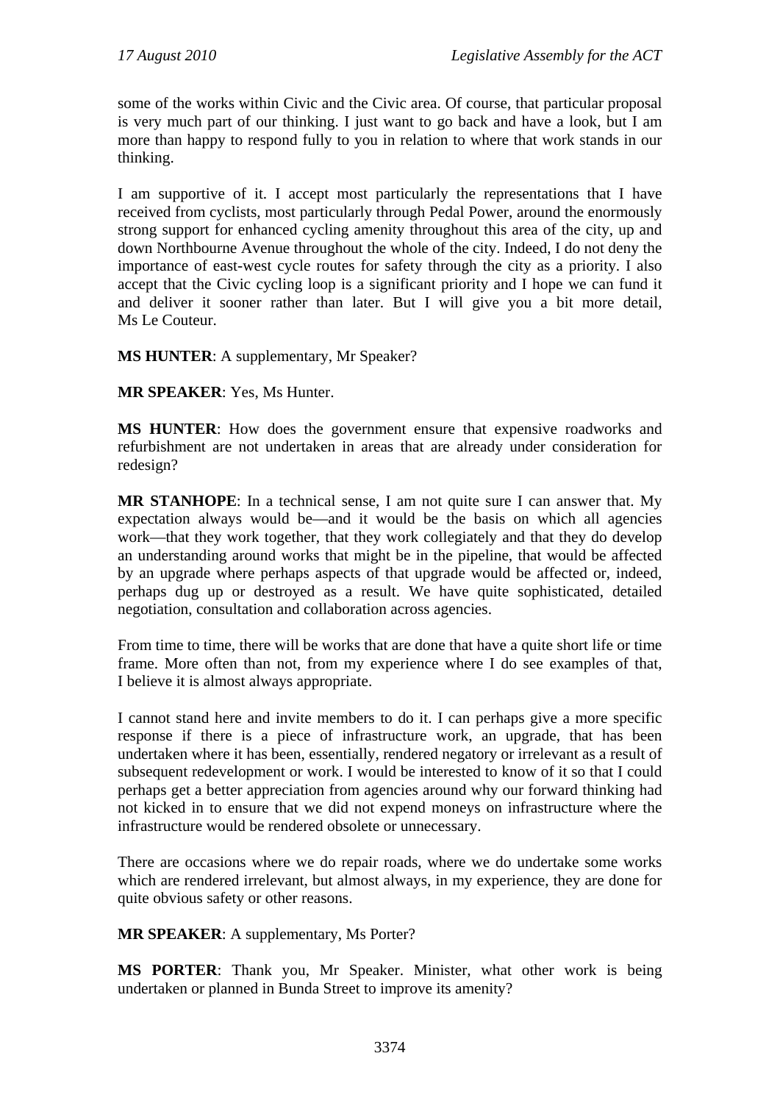some of the works within Civic and the Civic area. Of course, that particular proposal is very much part of our thinking. I just want to go back and have a look, but I am more than happy to respond fully to you in relation to where that work stands in our thinking.

I am supportive of it. I accept most particularly the representations that I have received from cyclists, most particularly through Pedal Power, around the enormously strong support for enhanced cycling amenity throughout this area of the city, up and down Northbourne Avenue throughout the whole of the city. Indeed, I do not deny the importance of east-west cycle routes for safety through the city as a priority. I also accept that the Civic cycling loop is a significant priority and I hope we can fund it and deliver it sooner rather than later. But I will give you a bit more detail, Ms Le Couteur.

**MS HUNTER**: A supplementary, Mr Speaker?

**MR SPEAKER**: Yes, Ms Hunter.

**MS HUNTER**: How does the government ensure that expensive roadworks and refurbishment are not undertaken in areas that are already under consideration for redesign?

**MR STANHOPE**: In a technical sense, I am not quite sure I can answer that. My expectation always would be—and it would be the basis on which all agencies work—that they work together, that they work collegiately and that they do develop an understanding around works that might be in the pipeline, that would be affected by an upgrade where perhaps aspects of that upgrade would be affected or, indeed, perhaps dug up or destroyed as a result. We have quite sophisticated, detailed negotiation, consultation and collaboration across agencies.

From time to time, there will be works that are done that have a quite short life or time frame. More often than not, from my experience where I do see examples of that, I believe it is almost always appropriate.

I cannot stand here and invite members to do it. I can perhaps give a more specific response if there is a piece of infrastructure work, an upgrade, that has been undertaken where it has been, essentially, rendered negatory or irrelevant as a result of subsequent redevelopment or work. I would be interested to know of it so that I could perhaps get a better appreciation from agencies around why our forward thinking had not kicked in to ensure that we did not expend moneys on infrastructure where the infrastructure would be rendered obsolete or unnecessary.

There are occasions where we do repair roads, where we do undertake some works which are rendered irrelevant, but almost always, in my experience, they are done for quite obvious safety or other reasons.

**MR SPEAKER**: A supplementary, Ms Porter?

**MS PORTER**: Thank you, Mr Speaker. Minister, what other work is being undertaken or planned in Bunda Street to improve its amenity?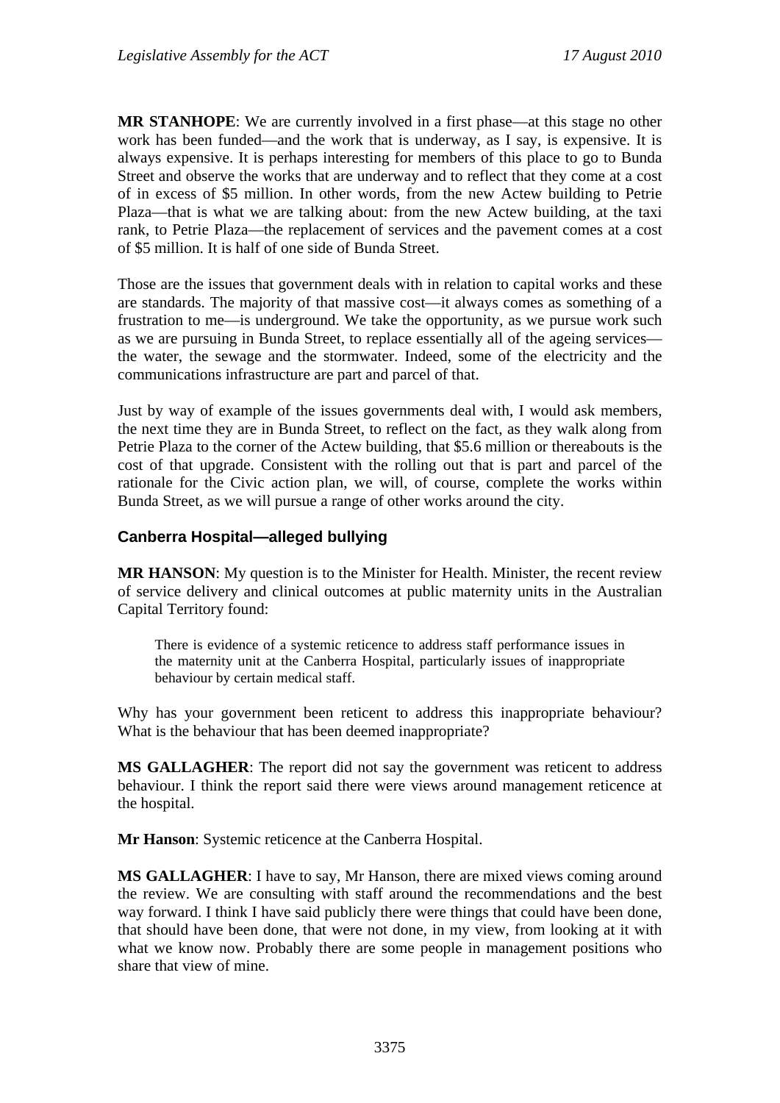**MR STANHOPE**: We are currently involved in a first phase—at this stage no other work has been funded—and the work that is underway, as I say, is expensive. It is always expensive. It is perhaps interesting for members of this place to go to Bunda Street and observe the works that are underway and to reflect that they come at a cost of in excess of \$5 million. In other words, from the new Actew building to Petrie Plaza—that is what we are talking about: from the new Actew building, at the taxi rank, to Petrie Plaza—the replacement of services and the pavement comes at a cost of \$5 million. It is half of one side of Bunda Street.

Those are the issues that government deals with in relation to capital works and these are standards. The majority of that massive cost—it always comes as something of a frustration to me—is underground. We take the opportunity, as we pursue work such as we are pursuing in Bunda Street, to replace essentially all of the ageing services the water, the sewage and the stormwater. Indeed, some of the electricity and the communications infrastructure are part and parcel of that.

Just by way of example of the issues governments deal with, I would ask members, the next time they are in Bunda Street, to reflect on the fact, as they walk along from Petrie Plaza to the corner of the Actew building, that \$5.6 million or thereabouts is the cost of that upgrade. Consistent with the rolling out that is part and parcel of the rationale for the Civic action plan, we will, of course, complete the works within Bunda Street, as we will pursue a range of other works around the city.

### **Canberra Hospital—alleged bullying**

**MR HANSON**: My question is to the Minister for Health. Minister, the recent review of service delivery and clinical outcomes at public maternity units in the Australian Capital Territory found:

There is evidence of a systemic reticence to address staff performance issues in the maternity unit at the Canberra Hospital, particularly issues of inappropriate behaviour by certain medical staff.

Why has your government been reticent to address this inappropriate behaviour? What is the behaviour that has been deemed inappropriate?

**MS GALLAGHER**: The report did not say the government was reticent to address behaviour. I think the report said there were views around management reticence at the hospital.

**Mr Hanson**: Systemic reticence at the Canberra Hospital.

**MS GALLAGHER**: I have to say, Mr Hanson, there are mixed views coming around the review. We are consulting with staff around the recommendations and the best way forward. I think I have said publicly there were things that could have been done, that should have been done, that were not done, in my view, from looking at it with what we know now. Probably there are some people in management positions who share that view of mine.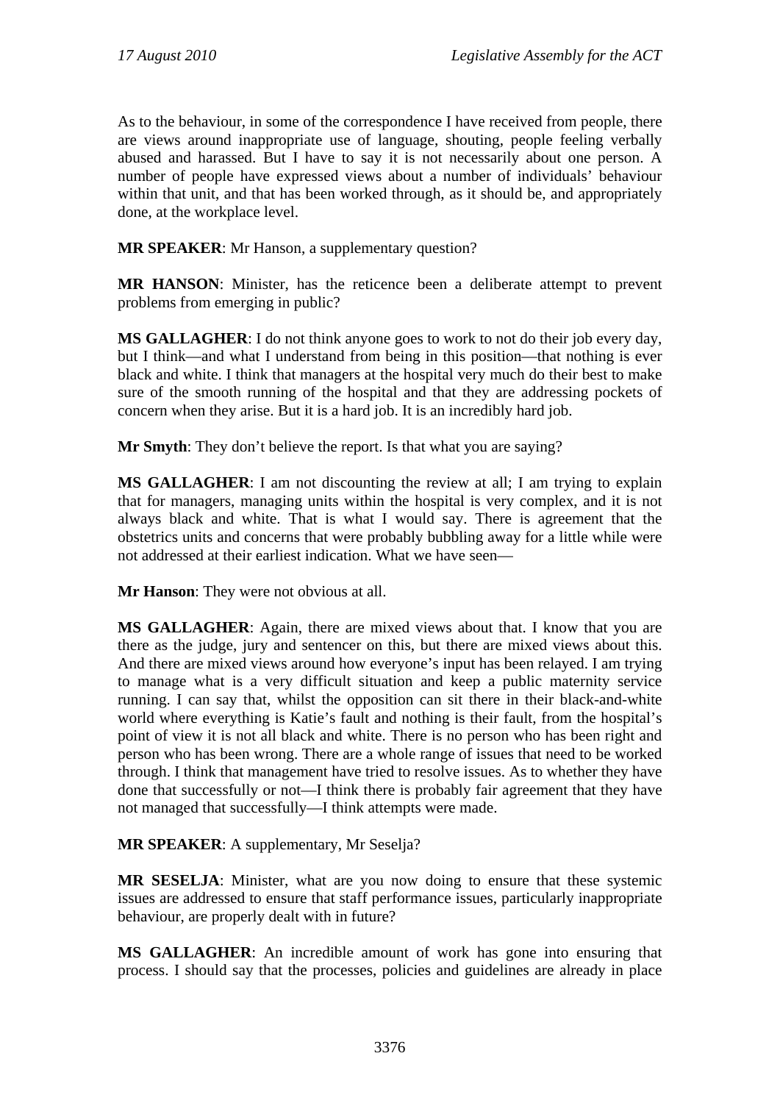As to the behaviour, in some of the correspondence I have received from people, there are views around inappropriate use of language, shouting, people feeling verbally abused and harassed. But I have to say it is not necessarily about one person. A number of people have expressed views about a number of individuals' behaviour within that unit, and that has been worked through, as it should be, and appropriately done, at the workplace level.

**MR SPEAKER**: Mr Hanson, a supplementary question?

**MR HANSON**: Minister, has the reticence been a deliberate attempt to prevent problems from emerging in public?

**MS GALLAGHER**: I do not think anyone goes to work to not do their job every day, but I think—and what I understand from being in this position—that nothing is ever black and white. I think that managers at the hospital very much do their best to make sure of the smooth running of the hospital and that they are addressing pockets of concern when they arise. But it is a hard job. It is an incredibly hard job.

**Mr Smyth**: They don't believe the report. Is that what you are saying?

**MS GALLAGHER**: I am not discounting the review at all; I am trying to explain that for managers, managing units within the hospital is very complex, and it is not always black and white. That is what I would say. There is agreement that the obstetrics units and concerns that were probably bubbling away for a little while were not addressed at their earliest indication. What we have seen—

**Mr Hanson**: They were not obvious at all.

**MS GALLAGHER**: Again, there are mixed views about that. I know that you are there as the judge, jury and sentencer on this, but there are mixed views about this. And there are mixed views around how everyone's input has been relayed. I am trying to manage what is a very difficult situation and keep a public maternity service running. I can say that, whilst the opposition can sit there in their black-and-white world where everything is Katie's fault and nothing is their fault, from the hospital's point of view it is not all black and white. There is no person who has been right and person who has been wrong. There are a whole range of issues that need to be worked through. I think that management have tried to resolve issues. As to whether they have done that successfully or not—I think there is probably fair agreement that they have not managed that successfully—I think attempts were made.

**MR SPEAKER**: A supplementary, Mr Seselja?

**MR SESELJA**: Minister, what are you now doing to ensure that these systemic issues are addressed to ensure that staff performance issues, particularly inappropriate behaviour, are properly dealt with in future?

**MS GALLAGHER**: An incredible amount of work has gone into ensuring that process. I should say that the processes, policies and guidelines are already in place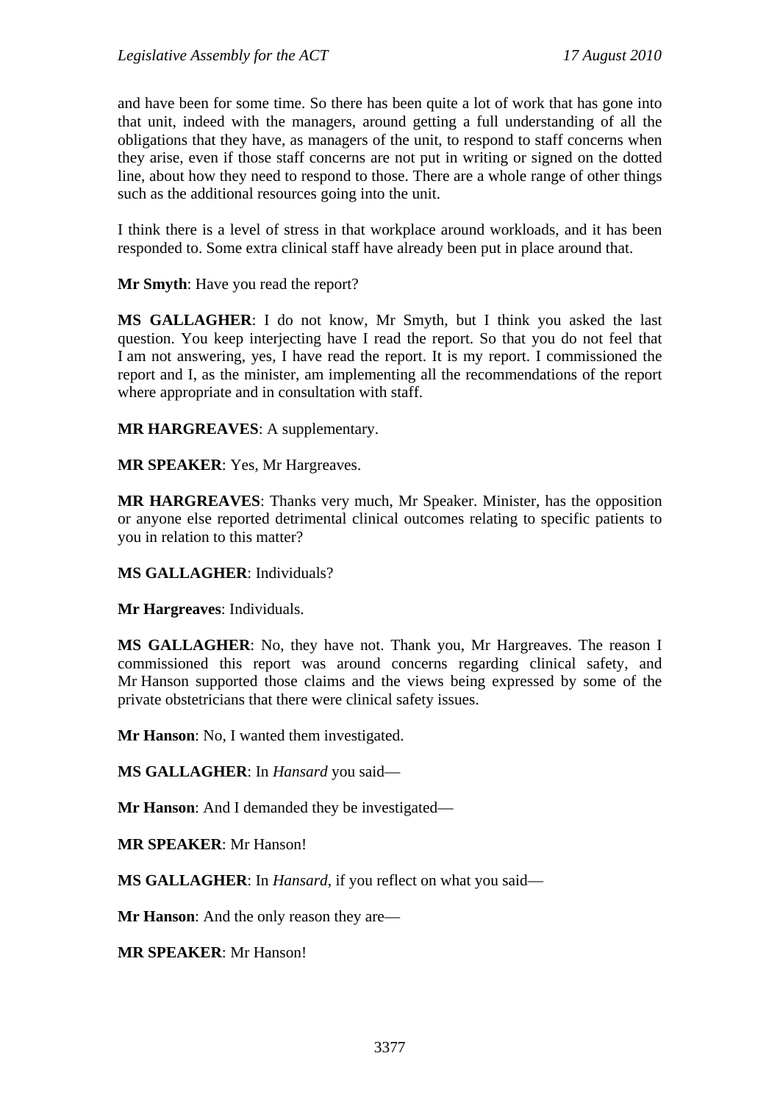and have been for some time. So there has been quite a lot of work that has gone into that unit, indeed with the managers, around getting a full understanding of all the obligations that they have, as managers of the unit, to respond to staff concerns when they arise, even if those staff concerns are not put in writing or signed on the dotted line, about how they need to respond to those. There are a whole range of other things such as the additional resources going into the unit.

I think there is a level of stress in that workplace around workloads, and it has been responded to. Some extra clinical staff have already been put in place around that.

**Mr Smyth**: Have you read the report?

**MS GALLAGHER**: I do not know, Mr Smyth, but I think you asked the last question. You keep interjecting have I read the report. So that you do not feel that I am not answering, yes, I have read the report. It is my report. I commissioned the report and I, as the minister, am implementing all the recommendations of the report where appropriate and in consultation with staff.

**MR HARGREAVES**: A supplementary.

**MR SPEAKER**: Yes, Mr Hargreaves.

**MR HARGREAVES**: Thanks very much, Mr Speaker. Minister, has the opposition or anyone else reported detrimental clinical outcomes relating to specific patients to you in relation to this matter?

**MS GALLAGHER**: Individuals?

**Mr Hargreaves**: Individuals.

**MS GALLAGHER**: No, they have not. Thank you, Mr Hargreaves. The reason I commissioned this report was around concerns regarding clinical safety, and Mr Hanson supported those claims and the views being expressed by some of the private obstetricians that there were clinical safety issues.

**Mr Hanson**: No, I wanted them investigated.

**MS GALLAGHER**: In *Hansard* you said—

**Mr Hanson**: And I demanded they be investigated—

**MR SPEAKER**: Mr Hanson!

**MS GALLAGHER**: In *Hansard*, if you reflect on what you said—

**Mr Hanson**: And the only reason they are—

**MR SPEAKER**: Mr Hanson!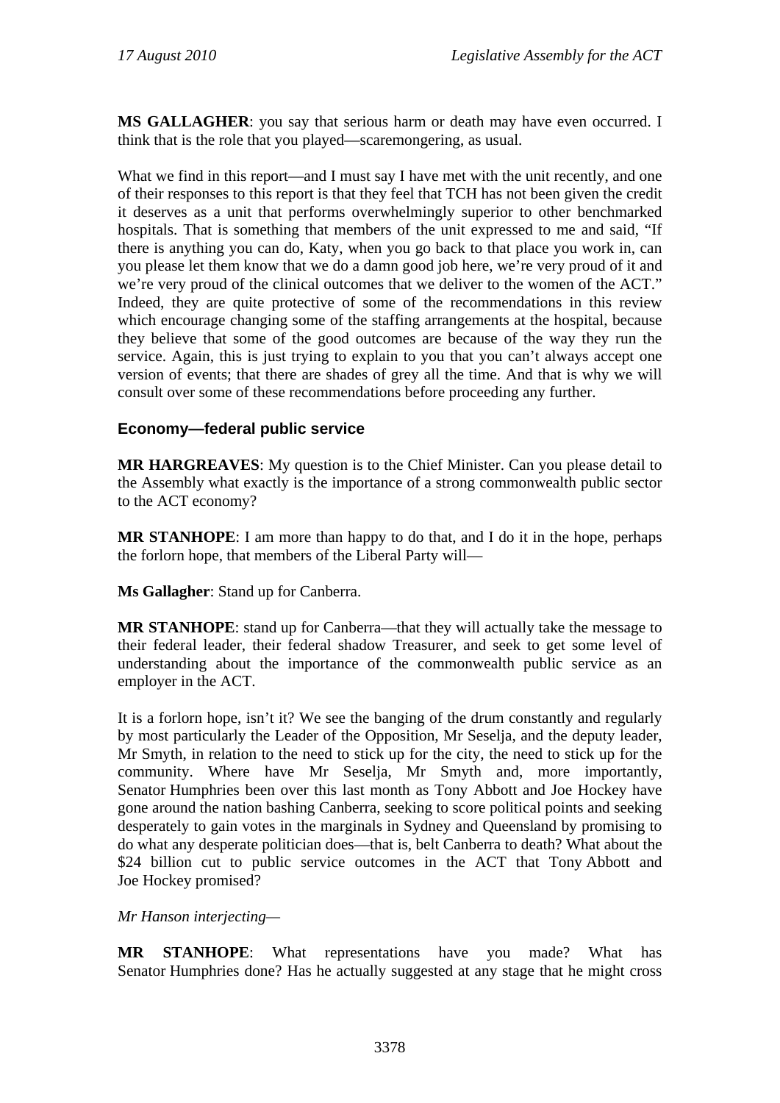**MS GALLAGHER**: you say that serious harm or death may have even occurred. I think that is the role that you played—scaremongering, as usual.

What we find in this report—and I must say I have met with the unit recently, and one of their responses to this report is that they feel that TCH has not been given the credit it deserves as a unit that performs overwhelmingly superior to other benchmarked hospitals. That is something that members of the unit expressed to me and said, "If there is anything you can do, Katy, when you go back to that place you work in, can you please let them know that we do a damn good job here, we're very proud of it and we're very proud of the clinical outcomes that we deliver to the women of the ACT." Indeed, they are quite protective of some of the recommendations in this review which encourage changing some of the staffing arrangements at the hospital, because they believe that some of the good outcomes are because of the way they run the service. Again, this is just trying to explain to you that you can't always accept one version of events; that there are shades of grey all the time. And that is why we will consult over some of these recommendations before proceeding any further.

### **Economy—federal public service**

**MR HARGREAVES**: My question is to the Chief Minister. Can you please detail to the Assembly what exactly is the importance of a strong commonwealth public sector to the ACT economy?

**MR STANHOPE**: I am more than happy to do that, and I do it in the hope, perhaps the forlorn hope, that members of the Liberal Party will—

**Ms Gallagher**: Stand up for Canberra.

**MR STANHOPE**: stand up for Canberra—that they will actually take the message to their federal leader, their federal shadow Treasurer, and seek to get some level of understanding about the importance of the commonwealth public service as an employer in the ACT.

It is a forlorn hope, isn't it? We see the banging of the drum constantly and regularly by most particularly the Leader of the Opposition, Mr Seselja, and the deputy leader, Mr Smyth, in relation to the need to stick up for the city, the need to stick up for the community. Where have Mr Seselja, Mr Smyth and, more importantly, Senator Humphries been over this last month as Tony Abbott and Joe Hockey have gone around the nation bashing Canberra, seeking to score political points and seeking desperately to gain votes in the marginals in Sydney and Queensland by promising to do what any desperate politician does—that is, belt Canberra to death? What about the \$24 billion cut to public service outcomes in the ACT that Tony Abbott and Joe Hockey promised?

*Mr Hanson interjecting—* 

**MR STANHOPE**: What representations have you made? What has Senator Humphries done? Has he actually suggested at any stage that he might cross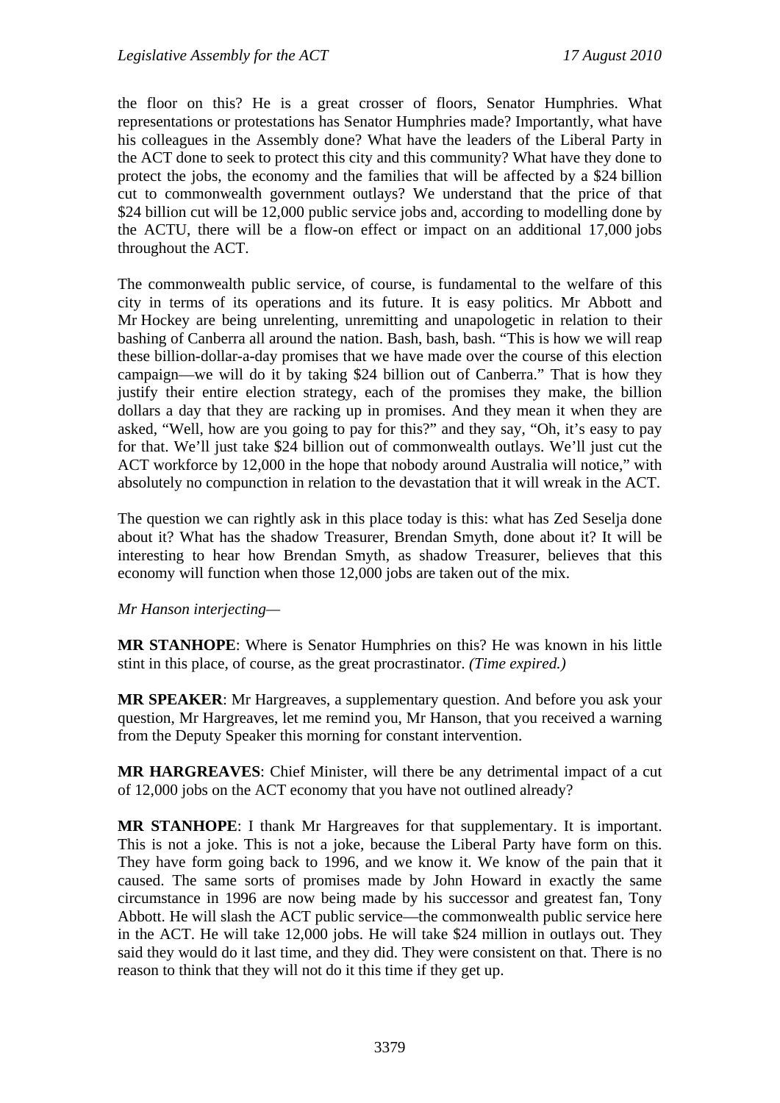the floor on this? He is a great crosser of floors, Senator Humphries. What representations or protestations has Senator Humphries made? Importantly, what have his colleagues in the Assembly done? What have the leaders of the Liberal Party in the ACT done to seek to protect this city and this community? What have they done to protect the jobs, the economy and the families that will be affected by a \$24 billion cut to commonwealth government outlays? We understand that the price of that \$24 billion cut will be 12,000 public service jobs and, according to modelling done by the ACTU, there will be a flow-on effect or impact on an additional 17,000 jobs throughout the ACT.

The commonwealth public service, of course, is fundamental to the welfare of this city in terms of its operations and its future. It is easy politics. Mr Abbott and Mr Hockey are being unrelenting, unremitting and unapologetic in relation to their bashing of Canberra all around the nation. Bash, bash, bash. "This is how we will reap these billion-dollar-a-day promises that we have made over the course of this election campaign—we will do it by taking \$24 billion out of Canberra." That is how they justify their entire election strategy, each of the promises they make, the billion dollars a day that they are racking up in promises. And they mean it when they are asked, "Well, how are you going to pay for this?" and they say, "Oh, it's easy to pay for that. We'll just take \$24 billion out of commonwealth outlays. We'll just cut the ACT workforce by 12,000 in the hope that nobody around Australia will notice," with absolutely no compunction in relation to the devastation that it will wreak in the ACT.

The question we can rightly ask in this place today is this: what has Zed Seselja done about it? What has the shadow Treasurer, Brendan Smyth, done about it? It will be interesting to hear how Brendan Smyth, as shadow Treasurer, believes that this economy will function when those 12,000 jobs are taken out of the mix.

#### *Mr Hanson interjecting—*

**MR STANHOPE**: Where is Senator Humphries on this? He was known in his little stint in this place, of course, as the great procrastinator. *(Time expired.)*

**MR SPEAKER**: Mr Hargreaves, a supplementary question. And before you ask your question, Mr Hargreaves, let me remind you, Mr Hanson, that you received a warning from the Deputy Speaker this morning for constant intervention.

**MR HARGREAVES**: Chief Minister, will there be any detrimental impact of a cut of 12,000 jobs on the ACT economy that you have not outlined already?

**MR STANHOPE**: I thank Mr Hargreaves for that supplementary. It is important. This is not a joke. This is not a joke, because the Liberal Party have form on this. They have form going back to 1996, and we know it. We know of the pain that it caused. The same sorts of promises made by John Howard in exactly the same circumstance in 1996 are now being made by his successor and greatest fan, Tony Abbott. He will slash the ACT public service—the commonwealth public service here in the ACT. He will take 12,000 jobs. He will take \$24 million in outlays out. They said they would do it last time, and they did. They were consistent on that. There is no reason to think that they will not do it this time if they get up.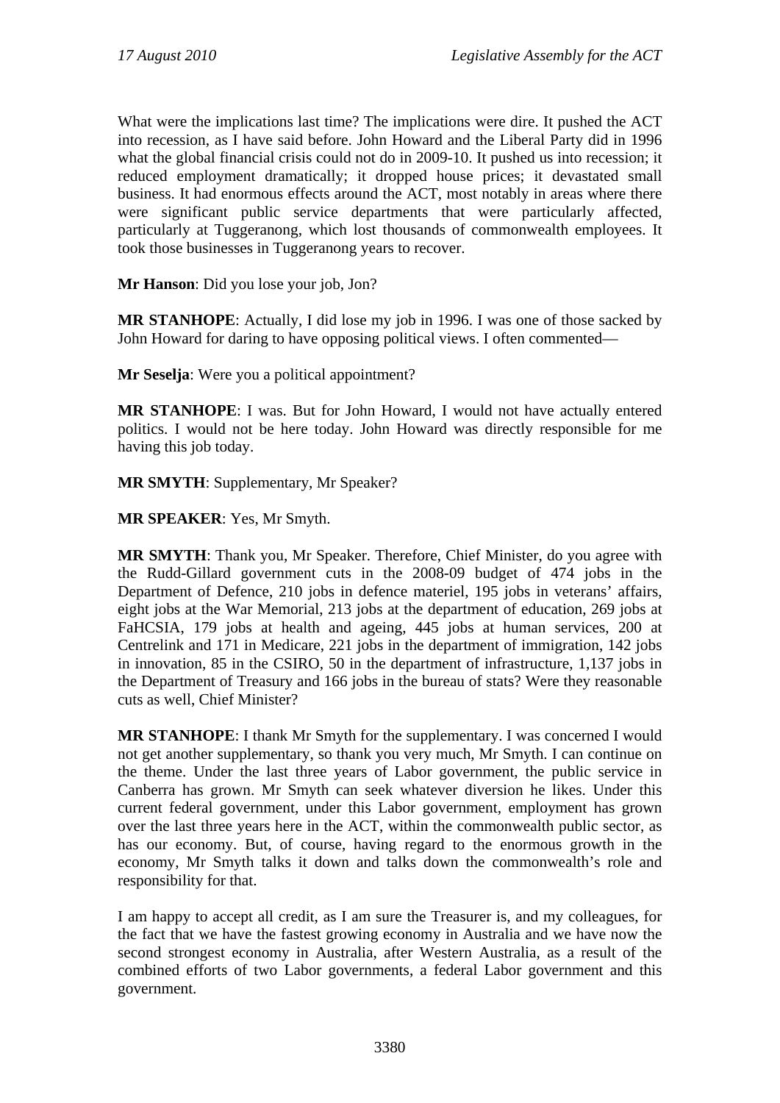What were the implications last time? The implications were dire. It pushed the ACT into recession, as I have said before. John Howard and the Liberal Party did in 1996 what the global financial crisis could not do in 2009-10. It pushed us into recession; it reduced employment dramatically; it dropped house prices; it devastated small business. It had enormous effects around the ACT, most notably in areas where there were significant public service departments that were particularly affected, particularly at Tuggeranong, which lost thousands of commonwealth employees. It took those businesses in Tuggeranong years to recover.

**Mr Hanson**: Did you lose your job, Jon?

**MR STANHOPE**: Actually, I did lose my job in 1996. I was one of those sacked by John Howard for daring to have opposing political views. I often commented—

**Mr Seselja**: Were you a political appointment?

**MR STANHOPE**: I was. But for John Howard, I would not have actually entered politics. I would not be here today. John Howard was directly responsible for me having this job today.

**MR SMYTH**: Supplementary, Mr Speaker?

**MR SPEAKER**: Yes, Mr Smyth.

**MR SMYTH**: Thank you, Mr Speaker. Therefore, Chief Minister, do you agree with the Rudd-Gillard government cuts in the 2008-09 budget of 474 jobs in the Department of Defence, 210 jobs in defence materiel, 195 jobs in veterans' affairs, eight jobs at the War Memorial, 213 jobs at the department of education, 269 jobs at FaHCSIA, 179 jobs at health and ageing, 445 jobs at human services, 200 at Centrelink and 171 in Medicare, 221 jobs in the department of immigration, 142 jobs in innovation, 85 in the CSIRO, 50 in the department of infrastructure, 1,137 jobs in the Department of Treasury and 166 jobs in the bureau of stats? Were they reasonable cuts as well, Chief Minister?

**MR STANHOPE**: I thank Mr Smyth for the supplementary. I was concerned I would not get another supplementary, so thank you very much, Mr Smyth. I can continue on the theme. Under the last three years of Labor government, the public service in Canberra has grown. Mr Smyth can seek whatever diversion he likes. Under this current federal government, under this Labor government, employment has grown over the last three years here in the ACT, within the commonwealth public sector, as has our economy. But, of course, having regard to the enormous growth in the economy, Mr Smyth talks it down and talks down the commonwealth's role and responsibility for that.

I am happy to accept all credit, as I am sure the Treasurer is, and my colleagues, for the fact that we have the fastest growing economy in Australia and we have now the second strongest economy in Australia, after Western Australia, as a result of the combined efforts of two Labor governments, a federal Labor government and this government.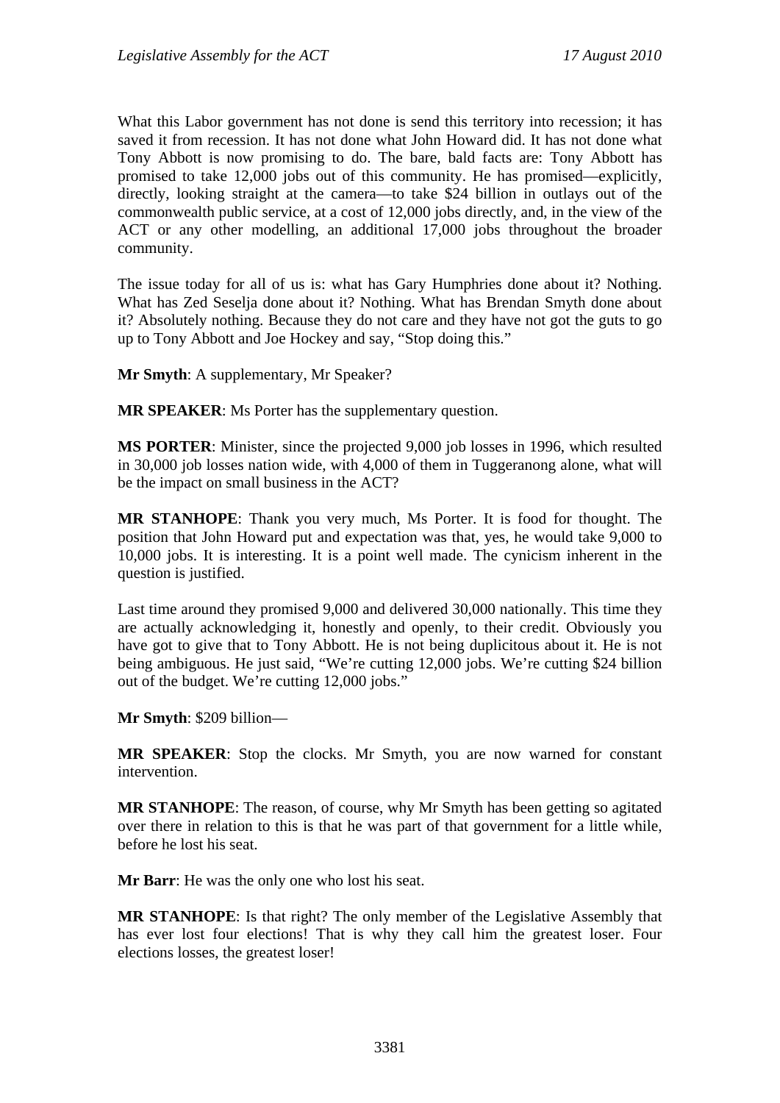What this Labor government has not done is send this territory into recession; it has saved it from recession. It has not done what John Howard did. It has not done what Tony Abbott is now promising to do. The bare, bald facts are: Tony Abbott has promised to take 12,000 jobs out of this community. He has promised—explicitly, directly, looking straight at the camera—to take \$24 billion in outlays out of the commonwealth public service, at a cost of 12,000 jobs directly, and, in the view of the ACT or any other modelling, an additional 17,000 jobs throughout the broader community.

The issue today for all of us is: what has Gary Humphries done about it? Nothing. What has Zed Seselja done about it? Nothing. What has Brendan Smyth done about it? Absolutely nothing. Because they do not care and they have not got the guts to go up to Tony Abbott and Joe Hockey and say, "Stop doing this."

**Mr Smyth**: A supplementary, Mr Speaker?

**MR SPEAKER:** Ms Porter has the supplementary question.

**MS PORTER**: Minister, since the projected 9,000 job losses in 1996, which resulted in 30,000 job losses nation wide, with 4,000 of them in Tuggeranong alone, what will be the impact on small business in the ACT?

**MR STANHOPE**: Thank you very much, Ms Porter. It is food for thought. The position that John Howard put and expectation was that, yes, he would take 9,000 to 10,000 jobs. It is interesting. It is a point well made. The cynicism inherent in the question is justified.

Last time around they promised 9,000 and delivered 30,000 nationally. This time they are actually acknowledging it, honestly and openly, to their credit. Obviously you have got to give that to Tony Abbott. He is not being duplicitous about it. He is not being ambiguous. He just said, "We're cutting 12,000 jobs. We're cutting \$24 billion out of the budget. We're cutting 12,000 jobs."

**Mr Smyth**: \$209 billion—

**MR SPEAKER**: Stop the clocks. Mr Smyth, you are now warned for constant intervention.

**MR STANHOPE**: The reason, of course, why Mr Smyth has been getting so agitated over there in relation to this is that he was part of that government for a little while, before he lost his seat.

**Mr Barr**: He was the only one who lost his seat.

**MR STANHOPE**: Is that right? The only member of the Legislative Assembly that has ever lost four elections! That is why they call him the greatest loser. Four elections losses, the greatest loser!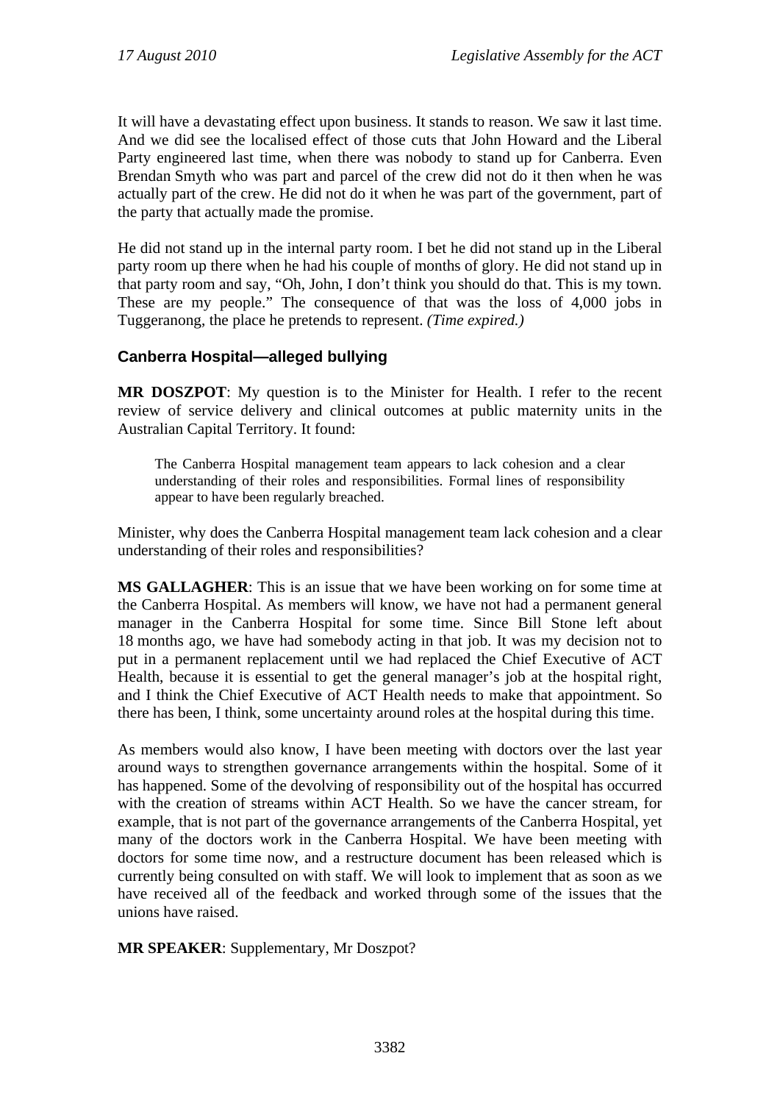It will have a devastating effect upon business. It stands to reason. We saw it last time. And we did see the localised effect of those cuts that John Howard and the Liberal Party engineered last time, when there was nobody to stand up for Canberra. Even Brendan Smyth who was part and parcel of the crew did not do it then when he was actually part of the crew. He did not do it when he was part of the government, part of the party that actually made the promise.

He did not stand up in the internal party room. I bet he did not stand up in the Liberal party room up there when he had his couple of months of glory. He did not stand up in that party room and say, "Oh, John, I don't think you should do that. This is my town. These are my people." The consequence of that was the loss of 4,000 jobs in Tuggeranong, the place he pretends to represent. *(Time expired.)*

# **Canberra Hospital—alleged bullying**

**MR DOSZPOT**: My question is to the Minister for Health. I refer to the recent review of service delivery and clinical outcomes at public maternity units in the Australian Capital Territory. It found:

The Canberra Hospital management team appears to lack cohesion and a clear understanding of their roles and responsibilities. Formal lines of responsibility appear to have been regularly breached.

Minister, why does the Canberra Hospital management team lack cohesion and a clear understanding of their roles and responsibilities?

**MS GALLAGHER**: This is an issue that we have been working on for some time at the Canberra Hospital. As members will know, we have not had a permanent general manager in the Canberra Hospital for some time. Since Bill Stone left about 18 months ago, we have had somebody acting in that job. It was my decision not to put in a permanent replacement until we had replaced the Chief Executive of ACT Health, because it is essential to get the general manager's job at the hospital right, and I think the Chief Executive of ACT Health needs to make that appointment. So there has been, I think, some uncertainty around roles at the hospital during this time.

As members would also know, I have been meeting with doctors over the last year around ways to strengthen governance arrangements within the hospital. Some of it has happened. Some of the devolving of responsibility out of the hospital has occurred with the creation of streams within ACT Health. So we have the cancer stream, for example, that is not part of the governance arrangements of the Canberra Hospital, yet many of the doctors work in the Canberra Hospital. We have been meeting with doctors for some time now, and a restructure document has been released which is currently being consulted on with staff. We will look to implement that as soon as we have received all of the feedback and worked through some of the issues that the unions have raised.

**MR SPEAKER**: Supplementary, Mr Doszpot?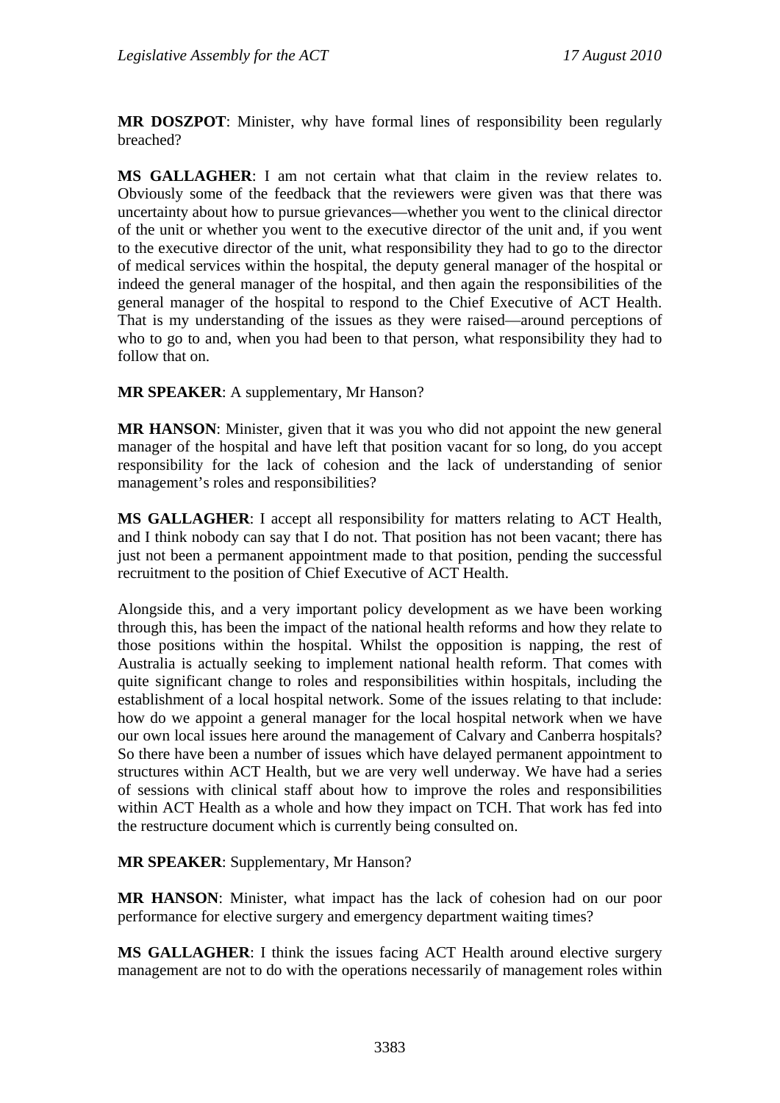**MR DOSZPOT**: Minister, why have formal lines of responsibility been regularly breached?

**MS GALLAGHER**: I am not certain what that claim in the review relates to. Obviously some of the feedback that the reviewers were given was that there was uncertainty about how to pursue grievances—whether you went to the clinical director of the unit or whether you went to the executive director of the unit and, if you went to the executive director of the unit, what responsibility they had to go to the director of medical services within the hospital, the deputy general manager of the hospital or indeed the general manager of the hospital, and then again the responsibilities of the general manager of the hospital to respond to the Chief Executive of ACT Health. That is my understanding of the issues as they were raised—around perceptions of who to go to and, when you had been to that person, what responsibility they had to follow that on.

**MR SPEAKER**: A supplementary, Mr Hanson?

**MR HANSON**: Minister, given that it was you who did not appoint the new general manager of the hospital and have left that position vacant for so long, do you accept responsibility for the lack of cohesion and the lack of understanding of senior management's roles and responsibilities?

**MS GALLAGHER**: I accept all responsibility for matters relating to ACT Health, and I think nobody can say that I do not. That position has not been vacant; there has just not been a permanent appointment made to that position, pending the successful recruitment to the position of Chief Executive of ACT Health.

Alongside this, and a very important policy development as we have been working through this, has been the impact of the national health reforms and how they relate to those positions within the hospital. Whilst the opposition is napping, the rest of Australia is actually seeking to implement national health reform. That comes with quite significant change to roles and responsibilities within hospitals, including the establishment of a local hospital network. Some of the issues relating to that include: how do we appoint a general manager for the local hospital network when we have our own local issues here around the management of Calvary and Canberra hospitals? So there have been a number of issues which have delayed permanent appointment to structures within ACT Health, but we are very well underway. We have had a series of sessions with clinical staff about how to improve the roles and responsibilities within ACT Health as a whole and how they impact on TCH. That work has fed into the restructure document which is currently being consulted on.

#### **MR SPEAKER**: Supplementary, Mr Hanson?

**MR HANSON**: Minister, what impact has the lack of cohesion had on our poor performance for elective surgery and emergency department waiting times?

**MS GALLAGHER**: I think the issues facing ACT Health around elective surgery management are not to do with the operations necessarily of management roles within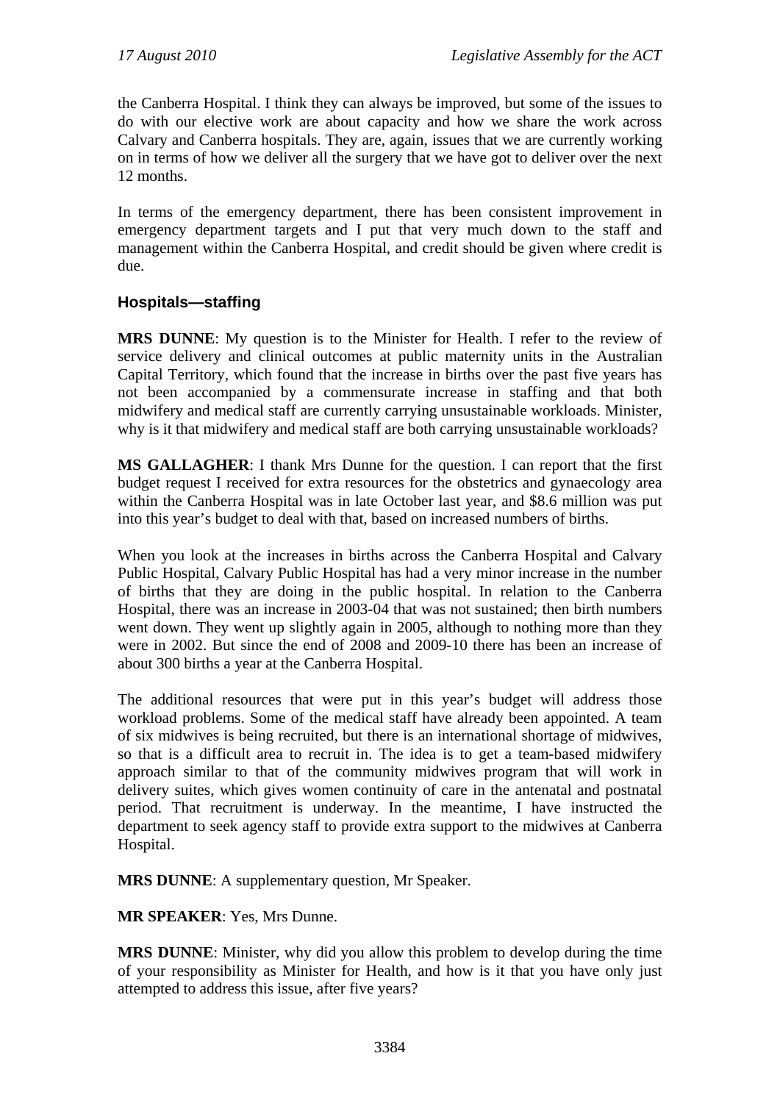the Canberra Hospital. I think they can always be improved, but some of the issues to do with our elective work are about capacity and how we share the work across Calvary and Canberra hospitals. They are, again, issues that we are currently working on in terms of how we deliver all the surgery that we have got to deliver over the next 12 months.

In terms of the emergency department, there has been consistent improvement in emergency department targets and I put that very much down to the staff and management within the Canberra Hospital, and credit should be given where credit is due.

# **Hospitals—staffing**

**MRS DUNNE**: My question is to the Minister for Health. I refer to the review of service delivery and clinical outcomes at public maternity units in the Australian Capital Territory, which found that the increase in births over the past five years has not been accompanied by a commensurate increase in staffing and that both midwifery and medical staff are currently carrying unsustainable workloads. Minister, why is it that midwifery and medical staff are both carrying unsustainable workloads?

**MS GALLAGHER**: I thank Mrs Dunne for the question. I can report that the first budget request I received for extra resources for the obstetrics and gynaecology area within the Canberra Hospital was in late October last year, and \$8.6 million was put into this year's budget to deal with that, based on increased numbers of births.

When you look at the increases in births across the Canberra Hospital and Calvary Public Hospital, Calvary Public Hospital has had a very minor increase in the number of births that they are doing in the public hospital. In relation to the Canberra Hospital, there was an increase in 2003-04 that was not sustained; then birth numbers went down. They went up slightly again in 2005, although to nothing more than they were in 2002. But since the end of 2008 and 2009-10 there has been an increase of about 300 births a year at the Canberra Hospital.

The additional resources that were put in this year's budget will address those workload problems. Some of the medical staff have already been appointed. A team of six midwives is being recruited, but there is an international shortage of midwives, so that is a difficult area to recruit in. The idea is to get a team-based midwifery approach similar to that of the community midwives program that will work in delivery suites, which gives women continuity of care in the antenatal and postnatal period. That recruitment is underway. In the meantime, I have instructed the department to seek agency staff to provide extra support to the midwives at Canberra Hospital.

**MRS DUNNE**: A supplementary question, Mr Speaker.

**MR SPEAKER**: Yes, Mrs Dunne.

**MRS DUNNE**: Minister, why did you allow this problem to develop during the time of your responsibility as Minister for Health, and how is it that you have only just attempted to address this issue, after five years?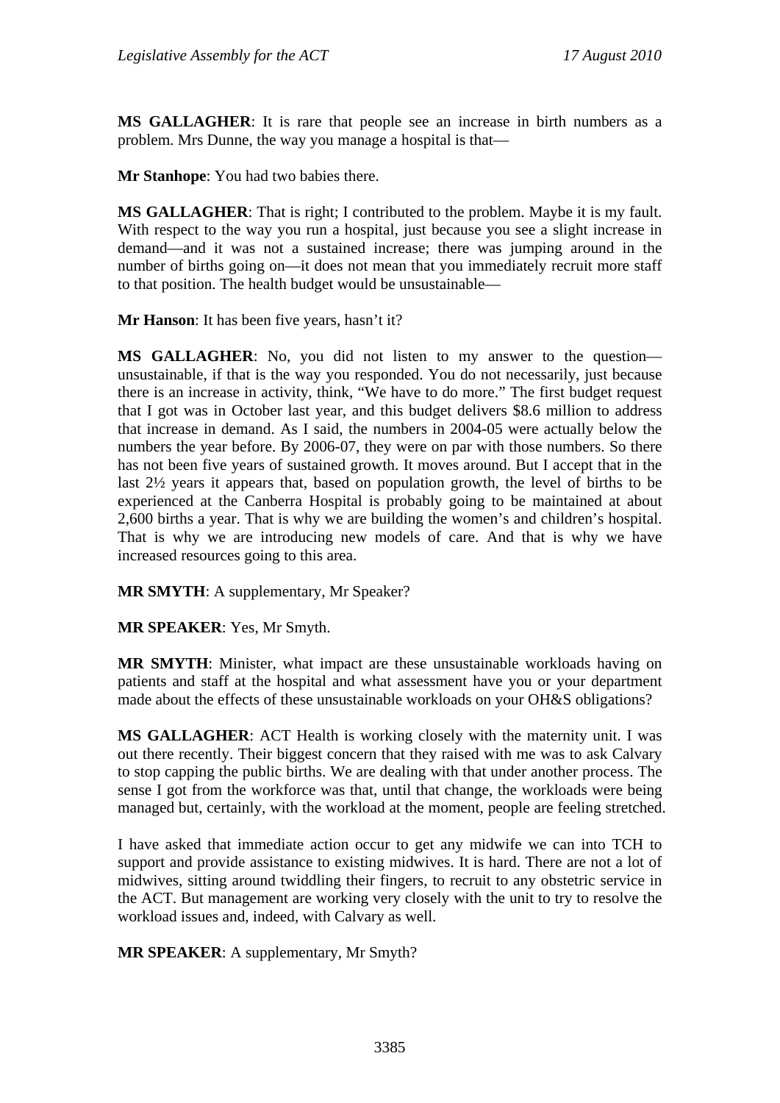**MS GALLAGHER**: It is rare that people see an increase in birth numbers as a problem. Mrs Dunne, the way you manage a hospital is that—

**Mr Stanhope**: You had two babies there.

**MS GALLAGHER**: That is right; I contributed to the problem. Maybe it is my fault. With respect to the way you run a hospital, just because you see a slight increase in demand—and it was not a sustained increase; there was jumping around in the number of births going on—it does not mean that you immediately recruit more staff to that position. The health budget would be unsustainable—

**Mr Hanson**: It has been five years, hasn't it?

**MS GALLAGHER**: No, you did not listen to my answer to the question unsustainable, if that is the way you responded. You do not necessarily, just because there is an increase in activity, think, "We have to do more." The first budget request that I got was in October last year, and this budget delivers \$8.6 million to address that increase in demand. As I said, the numbers in 2004-05 were actually below the numbers the year before. By 2006-07, they were on par with those numbers. So there has not been five years of sustained growth. It moves around. But I accept that in the last 2½ years it appears that, based on population growth, the level of births to be experienced at the Canberra Hospital is probably going to be maintained at about 2,600 births a year. That is why we are building the women's and children's hospital. That is why we are introducing new models of care. And that is why we have increased resources going to this area.

**MR SMYTH**: A supplementary, Mr Speaker?

**MR SPEAKER**: Yes, Mr Smyth.

**MR SMYTH**: Minister, what impact are these unsustainable workloads having on patients and staff at the hospital and what assessment have you or your department made about the effects of these unsustainable workloads on your OH&S obligations?

**MS GALLAGHER**: ACT Health is working closely with the maternity unit. I was out there recently. Their biggest concern that they raised with me was to ask Calvary to stop capping the public births. We are dealing with that under another process. The sense I got from the workforce was that, until that change, the workloads were being managed but, certainly, with the workload at the moment, people are feeling stretched.

I have asked that immediate action occur to get any midwife we can into TCH to support and provide assistance to existing midwives. It is hard. There are not a lot of midwives, sitting around twiddling their fingers, to recruit to any obstetric service in the ACT. But management are working very closely with the unit to try to resolve the workload issues and, indeed, with Calvary as well.

**MR SPEAKER**: A supplementary, Mr Smyth?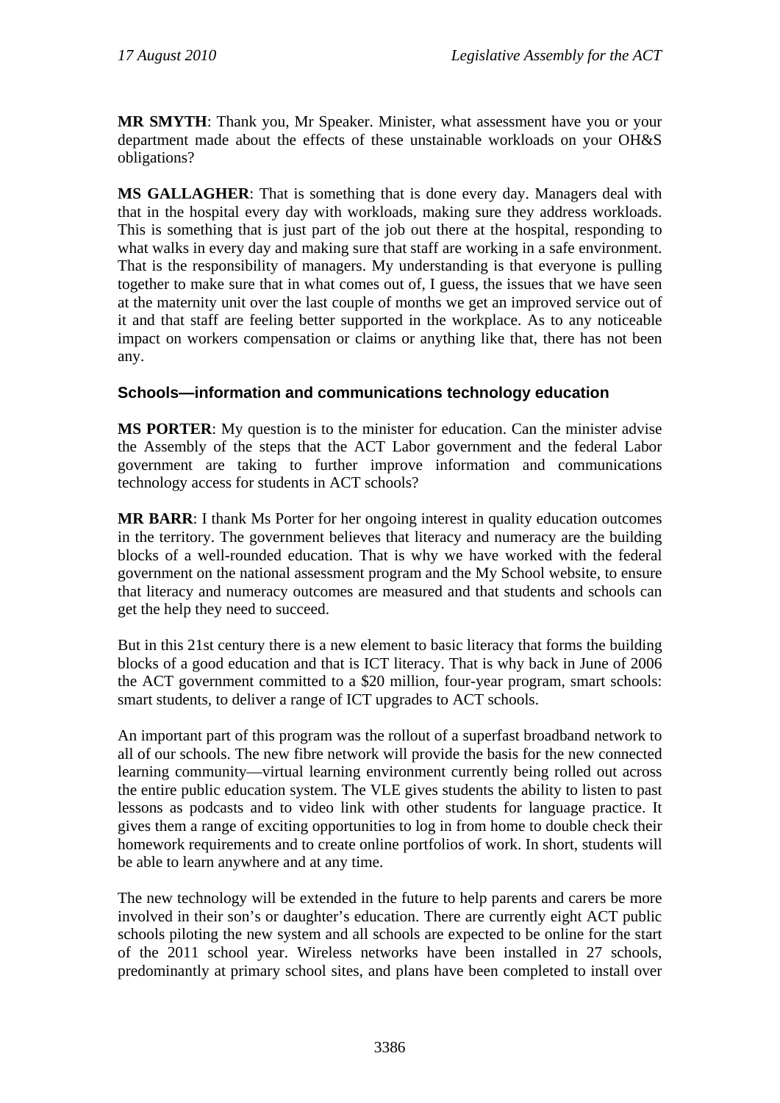**MR SMYTH**: Thank you, Mr Speaker. Minister, what assessment have you or your department made about the effects of these unstainable workloads on your OH&S obligations?

**MS GALLAGHER**: That is something that is done every day. Managers deal with that in the hospital every day with workloads, making sure they address workloads. This is something that is just part of the job out there at the hospital, responding to what walks in every day and making sure that staff are working in a safe environment. That is the responsibility of managers. My understanding is that everyone is pulling together to make sure that in what comes out of, I guess, the issues that we have seen at the maternity unit over the last couple of months we get an improved service out of it and that staff are feeling better supported in the workplace. As to any noticeable impact on workers compensation or claims or anything like that, there has not been any.

### **Schools—information and communications technology education**

**MS PORTER**: My question is to the minister for education. Can the minister advise the Assembly of the steps that the ACT Labor government and the federal Labor government are taking to further improve information and communications technology access for students in ACT schools?

**MR BARR**: I thank Ms Porter for her ongoing interest in quality education outcomes in the territory. The government believes that literacy and numeracy are the building blocks of a well-rounded education. That is why we have worked with the federal government on the national assessment program and the My School website, to ensure that literacy and numeracy outcomes are measured and that students and schools can get the help they need to succeed.

But in this 21st century there is a new element to basic literacy that forms the building blocks of a good education and that is ICT literacy. That is why back in June of 2006 the ACT government committed to a \$20 million, four-year program, smart schools: smart students, to deliver a range of ICT upgrades to ACT schools.

An important part of this program was the rollout of a superfast broadband network to all of our schools. The new fibre network will provide the basis for the new connected learning community—virtual learning environment currently being rolled out across the entire public education system. The VLE gives students the ability to listen to past lessons as podcasts and to video link with other students for language practice. It gives them a range of exciting opportunities to log in from home to double check their homework requirements and to create online portfolios of work. In short, students will be able to learn anywhere and at any time.

The new technology will be extended in the future to help parents and carers be more involved in their son's or daughter's education. There are currently eight ACT public schools piloting the new system and all schools are expected to be online for the start of the 2011 school year. Wireless networks have been installed in 27 schools, predominantly at primary school sites, and plans have been completed to install over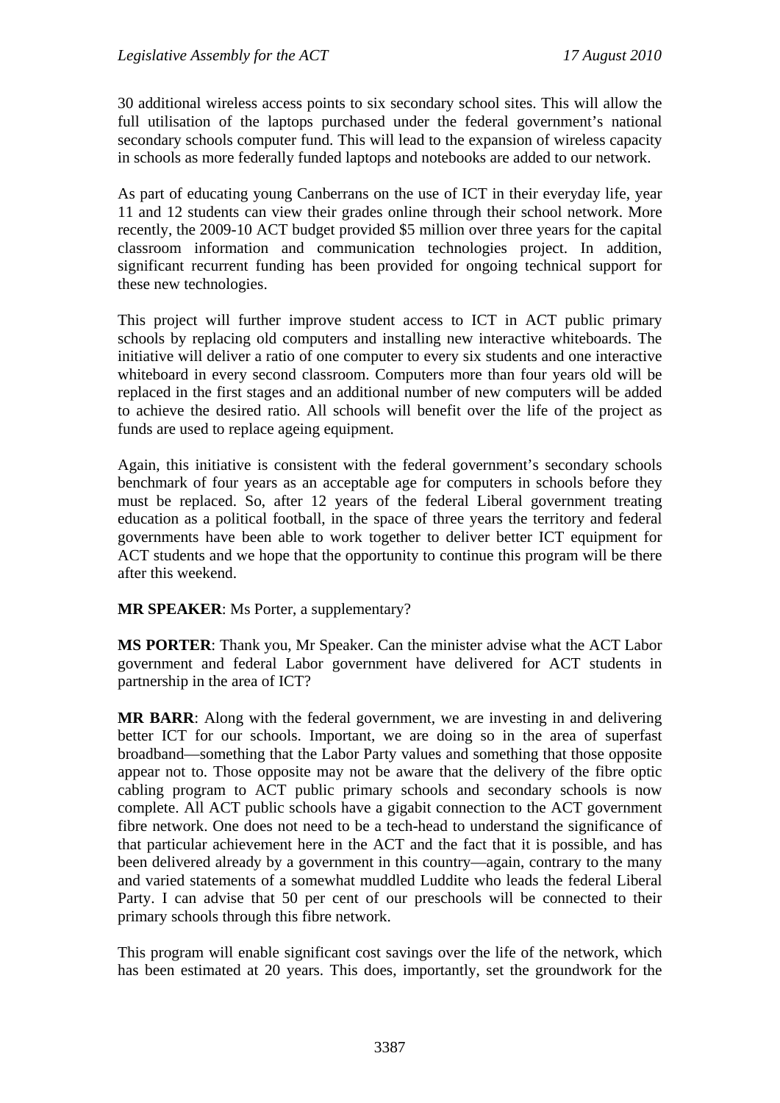30 additional wireless access points to six secondary school sites. This will allow the full utilisation of the laptops purchased under the federal government's national secondary schools computer fund. This will lead to the expansion of wireless capacity in schools as more federally funded laptops and notebooks are added to our network.

As part of educating young Canberrans on the use of ICT in their everyday life, year 11 and 12 students can view their grades online through their school network. More recently, the 2009-10 ACT budget provided \$5 million over three years for the capital classroom information and communication technologies project. In addition, significant recurrent funding has been provided for ongoing technical support for these new technologies.

This project will further improve student access to ICT in ACT public primary schools by replacing old computers and installing new interactive whiteboards. The initiative will deliver a ratio of one computer to every six students and one interactive whiteboard in every second classroom. Computers more than four years old will be replaced in the first stages and an additional number of new computers will be added to achieve the desired ratio. All schools will benefit over the life of the project as funds are used to replace ageing equipment.

Again, this initiative is consistent with the federal government's secondary schools benchmark of four years as an acceptable age for computers in schools before they must be replaced. So, after 12 years of the federal Liberal government treating education as a political football, in the space of three years the territory and federal governments have been able to work together to deliver better ICT equipment for ACT students and we hope that the opportunity to continue this program will be there after this weekend.

**MR SPEAKER**: Ms Porter, a supplementary?

**MS PORTER**: Thank you, Mr Speaker. Can the minister advise what the ACT Labor government and federal Labor government have delivered for ACT students in partnership in the area of ICT?

**MR BARR**: Along with the federal government, we are investing in and delivering better ICT for our schools. Important, we are doing so in the area of superfast broadband—something that the Labor Party values and something that those opposite appear not to. Those opposite may not be aware that the delivery of the fibre optic cabling program to ACT public primary schools and secondary schools is now complete. All ACT public schools have a gigabit connection to the ACT government fibre network. One does not need to be a tech-head to understand the significance of that particular achievement here in the ACT and the fact that it is possible, and has been delivered already by a government in this country—again, contrary to the many and varied statements of a somewhat muddled Luddite who leads the federal Liberal Party. I can advise that 50 per cent of our preschools will be connected to their primary schools through this fibre network.

This program will enable significant cost savings over the life of the network, which has been estimated at 20 years. This does, importantly, set the groundwork for the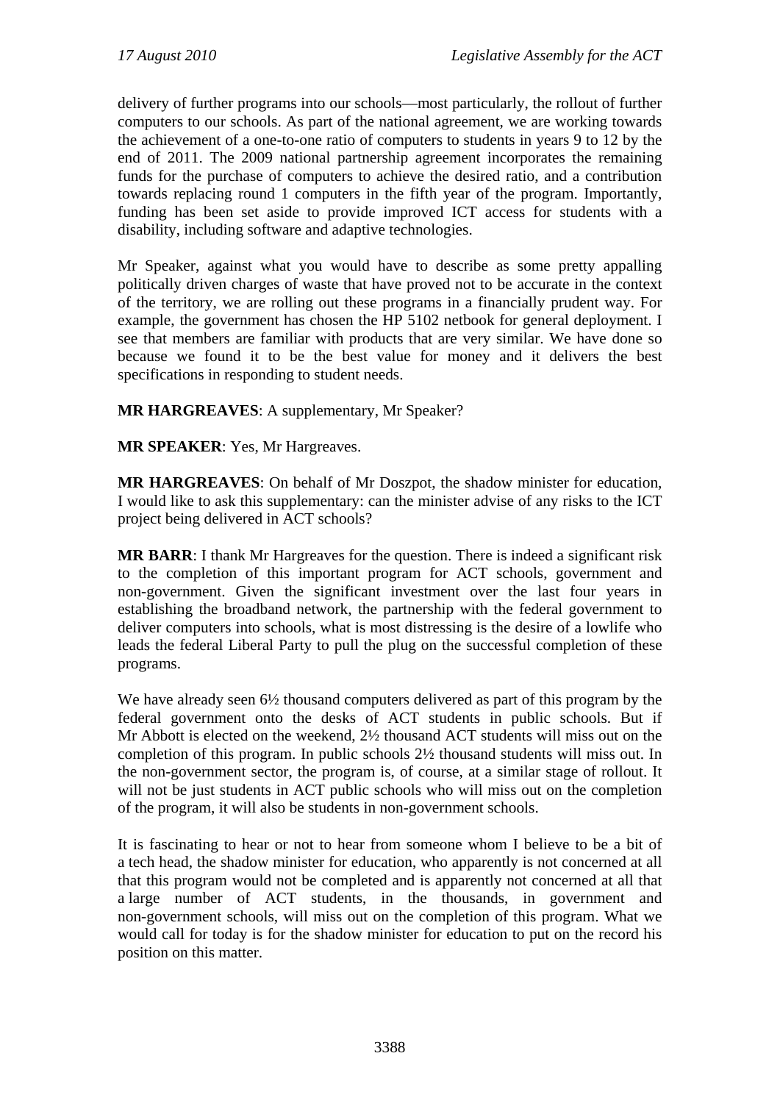delivery of further programs into our schools—most particularly, the rollout of further computers to our schools. As part of the national agreement, we are working towards the achievement of a one-to-one ratio of computers to students in years 9 to 12 by the end of 2011. The 2009 national partnership agreement incorporates the remaining funds for the purchase of computers to achieve the desired ratio, and a contribution towards replacing round 1 computers in the fifth year of the program. Importantly, funding has been set aside to provide improved ICT access for students with a disability, including software and adaptive technologies.

Mr Speaker, against what you would have to describe as some pretty appalling politically driven charges of waste that have proved not to be accurate in the context of the territory, we are rolling out these programs in a financially prudent way. For example, the government has chosen the HP 5102 netbook for general deployment. I see that members are familiar with products that are very similar. We have done so because we found it to be the best value for money and it delivers the best specifications in responding to student needs.

**MR HARGREAVES**: A supplementary, Mr Speaker?

**MR SPEAKER**: Yes, Mr Hargreaves.

**MR HARGREAVES**: On behalf of Mr Doszpot, the shadow minister for education, I would like to ask this supplementary: can the minister advise of any risks to the ICT project being delivered in ACT schools?

**MR BARR**: I thank Mr Hargreaves for the question. There is indeed a significant risk to the completion of this important program for ACT schools, government and non-government. Given the significant investment over the last four years in establishing the broadband network, the partnership with the federal government to deliver computers into schools, what is most distressing is the desire of a lowlife who leads the federal Liberal Party to pull the plug on the successful completion of these programs.

We have already seen  $6\frac{1}{2}$  thousand computers delivered as part of this program by the federal government onto the desks of ACT students in public schools. But if Mr Abbott is elected on the weekend, 2½ thousand ACT students will miss out on the completion of this program. In public schools 2½ thousand students will miss out. In the non-government sector, the program is, of course, at a similar stage of rollout. It will not be just students in ACT public schools who will miss out on the completion of the program, it will also be students in non-government schools.

It is fascinating to hear or not to hear from someone whom I believe to be a bit of a tech head, the shadow minister for education, who apparently is not concerned at all that this program would not be completed and is apparently not concerned at all that a large number of ACT students, in the thousands, in government and non-government schools, will miss out on the completion of this program. What we would call for today is for the shadow minister for education to put on the record his position on this matter.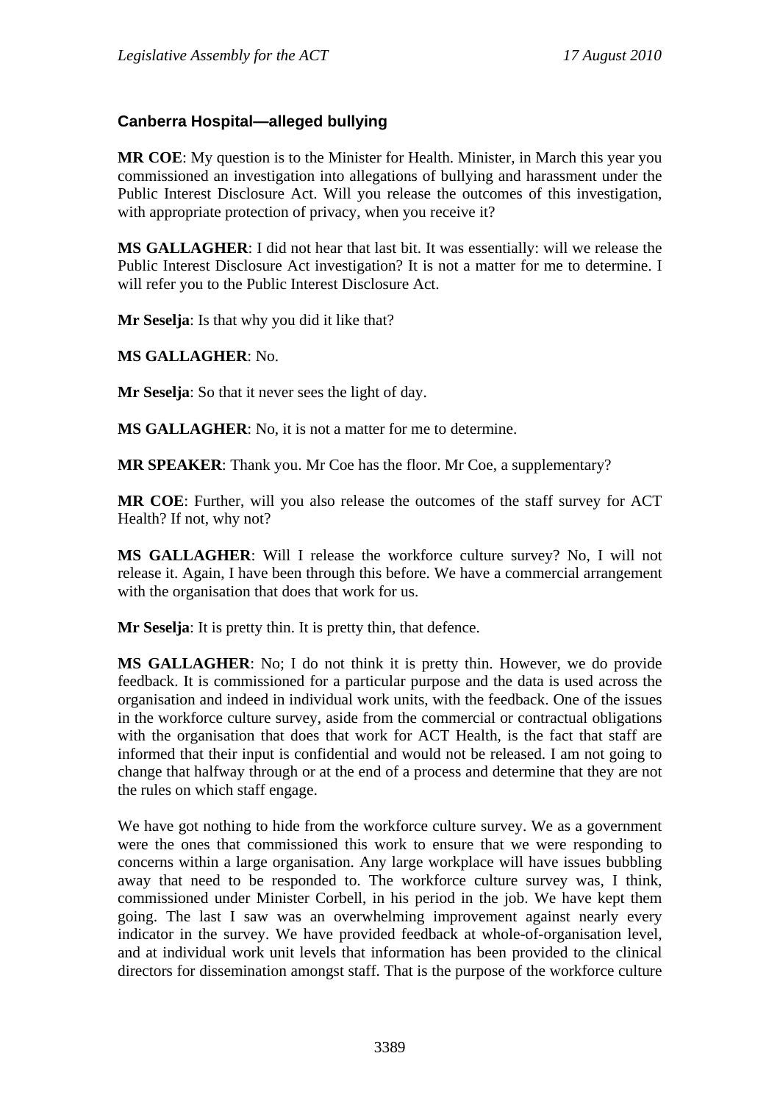# **Canberra Hospital—alleged bullying**

**MR COE**: My question is to the Minister for Health. Minister, in March this year you commissioned an investigation into allegations of bullying and harassment under the Public Interest Disclosure Act. Will you release the outcomes of this investigation, with appropriate protection of privacy, when you receive it?

**MS GALLAGHER**: I did not hear that last bit. It was essentially: will we release the Public Interest Disclosure Act investigation? It is not a matter for me to determine. I will refer you to the Public Interest Disclosure Act.

**Mr Seselja**: Is that why you did it like that?

#### **MS GALLAGHER**: No.

**Mr Seselja**: So that it never sees the light of day.

**MS GALLAGHER**: No, it is not a matter for me to determine.

**MR SPEAKER**: Thank you. Mr Coe has the floor. Mr Coe, a supplementary?

**MR COE**: Further, will you also release the outcomes of the staff survey for ACT Health? If not, why not?

**MS GALLAGHER**: Will I release the workforce culture survey? No, I will not release it. Again, I have been through this before. We have a commercial arrangement with the organisation that does that work for us.

**Mr Seselja**: It is pretty thin. It is pretty thin, that defence.

**MS GALLAGHER**: No; I do not think it is pretty thin. However, we do provide feedback. It is commissioned for a particular purpose and the data is used across the organisation and indeed in individual work units, with the feedback. One of the issues in the workforce culture survey, aside from the commercial or contractual obligations with the organisation that does that work for ACT Health, is the fact that staff are informed that their input is confidential and would not be released. I am not going to change that halfway through or at the end of a process and determine that they are not the rules on which staff engage.

We have got nothing to hide from the workforce culture survey. We as a government were the ones that commissioned this work to ensure that we were responding to concerns within a large organisation. Any large workplace will have issues bubbling away that need to be responded to. The workforce culture survey was, I think, commissioned under Minister Corbell, in his period in the job. We have kept them going. The last I saw was an overwhelming improvement against nearly every indicator in the survey. We have provided feedback at whole-of-organisation level, and at individual work unit levels that information has been provided to the clinical directors for dissemination amongst staff. That is the purpose of the workforce culture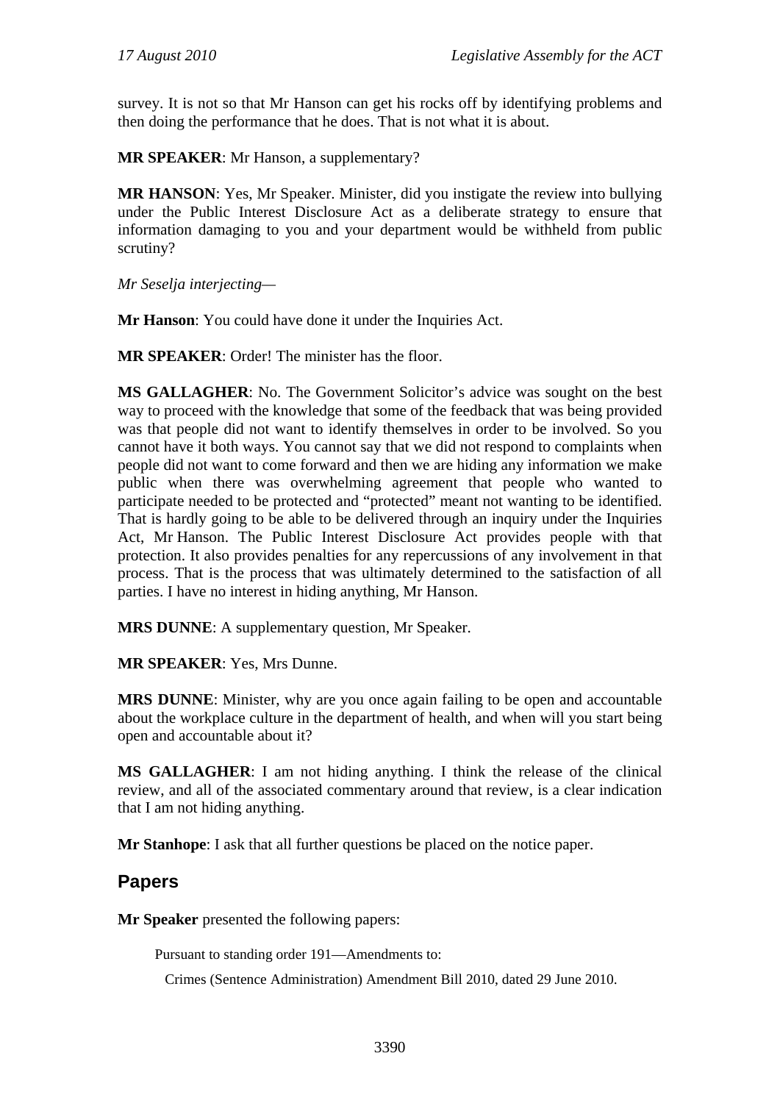survey. It is not so that Mr Hanson can get his rocks off by identifying problems and then doing the performance that he does. That is not what it is about.

**MR SPEAKER**: Mr Hanson, a supplementary?

**MR HANSON**: Yes, Mr Speaker. Minister, did you instigate the review into bullying under the Public Interest Disclosure Act as a deliberate strategy to ensure that information damaging to you and your department would be withheld from public scrutiny?

*Mr Seselja interjecting—* 

**Mr Hanson**: You could have done it under the Inquiries Act.

**MR SPEAKER**: Order! The minister has the floor.

**MS GALLAGHER**: No. The Government Solicitor's advice was sought on the best way to proceed with the knowledge that some of the feedback that was being provided was that people did not want to identify themselves in order to be involved. So you cannot have it both ways. You cannot say that we did not respond to complaints when people did not want to come forward and then we are hiding any information we make public when there was overwhelming agreement that people who wanted to participate needed to be protected and "protected" meant not wanting to be identified. That is hardly going to be able to be delivered through an inquiry under the Inquiries Act, Mr Hanson. The Public Interest Disclosure Act provides people with that protection. It also provides penalties for any repercussions of any involvement in that process. That is the process that was ultimately determined to the satisfaction of all parties. I have no interest in hiding anything, Mr Hanson.

**MRS DUNNE**: A supplementary question, Mr Speaker.

**MR SPEAKER**: Yes, Mrs Dunne.

**MRS DUNNE**: Minister, why are you once again failing to be open and accountable about the workplace culture in the department of health, and when will you start being open and accountable about it?

**MS GALLAGHER**: I am not hiding anything. I think the release of the clinical review, and all of the associated commentary around that review, is a clear indication that I am not hiding anything.

**Mr Stanhope**: I ask that all further questions be placed on the notice paper.

# **Papers**

**Mr Speaker** presented the following papers:

Pursuant to standing order 191—Amendments to:

Crimes (Sentence Administration) Amendment Bill 2010, dated 29 June 2010.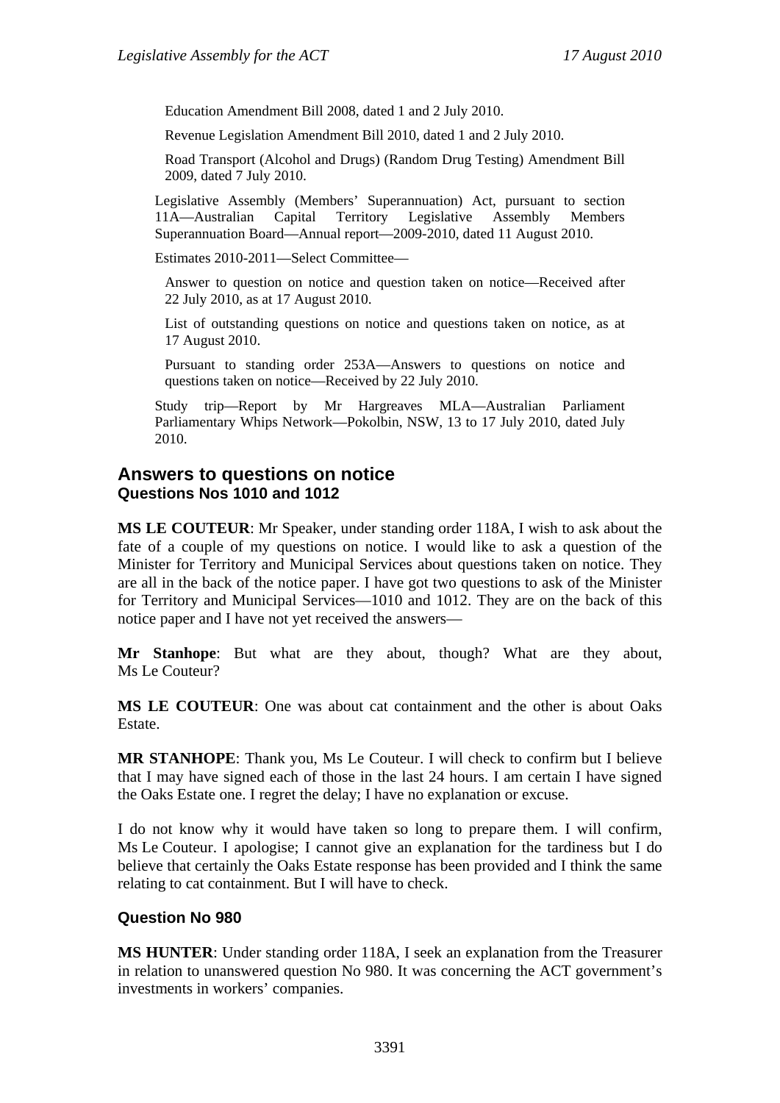Education Amendment Bill 2008, dated 1 and 2 July 2010.

Revenue Legislation Amendment Bill 2010, dated 1 and 2 July 2010.

Road Transport (Alcohol and Drugs) (Random Drug Testing) Amendment Bill 2009, dated 7 July 2010.

Legislative Assembly (Members' Superannuation) Act, pursuant to section 11A—Australian Capital Territory Legislative Assembly Members Superannuation Board—Annual report—2009-2010, dated 11 August 2010.

Estimates 2010-2011—Select Committee—

Answer to question on notice and question taken on notice—Received after 22 July 2010, as at 17 August 2010.

List of outstanding questions on notice and questions taken on notice, as at 17 August 2010.

Pursuant to standing order 253A—Answers to questions on notice and questions taken on notice—Received by 22 July 2010.

Study trip—Report by Mr Hargreaves MLA—Australian Parliament Parliamentary Whips Network—Pokolbin, NSW, 13 to 17 July 2010, dated July 2010.

### **Answers to questions on notice Questions Nos 1010 and 1012**

**MS LE COUTEUR**: Mr Speaker, under standing order 118A, I wish to ask about the fate of a couple of my questions on notice. I would like to ask a question of the Minister for Territory and Municipal Services about questions taken on notice. They are all in the back of the notice paper. I have got two questions to ask of the Minister for Territory and Municipal Services—1010 and 1012. They are on the back of this notice paper and I have not yet received the answers—

**Mr Stanhope**: But what are they about, though? What are they about, Ms Le Couteur?

**MS LE COUTEUR**: One was about cat containment and the other is about Oaks Estate.

**MR STANHOPE**: Thank you, Ms Le Couteur. I will check to confirm but I believe that I may have signed each of those in the last 24 hours. I am certain I have signed the Oaks Estate one. I regret the delay; I have no explanation or excuse.

I do not know why it would have taken so long to prepare them. I will confirm, Ms Le Couteur. I apologise; I cannot give an explanation for the tardiness but I do believe that certainly the Oaks Estate response has been provided and I think the same relating to cat containment. But I will have to check.

#### **Question No 980**

**MS HUNTER**: Under standing order 118A, I seek an explanation from the Treasurer in relation to unanswered question No 980. It was concerning the ACT government's investments in workers' companies.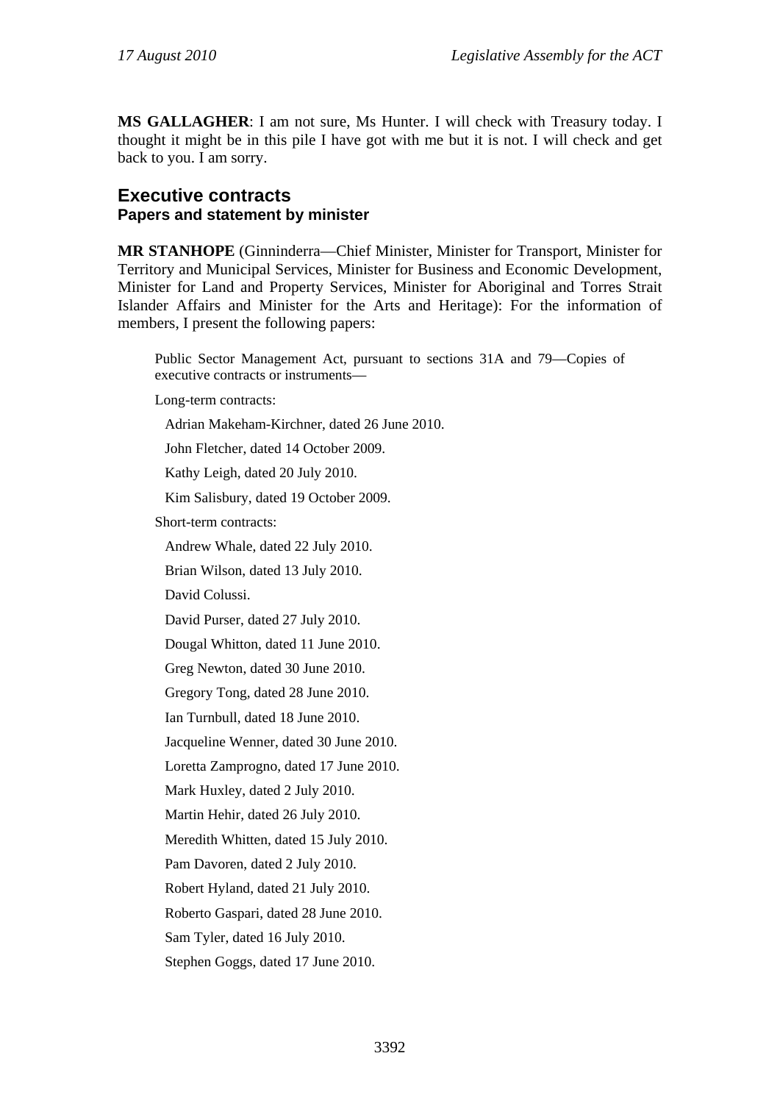**MS GALLAGHER**: I am not sure, Ms Hunter. I will check with Treasury today. I thought it might be in this pile I have got with me but it is not. I will check and get back to you. I am sorry.

### **Executive contracts Papers and statement by minister**

**MR STANHOPE** (Ginninderra—Chief Minister, Minister for Transport, Minister for Territory and Municipal Services, Minister for Business and Economic Development, Minister for Land and Property Services, Minister for Aboriginal and Torres Strait Islander Affairs and Minister for the Arts and Heritage): For the information of members, I present the following papers:

Public Sector Management Act, pursuant to sections 31A and 79—Copies of executive contracts or instruments—

Long-term contracts:

Adrian Makeham-Kirchner, dated 26 June 2010.

John Fletcher, dated 14 October 2009.

Kathy Leigh, dated 20 July 2010.

Kim Salisbury, dated 19 October 2009.

Short-term contracts:

Andrew Whale, dated 22 July 2010.

Brian Wilson, dated 13 July 2010.

David Colussi.

David Purser, dated 27 July 2010.

Dougal Whitton, dated 11 June 2010.

Greg Newton, dated 30 June 2010.

Gregory Tong, dated 28 June 2010.

Ian Turnbull, dated 18 June 2010.

Jacqueline Wenner, dated 30 June 2010.

Loretta Zamprogno, dated 17 June 2010.

Mark Huxley, dated 2 July 2010.

Martin Hehir, dated 26 July 2010.

Meredith Whitten, dated 15 July 2010.

Pam Davoren, dated 2 July 2010.

Robert Hyland, dated 21 July 2010.

Roberto Gaspari, dated 28 June 2010.

Sam Tyler, dated 16 July 2010.

Stephen Goggs, dated 17 June 2010.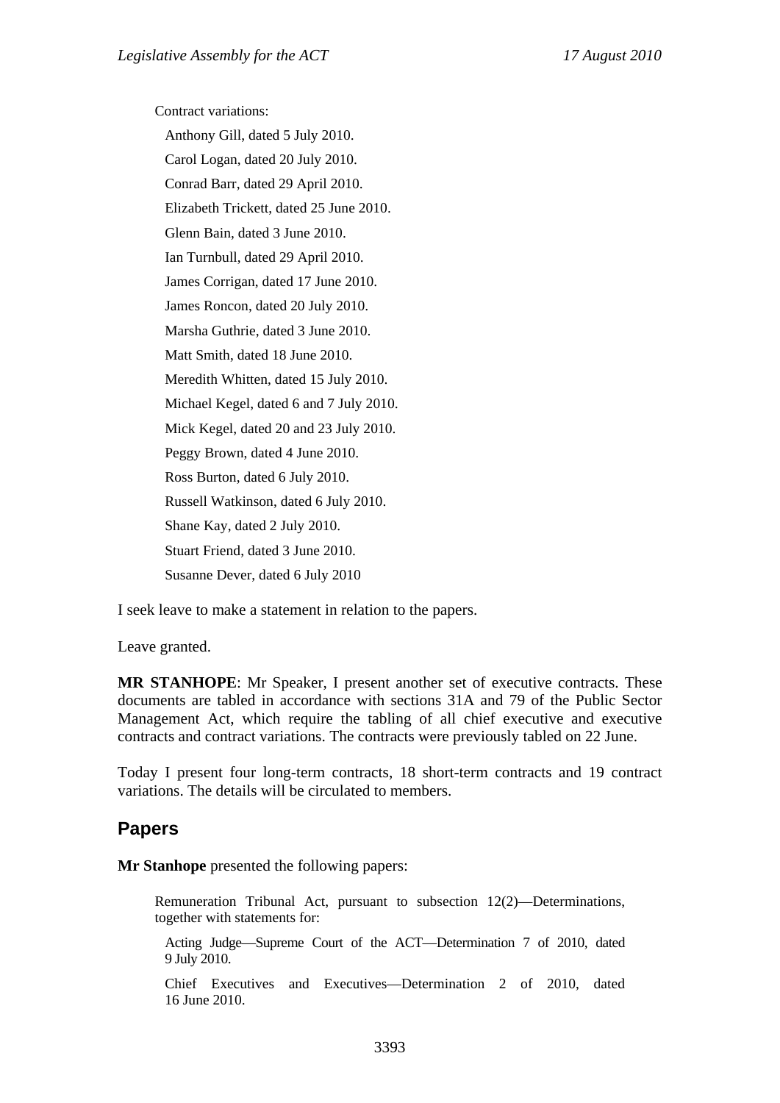Contract variations: Anthony Gill, dated 5 July 2010. Carol Logan, dated 20 July 2010. Conrad Barr, dated 29 April 2010. Elizabeth Trickett, dated 25 June 2010. Glenn Bain, dated 3 June 2010. Ian Turnbull, dated 29 April 2010. James Corrigan, dated 17 June 2010. James Roncon, dated 20 July 2010. Marsha Guthrie, dated 3 June 2010.

Matt Smith, dated 18 June 2010.

Meredith Whitten, dated 15 July 2010.

Michael Kegel, dated 6 and 7 July 2010.

Mick Kegel, dated 20 and 23 July 2010.

Peggy Brown, dated 4 June 2010.

Ross Burton, dated 6 July 2010.

Russell Watkinson, dated 6 July 2010.

Shane Kay, dated 2 July 2010.

Stuart Friend, dated 3 June 2010.

Susanne Dever, dated 6 July 2010

I seek leave to make a statement in relation to the papers.

Leave granted.

**MR STANHOPE**: Mr Speaker, I present another set of executive contracts. These documents are tabled in accordance with sections 31A and 79 of the Public Sector Management Act, which require the tabling of all chief executive and executive contracts and contract variations. The contracts were previously tabled on 22 June.

Today I present four long-term contracts, 18 short-term contracts and 19 contract variations. The details will be circulated to members.

## **Papers**

**Mr Stanhope** presented the following papers:

Remuneration Tribunal Act, pursuant to subsection 12(2)—Determinations, together with statements for:

Acting Judge—Supreme Court of the ACT—Determination 7 of 2010, dated 9 July 2010.

Chief Executives and Executives—Determination 2 of 2010, dated 16 June 2010.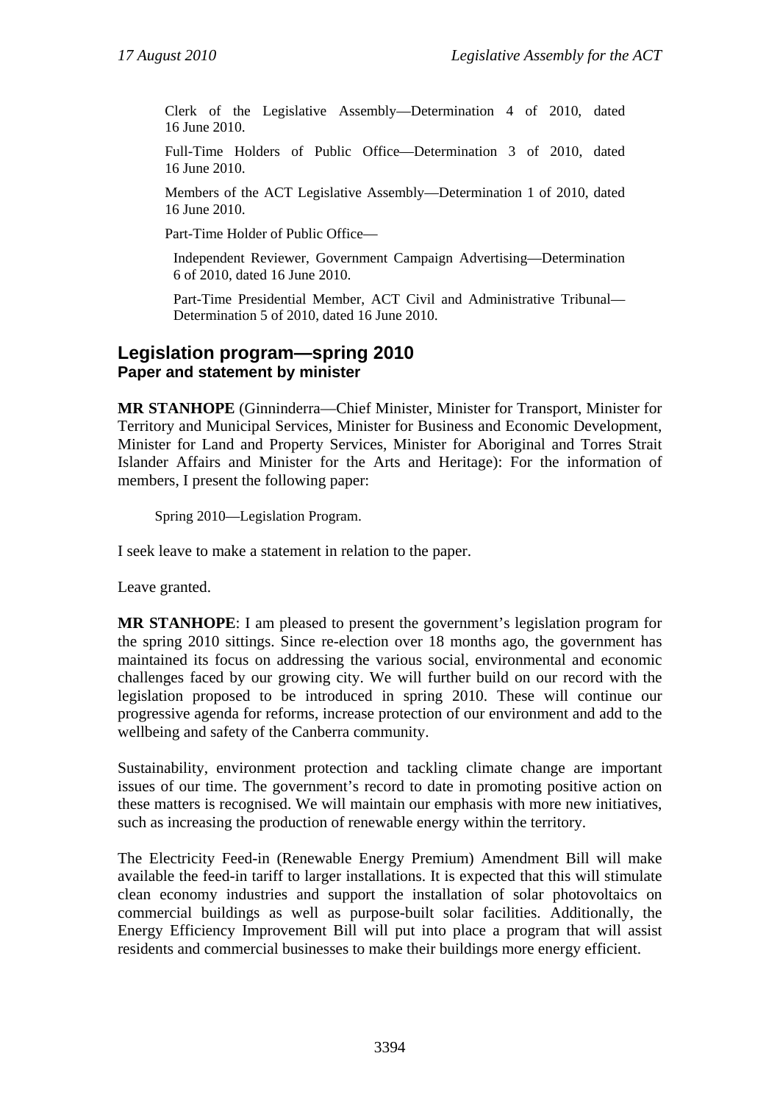Clerk of the Legislative Assembly—Determination 4 of 2010, dated 16 June 2010.

Full-Time Holders of Public Office—Determination 3 of 2010, dated 16 June 2010.

Members of the ACT Legislative Assembly—Determination 1 of 2010, dated 16 June 2010.

Part-Time Holder of Public Office—

Independent Reviewer, Government Campaign Advertising—Determination 6 of 2010, dated 16 June 2010.

Part-Time Presidential Member, ACT Civil and Administrative Tribunal— Determination 5 of 2010, dated 16 June 2010.

### **Legislation program—spring 2010 Paper and statement by minister**

**MR STANHOPE** (Ginninderra—Chief Minister, Minister for Transport, Minister for Territory and Municipal Services, Minister for Business and Economic Development, Minister for Land and Property Services, Minister for Aboriginal and Torres Strait Islander Affairs and Minister for the Arts and Heritage): For the information of members, I present the following paper:

Spring 2010—Legislation Program.

I seek leave to make a statement in relation to the paper.

Leave granted.

**MR STANHOPE**: I am pleased to present the government's legislation program for the spring 2010 sittings. Since re-election over 18 months ago, the government has maintained its focus on addressing the various social, environmental and economic challenges faced by our growing city. We will further build on our record with the legislation proposed to be introduced in spring 2010. These will continue our progressive agenda for reforms, increase protection of our environment and add to the wellbeing and safety of the Canberra community.

Sustainability, environment protection and tackling climate change are important issues of our time. The government's record to date in promoting positive action on these matters is recognised. We will maintain our emphasis with more new initiatives, such as increasing the production of renewable energy within the territory.

The Electricity Feed-in (Renewable Energy Premium) Amendment Bill will make available the feed-in tariff to larger installations. It is expected that this will stimulate clean economy industries and support the installation of solar photovoltaics on commercial buildings as well as purpose-built solar facilities. Additionally, the Energy Efficiency Improvement Bill will put into place a program that will assist residents and commercial businesses to make their buildings more energy efficient.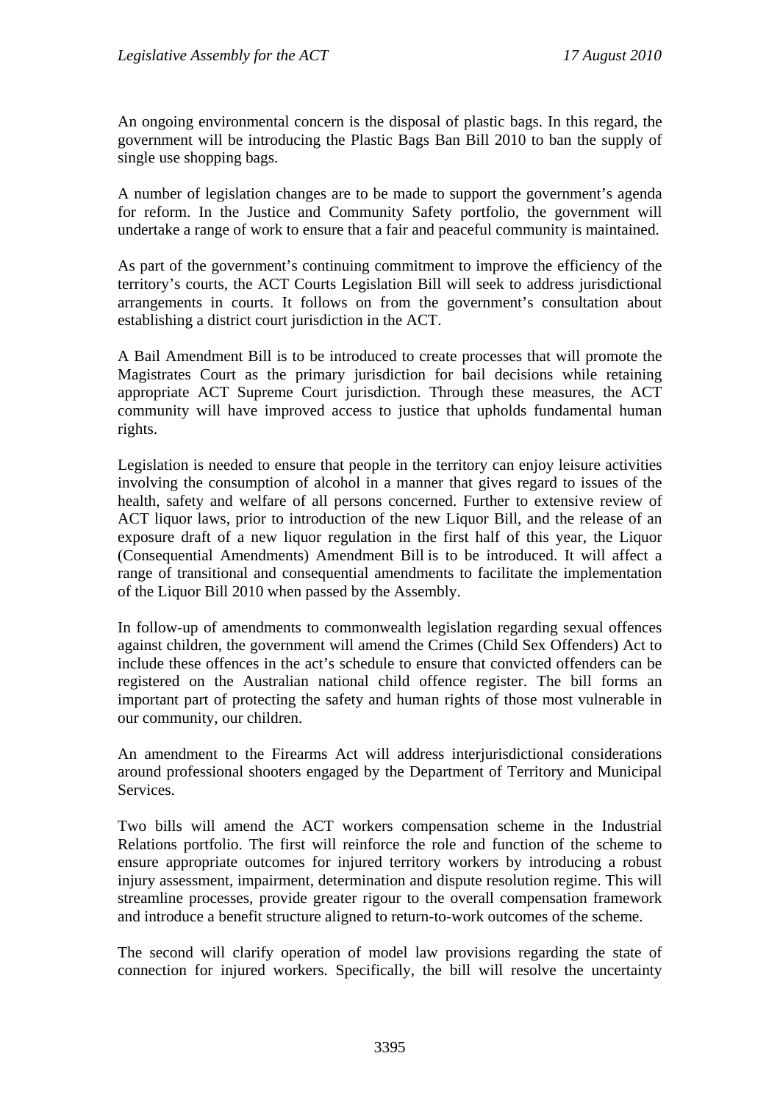An ongoing environmental concern is the disposal of plastic bags. In this regard, the government will be introducing the Plastic Bags Ban Bill 2010 to ban the supply of single use shopping bags.

A number of legislation changes are to be made to support the government's agenda for reform. In the Justice and Community Safety portfolio, the government will undertake a range of work to ensure that a fair and peaceful community is maintained.

As part of the government's continuing commitment to improve the efficiency of the territory's courts, the ACT Courts Legislation Bill will seek to address jurisdictional arrangements in courts. It follows on from the government's consultation about establishing a district court jurisdiction in the ACT.

A Bail Amendment Bill is to be introduced to create processes that will promote the Magistrates Court as the primary jurisdiction for bail decisions while retaining appropriate ACT Supreme Court jurisdiction. Through these measures, the ACT community will have improved access to justice that upholds fundamental human rights.

Legislation is needed to ensure that people in the territory can enjoy leisure activities involving the consumption of alcohol in a manner that gives regard to issues of the health, safety and welfare of all persons concerned. Further to extensive review of ACT liquor laws, prior to introduction of the new Liquor Bill, and the release of an exposure draft of a new liquor regulation in the first half of this year, the Liquor (Consequential Amendments) Amendment Bill is to be introduced. It will affect a range of transitional and consequential amendments to facilitate the implementation of the Liquor Bill 2010 when passed by the Assembly.

In follow-up of amendments to commonwealth legislation regarding sexual offences against children, the government will amend the Crimes (Child Sex Offenders) Act to include these offences in the act's schedule to ensure that convicted offenders can be registered on the Australian national child offence register. The bill forms an important part of protecting the safety and human rights of those most vulnerable in our community, our children.

An amendment to the Firearms Act will address interjurisdictional considerations around professional shooters engaged by the Department of Territory and Municipal Services.

Two bills will amend the ACT workers compensation scheme in the Industrial Relations portfolio. The first will reinforce the role and function of the scheme to ensure appropriate outcomes for injured territory workers by introducing a robust injury assessment, impairment, determination and dispute resolution regime. This will streamline processes, provide greater rigour to the overall compensation framework and introduce a benefit structure aligned to return-to-work outcomes of the scheme.

The second will clarify operation of model law provisions regarding the state of connection for injured workers. Specifically, the bill will resolve the uncertainty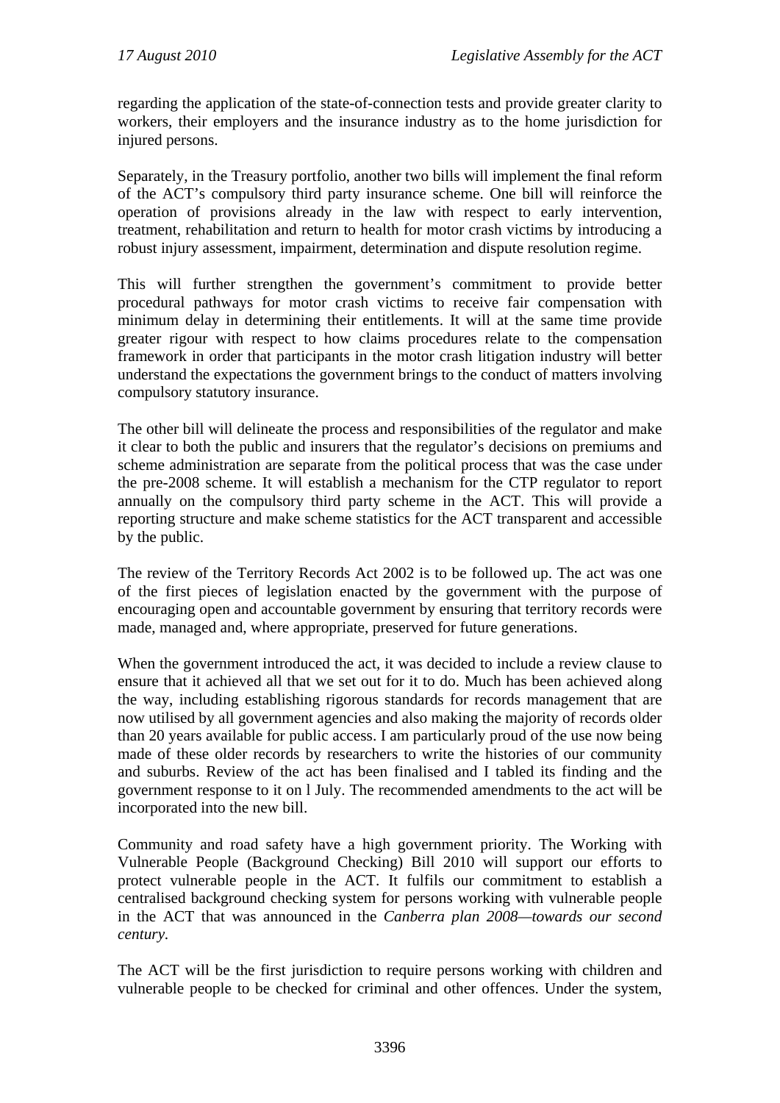regarding the application of the state-of-connection tests and provide greater clarity to workers, their employers and the insurance industry as to the home jurisdiction for injured persons.

Separately, in the Treasury portfolio, another two bills will implement the final reform of the ACT's compulsory third party insurance scheme. One bill will reinforce the operation of provisions already in the law with respect to early intervention, treatment, rehabilitation and return to health for motor crash victims by introducing a robust injury assessment, impairment, determination and dispute resolution regime.

This will further strengthen the government's commitment to provide better procedural pathways for motor crash victims to receive fair compensation with minimum delay in determining their entitlements. It will at the same time provide greater rigour with respect to how claims procedures relate to the compensation framework in order that participants in the motor crash litigation industry will better understand the expectations the government brings to the conduct of matters involving compulsory statutory insurance.

The other bill will delineate the process and responsibilities of the regulator and make it clear to both the public and insurers that the regulator's decisions on premiums and scheme administration are separate from the political process that was the case under the pre-2008 scheme. It will establish a mechanism for the CTP regulator to report annually on the compulsory third party scheme in the ACT. This will provide a reporting structure and make scheme statistics for the ACT transparent and accessible by the public.

The review of the Territory Records Act 2002 is to be followed up. The act was one of the first pieces of legislation enacted by the government with the purpose of encouraging open and accountable government by ensuring that territory records were made, managed and, where appropriate, preserved for future generations.

When the government introduced the act, it was decided to include a review clause to ensure that it achieved all that we set out for it to do. Much has been achieved along the way, including establishing rigorous standards for records management that are now utilised by all government agencies and also making the majority of records older than 20 years available for public access. I am particularly proud of the use now being made of these older records by researchers to write the histories of our community and suburbs. Review of the act has been finalised and I tabled its finding and the government response to it on l July. The recommended amendments to the act will be incorporated into the new bill.

Community and road safety have a high government priority. The Working with Vulnerable People (Background Checking) Bill 2010 will support our efforts to protect vulnerable people in the ACT. It fulfils our commitment to establish a centralised background checking system for persons working with vulnerable people in the ACT that was announced in the *Canberra plan 2008—towards our second century.* 

The ACT will be the first jurisdiction to require persons working with children and vulnerable people to be checked for criminal and other offences. Under the system,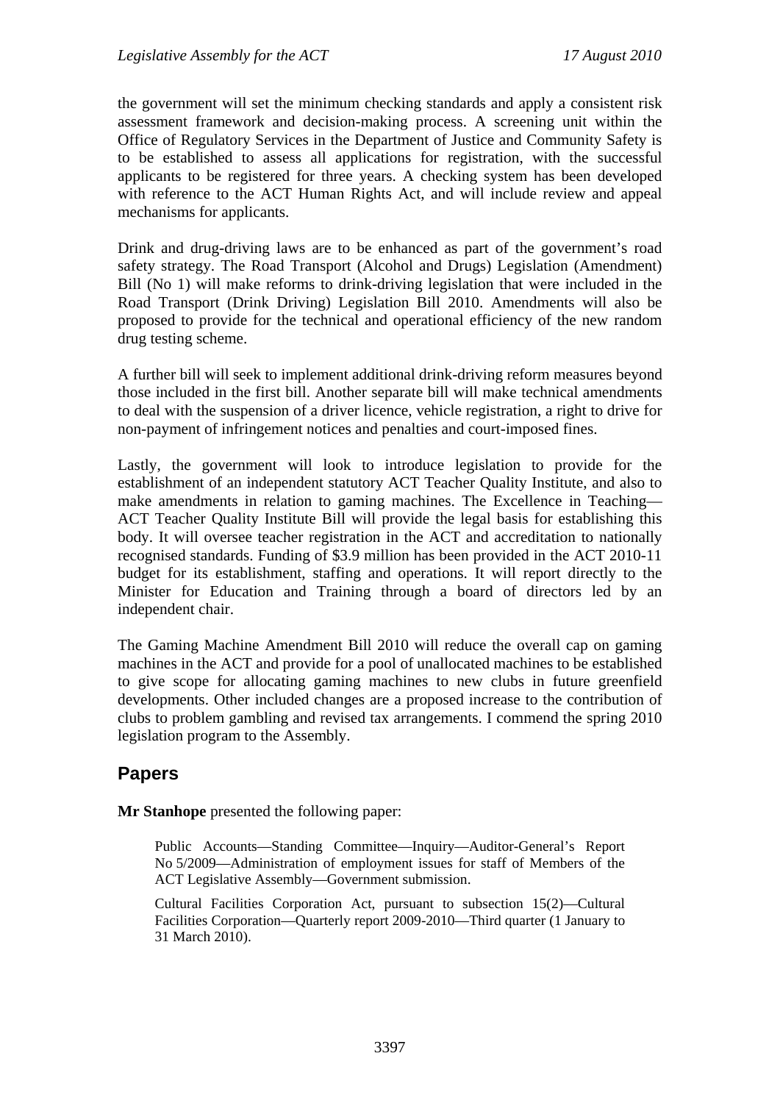the government will set the minimum checking standards and apply a consistent risk assessment framework and decision-making process. A screening unit within the Office of Regulatory Services in the Department of Justice and Community Safety is to be established to assess all applications for registration, with the successful applicants to be registered for three years. A checking system has been developed with reference to the ACT Human Rights Act, and will include review and appeal mechanisms for applicants.

Drink and drug-driving laws are to be enhanced as part of the government's road safety strategy. The Road Transport (Alcohol and Drugs) Legislation (Amendment) Bill (No 1) will make reforms to drink-driving legislation that were included in the Road Transport (Drink Driving) Legislation Bill 2010. Amendments will also be proposed to provide for the technical and operational efficiency of the new random drug testing scheme.

A further bill will seek to implement additional drink-driving reform measures beyond those included in the first bill. Another separate bill will make technical amendments to deal with the suspension of a driver licence, vehicle registration, a right to drive for non-payment of infringement notices and penalties and court-imposed fines.

Lastly, the government will look to introduce legislation to provide for the establishment of an independent statutory ACT Teacher Quality Institute, and also to make amendments in relation to gaming machines. The Excellence in Teaching— ACT Teacher Quality Institute Bill will provide the legal basis for establishing this body. It will oversee teacher registration in the ACT and accreditation to nationally recognised standards. Funding of \$3.9 million has been provided in the ACT 2010-11 budget for its establishment, staffing and operations. It will report directly to the Minister for Education and Training through a board of directors led by an independent chair.

The Gaming Machine Amendment Bill 2010 will reduce the overall cap on gaming machines in the ACT and provide for a pool of unallocated machines to be established to give scope for allocating gaming machines to new clubs in future greenfield developments. Other included changes are a proposed increase to the contribution of clubs to problem gambling and revised tax arrangements. I commend the spring 2010 legislation program to the Assembly.

# **Papers**

**Mr Stanhope** presented the following paper:

Public Accounts—Standing Committee—Inquiry—Auditor-General's Report No 5/2009—Administration of employment issues for staff of Members of the ACT Legislative Assembly—Government submission.

Cultural Facilities Corporation Act, pursuant to subsection 15(2)—Cultural Facilities Corporation—Quarterly report 2009-2010—Third quarter (1 January to 31 March 2010).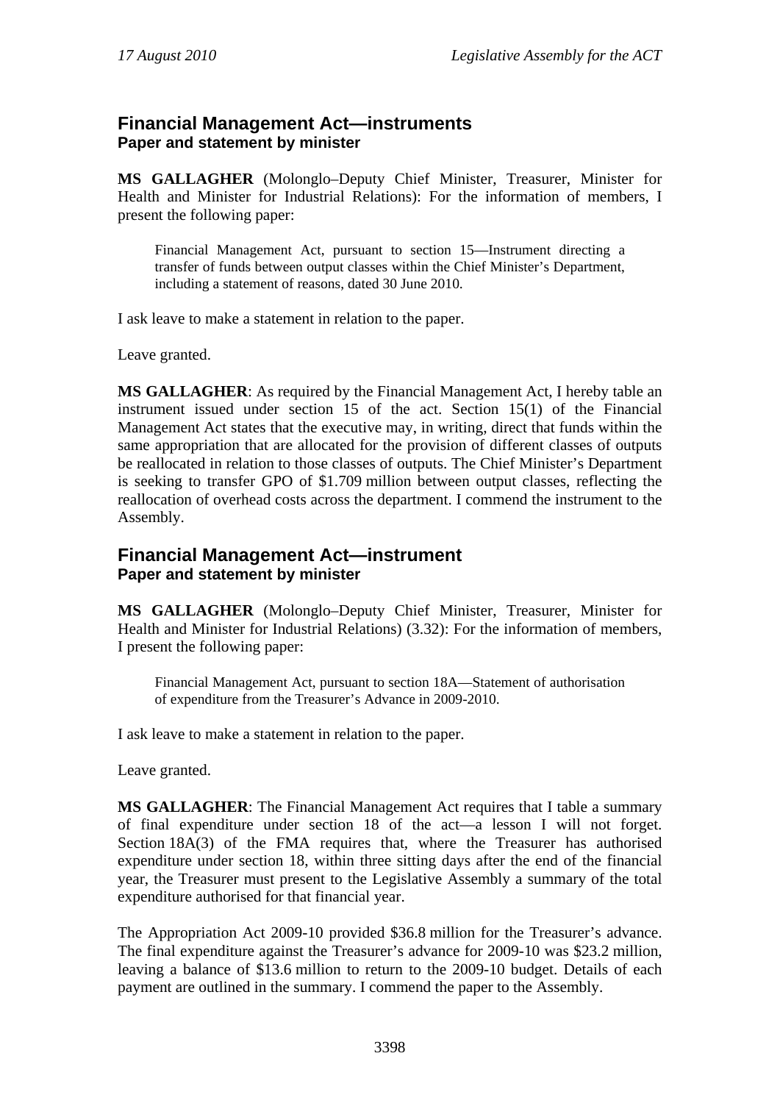### **Financial Management Act—instruments Paper and statement by minister**

**MS GALLAGHER** (Molonglo–Deputy Chief Minister, Treasurer, Minister for Health and Minister for Industrial Relations): For the information of members, I present the following paper:

Financial Management Act, pursuant to section 15—Instrument directing a transfer of funds between output classes within the Chief Minister's Department, including a statement of reasons, dated 30 June 2010.

I ask leave to make a statement in relation to the paper.

Leave granted.

**MS GALLAGHER**: As required by the Financial Management Act, I hereby table an instrument issued under section 15 of the act. Section 15(1) of the Financial Management Act states that the executive may, in writing, direct that funds within the same appropriation that are allocated for the provision of different classes of outputs be reallocated in relation to those classes of outputs. The Chief Minister's Department is seeking to transfer GPO of \$1.709 million between output classes, reflecting the reallocation of overhead costs across the department. I commend the instrument to the Assembly.

### **Financial Management Act—instrument Paper and statement by minister**

**MS GALLAGHER** (Molonglo–Deputy Chief Minister, Treasurer, Minister for Health and Minister for Industrial Relations) (3.32): For the information of members, I present the following paper:

Financial Management Act, pursuant to section 18A—Statement of authorisation of expenditure from the Treasurer's Advance in 2009-2010.

I ask leave to make a statement in relation to the paper.

Leave granted.

**MS GALLAGHER**: The Financial Management Act requires that I table a summary of final expenditure under section 18 of the act—a lesson I will not forget. Section 18A(3) of the FMA requires that, where the Treasurer has authorised expenditure under section 18, within three sitting days after the end of the financial year, the Treasurer must present to the Legislative Assembly a summary of the total expenditure authorised for that financial year.

The Appropriation Act 2009-10 provided \$36.8 million for the Treasurer's advance. The final expenditure against the Treasurer's advance for 2009-10 was \$23.2 million, leaving a balance of \$13.6 million to return to the 2009-10 budget. Details of each payment are outlined in the summary. I commend the paper to the Assembly.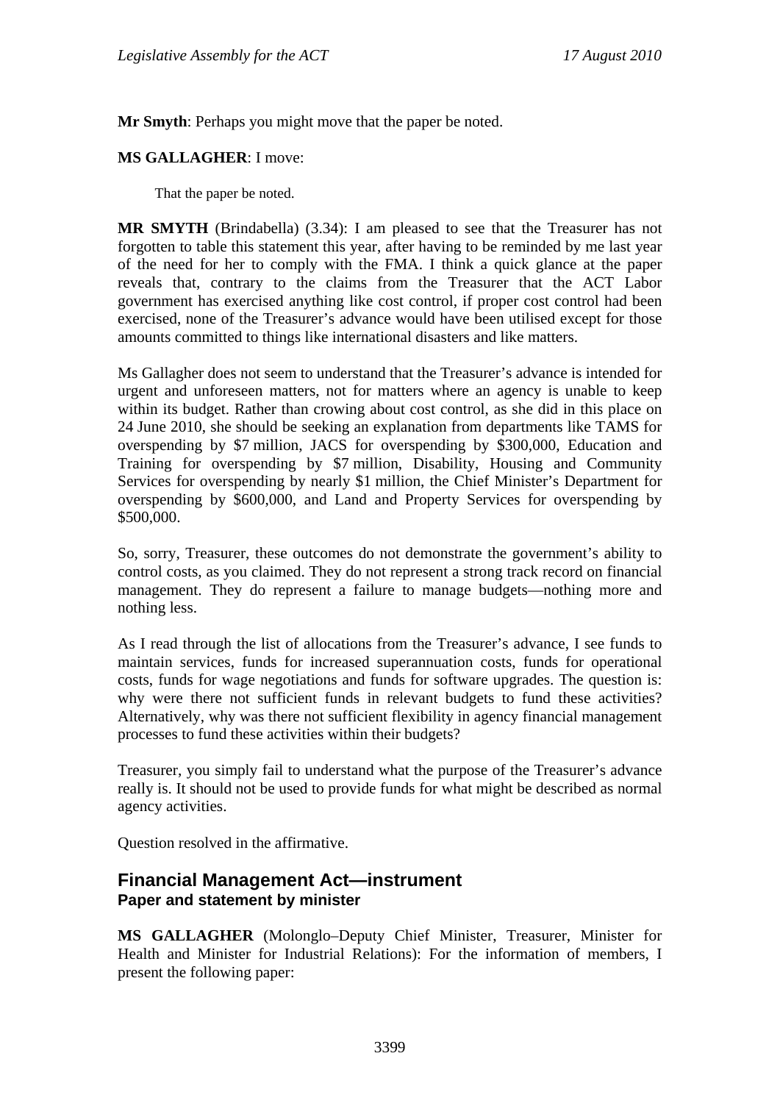**Mr Smyth**: Perhaps you might move that the paper be noted.

#### **MS GALLAGHER**: I move:

That the paper be noted.

**MR SMYTH** (Brindabella) (3.34): I am pleased to see that the Treasurer has not forgotten to table this statement this year, after having to be reminded by me last year of the need for her to comply with the FMA. I think a quick glance at the paper reveals that, contrary to the claims from the Treasurer that the ACT Labor government has exercised anything like cost control, if proper cost control had been exercised, none of the Treasurer's advance would have been utilised except for those amounts committed to things like international disasters and like matters.

Ms Gallagher does not seem to understand that the Treasurer's advance is intended for urgent and unforeseen matters, not for matters where an agency is unable to keep within its budget. Rather than crowing about cost control, as she did in this place on 24 June 2010, she should be seeking an explanation from departments like TAMS for overspending by \$7 million, JACS for overspending by \$300,000, Education and Training for overspending by \$7 million, Disability, Housing and Community Services for overspending by nearly \$1 million, the Chief Minister's Department for overspending by \$600,000, and Land and Property Services for overspending by \$500,000.

So, sorry, Treasurer, these outcomes do not demonstrate the government's ability to control costs, as you claimed. They do not represent a strong track record on financial management. They do represent a failure to manage budgets—nothing more and nothing less.

As I read through the list of allocations from the Treasurer's advance, I see funds to maintain services, funds for increased superannuation costs, funds for operational costs, funds for wage negotiations and funds for software upgrades. The question is: why were there not sufficient funds in relevant budgets to fund these activities? Alternatively, why was there not sufficient flexibility in agency financial management processes to fund these activities within their budgets?

Treasurer, you simply fail to understand what the purpose of the Treasurer's advance really is. It should not be used to provide funds for what might be described as normal agency activities.

Question resolved in the affirmative.

### **Financial Management Act—instrument Paper and statement by minister**

**MS GALLAGHER** (Molonglo–Deputy Chief Minister, Treasurer, Minister for Health and Minister for Industrial Relations): For the information of members, I present the following paper: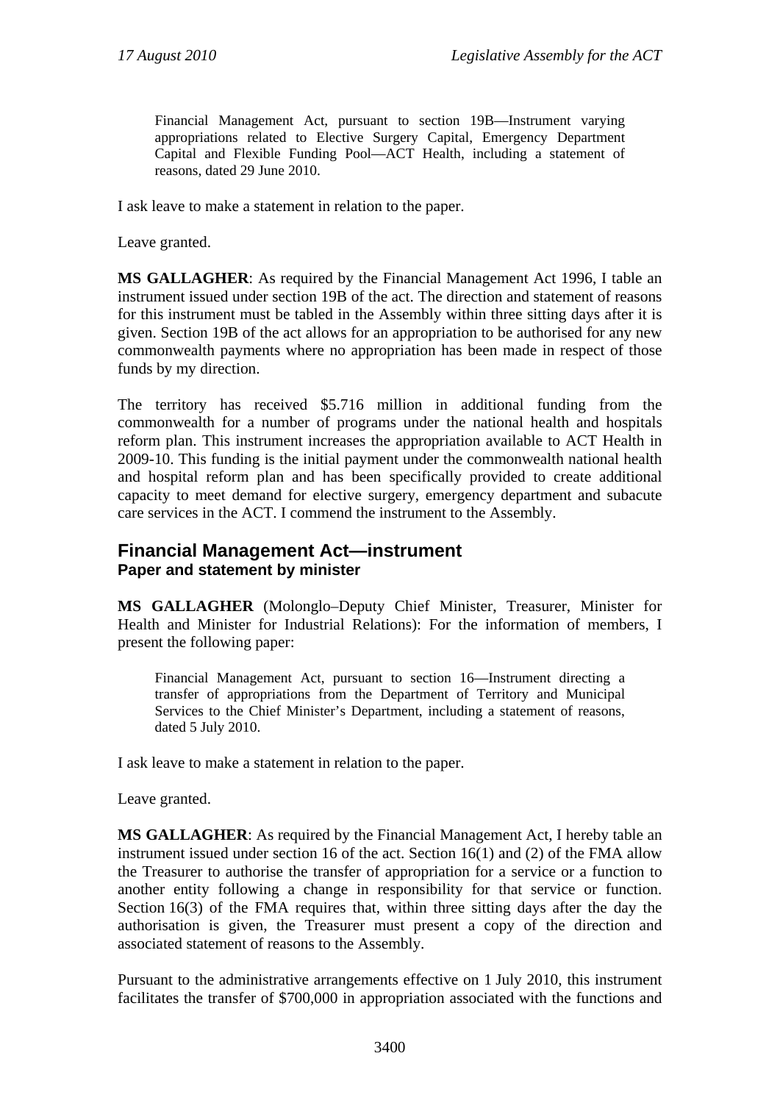Financial Management Act, pursuant to section 19B—Instrument varying appropriations related to Elective Surgery Capital, Emergency Department Capital and Flexible Funding Pool—ACT Health, including a statement of reasons, dated 29 June 2010.

I ask leave to make a statement in relation to the paper.

Leave granted.

**MS GALLAGHER**: As required by the Financial Management Act 1996, I table an instrument issued under section 19B of the act. The direction and statement of reasons for this instrument must be tabled in the Assembly within three sitting days after it is given. Section 19B of the act allows for an appropriation to be authorised for any new commonwealth payments where no appropriation has been made in respect of those funds by my direction.

The territory has received \$5.716 million in additional funding from the commonwealth for a number of programs under the national health and hospitals reform plan. This instrument increases the appropriation available to ACT Health in 2009-10. This funding is the initial payment under the commonwealth national health and hospital reform plan and has been specifically provided to create additional capacity to meet demand for elective surgery, emergency department and subacute care services in the ACT. I commend the instrument to the Assembly.

### **Financial Management Act—instrument Paper and statement by minister**

**MS GALLAGHER** (Molonglo–Deputy Chief Minister, Treasurer, Minister for Health and Minister for Industrial Relations): For the information of members, I present the following paper:

Financial Management Act, pursuant to section 16—Instrument directing a transfer of appropriations from the Department of Territory and Municipal Services to the Chief Minister's Department, including a statement of reasons, dated 5 July 2010.

I ask leave to make a statement in relation to the paper.

Leave granted.

**MS GALLAGHER**: As required by the Financial Management Act, I hereby table an instrument issued under section 16 of the act. Section 16(1) and (2) of the FMA allow the Treasurer to authorise the transfer of appropriation for a service or a function to another entity following a change in responsibility for that service or function. Section 16(3) of the FMA requires that, within three sitting days after the day the authorisation is given, the Treasurer must present a copy of the direction and associated statement of reasons to the Assembly.

Pursuant to the administrative arrangements effective on 1 July 2010, this instrument facilitates the transfer of \$700,000 in appropriation associated with the functions and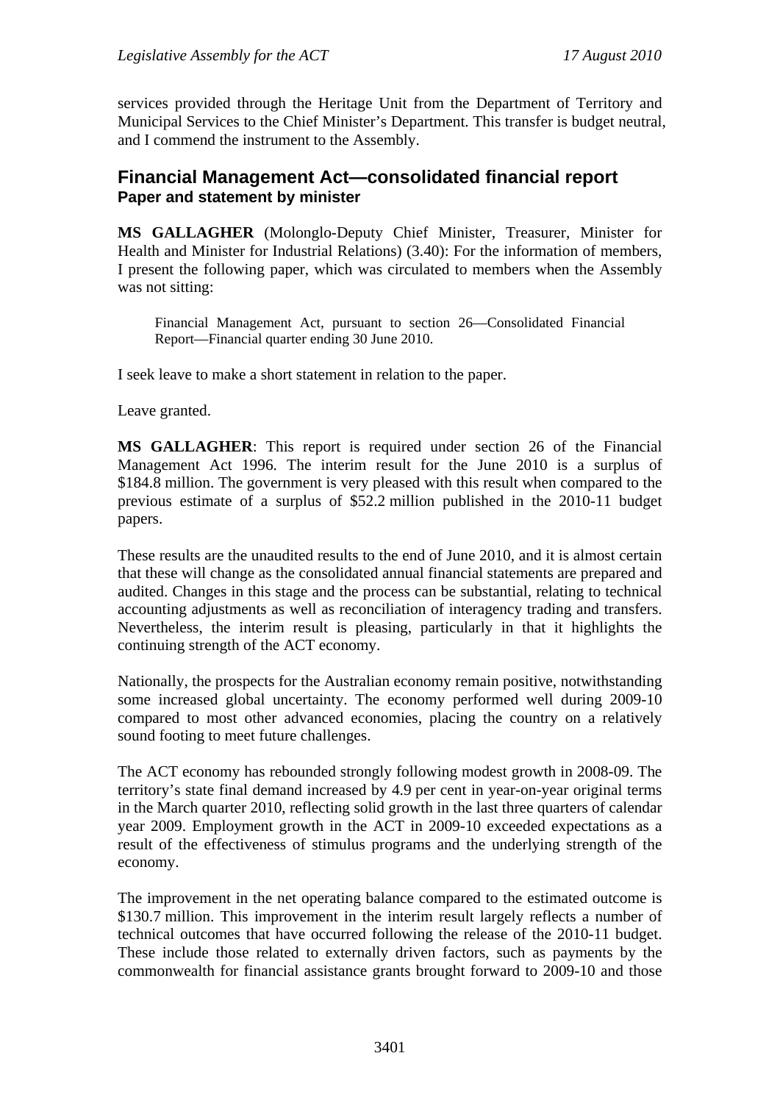services provided through the Heritage Unit from the Department of Territory and Municipal Services to the Chief Minister's Department. This transfer is budget neutral, and I commend the instrument to the Assembly.

### **Financial Management Act—consolidated financial report Paper and statement by minister**

**MS GALLAGHER** (Molonglo-Deputy Chief Minister, Treasurer, Minister for Health and Minister for Industrial Relations) (3.40): For the information of members, I present the following paper, which was circulated to members when the Assembly was not sitting:

Financial Management Act, pursuant to section 26—Consolidated Financial Report—Financial quarter ending 30 June 2010.

I seek leave to make a short statement in relation to the paper.

Leave granted.

**MS GALLAGHER**: This report is required under section 26 of the Financial Management Act 1996. The interim result for the June 2010 is a surplus of \$184.8 million. The government is very pleased with this result when compared to the previous estimate of a surplus of \$52.2 million published in the 2010-11 budget papers.

These results are the unaudited results to the end of June 2010, and it is almost certain that these will change as the consolidated annual financial statements are prepared and audited. Changes in this stage and the process can be substantial, relating to technical accounting adjustments as well as reconciliation of interagency trading and transfers. Nevertheless, the interim result is pleasing, particularly in that it highlights the continuing strength of the ACT economy.

Nationally, the prospects for the Australian economy remain positive, notwithstanding some increased global uncertainty. The economy performed well during 2009-10 compared to most other advanced economies, placing the country on a relatively sound footing to meet future challenges.

The ACT economy has rebounded strongly following modest growth in 2008-09. The territory's state final demand increased by 4.9 per cent in year-on-year original terms in the March quarter 2010, reflecting solid growth in the last three quarters of calendar year 2009. Employment growth in the ACT in 2009-10 exceeded expectations as a result of the effectiveness of stimulus programs and the underlying strength of the economy.

The improvement in the net operating balance compared to the estimated outcome is \$130.7 million. This improvement in the interim result largely reflects a number of technical outcomes that have occurred following the release of the 2010-11 budget. These include those related to externally driven factors, such as payments by the commonwealth for financial assistance grants brought forward to 2009-10 and those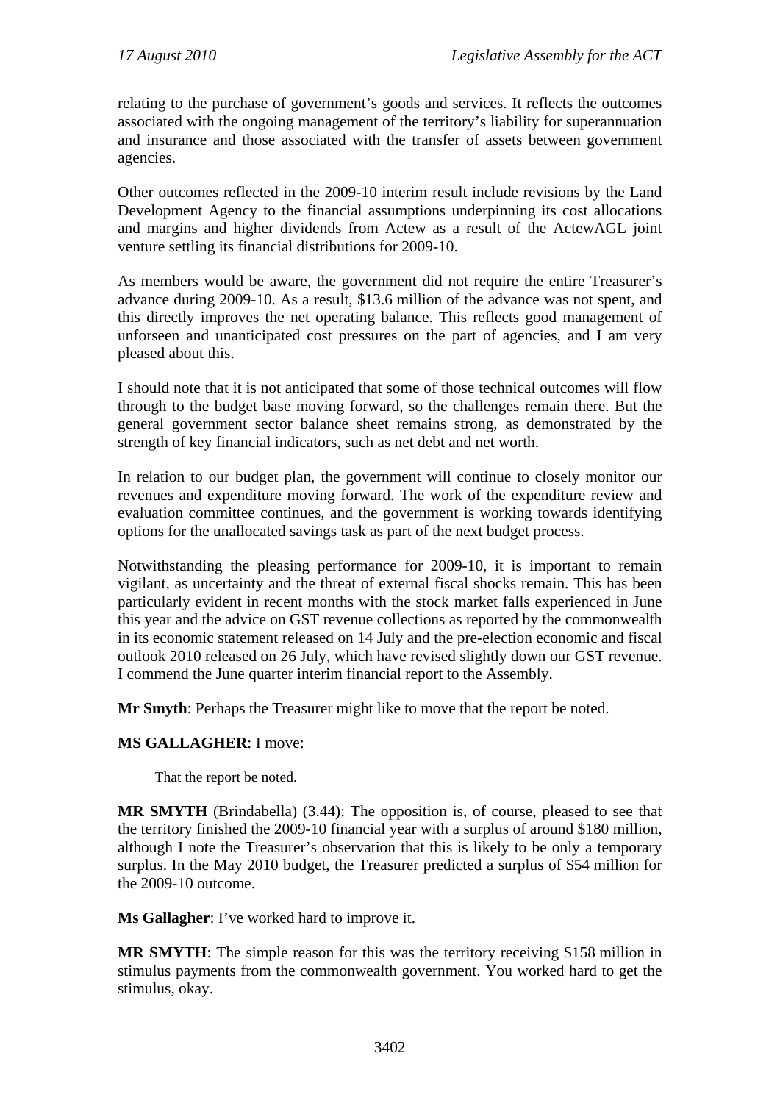relating to the purchase of government's goods and services. It reflects the outcomes associated with the ongoing management of the territory's liability for superannuation and insurance and those associated with the transfer of assets between government agencies.

Other outcomes reflected in the 2009-10 interim result include revisions by the Land Development Agency to the financial assumptions underpinning its cost allocations and margins and higher dividends from Actew as a result of the ActewAGL joint venture settling its financial distributions for 2009-10.

As members would be aware, the government did not require the entire Treasurer's advance during 2009-10. As a result, \$13.6 million of the advance was not spent, and this directly improves the net operating balance. This reflects good management of unforseen and unanticipated cost pressures on the part of agencies, and I am very pleased about this.

I should note that it is not anticipated that some of those technical outcomes will flow through to the budget base moving forward, so the challenges remain there. But the general government sector balance sheet remains strong, as demonstrated by the strength of key financial indicators, such as net debt and net worth.

In relation to our budget plan, the government will continue to closely monitor our revenues and expenditure moving forward. The work of the expenditure review and evaluation committee continues, and the government is working towards identifying options for the unallocated savings task as part of the next budget process.

Notwithstanding the pleasing performance for 2009-10, it is important to remain vigilant, as uncertainty and the threat of external fiscal shocks remain. This has been particularly evident in recent months with the stock market falls experienced in June this year and the advice on GST revenue collections as reported by the commonwealth in its economic statement released on 14 July and the pre-election economic and fiscal outlook 2010 released on 26 July, which have revised slightly down our GST revenue. I commend the June quarter interim financial report to the Assembly.

**Mr Smyth**: Perhaps the Treasurer might like to move that the report be noted.

#### **MS GALLAGHER**: I move:

That the report be noted.

**MR SMYTH** (Brindabella) (3.44): The opposition is, of course, pleased to see that the territory finished the 2009-10 financial year with a surplus of around \$180 million, although I note the Treasurer's observation that this is likely to be only a temporary surplus. In the May 2010 budget, the Treasurer predicted a surplus of \$54 million for the 2009-10 outcome.

**Ms Gallagher**: I've worked hard to improve it.

**MR SMYTH**: The simple reason for this was the territory receiving \$158 million in stimulus payments from the commonwealth government. You worked hard to get the stimulus, okay.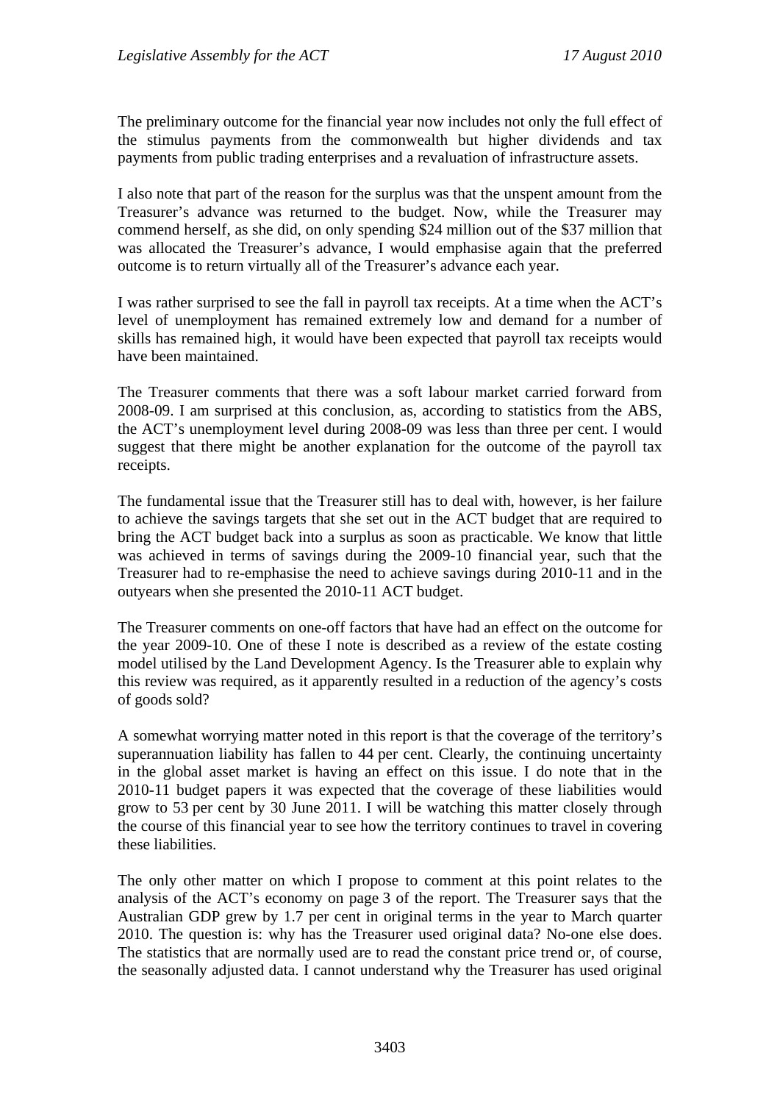The preliminary outcome for the financial year now includes not only the full effect of the stimulus payments from the commonwealth but higher dividends and tax payments from public trading enterprises and a revaluation of infrastructure assets.

I also note that part of the reason for the surplus was that the unspent amount from the Treasurer's advance was returned to the budget. Now, while the Treasurer may commend herself, as she did, on only spending \$24 million out of the \$37 million that was allocated the Treasurer's advance, I would emphasise again that the preferred outcome is to return virtually all of the Treasurer's advance each year.

I was rather surprised to see the fall in payroll tax receipts. At a time when the ACT's level of unemployment has remained extremely low and demand for a number of skills has remained high, it would have been expected that payroll tax receipts would have been maintained.

The Treasurer comments that there was a soft labour market carried forward from 2008-09. I am surprised at this conclusion, as, according to statistics from the ABS, the ACT's unemployment level during 2008-09 was less than three per cent. I would suggest that there might be another explanation for the outcome of the payroll tax receipts.

The fundamental issue that the Treasurer still has to deal with, however, is her failure to achieve the savings targets that she set out in the ACT budget that are required to bring the ACT budget back into a surplus as soon as practicable. We know that little was achieved in terms of savings during the 2009-10 financial year, such that the Treasurer had to re-emphasise the need to achieve savings during 2010-11 and in the outyears when she presented the 2010-11 ACT budget.

The Treasurer comments on one-off factors that have had an effect on the outcome for the year 2009-10. One of these I note is described as a review of the estate costing model utilised by the Land Development Agency. Is the Treasurer able to explain why this review was required, as it apparently resulted in a reduction of the agency's costs of goods sold?

A somewhat worrying matter noted in this report is that the coverage of the territory's superannuation liability has fallen to 44 per cent. Clearly, the continuing uncertainty in the global asset market is having an effect on this issue. I do note that in the 2010-11 budget papers it was expected that the coverage of these liabilities would grow to 53 per cent by 30 June 2011. I will be watching this matter closely through the course of this financial year to see how the territory continues to travel in covering these liabilities.

The only other matter on which I propose to comment at this point relates to the analysis of the ACT's economy on page 3 of the report. The Treasurer says that the Australian GDP grew by 1.7 per cent in original terms in the year to March quarter 2010. The question is: why has the Treasurer used original data? No-one else does. The statistics that are normally used are to read the constant price trend or, of course, the seasonally adjusted data. I cannot understand why the Treasurer has used original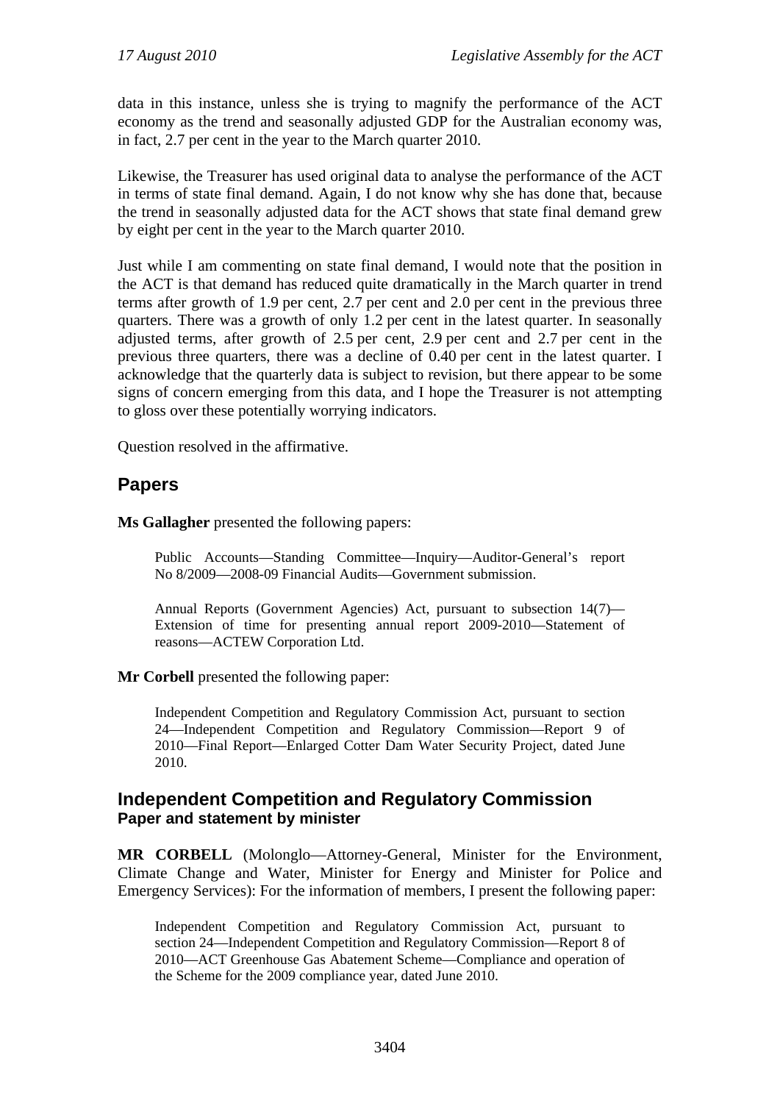data in this instance, unless she is trying to magnify the performance of the ACT economy as the trend and seasonally adjusted GDP for the Australian economy was, in fact, 2.7 per cent in the year to the March quarter 2010.

Likewise, the Treasurer has used original data to analyse the performance of the ACT in terms of state final demand. Again, I do not know why she has done that, because the trend in seasonally adjusted data for the ACT shows that state final demand grew by eight per cent in the year to the March quarter 2010.

Just while I am commenting on state final demand, I would note that the position in the ACT is that demand has reduced quite dramatically in the March quarter in trend terms after growth of 1.9 per cent, 2.7 per cent and 2.0 per cent in the previous three quarters. There was a growth of only 1.2 per cent in the latest quarter. In seasonally adjusted terms, after growth of 2.5 per cent, 2.9 per cent and 2.7 per cent in the previous three quarters, there was a decline of 0.40 per cent in the latest quarter. I acknowledge that the quarterly data is subject to revision, but there appear to be some signs of concern emerging from this data, and I hope the Treasurer is not attempting to gloss over these potentially worrying indicators.

Question resolved in the affirmative.

# **Papers**

**Ms Gallagher** presented the following papers:

Public Accounts—Standing Committee—Inquiry—Auditor-General's report No 8/2009—2008-09 Financial Audits—Government submission.

Annual Reports (Government Agencies) Act, pursuant to subsection 14(7)— Extension of time for presenting annual report 2009-2010—Statement of reasons—ACTEW Corporation Ltd.

**Mr Corbell** presented the following paper:

Independent Competition and Regulatory Commission Act, pursuant to section 24—Independent Competition and Regulatory Commission—Report 9 of 2010—Final Report—Enlarged Cotter Dam Water Security Project, dated June 2010.

### **Independent Competition and Regulatory Commission Paper and statement by minister**

**MR CORBELL** (Molonglo—Attorney-General, Minister for the Environment, Climate Change and Water, Minister for Energy and Minister for Police and Emergency Services): For the information of members, I present the following paper:

Independent Competition and Regulatory Commission Act, pursuant to section 24—Independent Competition and Regulatory Commission—Report 8 of 2010—ACT Greenhouse Gas Abatement Scheme—Compliance and operation of the Scheme for the 2009 compliance year, dated June 2010.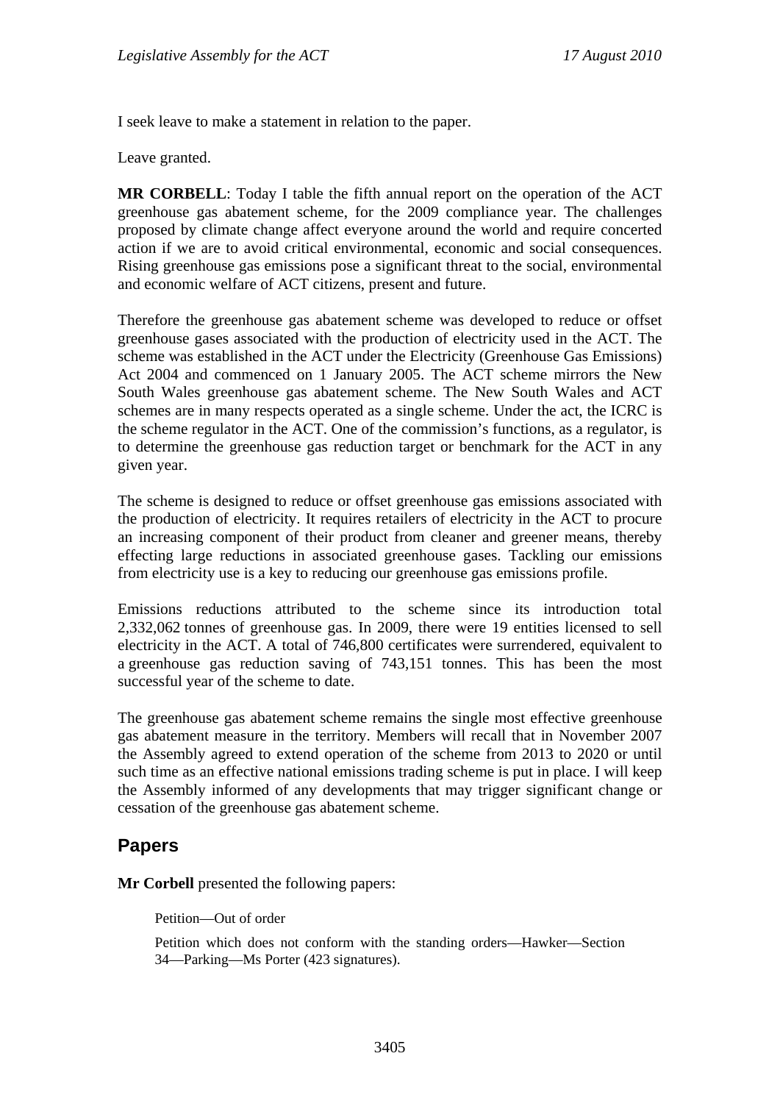I seek leave to make a statement in relation to the paper.

Leave granted.

**MR CORBELL**: Today I table the fifth annual report on the operation of the ACT greenhouse gas abatement scheme, for the 2009 compliance year. The challenges proposed by climate change affect everyone around the world and require concerted action if we are to avoid critical environmental, economic and social consequences. Rising greenhouse gas emissions pose a significant threat to the social, environmental and economic welfare of ACT citizens, present and future.

Therefore the greenhouse gas abatement scheme was developed to reduce or offset greenhouse gases associated with the production of electricity used in the ACT. The scheme was established in the ACT under the Electricity (Greenhouse Gas Emissions) Act 2004 and commenced on 1 January 2005. The ACT scheme mirrors the New South Wales greenhouse gas abatement scheme. The New South Wales and ACT schemes are in many respects operated as a single scheme. Under the act, the ICRC is the scheme regulator in the ACT. One of the commission's functions, as a regulator, is to determine the greenhouse gas reduction target or benchmark for the ACT in any given year.

The scheme is designed to reduce or offset greenhouse gas emissions associated with the production of electricity. It requires retailers of electricity in the ACT to procure an increasing component of their product from cleaner and greener means, thereby effecting large reductions in associated greenhouse gases. Tackling our emissions from electricity use is a key to reducing our greenhouse gas emissions profile.

Emissions reductions attributed to the scheme since its introduction total 2,332,062 tonnes of greenhouse gas. In 2009, there were 19 entities licensed to sell electricity in the ACT. A total of 746,800 certificates were surrendered, equivalent to a greenhouse gas reduction saving of 743,151 tonnes. This has been the most successful year of the scheme to date.

The greenhouse gas abatement scheme remains the single most effective greenhouse gas abatement measure in the territory. Members will recall that in November 2007 the Assembly agreed to extend operation of the scheme from 2013 to 2020 or until such time as an effective national emissions trading scheme is put in place. I will keep the Assembly informed of any developments that may trigger significant change or cessation of the greenhouse gas abatement scheme.

## **Papers**

**Mr Corbell** presented the following papers:

Petition—Out of order

Petition which does not conform with the standing orders—Hawker—Section 34—Parking—Ms Porter (423 signatures).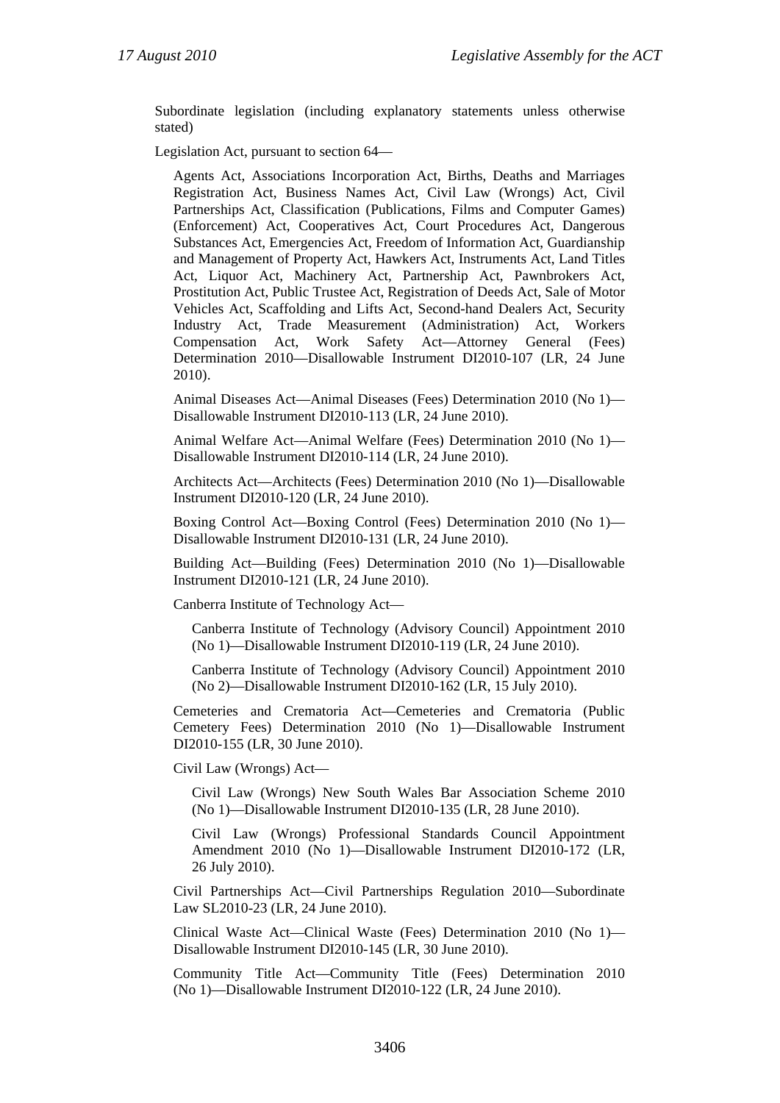Subordinate legislation (including explanatory statements unless otherwise stated)

Legislation Act, pursuant to section 64—

Agents Act, Associations Incorporation Act, Births, Deaths and Marriages Registration Act, Business Names Act, Civil Law (Wrongs) Act, Civil Partnerships Act, Classification (Publications, Films and Computer Games) (Enforcement) Act, Cooperatives Act, Court Procedures Act, Dangerous Substances Act, Emergencies Act, Freedom of Information Act, Guardianship and Management of Property Act, Hawkers Act, Instruments Act, Land Titles Act, Liquor Act, Machinery Act, Partnership Act, Pawnbrokers Act, Prostitution Act, Public Trustee Act, Registration of Deeds Act, Sale of Motor Vehicles Act, Scaffolding and Lifts Act, Second-hand Dealers Act, Security Industry Act, Trade Measurement (Administration) Act, Workers Compensation Act, Work Safety Act—Attorney General (Fees) Determination 2010—Disallowable Instrument DI2010-107 (LR, 24 June 2010).

Animal Diseases Act—Animal Diseases (Fees) Determination 2010 (No 1)— Disallowable Instrument DI2010-113 (LR, 24 June 2010).

Animal Welfare Act—Animal Welfare (Fees) Determination 2010 (No 1)— Disallowable Instrument DI2010-114 (LR, 24 June 2010).

Architects Act—Architects (Fees) Determination 2010 (No 1)—Disallowable Instrument DI2010-120 (LR, 24 June 2010).

Boxing Control Act—Boxing Control (Fees) Determination 2010 (No 1)— Disallowable Instrument DI2010-131 (LR, 24 June 2010).

Building Act—Building (Fees) Determination 2010 (No 1)—Disallowable Instrument DI2010-121 (LR, 24 June 2010).

Canberra Institute of Technology Act—

Canberra Institute of Technology (Advisory Council) Appointment 2010 (No 1)—Disallowable Instrument DI2010-119 (LR, 24 June 2010).

Canberra Institute of Technology (Advisory Council) Appointment 2010 (No 2)—Disallowable Instrument DI2010-162 (LR, 15 July 2010).

Cemeteries and Crematoria Act—Cemeteries and Crematoria (Public Cemetery Fees) Determination 2010 (No 1)—Disallowable Instrument DI2010-155 (LR, 30 June 2010).

Civil Law (Wrongs) Act—

Civil Law (Wrongs) New South Wales Bar Association Scheme 2010 (No 1)—Disallowable Instrument DI2010-135 (LR, 28 June 2010).

Civil Law (Wrongs) Professional Standards Council Appointment Amendment 2010 (No 1)—Disallowable Instrument DI2010-172 (LR, 26 July 2010).

Civil Partnerships Act—Civil Partnerships Regulation 2010—Subordinate Law SL2010-23 (LR, 24 June 2010).

Clinical Waste Act—Clinical Waste (Fees) Determination 2010 (No 1)— Disallowable Instrument DI2010-145 (LR, 30 June 2010).

Community Title Act—Community Title (Fees) Determination 2010 (No 1)—Disallowable Instrument DI2010-122 (LR, 24 June 2010).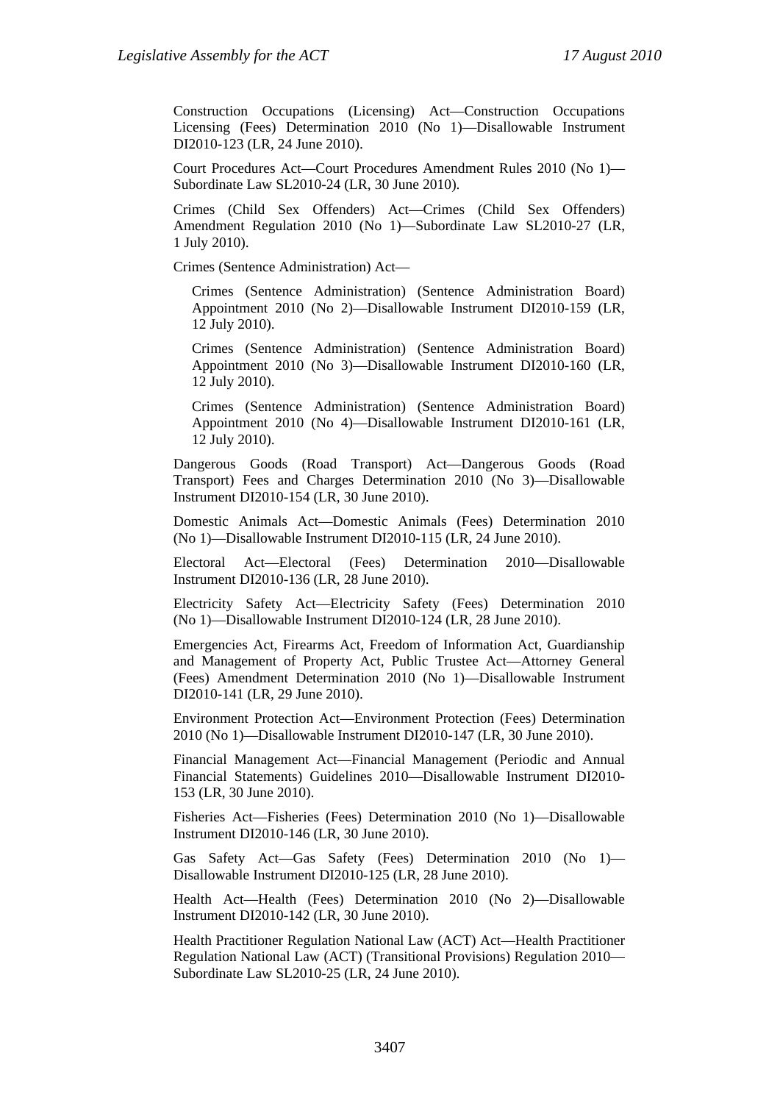Construction Occupations (Licensing) Act—Construction Occupations Licensing (Fees) Determination 2010 (No 1)—Disallowable Instrument DI2010-123 (LR, 24 June 2010).

Court Procedures Act—Court Procedures Amendment Rules 2010 (No 1)— Subordinate Law SL2010-24 (LR, 30 June 2010).

Crimes (Child Sex Offenders) Act—Crimes (Child Sex Offenders) Amendment Regulation 2010 (No 1)—Subordinate Law SL2010-27 (LR, 1 July 2010).

Crimes (Sentence Administration) Act—

Crimes (Sentence Administration) (Sentence Administration Board) Appointment 2010 (No 2)—Disallowable Instrument DI2010-159 (LR, 12 July 2010).

Crimes (Sentence Administration) (Sentence Administration Board) Appointment 2010 (No 3)—Disallowable Instrument DI2010-160 (LR, 12 July 2010).

Crimes (Sentence Administration) (Sentence Administration Board) Appointment 2010 (No 4)—Disallowable Instrument DI2010-161 (LR, 12 July 2010).

Dangerous Goods (Road Transport) Act—Dangerous Goods (Road Transport) Fees and Charges Determination 2010 (No 3)—Disallowable Instrument DI2010-154 (LR, 30 June 2010).

Domestic Animals Act—Domestic Animals (Fees) Determination 2010 (No 1)—Disallowable Instrument DI2010-115 (LR, 24 June 2010).

Electoral Act—Electoral (Fees) Determination 2010—Disallowable Instrument DI2010-136 (LR, 28 June 2010).

Electricity Safety Act—Electricity Safety (Fees) Determination 2010 (No 1)—Disallowable Instrument DI2010-124 (LR, 28 June 2010).

Emergencies Act, Firearms Act, Freedom of Information Act, Guardianship and Management of Property Act, Public Trustee Act—Attorney General (Fees) Amendment Determination 2010 (No 1)—Disallowable Instrument DI2010-141 (LR, 29 June 2010).

Environment Protection Act—Environment Protection (Fees) Determination 2010 (No 1)—Disallowable Instrument DI2010-147 (LR, 30 June 2010).

Financial Management Act—Financial Management (Periodic and Annual Financial Statements) Guidelines 2010—Disallowable Instrument DI2010- 153 (LR, 30 June 2010).

Fisheries Act—Fisheries (Fees) Determination 2010 (No 1)—Disallowable Instrument DI2010-146 (LR, 30 June 2010).

Gas Safety Act—Gas Safety (Fees) Determination 2010 (No 1)— Disallowable Instrument DI2010-125 (LR, 28 June 2010).

Health Act—Health (Fees) Determination 2010 (No 2)—Disallowable Instrument DI2010-142 (LR, 30 June 2010).

Health Practitioner Regulation National Law (ACT) Act—Health Practitioner Regulation National Law (ACT) (Transitional Provisions) Regulation 2010— Subordinate Law SL2010-25 (LR, 24 June 2010).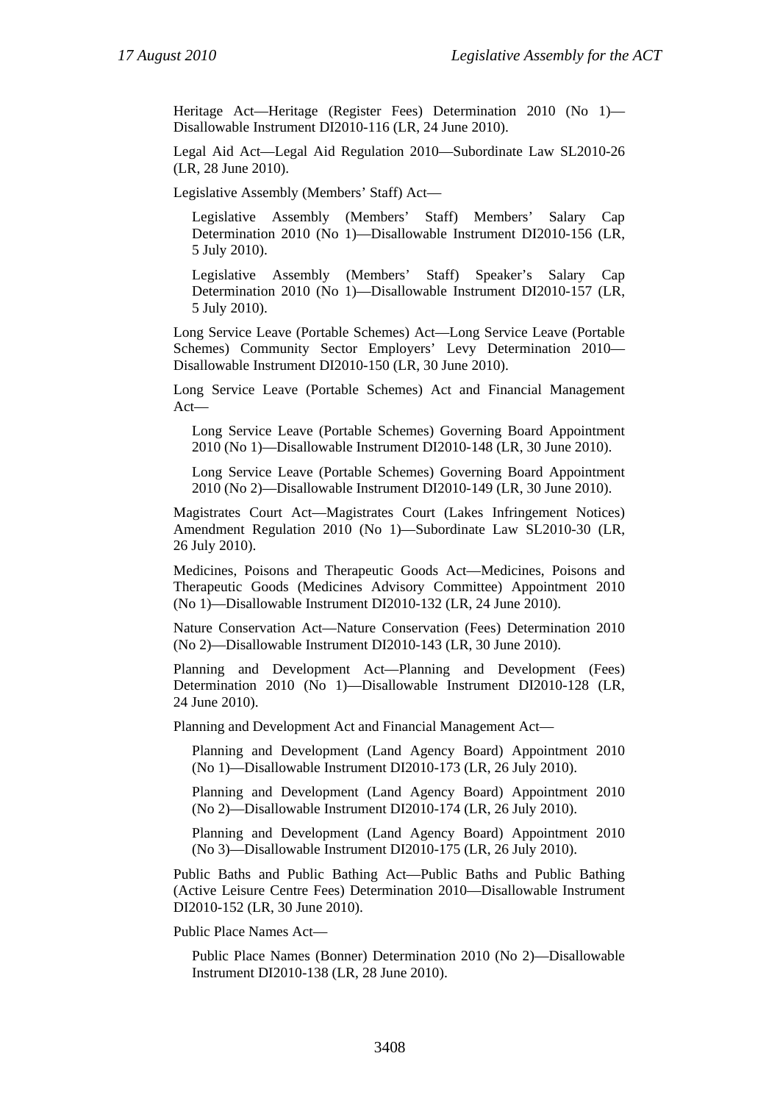Heritage Act—Heritage (Register Fees) Determination 2010 (No 1)— Disallowable Instrument DI2010-116 (LR, 24 June 2010).

Legal Aid Act—Legal Aid Regulation 2010—Subordinate Law SL2010-26 (LR, 28 June 2010).

Legislative Assembly (Members' Staff) Act—

Legislative Assembly (Members' Staff) Members' Salary Cap Determination 2010 (No 1)—Disallowable Instrument DI2010-156 (LR, 5 July 2010).

Legislative Assembly (Members' Staff) Speaker's Salary Cap Determination 2010 (No 1)—Disallowable Instrument DI2010-157 (LR, 5 July 2010).

Long Service Leave (Portable Schemes) Act—Long Service Leave (Portable Schemes) Community Sector Employers' Levy Determination 2010— Disallowable Instrument DI2010-150 (LR, 30 June 2010).

Long Service Leave (Portable Schemes) Act and Financial Management Act—

Long Service Leave (Portable Schemes) Governing Board Appointment 2010 (No 1)—Disallowable Instrument DI2010-148 (LR, 30 June 2010).

Long Service Leave (Portable Schemes) Governing Board Appointment 2010 (No 2)—Disallowable Instrument DI2010-149 (LR, 30 June 2010).

Magistrates Court Act—Magistrates Court (Lakes Infringement Notices) Amendment Regulation 2010 (No 1)—Subordinate Law SL2010-30 (LR, 26 July 2010).

Medicines, Poisons and Therapeutic Goods Act—Medicines, Poisons and Therapeutic Goods (Medicines Advisory Committee) Appointment 2010 (No 1)—Disallowable Instrument DI2010-132 (LR, 24 June 2010).

Nature Conservation Act—Nature Conservation (Fees) Determination 2010 (No 2)—Disallowable Instrument DI2010-143 (LR, 30 June 2010).

Planning and Development Act—Planning and Development (Fees) Determination 2010 (No 1)—Disallowable Instrument DI2010-128 (LR, 24 June 2010).

Planning and Development Act and Financial Management Act—

Planning and Development (Land Agency Board) Appointment 2010 (No 1)—Disallowable Instrument DI2010-173 (LR, 26 July 2010).

Planning and Development (Land Agency Board) Appointment 2010 (No 2)—Disallowable Instrument DI2010-174 (LR, 26 July 2010).

Planning and Development (Land Agency Board) Appointment 2010 (No 3)—Disallowable Instrument DI2010-175 (LR, 26 July 2010).

Public Baths and Public Bathing Act—Public Baths and Public Bathing (Active Leisure Centre Fees) Determination 2010—Disallowable Instrument DI2010-152 (LR, 30 June 2010).

Public Place Names Act—

Public Place Names (Bonner) Determination 2010 (No 2)—Disallowable Instrument DI2010-138 (LR, 28 June 2010).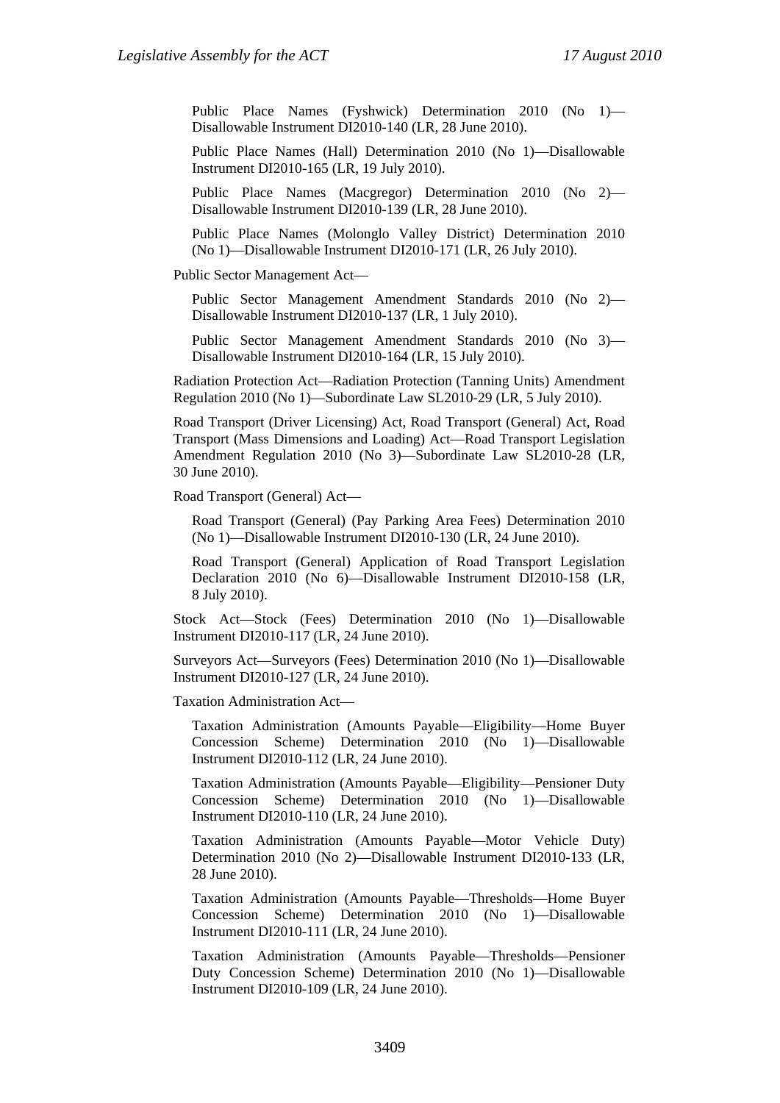Public Place Names (Fyshwick) Determination 2010 (No 1)— Disallowable Instrument DI2010-140 (LR, 28 June 2010).

Public Place Names (Hall) Determination 2010 (No 1)—Disallowable Instrument DI2010-165 (LR, 19 July 2010).

Public Place Names (Macgregor) Determination 2010 (No 2)— Disallowable Instrument DI2010-139 (LR, 28 June 2010).

Public Place Names (Molonglo Valley District) Determination 2010 (No 1)—Disallowable Instrument DI2010-171 (LR, 26 July 2010).

Public Sector Management Act—

Public Sector Management Amendment Standards 2010 (No 2)— Disallowable Instrument DI2010-137 (LR, 1 July 2010).

Public Sector Management Amendment Standards 2010 (No 3)— Disallowable Instrument DI2010-164 (LR, 15 July 2010).

Radiation Protection Act—Radiation Protection (Tanning Units) Amendment Regulation 2010 (No 1)—Subordinate Law SL2010-29 (LR, 5 July 2010).

Road Transport (Driver Licensing) Act, Road Transport (General) Act, Road Transport (Mass Dimensions and Loading) Act—Road Transport Legislation Amendment Regulation 2010 (No 3)—Subordinate Law SL2010-28 (LR, 30 June 2010).

Road Transport (General) Act—

Road Transport (General) (Pay Parking Area Fees) Determination 2010 (No 1)—Disallowable Instrument DI2010-130 (LR, 24 June 2010).

Road Transport (General) Application of Road Transport Legislation Declaration 2010 (No 6)—Disallowable Instrument DI2010-158 (LR, 8 July 2010).

Stock Act—Stock (Fees) Determination 2010 (No 1)—Disallowable Instrument DI2010-117 (LR, 24 June 2010).

Surveyors Act—Surveyors (Fees) Determination 2010 (No 1)—Disallowable Instrument DI2010-127 (LR, 24 June 2010).

Taxation Administration Act—

Taxation Administration (Amounts Payable—Eligibility—Home Buyer Concession Scheme) Determination 2010 (No 1)—Disallowable Instrument DI2010-112 (LR, 24 June 2010).

Taxation Administration (Amounts Payable—Eligibility—Pensioner Duty Concession Scheme) Determination 2010 (No 1)—Disallowable Instrument DI2010-110 (LR, 24 June 2010).

Taxation Administration (Amounts Payable—Motor Vehicle Duty) Determination 2010 (No 2)—Disallowable Instrument DI2010-133 (LR, 28 June 2010).

Taxation Administration (Amounts Payable—Thresholds—Home Buyer Concession Scheme) Determination 2010 (No 1)—Disallowable Instrument DI2010-111 (LR, 24 June 2010).

Taxation Administration (Amounts Payable—Thresholds—Pensioner Duty Concession Scheme) Determination 2010 (No 1)—Disallowable Instrument DI2010-109 (LR, 24 June 2010).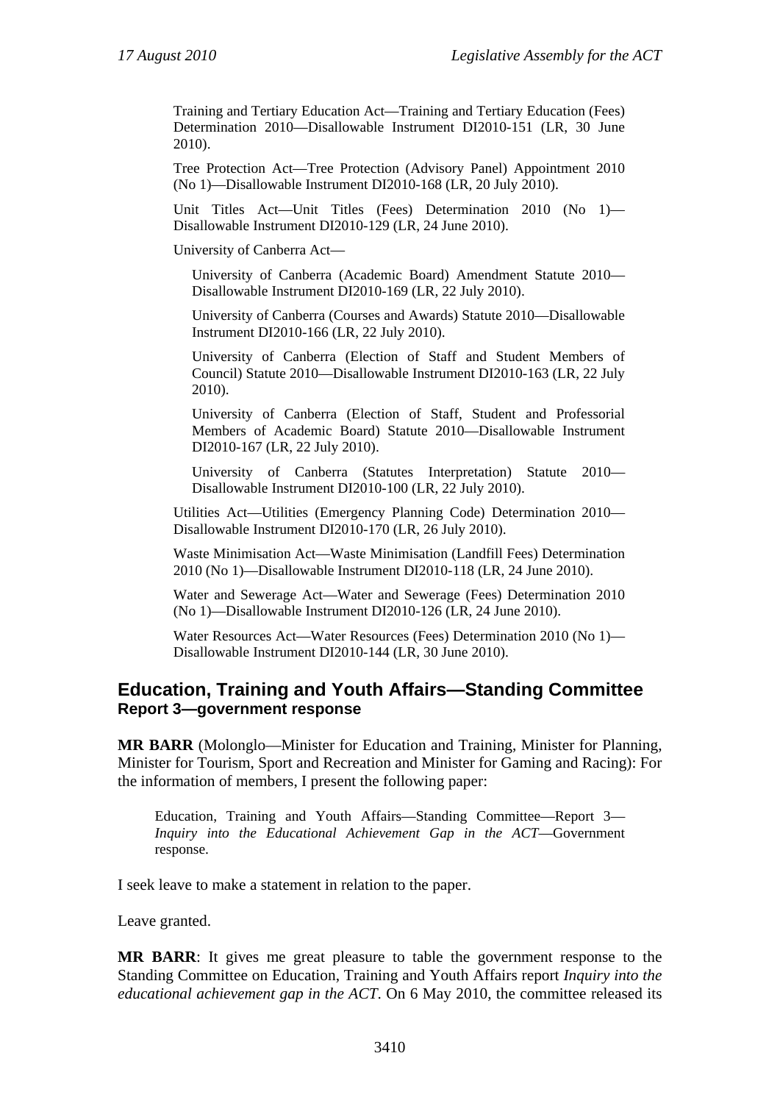Training and Tertiary Education Act—Training and Tertiary Education (Fees) Determination 2010—Disallowable Instrument DI2010-151 (LR, 30 June 2010).

Tree Protection Act—Tree Protection (Advisory Panel) Appointment 2010 (No 1)—Disallowable Instrument DI2010-168 (LR, 20 July 2010).

Unit Titles Act—Unit Titles (Fees) Determination 2010 (No 1)— Disallowable Instrument DI2010-129 (LR, 24 June 2010).

University of Canberra Act—

University of Canberra (Academic Board) Amendment Statute 2010— Disallowable Instrument DI2010-169 (LR, 22 July 2010).

University of Canberra (Courses and Awards) Statute 2010—Disallowable Instrument DI2010-166 (LR, 22 July 2010).

University of Canberra (Election of Staff and Student Members of Council) Statute 2010—Disallowable Instrument DI2010-163 (LR, 22 July 2010).

University of Canberra (Election of Staff, Student and Professorial Members of Academic Board) Statute 2010—Disallowable Instrument DI2010-167 (LR, 22 July 2010).

University of Canberra (Statutes Interpretation) Statute 2010— Disallowable Instrument DI2010-100 (LR, 22 July 2010).

Utilities Act—Utilities (Emergency Planning Code) Determination 2010— Disallowable Instrument DI2010-170 (LR, 26 July 2010).

Waste Minimisation Act—Waste Minimisation (Landfill Fees) Determination 2010 (No 1)—Disallowable Instrument DI2010-118 (LR, 24 June 2010).

Water and Sewerage Act—Water and Sewerage (Fees) Determination 2010 (No 1)—Disallowable Instrument DI2010-126 (LR, 24 June 2010).

Water Resources Act—Water Resources (Fees) Determination 2010 (No 1)— Disallowable Instrument DI2010-144 (LR, 30 June 2010).

#### **Education, Training and Youth Affairs—Standing Committee Report 3—government response**

**MR BARR** (Molonglo—Minister for Education and Training, Minister for Planning, Minister for Tourism, Sport and Recreation and Minister for Gaming and Racing): For the information of members, I present the following paper:

Education, Training and Youth Affairs—Standing Committee—Report 3— *Inquiry into the Educational Achievement Gap in the ACT*—Government response.

I seek leave to make a statement in relation to the paper.

Leave granted.

**MR BARR**: It gives me great pleasure to table the government response to the Standing Committee on Education, Training and Youth Affairs report *Inquiry into the educational achievement gap in the ACT*. On 6 May 2010, the committee released its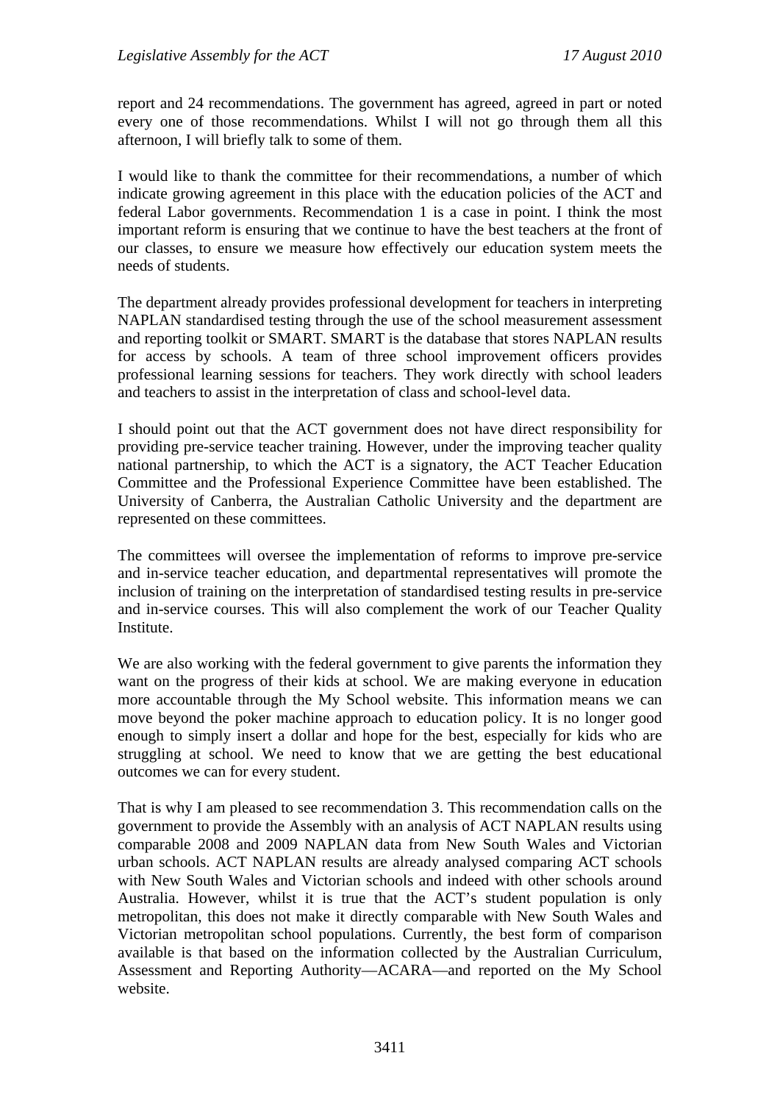report and 24 recommendations. The government has agreed, agreed in part or noted every one of those recommendations. Whilst I will not go through them all this afternoon, I will briefly talk to some of them.

I would like to thank the committee for their recommendations, a number of which indicate growing agreement in this place with the education policies of the ACT and federal Labor governments. Recommendation 1 is a case in point. I think the most important reform is ensuring that we continue to have the best teachers at the front of our classes, to ensure we measure how effectively our education system meets the needs of students.

The department already provides professional development for teachers in interpreting NAPLAN standardised testing through the use of the school measurement assessment and reporting toolkit or SMART. SMART is the database that stores NAPLAN results for access by schools. A team of three school improvement officers provides professional learning sessions for teachers. They work directly with school leaders and teachers to assist in the interpretation of class and school-level data.

I should point out that the ACT government does not have direct responsibility for providing pre-service teacher training. However, under the improving teacher quality national partnership, to which the ACT is a signatory, the ACT Teacher Education Committee and the Professional Experience Committee have been established. The University of Canberra, the Australian Catholic University and the department are represented on these committees.

The committees will oversee the implementation of reforms to improve pre-service and in-service teacher education, and departmental representatives will promote the inclusion of training on the interpretation of standardised testing results in pre-service and in-service courses. This will also complement the work of our Teacher Quality Institute.

We are also working with the federal government to give parents the information they want on the progress of their kids at school. We are making everyone in education more accountable through the My School website. This information means we can move beyond the poker machine approach to education policy. It is no longer good enough to simply insert a dollar and hope for the best, especially for kids who are struggling at school. We need to know that we are getting the best educational outcomes we can for every student.

That is why I am pleased to see recommendation 3. This recommendation calls on the government to provide the Assembly with an analysis of ACT NAPLAN results using comparable 2008 and 2009 NAPLAN data from New South Wales and Victorian urban schools. ACT NAPLAN results are already analysed comparing ACT schools with New South Wales and Victorian schools and indeed with other schools around Australia. However, whilst it is true that the ACT's student population is only metropolitan, this does not make it directly comparable with New South Wales and Victorian metropolitan school populations. Currently, the best form of comparison available is that based on the information collected by the Australian Curriculum, Assessment and Reporting Authority—ACARA—and reported on the My School website.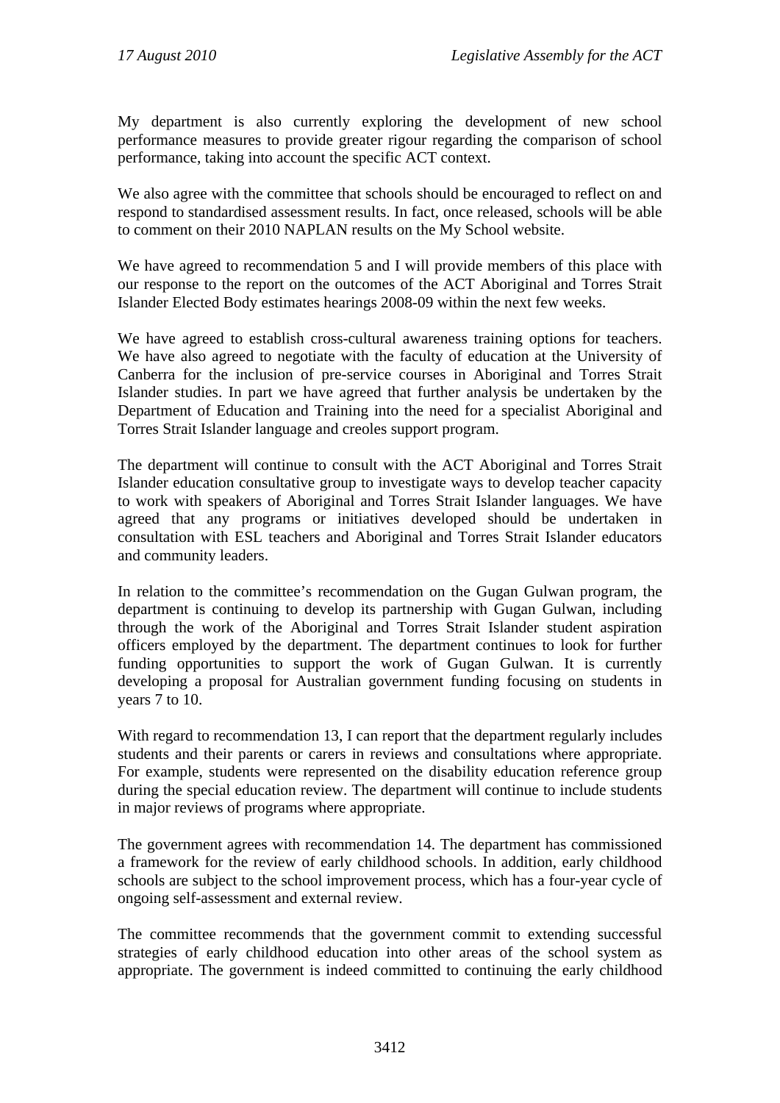My department is also currently exploring the development of new school performance measures to provide greater rigour regarding the comparison of school performance, taking into account the specific ACT context.

We also agree with the committee that schools should be encouraged to reflect on and respond to standardised assessment results. In fact, once released, schools will be able to comment on their 2010 NAPLAN results on the My School website.

We have agreed to recommendation 5 and I will provide members of this place with our response to the report on the outcomes of the ACT Aboriginal and Torres Strait Islander Elected Body estimates hearings 2008-09 within the next few weeks.

We have agreed to establish cross-cultural awareness training options for teachers. We have also agreed to negotiate with the faculty of education at the University of Canberra for the inclusion of pre-service courses in Aboriginal and Torres Strait Islander studies. In part we have agreed that further analysis be undertaken by the Department of Education and Training into the need for a specialist Aboriginal and Torres Strait Islander language and creoles support program.

The department will continue to consult with the ACT Aboriginal and Torres Strait Islander education consultative group to investigate ways to develop teacher capacity to work with speakers of Aboriginal and Torres Strait Islander languages. We have agreed that any programs or initiatives developed should be undertaken in consultation with ESL teachers and Aboriginal and Torres Strait Islander educators and community leaders.

In relation to the committee's recommendation on the Gugan Gulwan program, the department is continuing to develop its partnership with Gugan Gulwan, including through the work of the Aboriginal and Torres Strait Islander student aspiration officers employed by the department. The department continues to look for further funding opportunities to support the work of Gugan Gulwan. It is currently developing a proposal for Australian government funding focusing on students in years 7 to 10.

With regard to recommendation 13, I can report that the department regularly includes students and their parents or carers in reviews and consultations where appropriate. For example, students were represented on the disability education reference group during the special education review. The department will continue to include students in major reviews of programs where appropriate.

The government agrees with recommendation 14. The department has commissioned a framework for the review of early childhood schools. In addition, early childhood schools are subject to the school improvement process, which has a four-year cycle of ongoing self-assessment and external review.

The committee recommends that the government commit to extending successful strategies of early childhood education into other areas of the school system as appropriate. The government is indeed committed to continuing the early childhood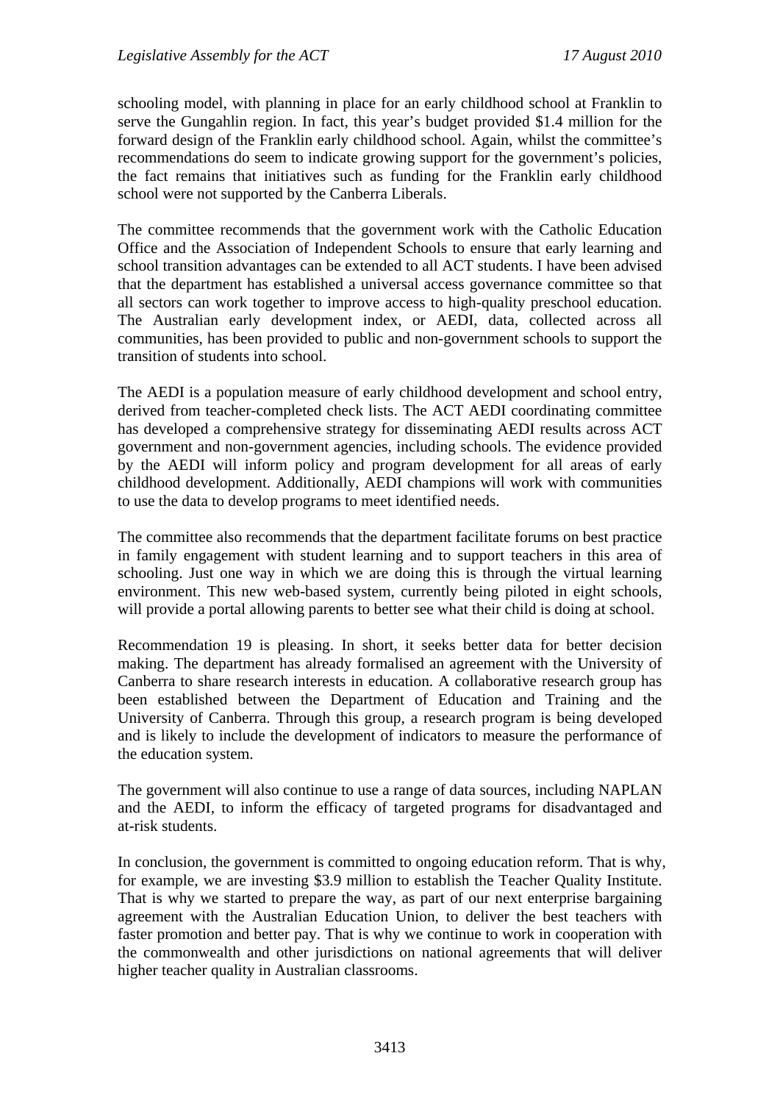schooling model, with planning in place for an early childhood school at Franklin to serve the Gungahlin region. In fact, this year's budget provided \$1.4 million for the forward design of the Franklin early childhood school. Again, whilst the committee's recommendations do seem to indicate growing support for the government's policies, the fact remains that initiatives such as funding for the Franklin early childhood school were not supported by the Canberra Liberals.

The committee recommends that the government work with the Catholic Education Office and the Association of Independent Schools to ensure that early learning and school transition advantages can be extended to all ACT students. I have been advised that the department has established a universal access governance committee so that all sectors can work together to improve access to high-quality preschool education. The Australian early development index, or AEDI, data, collected across all communities, has been provided to public and non-government schools to support the transition of students into school.

The AEDI is a population measure of early childhood development and school entry, derived from teacher-completed check lists. The ACT AEDI coordinating committee has developed a comprehensive strategy for disseminating AEDI results across ACT government and non-government agencies, including schools. The evidence provided by the AEDI will inform policy and program development for all areas of early childhood development. Additionally, AEDI champions will work with communities to use the data to develop programs to meet identified needs.

The committee also recommends that the department facilitate forums on best practice in family engagement with student learning and to support teachers in this area of schooling. Just one way in which we are doing this is through the virtual learning environment. This new web-based system, currently being piloted in eight schools, will provide a portal allowing parents to better see what their child is doing at school.

Recommendation 19 is pleasing. In short, it seeks better data for better decision making. The department has already formalised an agreement with the University of Canberra to share research interests in education. A collaborative research group has been established between the Department of Education and Training and the University of Canberra. Through this group, a research program is being developed and is likely to include the development of indicators to measure the performance of the education system.

The government will also continue to use a range of data sources, including NAPLAN and the AEDI, to inform the efficacy of targeted programs for disadvantaged and at-risk students.

In conclusion, the government is committed to ongoing education reform. That is why, for example, we are investing \$3.9 million to establish the Teacher Quality Institute. That is why we started to prepare the way, as part of our next enterprise bargaining agreement with the Australian Education Union, to deliver the best teachers with faster promotion and better pay. That is why we continue to work in cooperation with the commonwealth and other jurisdictions on national agreements that will deliver higher teacher quality in Australian classrooms.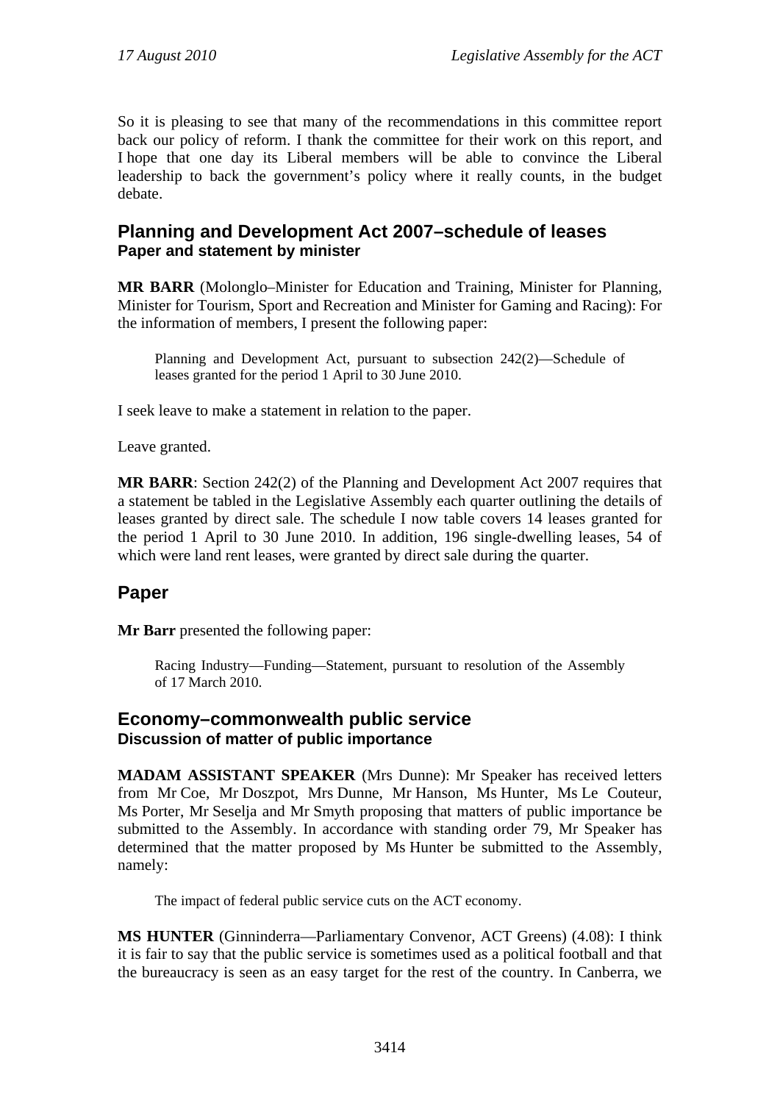So it is pleasing to see that many of the recommendations in this committee report back our policy of reform. I thank the committee for their work on this report, and I hope that one day its Liberal members will be able to convince the Liberal leadership to back the government's policy where it really counts, in the budget debate.

### **Planning and Development Act 2007–schedule of leases Paper and statement by minister**

**MR BARR** (Molonglo–Minister for Education and Training, Minister for Planning, Minister for Tourism, Sport and Recreation and Minister for Gaming and Racing): For the information of members, I present the following paper:

Planning and Development Act, pursuant to subsection 242(2)—Schedule of leases granted for the period 1 April to 30 June 2010.

I seek leave to make a statement in relation to the paper.

Leave granted.

**MR BARR**: Section 242(2) of the Planning and Development Act 2007 requires that a statement be tabled in the Legislative Assembly each quarter outlining the details of leases granted by direct sale. The schedule I now table covers 14 leases granted for the period 1 April to 30 June 2010. In addition, 196 single-dwelling leases, 54 of which were land rent leases, were granted by direct sale during the quarter.

### **Paper**

**Mr Barr** presented the following paper:

Racing Industry—Funding—Statement, pursuant to resolution of the Assembly of 17 March 2010.

#### **Economy–commonwealth public service Discussion of matter of public importance**

**MADAM ASSISTANT SPEAKER** (Mrs Dunne): Mr Speaker has received letters from Mr Coe, Mr Doszpot, Mrs Dunne, Mr Hanson, Ms Hunter, Ms Le Couteur, Ms Porter, Mr Seselja and Mr Smyth proposing that matters of public importance be submitted to the Assembly. In accordance with standing order 79, Mr Speaker has determined that the matter proposed by Ms Hunter be submitted to the Assembly, namely:

The impact of federal public service cuts on the ACT economy.

**MS HUNTER** (Ginninderra—Parliamentary Convenor, ACT Greens) (4.08): I think it is fair to say that the public service is sometimes used as a political football and that the bureaucracy is seen as an easy target for the rest of the country. In Canberra, we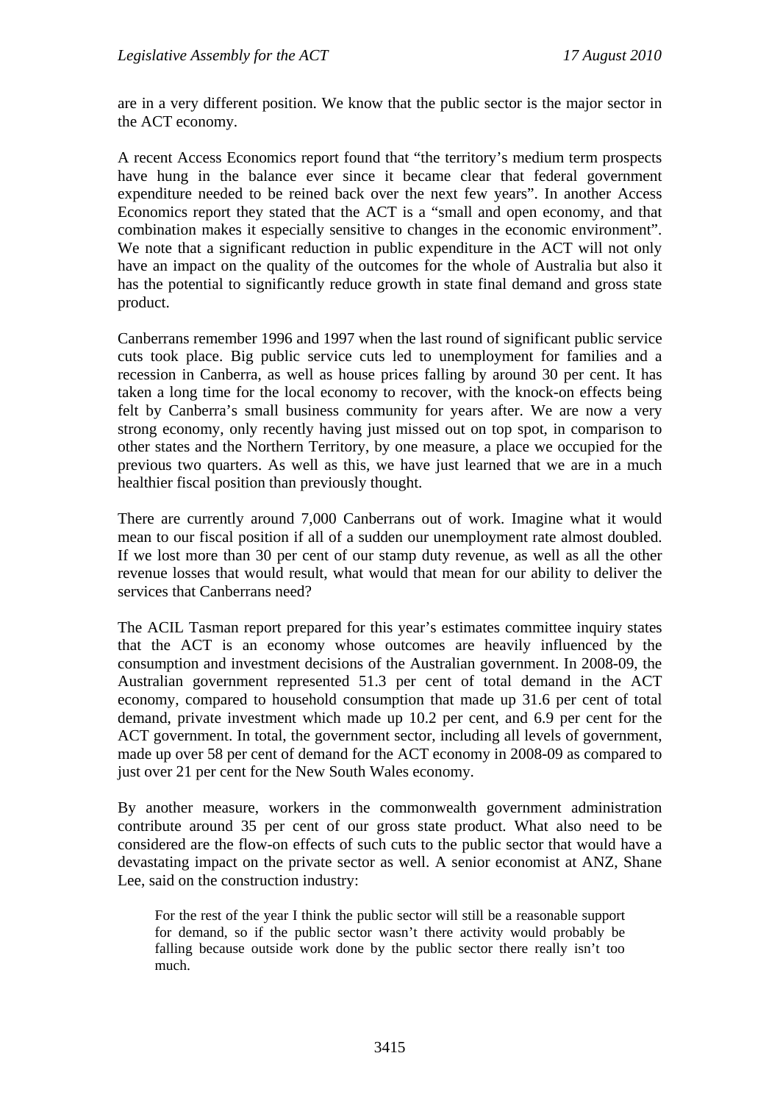are in a very different position. We know that the public sector is the major sector in the ACT economy.

A recent Access Economics report found that "the territory's medium term prospects have hung in the balance ever since it became clear that federal government expenditure needed to be reined back over the next few years". In another Access Economics report they stated that the ACT is a "small and open economy, and that combination makes it especially sensitive to changes in the economic environment". We note that a significant reduction in public expenditure in the ACT will not only have an impact on the quality of the outcomes for the whole of Australia but also it has the potential to significantly reduce growth in state final demand and gross state product.

Canberrans remember 1996 and 1997 when the last round of significant public service cuts took place. Big public service cuts led to unemployment for families and a recession in Canberra, as well as house prices falling by around 30 per cent. It has taken a long time for the local economy to recover, with the knock-on effects being felt by Canberra's small business community for years after. We are now a very strong economy, only recently having just missed out on top spot, in comparison to other states and the Northern Territory, by one measure, a place we occupied for the previous two quarters. As well as this, we have just learned that we are in a much healthier fiscal position than previously thought.

There are currently around 7,000 Canberrans out of work. Imagine what it would mean to our fiscal position if all of a sudden our unemployment rate almost doubled. If we lost more than 30 per cent of our stamp duty revenue, as well as all the other revenue losses that would result, what would that mean for our ability to deliver the services that Canberrans need?

The ACIL Tasman report prepared for this year's estimates committee inquiry states that the ACT is an economy whose outcomes are heavily influenced by the consumption and investment decisions of the Australian government. In 2008-09, the Australian government represented 51.3 per cent of total demand in the ACT economy, compared to household consumption that made up 31.6 per cent of total demand, private investment which made up 10.2 per cent, and 6.9 per cent for the ACT government. In total, the government sector, including all levels of government, made up over 58 per cent of demand for the ACT economy in 2008-09 as compared to just over 21 per cent for the New South Wales economy.

By another measure, workers in the commonwealth government administration contribute around 35 per cent of our gross state product. What also need to be considered are the flow-on effects of such cuts to the public sector that would have a devastating impact on the private sector as well. A senior economist at ANZ, Shane Lee, said on the construction industry:

For the rest of the year I think the public sector will still be a reasonable support for demand, so if the public sector wasn't there activity would probably be falling because outside work done by the public sector there really isn't too much.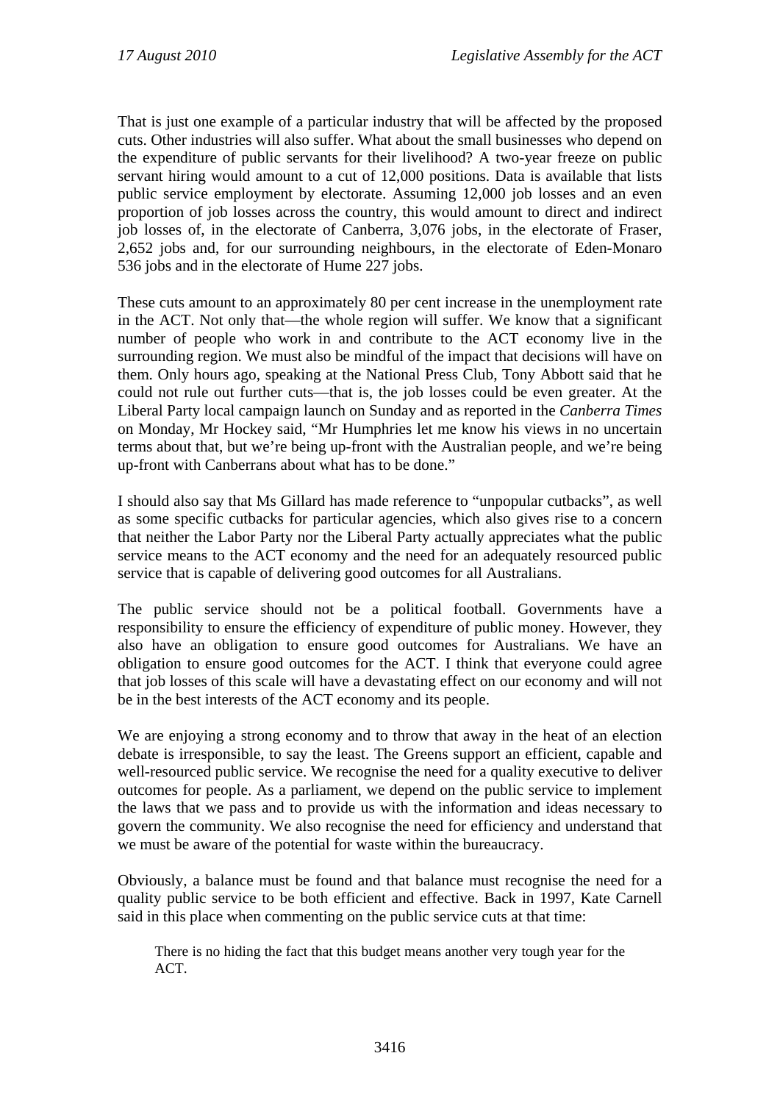That is just one example of a particular industry that will be affected by the proposed cuts. Other industries will also suffer. What about the small businesses who depend on the expenditure of public servants for their livelihood? A two-year freeze on public servant hiring would amount to a cut of 12,000 positions. Data is available that lists public service employment by electorate. Assuming 12,000 job losses and an even proportion of job losses across the country, this would amount to direct and indirect job losses of, in the electorate of Canberra, 3,076 jobs, in the electorate of Fraser, 2,652 jobs and, for our surrounding neighbours, in the electorate of Eden-Monaro 536 jobs and in the electorate of Hume 227 jobs.

These cuts amount to an approximately 80 per cent increase in the unemployment rate in the ACT. Not only that—the whole region will suffer. We know that a significant number of people who work in and contribute to the ACT economy live in the surrounding region. We must also be mindful of the impact that decisions will have on them. Only hours ago, speaking at the National Press Club, Tony Abbott said that he could not rule out further cuts—that is, the job losses could be even greater. At the Liberal Party local campaign launch on Sunday and as reported in the *Canberra Times*  on Monday, Mr Hockey said, "Mr Humphries let me know his views in no uncertain terms about that, but we're being up-front with the Australian people, and we're being up-front with Canberrans about what has to be done."

I should also say that Ms Gillard has made reference to "unpopular cutbacks", as well as some specific cutbacks for particular agencies, which also gives rise to a concern that neither the Labor Party nor the Liberal Party actually appreciates what the public service means to the ACT economy and the need for an adequately resourced public service that is capable of delivering good outcomes for all Australians.

The public service should not be a political football. Governments have a responsibility to ensure the efficiency of expenditure of public money. However, they also have an obligation to ensure good outcomes for Australians. We have an obligation to ensure good outcomes for the ACT. I think that everyone could agree that job losses of this scale will have a devastating effect on our economy and will not be in the best interests of the ACT economy and its people.

We are enjoying a strong economy and to throw that away in the heat of an election debate is irresponsible, to say the least. The Greens support an efficient, capable and well-resourced public service. We recognise the need for a quality executive to deliver outcomes for people. As a parliament, we depend on the public service to implement the laws that we pass and to provide us with the information and ideas necessary to govern the community. We also recognise the need for efficiency and understand that we must be aware of the potential for waste within the bureaucracy.

Obviously, a balance must be found and that balance must recognise the need for a quality public service to be both efficient and effective. Back in 1997, Kate Carnell said in this place when commenting on the public service cuts at that time:

There is no hiding the fact that this budget means another very tough year for the ACT.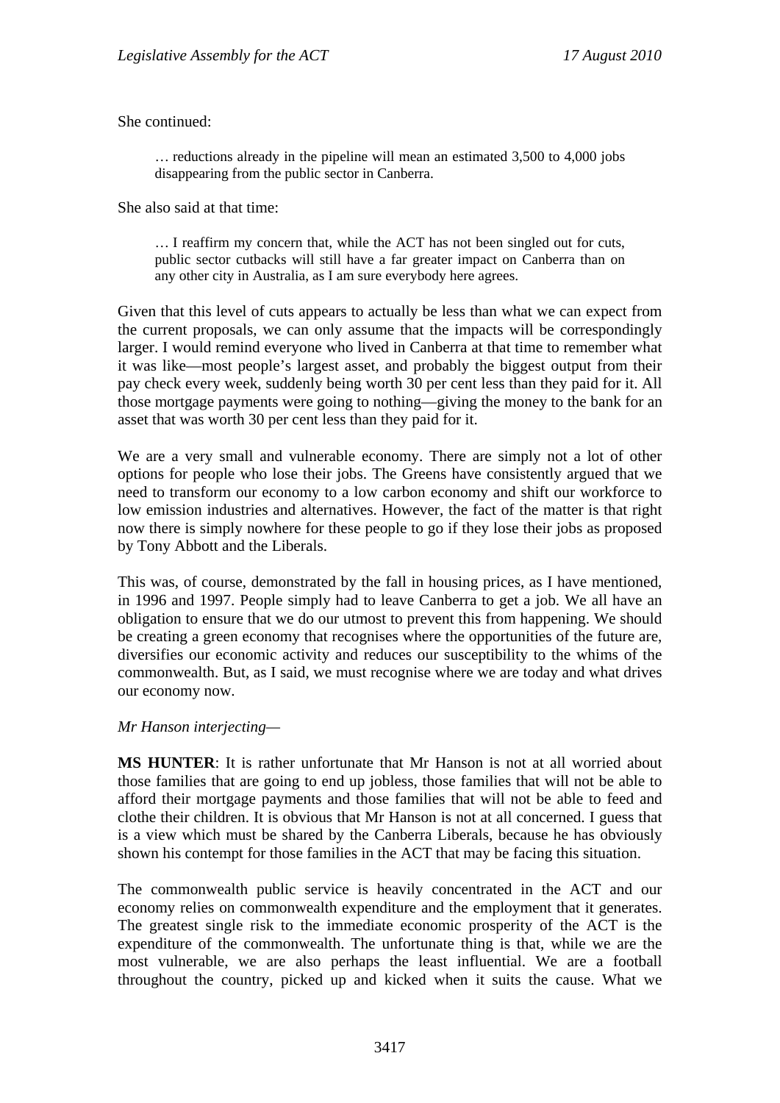She continued:

… reductions already in the pipeline will mean an estimated 3,500 to 4,000 jobs disappearing from the public sector in Canberra.

She also said at that time:

… I reaffirm my concern that, while the ACT has not been singled out for cuts, public sector cutbacks will still have a far greater impact on Canberra than on any other city in Australia, as I am sure everybody here agrees.

Given that this level of cuts appears to actually be less than what we can expect from the current proposals, we can only assume that the impacts will be correspondingly larger. I would remind everyone who lived in Canberra at that time to remember what it was like—most people's largest asset, and probably the biggest output from their pay check every week, suddenly being worth 30 per cent less than they paid for it. All those mortgage payments were going to nothing—giving the money to the bank for an asset that was worth 30 per cent less than they paid for it.

We are a very small and vulnerable economy. There are simply not a lot of other options for people who lose their jobs. The Greens have consistently argued that we need to transform our economy to a low carbon economy and shift our workforce to low emission industries and alternatives. However, the fact of the matter is that right now there is simply nowhere for these people to go if they lose their jobs as proposed by Tony Abbott and the Liberals.

This was, of course, demonstrated by the fall in housing prices, as I have mentioned, in 1996 and 1997. People simply had to leave Canberra to get a job. We all have an obligation to ensure that we do our utmost to prevent this from happening. We should be creating a green economy that recognises where the opportunities of the future are, diversifies our economic activity and reduces our susceptibility to the whims of the commonwealth. But, as I said, we must recognise where we are today and what drives our economy now.

#### *Mr Hanson interjecting—*

**MS HUNTER**: It is rather unfortunate that Mr Hanson is not at all worried about those families that are going to end up jobless, those families that will not be able to afford their mortgage payments and those families that will not be able to feed and clothe their children. It is obvious that Mr Hanson is not at all concerned. I guess that is a view which must be shared by the Canberra Liberals, because he has obviously shown his contempt for those families in the ACT that may be facing this situation.

The commonwealth public service is heavily concentrated in the ACT and our economy relies on commonwealth expenditure and the employment that it generates. The greatest single risk to the immediate economic prosperity of the ACT is the expenditure of the commonwealth. The unfortunate thing is that, while we are the most vulnerable, we are also perhaps the least influential. We are a football throughout the country, picked up and kicked when it suits the cause. What we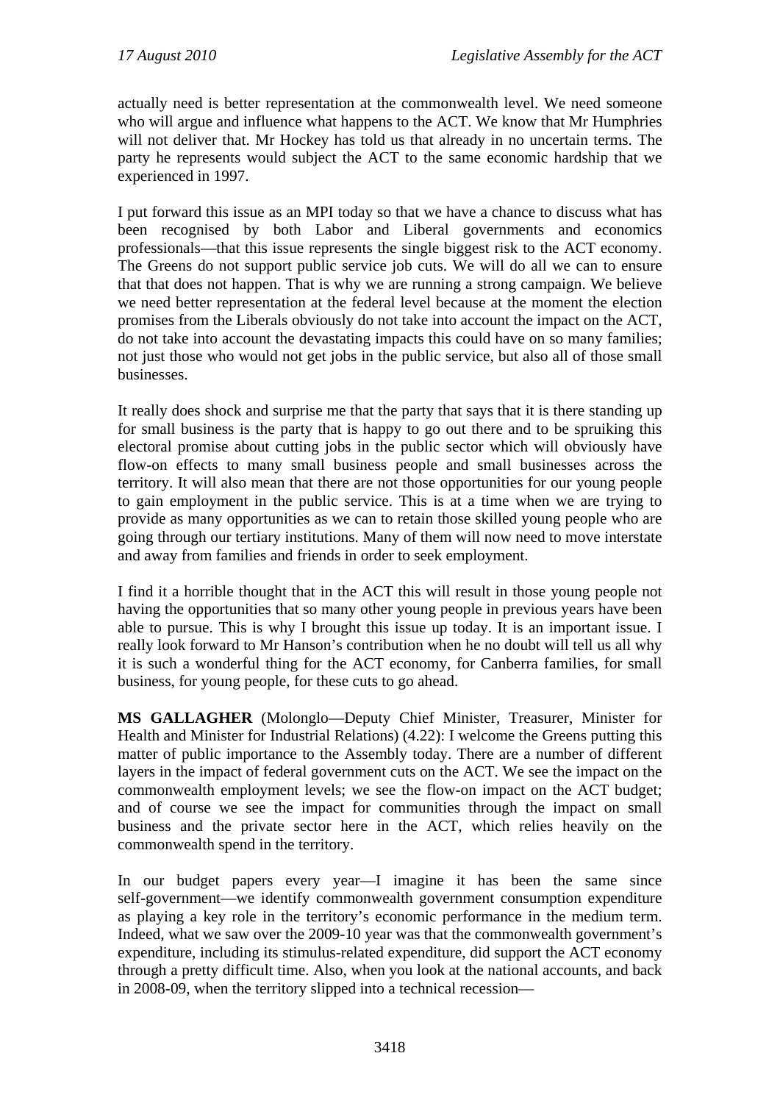actually need is better representation at the commonwealth level. We need someone who will argue and influence what happens to the ACT. We know that Mr Humphries will not deliver that. Mr Hockey has told us that already in no uncertain terms. The party he represents would subject the ACT to the same economic hardship that we experienced in 1997.

I put forward this issue as an MPI today so that we have a chance to discuss what has been recognised by both Labor and Liberal governments and economics professionals—that this issue represents the single biggest risk to the ACT economy. The Greens do not support public service job cuts. We will do all we can to ensure that that does not happen. That is why we are running a strong campaign. We believe we need better representation at the federal level because at the moment the election promises from the Liberals obviously do not take into account the impact on the ACT, do not take into account the devastating impacts this could have on so many families; not just those who would not get jobs in the public service, but also all of those small businesses.

It really does shock and surprise me that the party that says that it is there standing up for small business is the party that is happy to go out there and to be spruiking this electoral promise about cutting jobs in the public sector which will obviously have flow-on effects to many small business people and small businesses across the territory. It will also mean that there are not those opportunities for our young people to gain employment in the public service. This is at a time when we are trying to provide as many opportunities as we can to retain those skilled young people who are going through our tertiary institutions. Many of them will now need to move interstate and away from families and friends in order to seek employment.

I find it a horrible thought that in the ACT this will result in those young people not having the opportunities that so many other young people in previous years have been able to pursue. This is why I brought this issue up today. It is an important issue. I really look forward to Mr Hanson's contribution when he no doubt will tell us all why it is such a wonderful thing for the ACT economy, for Canberra families, for small business, for young people, for these cuts to go ahead.

**MS GALLAGHER** (Molonglo—Deputy Chief Minister, Treasurer, Minister for Health and Minister for Industrial Relations) (4.22): I welcome the Greens putting this matter of public importance to the Assembly today. There are a number of different layers in the impact of federal government cuts on the ACT. We see the impact on the commonwealth employment levels; we see the flow-on impact on the ACT budget; and of course we see the impact for communities through the impact on small business and the private sector here in the ACT, which relies heavily on the commonwealth spend in the territory.

In our budget papers every year—I imagine it has been the same since self-government—we identify commonwealth government consumption expenditure as playing a key role in the territory's economic performance in the medium term. Indeed, what we saw over the 2009-10 year was that the commonwealth government's expenditure, including its stimulus-related expenditure, did support the ACT economy through a pretty difficult time. Also, when you look at the national accounts, and back in 2008-09, when the territory slipped into a technical recession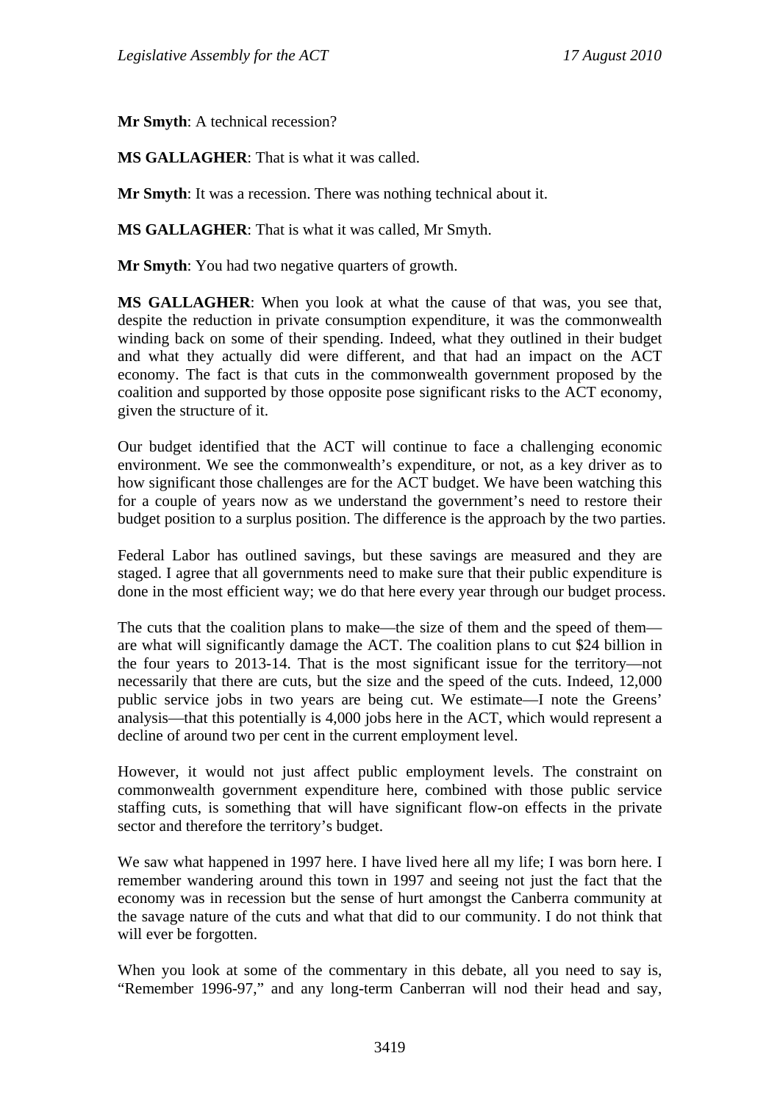**Mr Smyth**: A technical recession?

**MS GALLAGHER**: That is what it was called.

**Mr Smyth**: It was a recession. There was nothing technical about it.

**MS GALLAGHER**: That is what it was called, Mr Smyth.

**Mr Smyth**: You had two negative quarters of growth.

**MS GALLAGHER**: When you look at what the cause of that was, you see that, despite the reduction in private consumption expenditure, it was the commonwealth winding back on some of their spending. Indeed, what they outlined in their budget and what they actually did were different, and that had an impact on the ACT economy. The fact is that cuts in the commonwealth government proposed by the coalition and supported by those opposite pose significant risks to the ACT economy, given the structure of it.

Our budget identified that the ACT will continue to face a challenging economic environment. We see the commonwealth's expenditure, or not, as a key driver as to how significant those challenges are for the ACT budget. We have been watching this for a couple of years now as we understand the government's need to restore their budget position to a surplus position. The difference is the approach by the two parties.

Federal Labor has outlined savings, but these savings are measured and they are staged. I agree that all governments need to make sure that their public expenditure is done in the most efficient way; we do that here every year through our budget process.

The cuts that the coalition plans to make—the size of them and the speed of them are what will significantly damage the ACT. The coalition plans to cut \$24 billion in the four years to 2013-14. That is the most significant issue for the territory—not necessarily that there are cuts, but the size and the speed of the cuts. Indeed, 12,000 public service jobs in two years are being cut. We estimate—I note the Greens' analysis—that this potentially is 4,000 jobs here in the ACT, which would represent a decline of around two per cent in the current employment level.

However, it would not just affect public employment levels. The constraint on commonwealth government expenditure here, combined with those public service staffing cuts, is something that will have significant flow-on effects in the private sector and therefore the territory's budget.

We saw what happened in 1997 here. I have lived here all my life; I was born here. I remember wandering around this town in 1997 and seeing not just the fact that the economy was in recession but the sense of hurt amongst the Canberra community at the savage nature of the cuts and what that did to our community. I do not think that will ever be forgotten.

When you look at some of the commentary in this debate, all you need to say is, "Remember 1996-97," and any long-term Canberran will nod their head and say,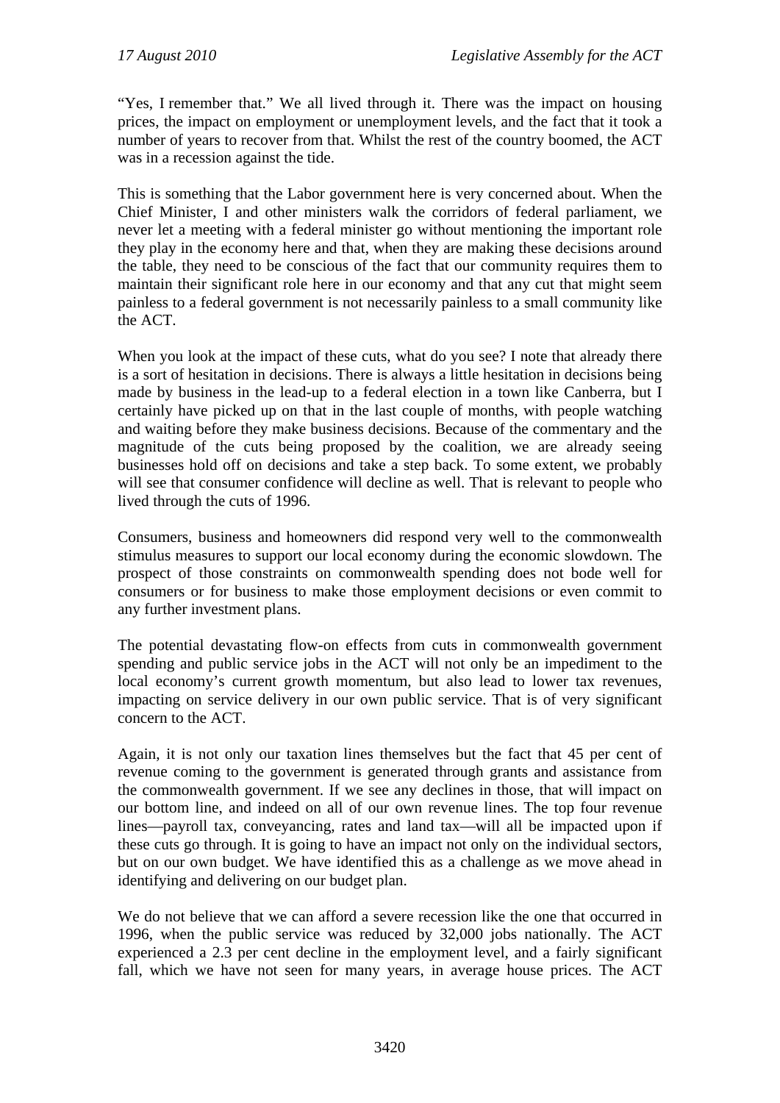"Yes, I remember that." We all lived through it. There was the impact on housing prices, the impact on employment or unemployment levels, and the fact that it took a number of years to recover from that. Whilst the rest of the country boomed, the ACT was in a recession against the tide.

This is something that the Labor government here is very concerned about. When the Chief Minister, I and other ministers walk the corridors of federal parliament, we never let a meeting with a federal minister go without mentioning the important role they play in the economy here and that, when they are making these decisions around the table, they need to be conscious of the fact that our community requires them to maintain their significant role here in our economy and that any cut that might seem painless to a federal government is not necessarily painless to a small community like the ACT.

When you look at the impact of these cuts, what do you see? I note that already there is a sort of hesitation in decisions. There is always a little hesitation in decisions being made by business in the lead-up to a federal election in a town like Canberra, but I certainly have picked up on that in the last couple of months, with people watching and waiting before they make business decisions. Because of the commentary and the magnitude of the cuts being proposed by the coalition, we are already seeing businesses hold off on decisions and take a step back. To some extent, we probably will see that consumer confidence will decline as well. That is relevant to people who lived through the cuts of 1996.

Consumers, business and homeowners did respond very well to the commonwealth stimulus measures to support our local economy during the economic slowdown. The prospect of those constraints on commonwealth spending does not bode well for consumers or for business to make those employment decisions or even commit to any further investment plans.

The potential devastating flow-on effects from cuts in commonwealth government spending and public service jobs in the ACT will not only be an impediment to the local economy's current growth momentum, but also lead to lower tax revenues, impacting on service delivery in our own public service. That is of very significant concern to the ACT.

Again, it is not only our taxation lines themselves but the fact that 45 per cent of revenue coming to the government is generated through grants and assistance from the commonwealth government. If we see any declines in those, that will impact on our bottom line, and indeed on all of our own revenue lines. The top four revenue lines—payroll tax, conveyancing, rates and land tax—will all be impacted upon if these cuts go through. It is going to have an impact not only on the individual sectors, but on our own budget. We have identified this as a challenge as we move ahead in identifying and delivering on our budget plan.

We do not believe that we can afford a severe recession like the one that occurred in 1996, when the public service was reduced by 32,000 jobs nationally. The ACT experienced a 2.3 per cent decline in the employment level, and a fairly significant fall, which we have not seen for many years, in average house prices. The ACT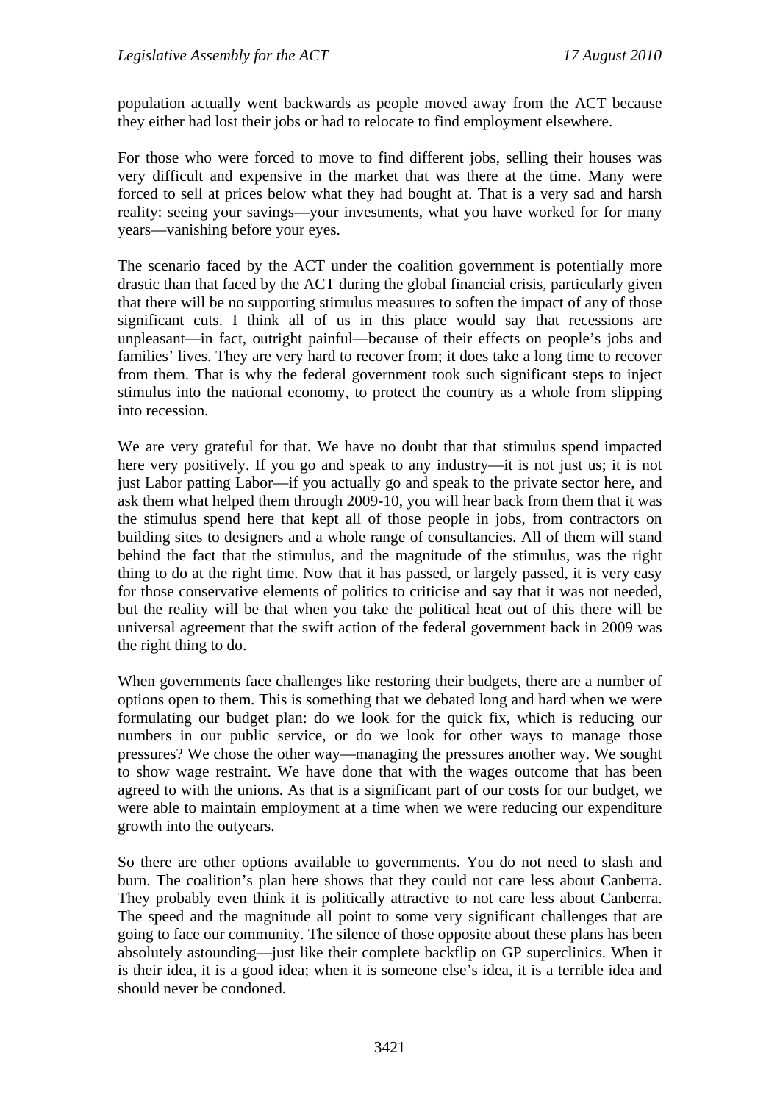population actually went backwards as people moved away from the ACT because they either had lost their jobs or had to relocate to find employment elsewhere.

For those who were forced to move to find different jobs, selling their houses was very difficult and expensive in the market that was there at the time. Many were forced to sell at prices below what they had bought at. That is a very sad and harsh reality: seeing your savings—your investments, what you have worked for for many years—vanishing before your eyes.

The scenario faced by the ACT under the coalition government is potentially more drastic than that faced by the ACT during the global financial crisis, particularly given that there will be no supporting stimulus measures to soften the impact of any of those significant cuts. I think all of us in this place would say that recessions are unpleasant—in fact, outright painful—because of their effects on people's jobs and families' lives. They are very hard to recover from; it does take a long time to recover from them. That is why the federal government took such significant steps to inject stimulus into the national economy, to protect the country as a whole from slipping into recession.

We are very grateful for that. We have no doubt that that stimulus spend impacted here very positively. If you go and speak to any industry—it is not just us; it is not just Labor patting Labor—if you actually go and speak to the private sector here, and ask them what helped them through 2009-10, you will hear back from them that it was the stimulus spend here that kept all of those people in jobs, from contractors on building sites to designers and a whole range of consultancies. All of them will stand behind the fact that the stimulus, and the magnitude of the stimulus, was the right thing to do at the right time. Now that it has passed, or largely passed, it is very easy for those conservative elements of politics to criticise and say that it was not needed, but the reality will be that when you take the political heat out of this there will be universal agreement that the swift action of the federal government back in 2009 was the right thing to do.

When governments face challenges like restoring their budgets, there are a number of options open to them. This is something that we debated long and hard when we were formulating our budget plan: do we look for the quick fix, which is reducing our numbers in our public service, or do we look for other ways to manage those pressures? We chose the other way—managing the pressures another way. We sought to show wage restraint. We have done that with the wages outcome that has been agreed to with the unions. As that is a significant part of our costs for our budget, we were able to maintain employment at a time when we were reducing our expenditure growth into the outyears.

So there are other options available to governments. You do not need to slash and burn. The coalition's plan here shows that they could not care less about Canberra. They probably even think it is politically attractive to not care less about Canberra. The speed and the magnitude all point to some very significant challenges that are going to face our community. The silence of those opposite about these plans has been absolutely astounding—just like their complete backflip on GP superclinics. When it is their idea, it is a good idea; when it is someone else's idea, it is a terrible idea and should never be condoned.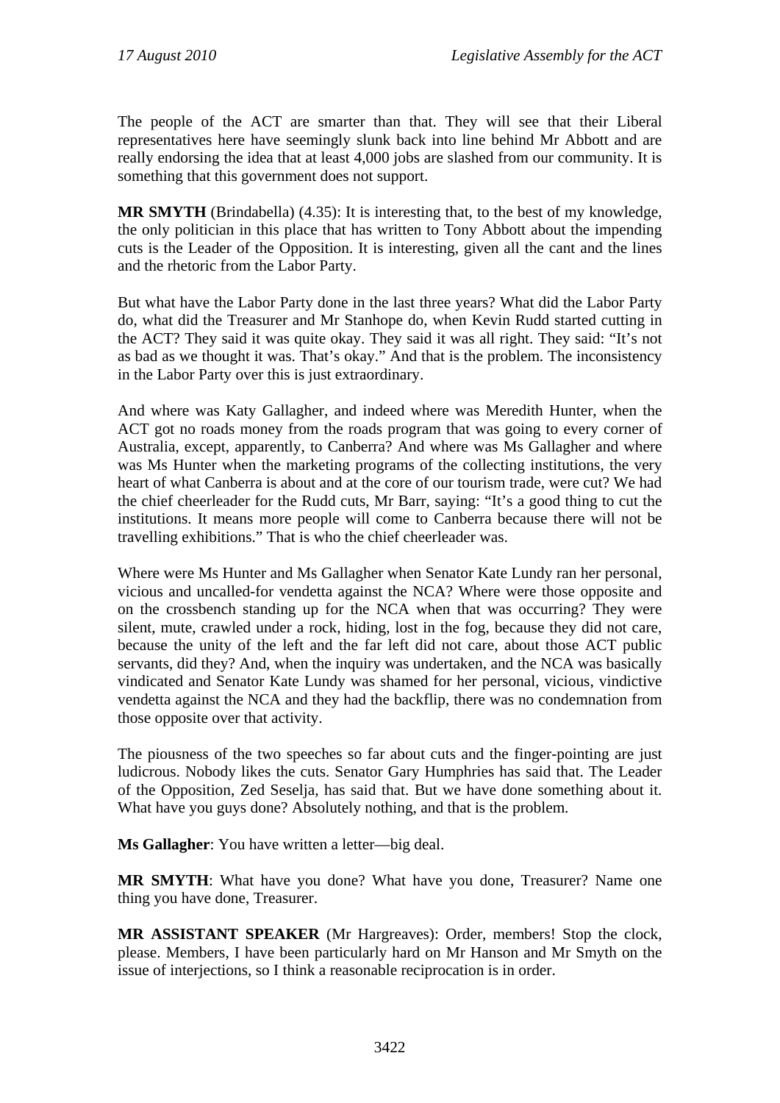The people of the ACT are smarter than that. They will see that their Liberal representatives here have seemingly slunk back into line behind Mr Abbott and are really endorsing the idea that at least 4,000 jobs are slashed from our community. It is something that this government does not support.

**MR SMYTH** (Brindabella) (4.35): It is interesting that, to the best of my knowledge, the only politician in this place that has written to Tony Abbott about the impending cuts is the Leader of the Opposition. It is interesting, given all the cant and the lines and the rhetoric from the Labor Party.

But what have the Labor Party done in the last three years? What did the Labor Party do, what did the Treasurer and Mr Stanhope do, when Kevin Rudd started cutting in the ACT? They said it was quite okay. They said it was all right. They said: "It's not as bad as we thought it was. That's okay." And that is the problem. The inconsistency in the Labor Party over this is just extraordinary.

And where was Katy Gallagher, and indeed where was Meredith Hunter, when the ACT got no roads money from the roads program that was going to every corner of Australia, except, apparently, to Canberra? And where was Ms Gallagher and where was Ms Hunter when the marketing programs of the collecting institutions, the very heart of what Canberra is about and at the core of our tourism trade, were cut? We had the chief cheerleader for the Rudd cuts, Mr Barr, saying: "It's a good thing to cut the institutions. It means more people will come to Canberra because there will not be travelling exhibitions." That is who the chief cheerleader was.

Where were Ms Hunter and Ms Gallagher when Senator Kate Lundy ran her personal, vicious and uncalled-for vendetta against the NCA? Where were those opposite and on the crossbench standing up for the NCA when that was occurring? They were silent, mute, crawled under a rock, hiding, lost in the fog, because they did not care, because the unity of the left and the far left did not care, about those ACT public servants, did they? And, when the inquiry was undertaken, and the NCA was basically vindicated and Senator Kate Lundy was shamed for her personal, vicious, vindictive vendetta against the NCA and they had the backflip, there was no condemnation from those opposite over that activity.

The piousness of the two speeches so far about cuts and the finger-pointing are just ludicrous. Nobody likes the cuts. Senator Gary Humphries has said that. The Leader of the Opposition, Zed Seselja, has said that. But we have done something about it. What have you guys done? Absolutely nothing, and that is the problem.

**Ms Gallagher**: You have written a letter—big deal.

**MR SMYTH**: What have you done? What have you done, Treasurer? Name one thing you have done, Treasurer.

**MR ASSISTANT SPEAKER** (Mr Hargreaves): Order, members! Stop the clock, please. Members, I have been particularly hard on Mr Hanson and Mr Smyth on the issue of interjections, so I think a reasonable reciprocation is in order.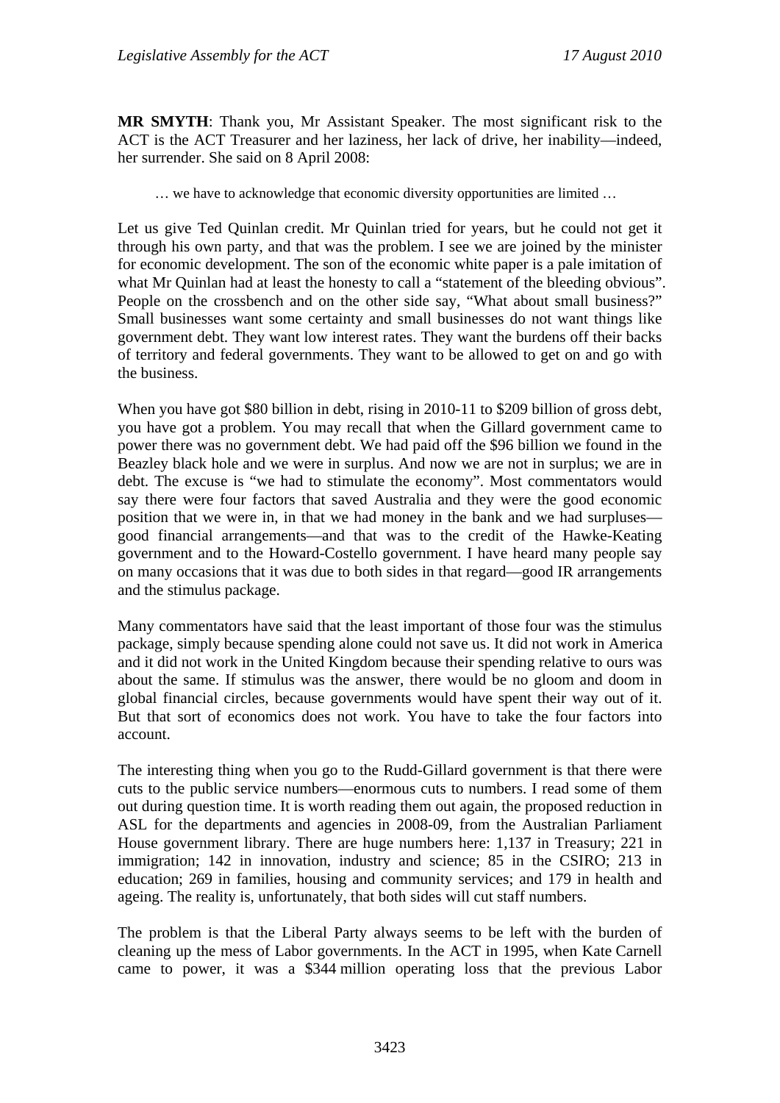**MR SMYTH**: Thank you, Mr Assistant Speaker. The most significant risk to the ACT is the ACT Treasurer and her laziness, her lack of drive, her inability—indeed, her surrender. She said on 8 April 2008:

… we have to acknowledge that economic diversity opportunities are limited …

Let us give Ted Quinlan credit. Mr Quinlan tried for years, but he could not get it through his own party, and that was the problem. I see we are joined by the minister for economic development. The son of the economic white paper is a pale imitation of what Mr Quinlan had at least the honesty to call a "statement of the bleeding obvious". People on the crossbench and on the other side say, "What about small business?" Small businesses want some certainty and small businesses do not want things like government debt. They want low interest rates. They want the burdens off their backs of territory and federal governments. They want to be allowed to get on and go with the business.

When you have got \$80 billion in debt, rising in 2010-11 to \$209 billion of gross debt, you have got a problem. You may recall that when the Gillard government came to power there was no government debt. We had paid off the \$96 billion we found in the Beazley black hole and we were in surplus. And now we are not in surplus; we are in debt. The excuse is "we had to stimulate the economy". Most commentators would say there were four factors that saved Australia and they were the good economic position that we were in, in that we had money in the bank and we had surpluses good financial arrangements—and that was to the credit of the Hawke-Keating government and to the Howard-Costello government. I have heard many people say on many occasions that it was due to both sides in that regard—good IR arrangements and the stimulus package.

Many commentators have said that the least important of those four was the stimulus package, simply because spending alone could not save us. It did not work in America and it did not work in the United Kingdom because their spending relative to ours was about the same. If stimulus was the answer, there would be no gloom and doom in global financial circles, because governments would have spent their way out of it. But that sort of economics does not work. You have to take the four factors into account.

The interesting thing when you go to the Rudd-Gillard government is that there were cuts to the public service numbers—enormous cuts to numbers. I read some of them out during question time. It is worth reading them out again, the proposed reduction in ASL for the departments and agencies in 2008-09, from the Australian Parliament House government library. There are huge numbers here: 1,137 in Treasury; 221 in immigration; 142 in innovation, industry and science; 85 in the CSIRO; 213 in education; 269 in families, housing and community services; and 179 in health and ageing. The reality is, unfortunately, that both sides will cut staff numbers.

The problem is that the Liberal Party always seems to be left with the burden of cleaning up the mess of Labor governments. In the ACT in 1995, when Kate Carnell came to power, it was a \$344 million operating loss that the previous Labor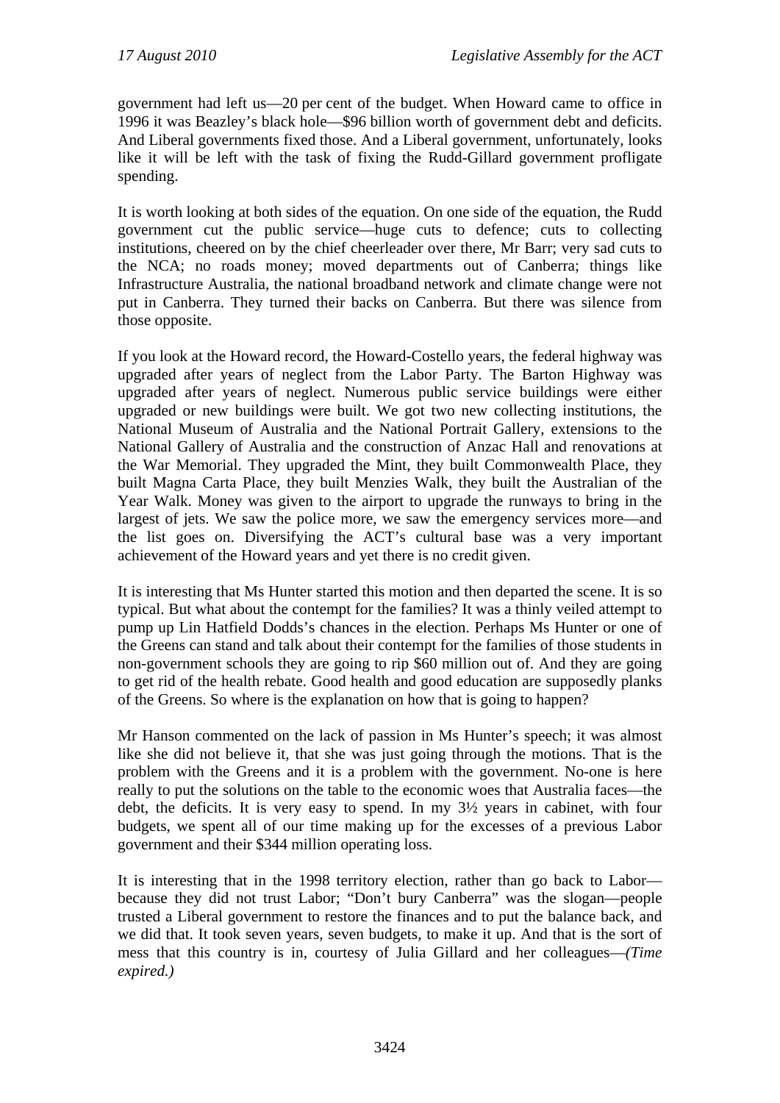government had left us—20 per cent of the budget. When Howard came to office in 1996 it was Beazley's black hole—\$96 billion worth of government debt and deficits. And Liberal governments fixed those. And a Liberal government, unfortunately, looks like it will be left with the task of fixing the Rudd-Gillard government profligate spending.

It is worth looking at both sides of the equation. On one side of the equation, the Rudd government cut the public service—huge cuts to defence; cuts to collecting institutions, cheered on by the chief cheerleader over there, Mr Barr; very sad cuts to the NCA; no roads money; moved departments out of Canberra; things like Infrastructure Australia, the national broadband network and climate change were not put in Canberra. They turned their backs on Canberra. But there was silence from those opposite.

If you look at the Howard record, the Howard-Costello years, the federal highway was upgraded after years of neglect from the Labor Party. The Barton Highway was upgraded after years of neglect. Numerous public service buildings were either upgraded or new buildings were built. We got two new collecting institutions, the National Museum of Australia and the National Portrait Gallery, extensions to the National Gallery of Australia and the construction of Anzac Hall and renovations at the War Memorial. They upgraded the Mint, they built Commonwealth Place, they built Magna Carta Place, they built Menzies Walk, they built the Australian of the Year Walk. Money was given to the airport to upgrade the runways to bring in the largest of jets. We saw the police more, we saw the emergency services more—and the list goes on. Diversifying the ACT's cultural base was a very important achievement of the Howard years and yet there is no credit given.

It is interesting that Ms Hunter started this motion and then departed the scene. It is so typical. But what about the contempt for the families? It was a thinly veiled attempt to pump up Lin Hatfield Dodds's chances in the election. Perhaps Ms Hunter or one of the Greens can stand and talk about their contempt for the families of those students in non-government schools they are going to rip \$60 million out of. And they are going to get rid of the health rebate. Good health and good education are supposedly planks of the Greens. So where is the explanation on how that is going to happen?

Mr Hanson commented on the lack of passion in Ms Hunter's speech; it was almost like she did not believe it, that she was just going through the motions. That is the problem with the Greens and it is a problem with the government. No-one is here really to put the solutions on the table to the economic woes that Australia faces—the debt, the deficits. It is very easy to spend. In my 3½ years in cabinet, with four budgets, we spent all of our time making up for the excesses of a previous Labor government and their \$344 million operating loss.

It is interesting that in the 1998 territory election, rather than go back to Labor because they did not trust Labor; "Don't bury Canberra" was the slogan—people trusted a Liberal government to restore the finances and to put the balance back, and we did that. It took seven years, seven budgets, to make it up. And that is the sort of mess that this country is in, courtesy of Julia Gillard and her colleagues—*(Time expired.)*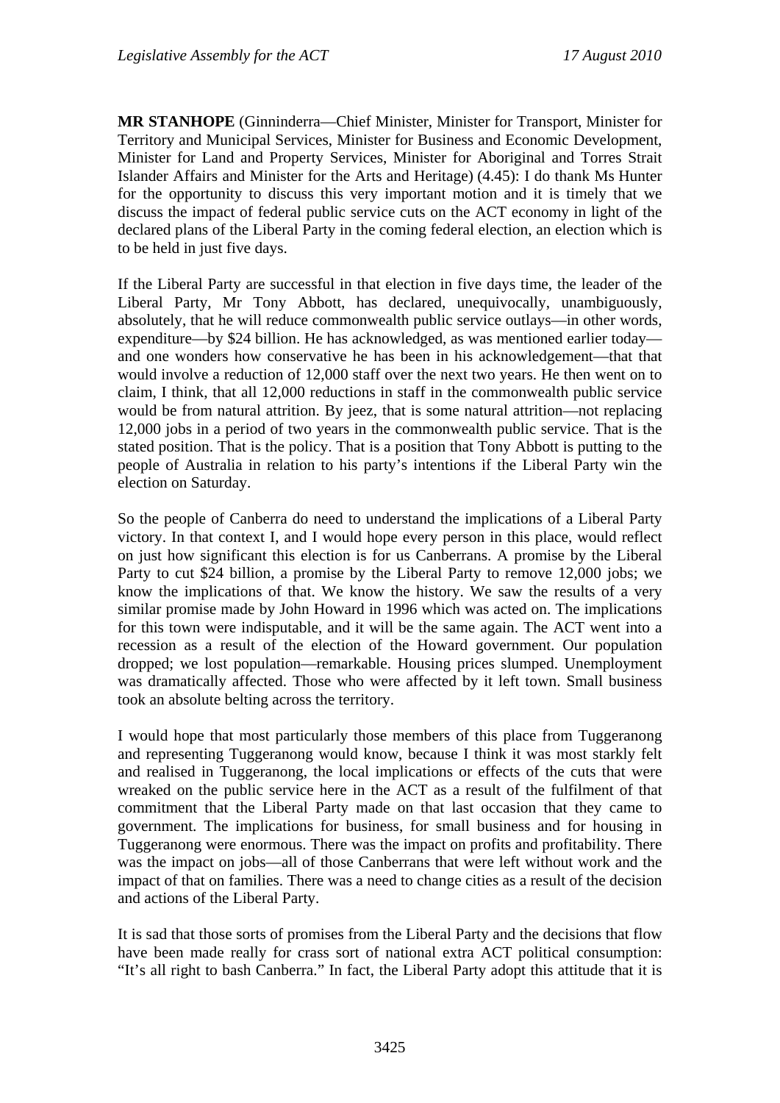**MR STANHOPE** (Ginninderra—Chief Minister, Minister for Transport, Minister for Territory and Municipal Services, Minister for Business and Economic Development, Minister for Land and Property Services, Minister for Aboriginal and Torres Strait Islander Affairs and Minister for the Arts and Heritage) (4.45): I do thank Ms Hunter for the opportunity to discuss this very important motion and it is timely that we discuss the impact of federal public service cuts on the ACT economy in light of the declared plans of the Liberal Party in the coming federal election, an election which is to be held in just five days.

If the Liberal Party are successful in that election in five days time, the leader of the Liberal Party, Mr Tony Abbott, has declared, unequivocally, unambiguously, absolutely, that he will reduce commonwealth public service outlays—in other words, expenditure—by \$24 billion. He has acknowledged, as was mentioned earlier today and one wonders how conservative he has been in his acknowledgement—that that would involve a reduction of 12,000 staff over the next two years. He then went on to claim, I think, that all 12,000 reductions in staff in the commonwealth public service would be from natural attrition. By jeez, that is some natural attrition—not replacing 12,000 jobs in a period of two years in the commonwealth public service. That is the stated position. That is the policy. That is a position that Tony Abbott is putting to the people of Australia in relation to his party's intentions if the Liberal Party win the election on Saturday.

So the people of Canberra do need to understand the implications of a Liberal Party victory. In that context I, and I would hope every person in this place, would reflect on just how significant this election is for us Canberrans. A promise by the Liberal Party to cut \$24 billion, a promise by the Liberal Party to remove 12,000 jobs; we know the implications of that. We know the history. We saw the results of a very similar promise made by John Howard in 1996 which was acted on. The implications for this town were indisputable, and it will be the same again. The ACT went into a recession as a result of the election of the Howard government. Our population dropped; we lost population—remarkable. Housing prices slumped. Unemployment was dramatically affected. Those who were affected by it left town. Small business took an absolute belting across the territory.

I would hope that most particularly those members of this place from Tuggeranong and representing Tuggeranong would know, because I think it was most starkly felt and realised in Tuggeranong, the local implications or effects of the cuts that were wreaked on the public service here in the ACT as a result of the fulfilment of that commitment that the Liberal Party made on that last occasion that they came to government. The implications for business, for small business and for housing in Tuggeranong were enormous. There was the impact on profits and profitability. There was the impact on jobs—all of those Canberrans that were left without work and the impact of that on families. There was a need to change cities as a result of the decision and actions of the Liberal Party.

It is sad that those sorts of promises from the Liberal Party and the decisions that flow have been made really for crass sort of national extra ACT political consumption: "It's all right to bash Canberra." In fact, the Liberal Party adopt this attitude that it is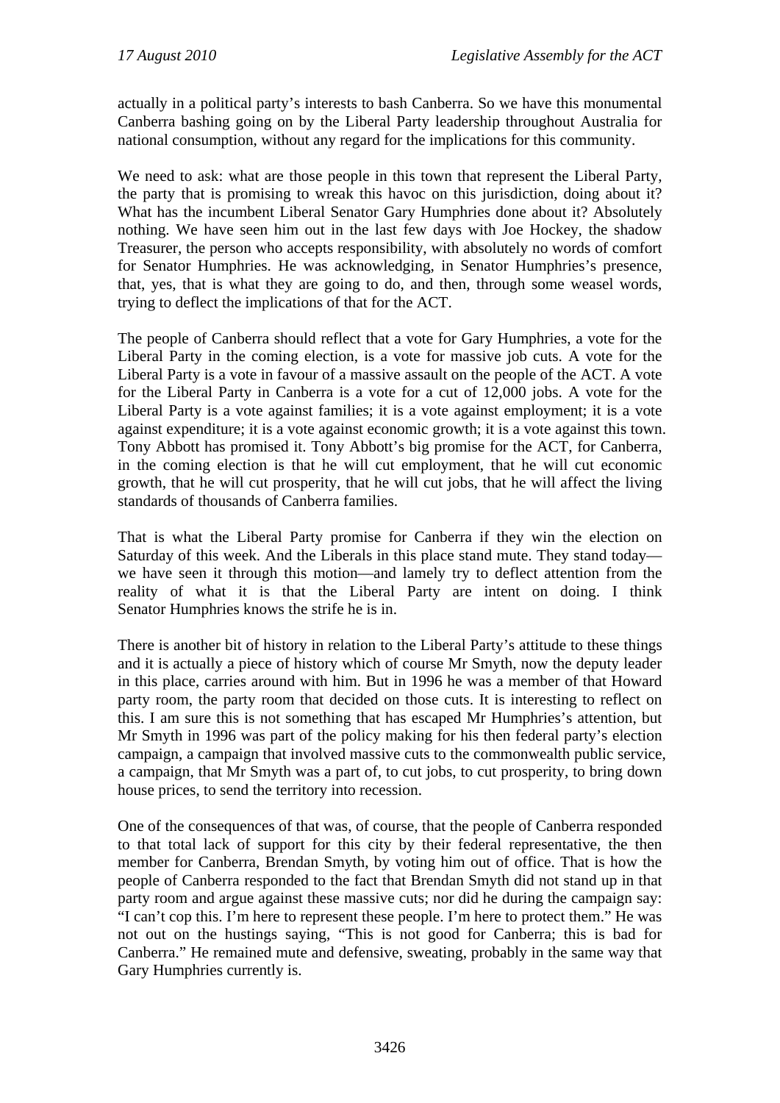actually in a political party's interests to bash Canberra. So we have this monumental Canberra bashing going on by the Liberal Party leadership throughout Australia for national consumption, without any regard for the implications for this community.

We need to ask: what are those people in this town that represent the Liberal Party, the party that is promising to wreak this havoc on this jurisdiction, doing about it? What has the incumbent Liberal Senator Gary Humphries done about it? Absolutely nothing. We have seen him out in the last few days with Joe Hockey, the shadow Treasurer, the person who accepts responsibility, with absolutely no words of comfort for Senator Humphries. He was acknowledging, in Senator Humphries's presence, that, yes, that is what they are going to do, and then, through some weasel words, trying to deflect the implications of that for the ACT.

The people of Canberra should reflect that a vote for Gary Humphries, a vote for the Liberal Party in the coming election, is a vote for massive job cuts. A vote for the Liberal Party is a vote in favour of a massive assault on the people of the ACT. A vote for the Liberal Party in Canberra is a vote for a cut of 12,000 jobs. A vote for the Liberal Party is a vote against families; it is a vote against employment; it is a vote against expenditure; it is a vote against economic growth; it is a vote against this town. Tony Abbott has promised it. Tony Abbott's big promise for the ACT, for Canberra, in the coming election is that he will cut employment, that he will cut economic growth, that he will cut prosperity, that he will cut jobs, that he will affect the living standards of thousands of Canberra families.

That is what the Liberal Party promise for Canberra if they win the election on Saturday of this week. And the Liberals in this place stand mute. They stand today we have seen it through this motion—and lamely try to deflect attention from the reality of what it is that the Liberal Party are intent on doing. I think Senator Humphries knows the strife he is in.

There is another bit of history in relation to the Liberal Party's attitude to these things and it is actually a piece of history which of course Mr Smyth, now the deputy leader in this place, carries around with him. But in 1996 he was a member of that Howard party room, the party room that decided on those cuts. It is interesting to reflect on this. I am sure this is not something that has escaped Mr Humphries's attention, but Mr Smyth in 1996 was part of the policy making for his then federal party's election campaign, a campaign that involved massive cuts to the commonwealth public service, a campaign, that Mr Smyth was a part of, to cut jobs, to cut prosperity, to bring down house prices, to send the territory into recession.

One of the consequences of that was, of course, that the people of Canberra responded to that total lack of support for this city by their federal representative, the then member for Canberra, Brendan Smyth, by voting him out of office. That is how the people of Canberra responded to the fact that Brendan Smyth did not stand up in that party room and argue against these massive cuts; nor did he during the campaign say: "I can't cop this. I'm here to represent these people. I'm here to protect them." He was not out on the hustings saying, "This is not good for Canberra; this is bad for Canberra." He remained mute and defensive, sweating, probably in the same way that Gary Humphries currently is.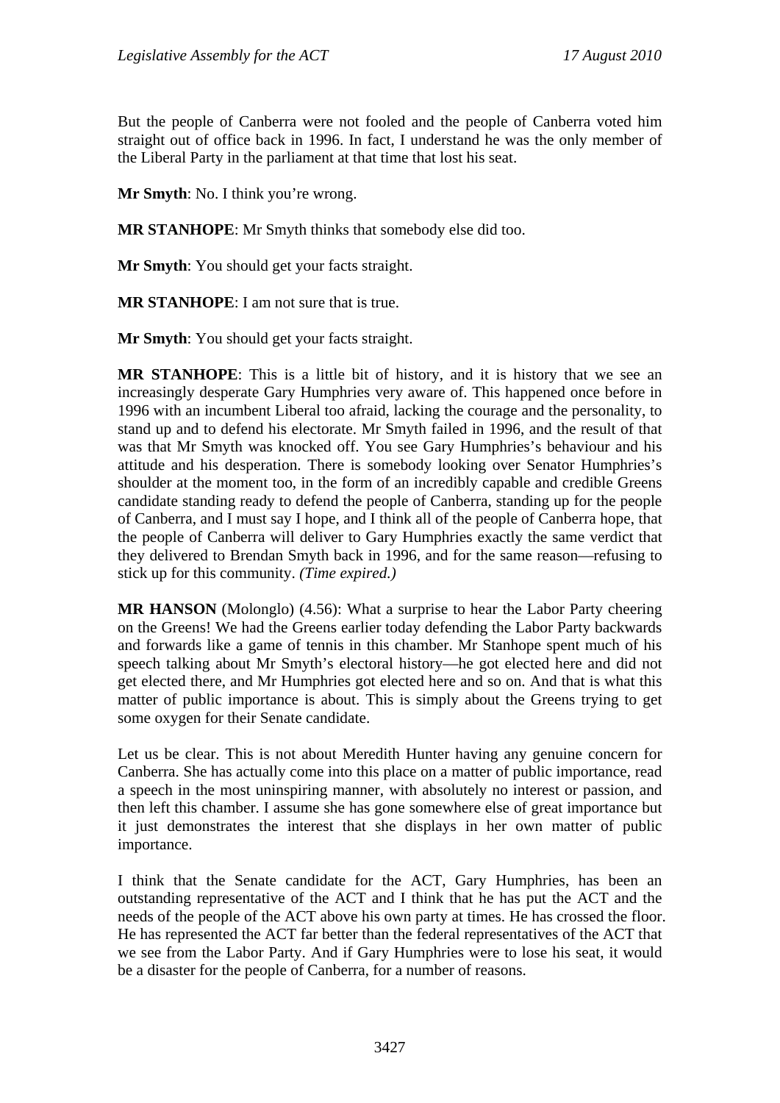But the people of Canberra were not fooled and the people of Canberra voted him straight out of office back in 1996. In fact, I understand he was the only member of the Liberal Party in the parliament at that time that lost his seat.

**Mr Smyth**: No. I think you're wrong.

**MR STANHOPE**: Mr Smyth thinks that somebody else did too.

**Mr Smyth**: You should get your facts straight.

**MR STANHOPE**: I am not sure that is true.

**Mr Smyth**: You should get your facts straight.

**MR STANHOPE**: This is a little bit of history, and it is history that we see an increasingly desperate Gary Humphries very aware of. This happened once before in 1996 with an incumbent Liberal too afraid, lacking the courage and the personality, to stand up and to defend his electorate. Mr Smyth failed in 1996, and the result of that was that Mr Smyth was knocked off. You see Gary Humphries's behaviour and his attitude and his desperation. There is somebody looking over Senator Humphries's shoulder at the moment too, in the form of an incredibly capable and credible Greens candidate standing ready to defend the people of Canberra, standing up for the people of Canberra, and I must say I hope, and I think all of the people of Canberra hope, that the people of Canberra will deliver to Gary Humphries exactly the same verdict that they delivered to Brendan Smyth back in 1996, and for the same reason—refusing to stick up for this community. *(Time expired.)*

**MR HANSON** (Molonglo) (4.56): What a surprise to hear the Labor Party cheering on the Greens! We had the Greens earlier today defending the Labor Party backwards and forwards like a game of tennis in this chamber. Mr Stanhope spent much of his speech talking about Mr Smyth's electoral history—he got elected here and did not get elected there, and Mr Humphries got elected here and so on. And that is what this matter of public importance is about. This is simply about the Greens trying to get some oxygen for their Senate candidate.

Let us be clear. This is not about Meredith Hunter having any genuine concern for Canberra. She has actually come into this place on a matter of public importance, read a speech in the most uninspiring manner, with absolutely no interest or passion, and then left this chamber. I assume she has gone somewhere else of great importance but it just demonstrates the interest that she displays in her own matter of public importance.

I think that the Senate candidate for the ACT, Gary Humphries, has been an outstanding representative of the ACT and I think that he has put the ACT and the needs of the people of the ACT above his own party at times. He has crossed the floor. He has represented the ACT far better than the federal representatives of the ACT that we see from the Labor Party. And if Gary Humphries were to lose his seat, it would be a disaster for the people of Canberra, for a number of reasons.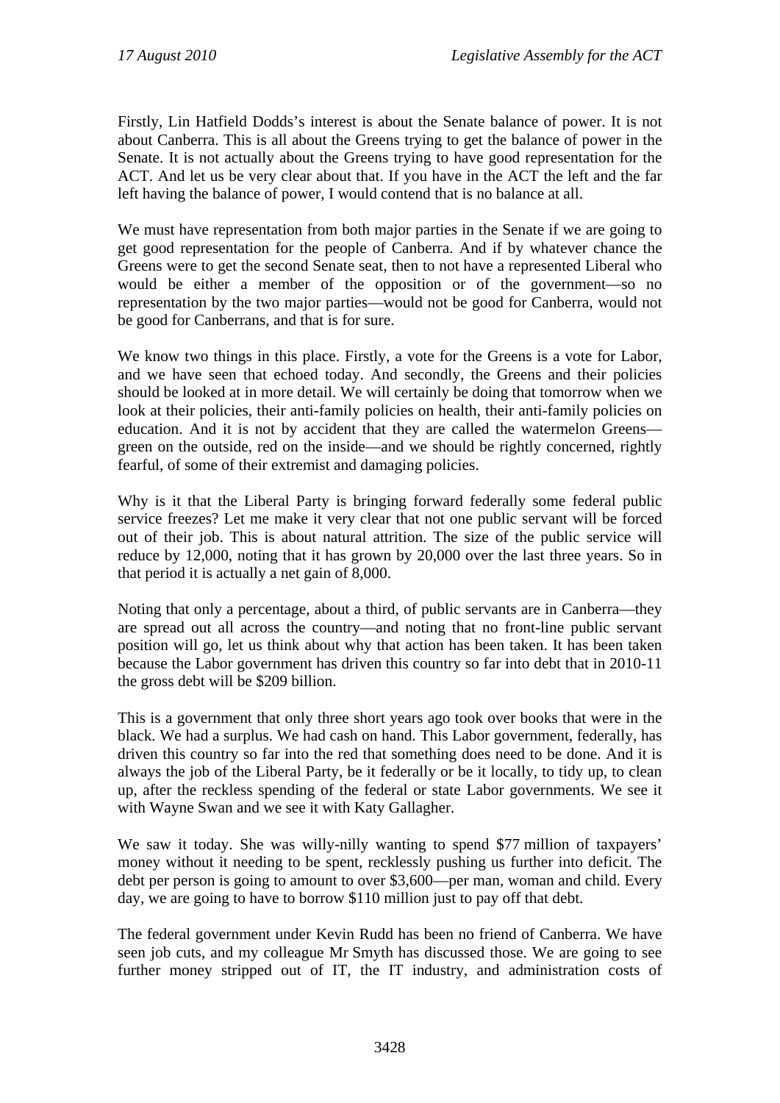Firstly, Lin Hatfield Dodds's interest is about the Senate balance of power. It is not about Canberra. This is all about the Greens trying to get the balance of power in the Senate. It is not actually about the Greens trying to have good representation for the ACT. And let us be very clear about that. If you have in the ACT the left and the far left having the balance of power, I would contend that is no balance at all.

We must have representation from both major parties in the Senate if we are going to get good representation for the people of Canberra. And if by whatever chance the Greens were to get the second Senate seat, then to not have a represented Liberal who would be either a member of the opposition or of the government—so no representation by the two major parties—would not be good for Canberra, would not be good for Canberrans, and that is for sure.

We know two things in this place. Firstly, a vote for the Greens is a vote for Labor, and we have seen that echoed today. And secondly, the Greens and their policies should be looked at in more detail. We will certainly be doing that tomorrow when we look at their policies, their anti-family policies on health, their anti-family policies on education. And it is not by accident that they are called the watermelon Greens green on the outside, red on the inside—and we should be rightly concerned, rightly fearful, of some of their extremist and damaging policies.

Why is it that the Liberal Party is bringing forward federally some federal public service freezes? Let me make it very clear that not one public servant will be forced out of their job. This is about natural attrition. The size of the public service will reduce by 12,000, noting that it has grown by 20,000 over the last three years. So in that period it is actually a net gain of 8,000.

Noting that only a percentage, about a third, of public servants are in Canberra—they are spread out all across the country—and noting that no front-line public servant position will go, let us think about why that action has been taken. It has been taken because the Labor government has driven this country so far into debt that in 2010-11 the gross debt will be \$209 billion.

This is a government that only three short years ago took over books that were in the black. We had a surplus. We had cash on hand. This Labor government, federally, has driven this country so far into the red that something does need to be done. And it is always the job of the Liberal Party, be it federally or be it locally, to tidy up, to clean up, after the reckless spending of the federal or state Labor governments. We see it with Wayne Swan and we see it with Katy Gallagher.

We saw it today. She was willy-nilly wanting to spend \$77 million of taxpayers' money without it needing to be spent, recklessly pushing us further into deficit. The debt per person is going to amount to over \$3,600—per man, woman and child. Every day, we are going to have to borrow \$110 million just to pay off that debt.

The federal government under Kevin Rudd has been no friend of Canberra. We have seen job cuts, and my colleague Mr Smyth has discussed those. We are going to see further money stripped out of IT, the IT industry, and administration costs of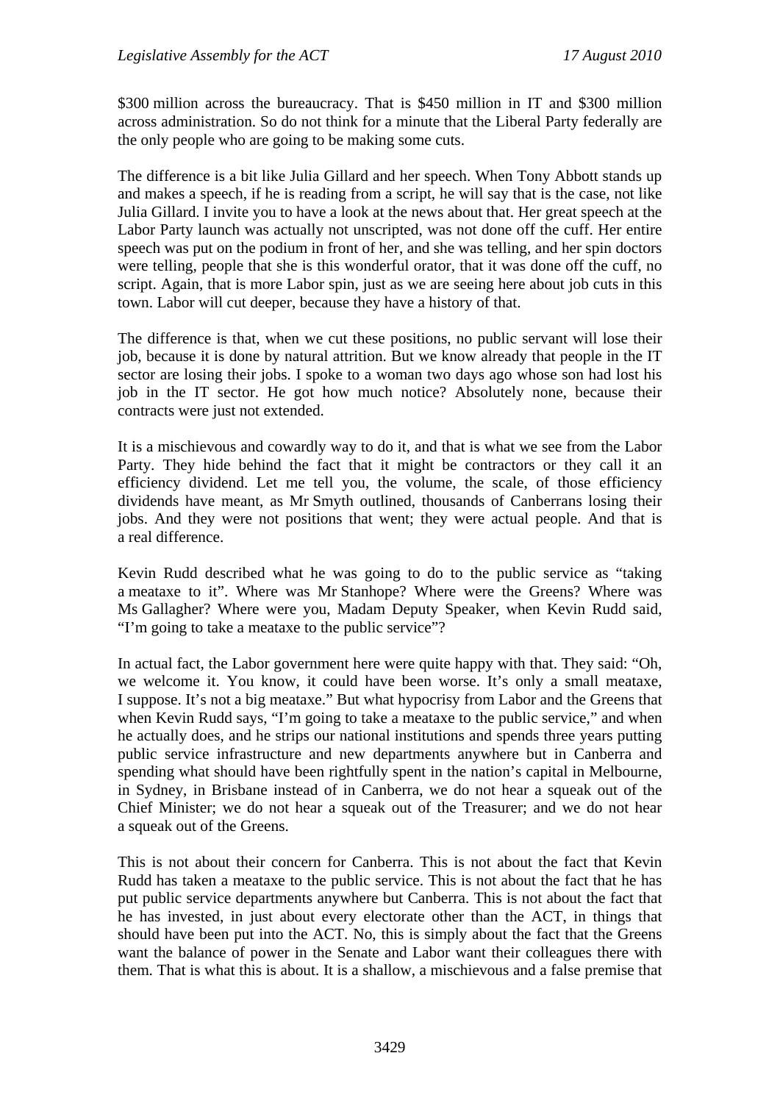\$300 million across the bureaucracy. That is \$450 million in IT and \$300 million across administration. So do not think for a minute that the Liberal Party federally are the only people who are going to be making some cuts.

The difference is a bit like Julia Gillard and her speech. When Tony Abbott stands up and makes a speech, if he is reading from a script, he will say that is the case, not like Julia Gillard. I invite you to have a look at the news about that. Her great speech at the Labor Party launch was actually not unscripted, was not done off the cuff. Her entire speech was put on the podium in front of her, and she was telling, and her spin doctors were telling, people that she is this wonderful orator, that it was done off the cuff, no script. Again, that is more Labor spin, just as we are seeing here about job cuts in this town. Labor will cut deeper, because they have a history of that.

The difference is that, when we cut these positions, no public servant will lose their job, because it is done by natural attrition. But we know already that people in the IT sector are losing their jobs. I spoke to a woman two days ago whose son had lost his job in the IT sector. He got how much notice? Absolutely none, because their contracts were just not extended.

It is a mischievous and cowardly way to do it, and that is what we see from the Labor Party. They hide behind the fact that it might be contractors or they call it an efficiency dividend. Let me tell you, the volume, the scale, of those efficiency dividends have meant, as Mr Smyth outlined, thousands of Canberrans losing their jobs. And they were not positions that went; they were actual people. And that is a real difference.

Kevin Rudd described what he was going to do to the public service as "taking a meataxe to it". Where was Mr Stanhope? Where were the Greens? Where was Ms Gallagher? Where were you, Madam Deputy Speaker, when Kevin Rudd said, "I'm going to take a meataxe to the public service"?

In actual fact, the Labor government here were quite happy with that. They said: "Oh, we welcome it. You know, it could have been worse. It's only a small meataxe, I suppose. It's not a big meataxe." But what hypocrisy from Labor and the Greens that when Kevin Rudd says, "I'm going to take a meataxe to the public service," and when he actually does, and he strips our national institutions and spends three years putting public service infrastructure and new departments anywhere but in Canberra and spending what should have been rightfully spent in the nation's capital in Melbourne, in Sydney, in Brisbane instead of in Canberra, we do not hear a squeak out of the Chief Minister; we do not hear a squeak out of the Treasurer; and we do not hear a squeak out of the Greens.

This is not about their concern for Canberra. This is not about the fact that Kevin Rudd has taken a meataxe to the public service. This is not about the fact that he has put public service departments anywhere but Canberra. This is not about the fact that he has invested, in just about every electorate other than the ACT, in things that should have been put into the ACT. No, this is simply about the fact that the Greens want the balance of power in the Senate and Labor want their colleagues there with them. That is what this is about. It is a shallow, a mischievous and a false premise that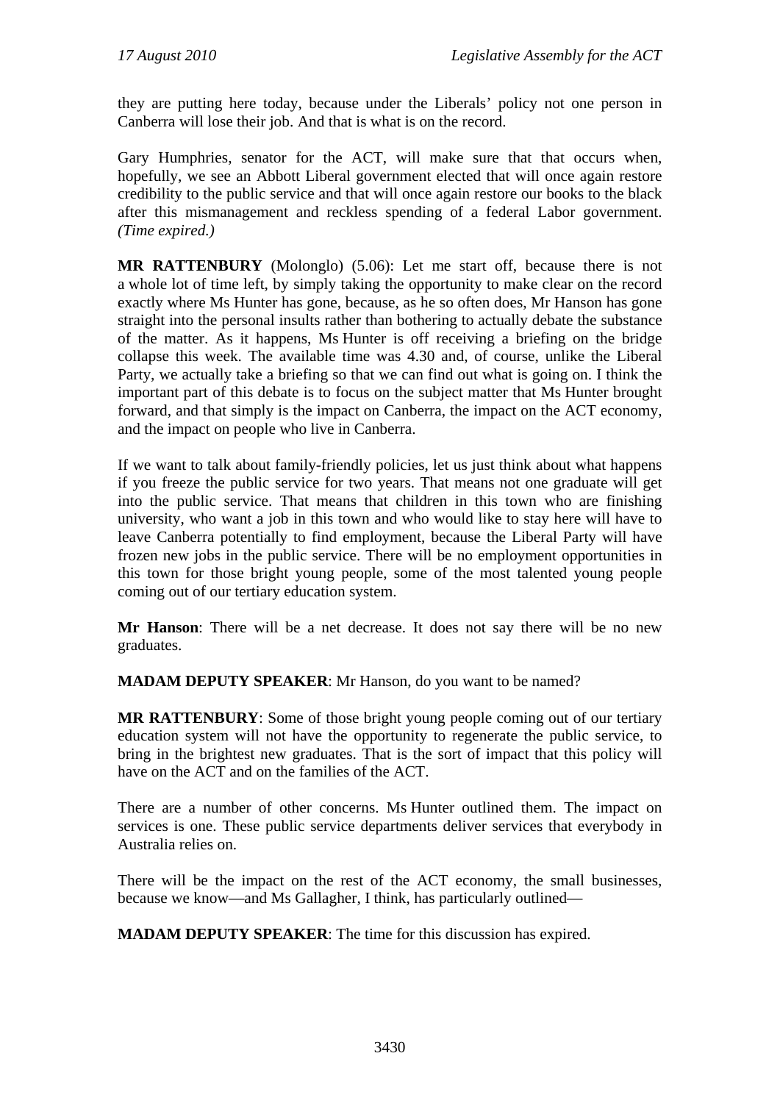they are putting here today, because under the Liberals' policy not one person in Canberra will lose their job. And that is what is on the record.

Gary Humphries, senator for the ACT, will make sure that that occurs when, hopefully, we see an Abbott Liberal government elected that will once again restore credibility to the public service and that will once again restore our books to the black after this mismanagement and reckless spending of a federal Labor government. *(Time expired.)* 

**MR RATTENBURY** (Molonglo) (5.06): Let me start off, because there is not a whole lot of time left, by simply taking the opportunity to make clear on the record exactly where Ms Hunter has gone, because, as he so often does, Mr Hanson has gone straight into the personal insults rather than bothering to actually debate the substance of the matter. As it happens, Ms Hunter is off receiving a briefing on the bridge collapse this week. The available time was 4.30 and, of course, unlike the Liberal Party, we actually take a briefing so that we can find out what is going on. I think the important part of this debate is to focus on the subject matter that Ms Hunter brought forward, and that simply is the impact on Canberra, the impact on the ACT economy, and the impact on people who live in Canberra.

If we want to talk about family-friendly policies, let us just think about what happens if you freeze the public service for two years. That means not one graduate will get into the public service. That means that children in this town who are finishing university, who want a job in this town and who would like to stay here will have to leave Canberra potentially to find employment, because the Liberal Party will have frozen new jobs in the public service. There will be no employment opportunities in this town for those bright young people, some of the most talented young people coming out of our tertiary education system.

**Mr Hanson**: There will be a net decrease. It does not say there will be no new graduates.

**MADAM DEPUTY SPEAKER**: Mr Hanson, do you want to be named?

**MR RATTENBURY**: Some of those bright young people coming out of our tertiary education system will not have the opportunity to regenerate the public service, to bring in the brightest new graduates. That is the sort of impact that this policy will have on the ACT and on the families of the ACT.

There are a number of other concerns. Ms Hunter outlined them. The impact on services is one. These public service departments deliver services that everybody in Australia relies on.

There will be the impact on the rest of the ACT economy, the small businesses, because we know—and Ms Gallagher, I think, has particularly outlined—

**MADAM DEPUTY SPEAKER**: The time for this discussion has expired.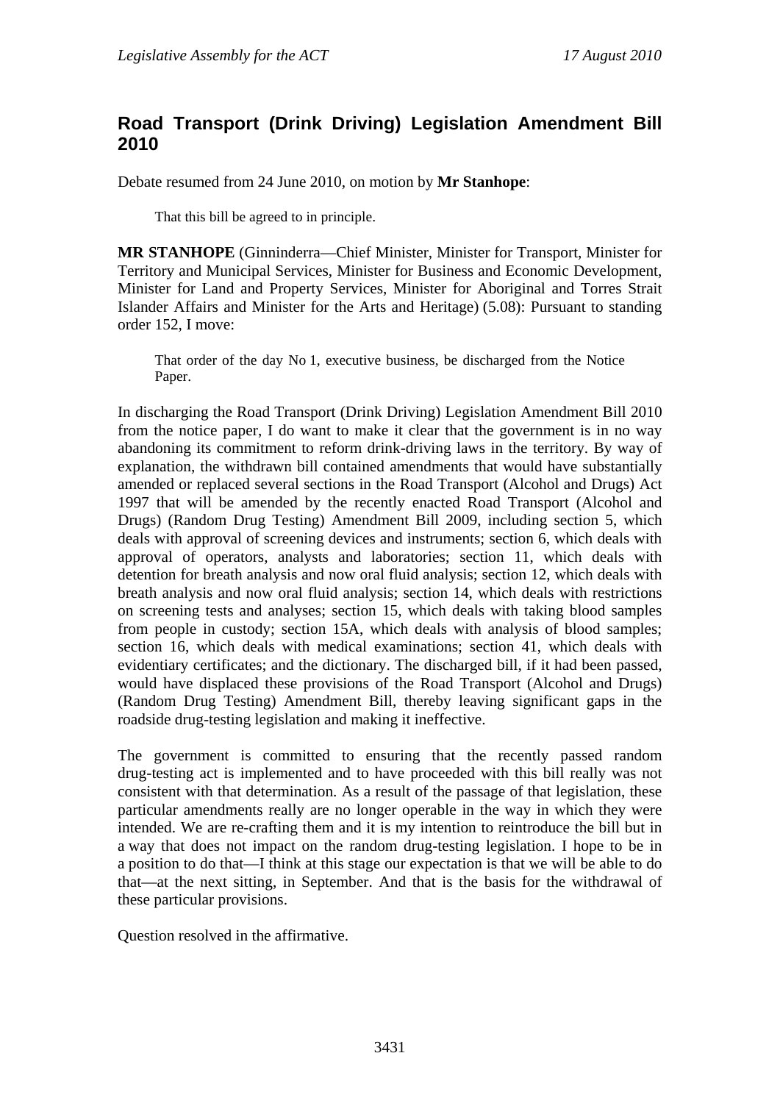## **Road Transport (Drink Driving) Legislation Amendment Bill 2010**

Debate resumed from 24 June 2010, on motion by **Mr Stanhope**:

That this bill be agreed to in principle.

**MR STANHOPE** (Ginninderra—Chief Minister, Minister for Transport, Minister for Territory and Municipal Services, Minister for Business and Economic Development, Minister for Land and Property Services, Minister for Aboriginal and Torres Strait Islander Affairs and Minister for the Arts and Heritage) (5.08): Pursuant to standing order 152, I move:

That order of the day No 1, executive business, be discharged from the Notice Paper.

In discharging the Road Transport (Drink Driving) Legislation Amendment Bill 2010 from the notice paper, I do want to make it clear that the government is in no way abandoning its commitment to reform drink-driving laws in the territory. By way of explanation, the withdrawn bill contained amendments that would have substantially amended or replaced several sections in the Road Transport (Alcohol and Drugs) Act 1997 that will be amended by the recently enacted Road Transport (Alcohol and Drugs) (Random Drug Testing) Amendment Bill 2009, including section 5, which deals with approval of screening devices and instruments; section 6, which deals with approval of operators, analysts and laboratories; section 11, which deals with detention for breath analysis and now oral fluid analysis; section 12, which deals with breath analysis and now oral fluid analysis; section 14, which deals with restrictions on screening tests and analyses; section 15, which deals with taking blood samples from people in custody; section 15A, which deals with analysis of blood samples; section 16, which deals with medical examinations; section 41, which deals with evidentiary certificates; and the dictionary. The discharged bill, if it had been passed, would have displaced these provisions of the Road Transport (Alcohol and Drugs) (Random Drug Testing) Amendment Bill, thereby leaving significant gaps in the roadside drug-testing legislation and making it ineffective.

The government is committed to ensuring that the recently passed random drug-testing act is implemented and to have proceeded with this bill really was not consistent with that determination. As a result of the passage of that legislation, these particular amendments really are no longer operable in the way in which they were intended. We are re-crafting them and it is my intention to reintroduce the bill but in a way that does not impact on the random drug-testing legislation. I hope to be in a position to do that—I think at this stage our expectation is that we will be able to do that—at the next sitting, in September. And that is the basis for the withdrawal of these particular provisions.

Question resolved in the affirmative.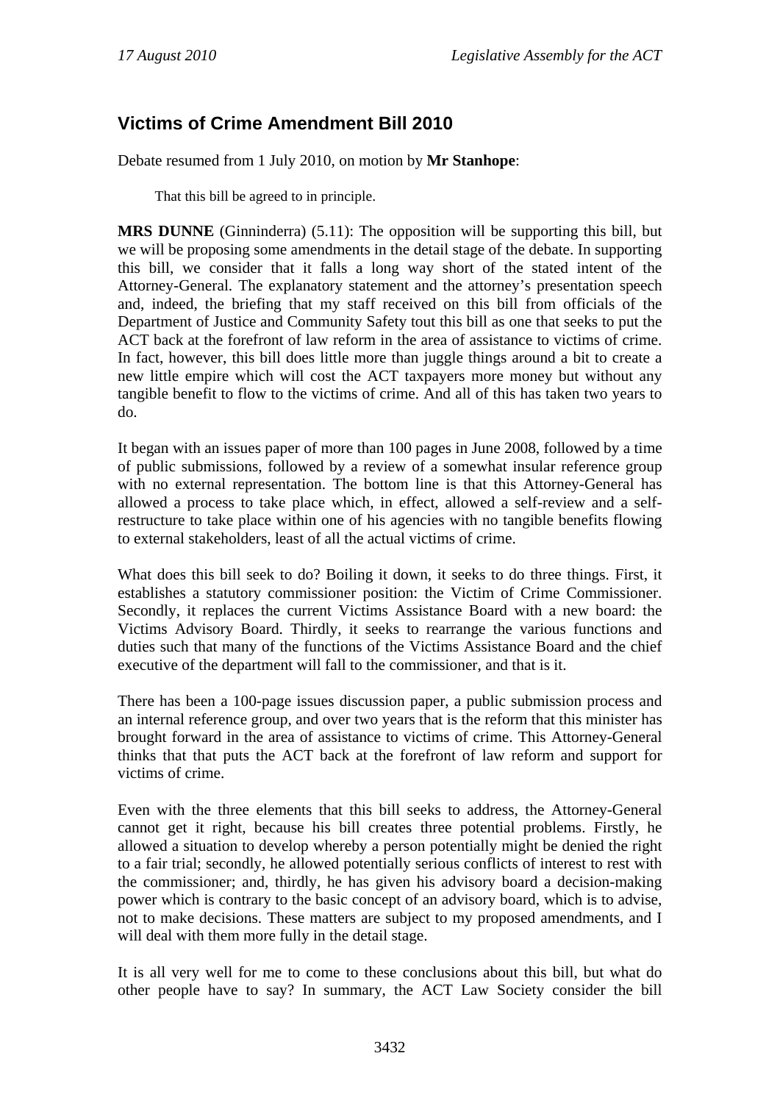# **Victims of Crime Amendment Bill 2010**

Debate resumed from 1 July 2010, on motion by **Mr Stanhope**:

That this bill be agreed to in principle.

**MRS DUNNE** (Ginninderra) (5.11): The opposition will be supporting this bill, but we will be proposing some amendments in the detail stage of the debate. In supporting this bill, we consider that it falls a long way short of the stated intent of the Attorney-General. The explanatory statement and the attorney's presentation speech and, indeed, the briefing that my staff received on this bill from officials of the Department of Justice and Community Safety tout this bill as one that seeks to put the ACT back at the forefront of law reform in the area of assistance to victims of crime. In fact, however, this bill does little more than juggle things around a bit to create a new little empire which will cost the ACT taxpayers more money but without any tangible benefit to flow to the victims of crime. And all of this has taken two years to do.

It began with an issues paper of more than 100 pages in June 2008, followed by a time of public submissions, followed by a review of a somewhat insular reference group with no external representation. The bottom line is that this Attorney-General has allowed a process to take place which, in effect, allowed a self-review and a selfrestructure to take place within one of his agencies with no tangible benefits flowing to external stakeholders, least of all the actual victims of crime.

What does this bill seek to do? Boiling it down, it seeks to do three things. First, it establishes a statutory commissioner position: the Victim of Crime Commissioner. Secondly, it replaces the current Victims Assistance Board with a new board: the Victims Advisory Board. Thirdly, it seeks to rearrange the various functions and duties such that many of the functions of the Victims Assistance Board and the chief executive of the department will fall to the commissioner, and that is it.

There has been a 100-page issues discussion paper, a public submission process and an internal reference group, and over two years that is the reform that this minister has brought forward in the area of assistance to victims of crime. This Attorney-General thinks that that puts the ACT back at the forefront of law reform and support for victims of crime.

Even with the three elements that this bill seeks to address, the Attorney-General cannot get it right, because his bill creates three potential problems. Firstly, he allowed a situation to develop whereby a person potentially might be denied the right to a fair trial; secondly, he allowed potentially serious conflicts of interest to rest with the commissioner; and, thirdly, he has given his advisory board a decision-making power which is contrary to the basic concept of an advisory board, which is to advise, not to make decisions. These matters are subject to my proposed amendments, and I will deal with them more fully in the detail stage.

It is all very well for me to come to these conclusions about this bill, but what do other people have to say? In summary, the ACT Law Society consider the bill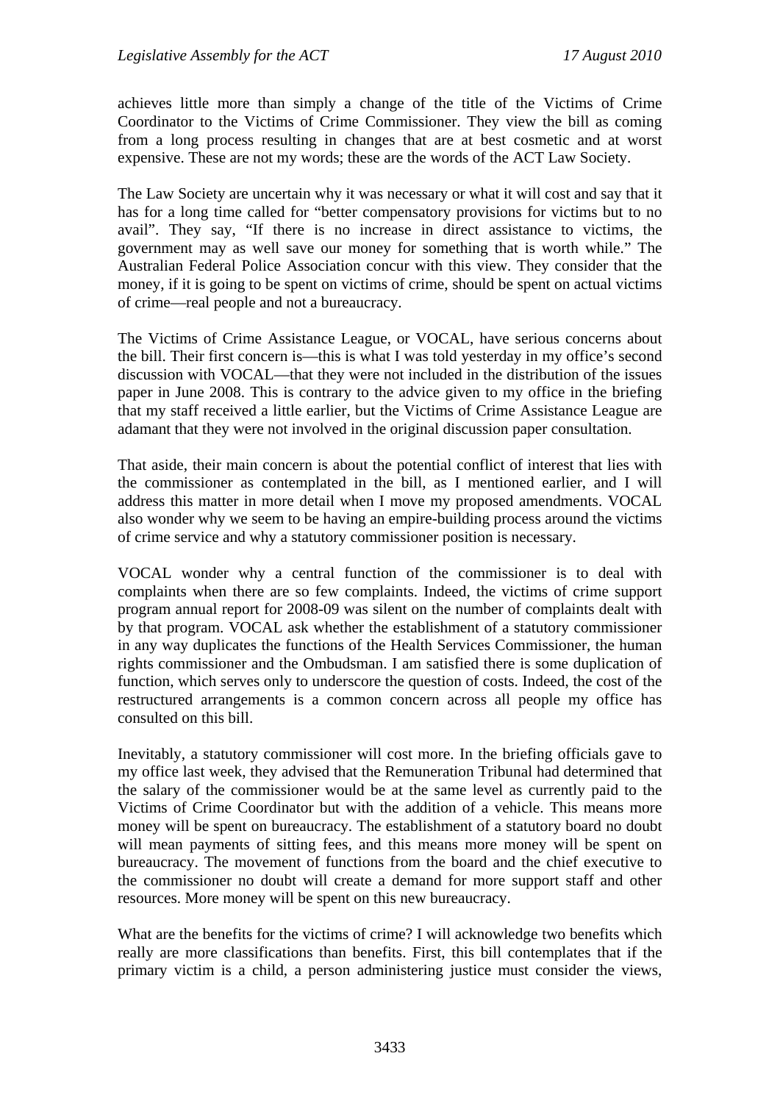achieves little more than simply a change of the title of the Victims of Crime Coordinator to the Victims of Crime Commissioner. They view the bill as coming from a long process resulting in changes that are at best cosmetic and at worst expensive. These are not my words; these are the words of the ACT Law Society.

The Law Society are uncertain why it was necessary or what it will cost and say that it has for a long time called for "better compensatory provisions for victims but to no avail". They say, "If there is no increase in direct assistance to victims, the government may as well save our money for something that is worth while." The Australian Federal Police Association concur with this view. They consider that the money, if it is going to be spent on victims of crime, should be spent on actual victims of crime—real people and not a bureaucracy.

The Victims of Crime Assistance League, or VOCAL, have serious concerns about the bill. Their first concern is—this is what I was told yesterday in my office's second discussion with VOCAL—that they were not included in the distribution of the issues paper in June 2008. This is contrary to the advice given to my office in the briefing that my staff received a little earlier, but the Victims of Crime Assistance League are adamant that they were not involved in the original discussion paper consultation.

That aside, their main concern is about the potential conflict of interest that lies with the commissioner as contemplated in the bill, as I mentioned earlier, and I will address this matter in more detail when I move my proposed amendments. VOCAL also wonder why we seem to be having an empire-building process around the victims of crime service and why a statutory commissioner position is necessary.

VOCAL wonder why a central function of the commissioner is to deal with complaints when there are so few complaints. Indeed, the victims of crime support program annual report for 2008-09 was silent on the number of complaints dealt with by that program. VOCAL ask whether the establishment of a statutory commissioner in any way duplicates the functions of the Health Services Commissioner, the human rights commissioner and the Ombudsman. I am satisfied there is some duplication of function, which serves only to underscore the question of costs. Indeed, the cost of the restructured arrangements is a common concern across all people my office has consulted on this bill.

Inevitably, a statutory commissioner will cost more. In the briefing officials gave to my office last week, they advised that the Remuneration Tribunal had determined that the salary of the commissioner would be at the same level as currently paid to the Victims of Crime Coordinator but with the addition of a vehicle. This means more money will be spent on bureaucracy. The establishment of a statutory board no doubt will mean payments of sitting fees, and this means more money will be spent on bureaucracy. The movement of functions from the board and the chief executive to the commissioner no doubt will create a demand for more support staff and other resources. More money will be spent on this new bureaucracy.

What are the benefits for the victims of crime? I will acknowledge two benefits which really are more classifications than benefits. First, this bill contemplates that if the primary victim is a child, a person administering justice must consider the views,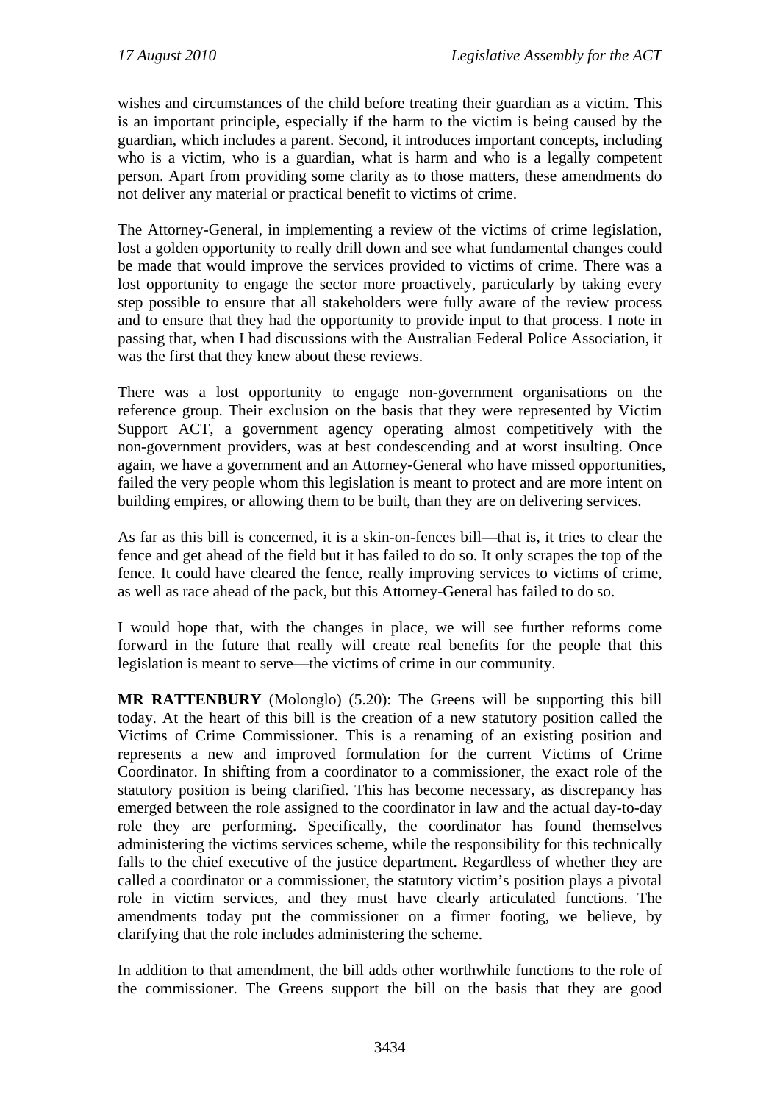wishes and circumstances of the child before treating their guardian as a victim. This is an important principle, especially if the harm to the victim is being caused by the guardian, which includes a parent. Second, it introduces important concepts, including who is a victim, who is a guardian, what is harm and who is a legally competent person. Apart from providing some clarity as to those matters, these amendments do not deliver any material or practical benefit to victims of crime.

The Attorney-General, in implementing a review of the victims of crime legislation, lost a golden opportunity to really drill down and see what fundamental changes could be made that would improve the services provided to victims of crime. There was a lost opportunity to engage the sector more proactively, particularly by taking every step possible to ensure that all stakeholders were fully aware of the review process and to ensure that they had the opportunity to provide input to that process. I note in passing that, when I had discussions with the Australian Federal Police Association, it was the first that they knew about these reviews.

There was a lost opportunity to engage non-government organisations on the reference group. Their exclusion on the basis that they were represented by Victim Support ACT, a government agency operating almost competitively with the non-government providers, was at best condescending and at worst insulting. Once again, we have a government and an Attorney-General who have missed opportunities, failed the very people whom this legislation is meant to protect and are more intent on building empires, or allowing them to be built, than they are on delivering services.

As far as this bill is concerned, it is a skin-on-fences bill—that is, it tries to clear the fence and get ahead of the field but it has failed to do so. It only scrapes the top of the fence. It could have cleared the fence, really improving services to victims of crime, as well as race ahead of the pack, but this Attorney-General has failed to do so.

I would hope that, with the changes in place, we will see further reforms come forward in the future that really will create real benefits for the people that this legislation is meant to serve—the victims of crime in our community.

**MR RATTENBURY** (Molonglo) (5.20): The Greens will be supporting this bill today. At the heart of this bill is the creation of a new statutory position called the Victims of Crime Commissioner. This is a renaming of an existing position and represents a new and improved formulation for the current Victims of Crime Coordinator. In shifting from a coordinator to a commissioner, the exact role of the statutory position is being clarified. This has become necessary, as discrepancy has emerged between the role assigned to the coordinator in law and the actual day-to-day role they are performing. Specifically, the coordinator has found themselves administering the victims services scheme, while the responsibility for this technically falls to the chief executive of the justice department. Regardless of whether they are called a coordinator or a commissioner, the statutory victim's position plays a pivotal role in victim services, and they must have clearly articulated functions. The amendments today put the commissioner on a firmer footing, we believe, by clarifying that the role includes administering the scheme.

In addition to that amendment, the bill adds other worthwhile functions to the role of the commissioner. The Greens support the bill on the basis that they are good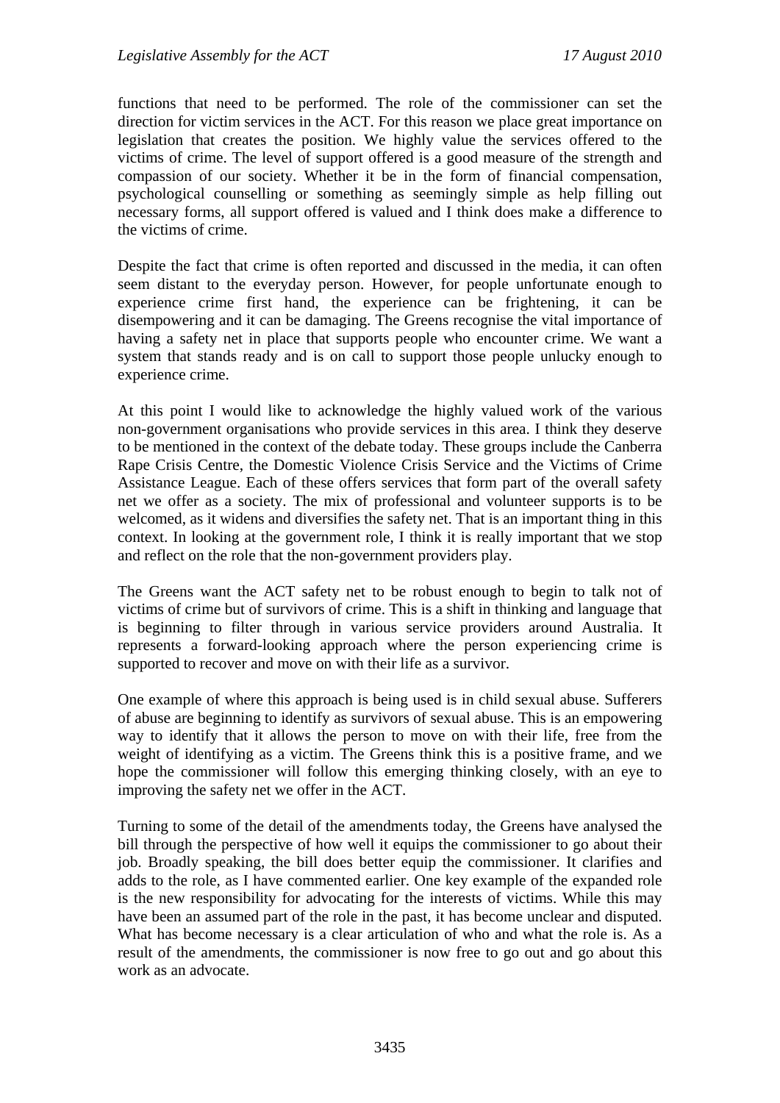functions that need to be performed. The role of the commissioner can set the direction for victim services in the ACT. For this reason we place great importance on legislation that creates the position. We highly value the services offered to the victims of crime. The level of support offered is a good measure of the strength and compassion of our society. Whether it be in the form of financial compensation, psychological counselling or something as seemingly simple as help filling out necessary forms, all support offered is valued and I think does make a difference to the victims of crime.

Despite the fact that crime is often reported and discussed in the media, it can often seem distant to the everyday person. However, for people unfortunate enough to experience crime first hand, the experience can be frightening, it can be disempowering and it can be damaging. The Greens recognise the vital importance of having a safety net in place that supports people who encounter crime. We want a system that stands ready and is on call to support those people unlucky enough to experience crime.

At this point I would like to acknowledge the highly valued work of the various non-government organisations who provide services in this area. I think they deserve to be mentioned in the context of the debate today. These groups include the Canberra Rape Crisis Centre, the Domestic Violence Crisis Service and the Victims of Crime Assistance League. Each of these offers services that form part of the overall safety net we offer as a society. The mix of professional and volunteer supports is to be welcomed, as it widens and diversifies the safety net. That is an important thing in this context. In looking at the government role, I think it is really important that we stop and reflect on the role that the non-government providers play.

The Greens want the ACT safety net to be robust enough to begin to talk not of victims of crime but of survivors of crime. This is a shift in thinking and language that is beginning to filter through in various service providers around Australia. It represents a forward-looking approach where the person experiencing crime is supported to recover and move on with their life as a survivor.

One example of where this approach is being used is in child sexual abuse. Sufferers of abuse are beginning to identify as survivors of sexual abuse. This is an empowering way to identify that it allows the person to move on with their life, free from the weight of identifying as a victim. The Greens think this is a positive frame, and we hope the commissioner will follow this emerging thinking closely, with an eye to improving the safety net we offer in the ACT.

Turning to some of the detail of the amendments today, the Greens have analysed the bill through the perspective of how well it equips the commissioner to go about their job. Broadly speaking, the bill does better equip the commissioner. It clarifies and adds to the role, as I have commented earlier. One key example of the expanded role is the new responsibility for advocating for the interests of victims. While this may have been an assumed part of the role in the past, it has become unclear and disputed. What has become necessary is a clear articulation of who and what the role is. As a result of the amendments, the commissioner is now free to go out and go about this work as an advocate.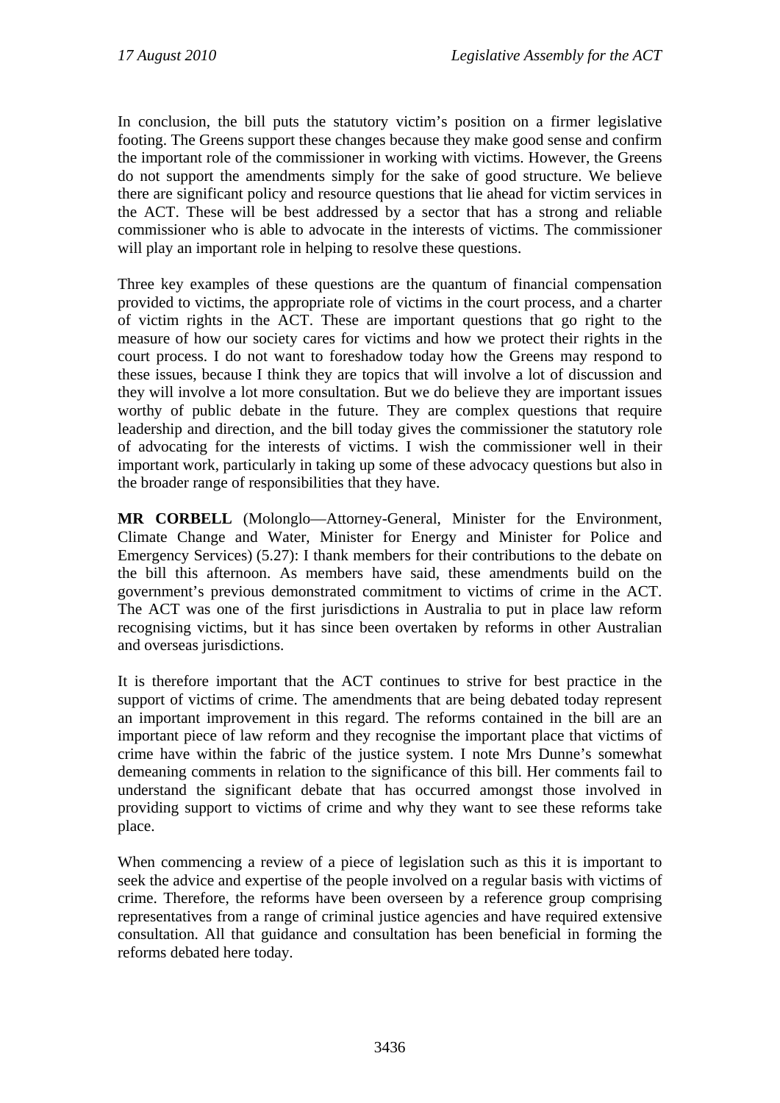In conclusion, the bill puts the statutory victim's position on a firmer legislative footing. The Greens support these changes because they make good sense and confirm the important role of the commissioner in working with victims. However, the Greens do not support the amendments simply for the sake of good structure. We believe there are significant policy and resource questions that lie ahead for victim services in the ACT. These will be best addressed by a sector that has a strong and reliable commissioner who is able to advocate in the interests of victims. The commissioner will play an important role in helping to resolve these questions.

Three key examples of these questions are the quantum of financial compensation provided to victims, the appropriate role of victims in the court process, and a charter of victim rights in the ACT. These are important questions that go right to the measure of how our society cares for victims and how we protect their rights in the court process. I do not want to foreshadow today how the Greens may respond to these issues, because I think they are topics that will involve a lot of discussion and they will involve a lot more consultation. But we do believe they are important issues worthy of public debate in the future. They are complex questions that require leadership and direction, and the bill today gives the commissioner the statutory role of advocating for the interests of victims. I wish the commissioner well in their important work, particularly in taking up some of these advocacy questions but also in the broader range of responsibilities that they have.

**MR CORBELL** (Molonglo—Attorney-General, Minister for the Environment, Climate Change and Water, Minister for Energy and Minister for Police and Emergency Services) (5.27): I thank members for their contributions to the debate on the bill this afternoon. As members have said, these amendments build on the government's previous demonstrated commitment to victims of crime in the ACT. The ACT was one of the first jurisdictions in Australia to put in place law reform recognising victims, but it has since been overtaken by reforms in other Australian and overseas jurisdictions.

It is therefore important that the ACT continues to strive for best practice in the support of victims of crime. The amendments that are being debated today represent an important improvement in this regard. The reforms contained in the bill are an important piece of law reform and they recognise the important place that victims of crime have within the fabric of the justice system. I note Mrs Dunne's somewhat demeaning comments in relation to the significance of this bill. Her comments fail to understand the significant debate that has occurred amongst those involved in providing support to victims of crime and why they want to see these reforms take place.

When commencing a review of a piece of legislation such as this it is important to seek the advice and expertise of the people involved on a regular basis with victims of crime. Therefore, the reforms have been overseen by a reference group comprising representatives from a range of criminal justice agencies and have required extensive consultation. All that guidance and consultation has been beneficial in forming the reforms debated here today.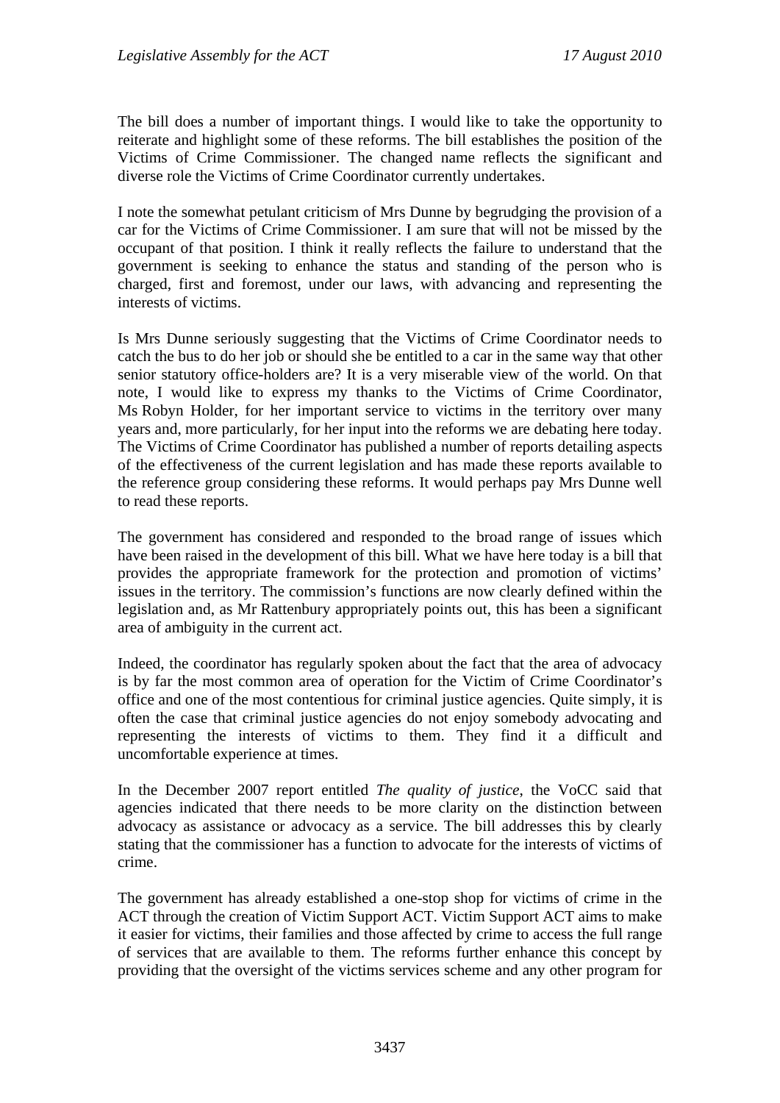The bill does a number of important things. I would like to take the opportunity to reiterate and highlight some of these reforms. The bill establishes the position of the Victims of Crime Commissioner. The changed name reflects the significant and diverse role the Victims of Crime Coordinator currently undertakes.

I note the somewhat petulant criticism of Mrs Dunne by begrudging the provision of a car for the Victims of Crime Commissioner. I am sure that will not be missed by the occupant of that position. I think it really reflects the failure to understand that the government is seeking to enhance the status and standing of the person who is charged, first and foremost, under our laws, with advancing and representing the interests of victims.

Is Mrs Dunne seriously suggesting that the Victims of Crime Coordinator needs to catch the bus to do her job or should she be entitled to a car in the same way that other senior statutory office-holders are? It is a very miserable view of the world. On that note, I would like to express my thanks to the Victims of Crime Coordinator, Ms Robyn Holder, for her important service to victims in the territory over many years and, more particularly, for her input into the reforms we are debating here today. The Victims of Crime Coordinator has published a number of reports detailing aspects of the effectiveness of the current legislation and has made these reports available to the reference group considering these reforms. It would perhaps pay Mrs Dunne well to read these reports.

The government has considered and responded to the broad range of issues which have been raised in the development of this bill. What we have here today is a bill that provides the appropriate framework for the protection and promotion of victims' issues in the territory. The commission's functions are now clearly defined within the legislation and, as Mr Rattenbury appropriately points out, this has been a significant area of ambiguity in the current act.

Indeed, the coordinator has regularly spoken about the fact that the area of advocacy is by far the most common area of operation for the Victim of Crime Coordinator's office and one of the most contentious for criminal justice agencies. Quite simply, it is often the case that criminal justice agencies do not enjoy somebody advocating and representing the interests of victims to them. They find it a difficult and uncomfortable experience at times.

In the December 2007 report entitled *The quality of justice*, the VoCC said that agencies indicated that there needs to be more clarity on the distinction between advocacy as assistance or advocacy as a service. The bill addresses this by clearly stating that the commissioner has a function to advocate for the interests of victims of crime.

The government has already established a one-stop shop for victims of crime in the ACT through the creation of Victim Support ACT. Victim Support ACT aims to make it easier for victims, their families and those affected by crime to access the full range of services that are available to them. The reforms further enhance this concept by providing that the oversight of the victims services scheme and any other program for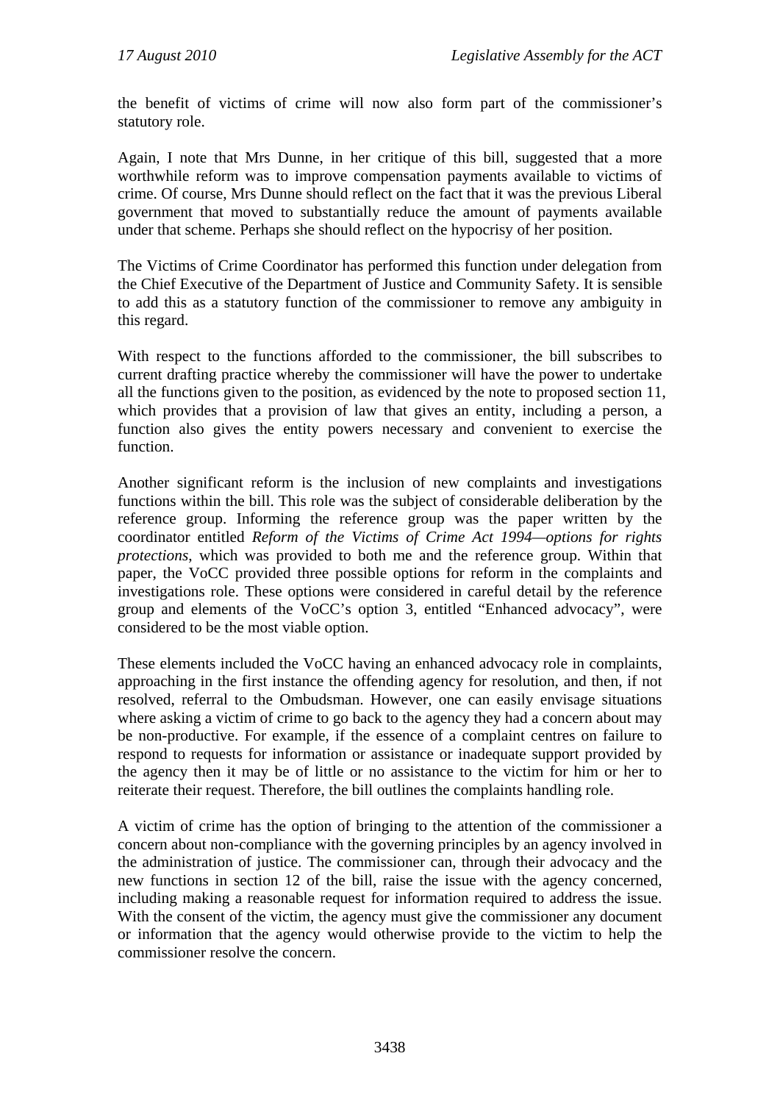the benefit of victims of crime will now also form part of the commissioner's statutory role.

Again, I note that Mrs Dunne, in her critique of this bill, suggested that a more worthwhile reform was to improve compensation payments available to victims of crime. Of course, Mrs Dunne should reflect on the fact that it was the previous Liberal government that moved to substantially reduce the amount of payments available under that scheme. Perhaps she should reflect on the hypocrisy of her position.

The Victims of Crime Coordinator has performed this function under delegation from the Chief Executive of the Department of Justice and Community Safety. It is sensible to add this as a statutory function of the commissioner to remove any ambiguity in this regard.

With respect to the functions afforded to the commissioner, the bill subscribes to current drafting practice whereby the commissioner will have the power to undertake all the functions given to the position, as evidenced by the note to proposed section 11, which provides that a provision of law that gives an entity, including a person, a function also gives the entity powers necessary and convenient to exercise the function.

Another significant reform is the inclusion of new complaints and investigations functions within the bill. This role was the subject of considerable deliberation by the reference group. Informing the reference group was the paper written by the coordinator entitled *Reform of the Victims of Crime Act 1994—options for rights protections*, which was provided to both me and the reference group. Within that paper, the VoCC provided three possible options for reform in the complaints and investigations role. These options were considered in careful detail by the reference group and elements of the VoCC's option 3, entitled "Enhanced advocacy", were considered to be the most viable option.

These elements included the VoCC having an enhanced advocacy role in complaints, approaching in the first instance the offending agency for resolution, and then, if not resolved, referral to the Ombudsman. However, one can easily envisage situations where asking a victim of crime to go back to the agency they had a concern about may be non-productive. For example, if the essence of a complaint centres on failure to respond to requests for information or assistance or inadequate support provided by the agency then it may be of little or no assistance to the victim for him or her to reiterate their request. Therefore, the bill outlines the complaints handling role.

A victim of crime has the option of bringing to the attention of the commissioner a concern about non-compliance with the governing principles by an agency involved in the administration of justice. The commissioner can, through their advocacy and the new functions in section 12 of the bill, raise the issue with the agency concerned, including making a reasonable request for information required to address the issue. With the consent of the victim, the agency must give the commissioner any document or information that the agency would otherwise provide to the victim to help the commissioner resolve the concern.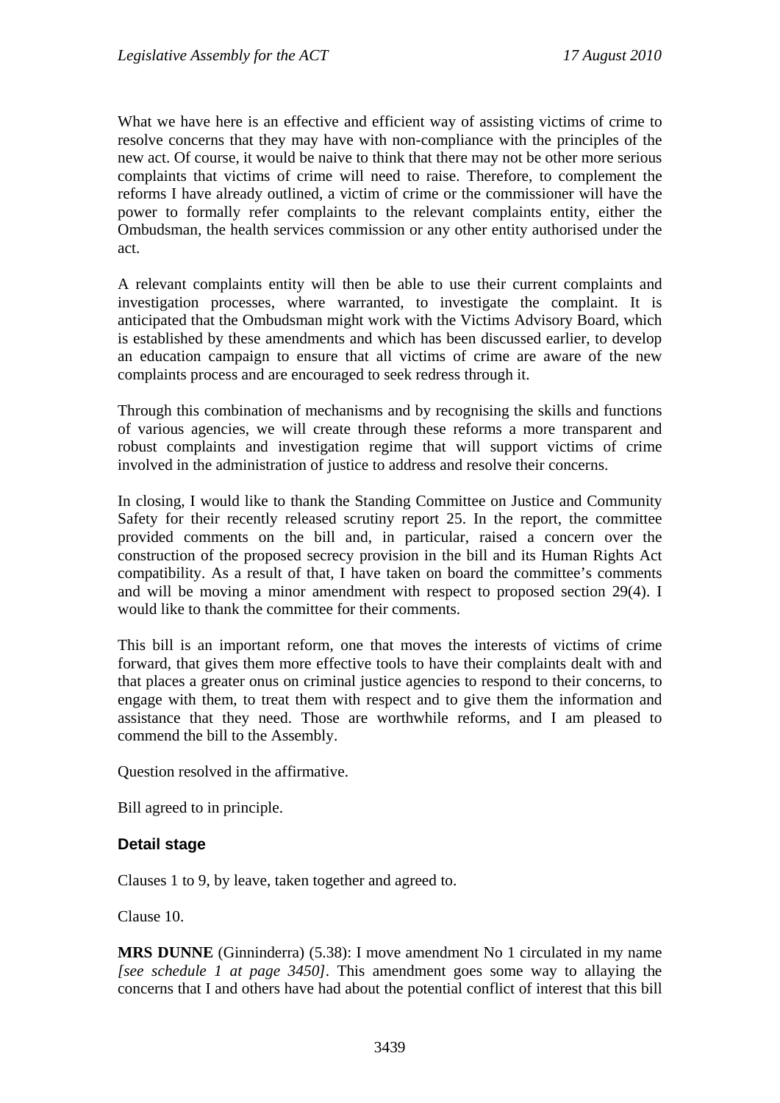What we have here is an effective and efficient way of assisting victims of crime to resolve concerns that they may have with non-compliance with the principles of the new act. Of course, it would be naive to think that there may not be other more serious complaints that victims of crime will need to raise. Therefore, to complement the reforms I have already outlined, a victim of crime or the commissioner will have the power to formally refer complaints to the relevant complaints entity, either the Ombudsman, the health services commission or any other entity authorised under the act.

A relevant complaints entity will then be able to use their current complaints and investigation processes, where warranted, to investigate the complaint. It is anticipated that the Ombudsman might work with the Victims Advisory Board, which is established by these amendments and which has been discussed earlier, to develop an education campaign to ensure that all victims of crime are aware of the new complaints process and are encouraged to seek redress through it.

Through this combination of mechanisms and by recognising the skills and functions of various agencies, we will create through these reforms a more transparent and robust complaints and investigation regime that will support victims of crime involved in the administration of justice to address and resolve their concerns.

In closing, I would like to thank the Standing Committee on Justice and Community Safety for their recently released scrutiny report 25. In the report, the committee provided comments on the bill and, in particular, raised a concern over the construction of the proposed secrecy provision in the bill and its Human Rights Act compatibility. As a result of that, I have taken on board the committee's comments and will be moving a minor amendment with respect to proposed section 29(4). I would like to thank the committee for their comments.

This bill is an important reform, one that moves the interests of victims of crime forward, that gives them more effective tools to have their complaints dealt with and that places a greater onus on criminal justice agencies to respond to their concerns, to engage with them, to treat them with respect and to give them the information and assistance that they need. Those are worthwhile reforms, and I am pleased to commend the bill to the Assembly.

Question resolved in the affirmative.

Bill agreed to in principle.

### **Detail stage**

Clauses 1 to 9, by leave, taken together and agreed to.

Clause 10.

**MRS DUNNE** (Ginninderra) (5.38): I move amendment No 1 circulated in my name *[see schedule 1 at page 3450]*. This amendment goes some way to allaying the concerns that I and others have had about the potential conflict of interest that this bill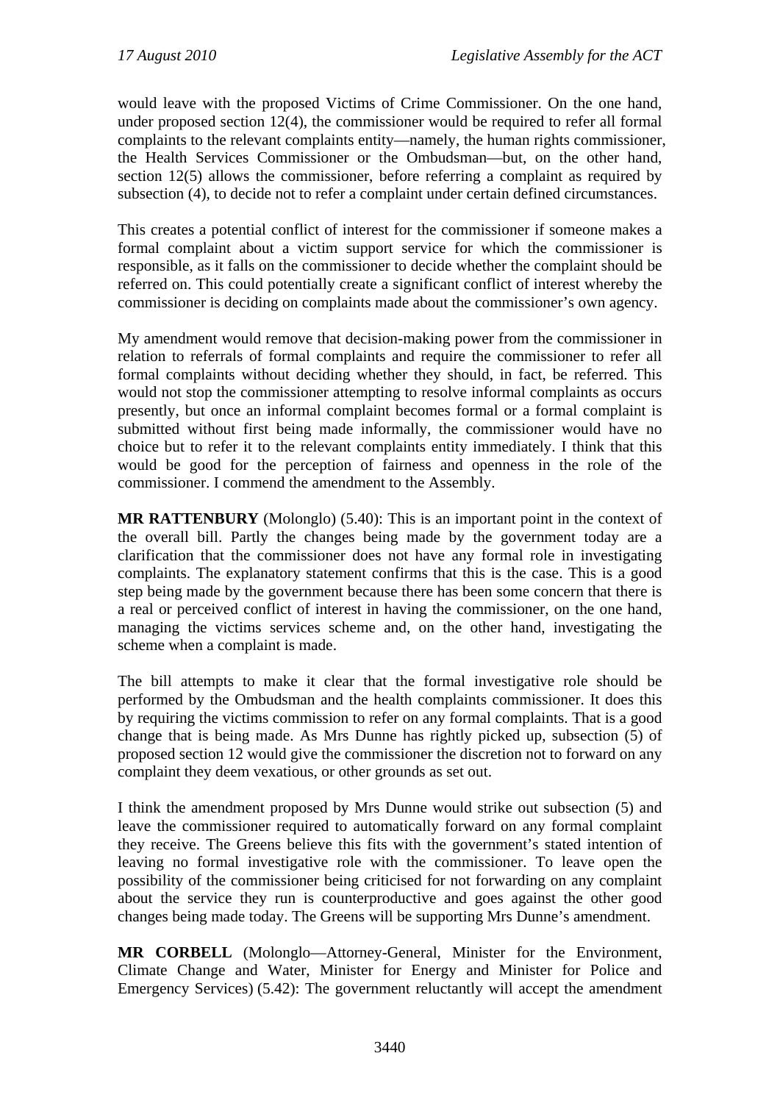would leave with the proposed Victims of Crime Commissioner. On the one hand, under proposed section 12(4), the commissioner would be required to refer all formal complaints to the relevant complaints entity—namely, the human rights commissioner, the Health Services Commissioner or the Ombudsman—but, on the other hand, section 12(5) allows the commissioner, before referring a complaint as required by subsection (4), to decide not to refer a complaint under certain defined circumstances.

This creates a potential conflict of interest for the commissioner if someone makes a formal complaint about a victim support service for which the commissioner is responsible, as it falls on the commissioner to decide whether the complaint should be referred on. This could potentially create a significant conflict of interest whereby the commissioner is deciding on complaints made about the commissioner's own agency.

My amendment would remove that decision-making power from the commissioner in relation to referrals of formal complaints and require the commissioner to refer all formal complaints without deciding whether they should, in fact, be referred. This would not stop the commissioner attempting to resolve informal complaints as occurs presently, but once an informal complaint becomes formal or a formal complaint is submitted without first being made informally, the commissioner would have no choice but to refer it to the relevant complaints entity immediately. I think that this would be good for the perception of fairness and openness in the role of the commissioner. I commend the amendment to the Assembly.

**MR RATTENBURY** (Molonglo) (5.40): This is an important point in the context of the overall bill. Partly the changes being made by the government today are a clarification that the commissioner does not have any formal role in investigating complaints. The explanatory statement confirms that this is the case. This is a good step being made by the government because there has been some concern that there is a real or perceived conflict of interest in having the commissioner, on the one hand, managing the victims services scheme and, on the other hand, investigating the scheme when a complaint is made.

The bill attempts to make it clear that the formal investigative role should be performed by the Ombudsman and the health complaints commissioner. It does this by requiring the victims commission to refer on any formal complaints. That is a good change that is being made. As Mrs Dunne has rightly picked up, subsection (5) of proposed section 12 would give the commissioner the discretion not to forward on any complaint they deem vexatious, or other grounds as set out.

I think the amendment proposed by Mrs Dunne would strike out subsection (5) and leave the commissioner required to automatically forward on any formal complaint they receive. The Greens believe this fits with the government's stated intention of leaving no formal investigative role with the commissioner. To leave open the possibility of the commissioner being criticised for not forwarding on any complaint about the service they run is counterproductive and goes against the other good changes being made today. The Greens will be supporting Mrs Dunne's amendment.

**MR CORBELL** (Molonglo—Attorney-General, Minister for the Environment, Climate Change and Water, Minister for Energy and Minister for Police and Emergency Services) (5.42): The government reluctantly will accept the amendment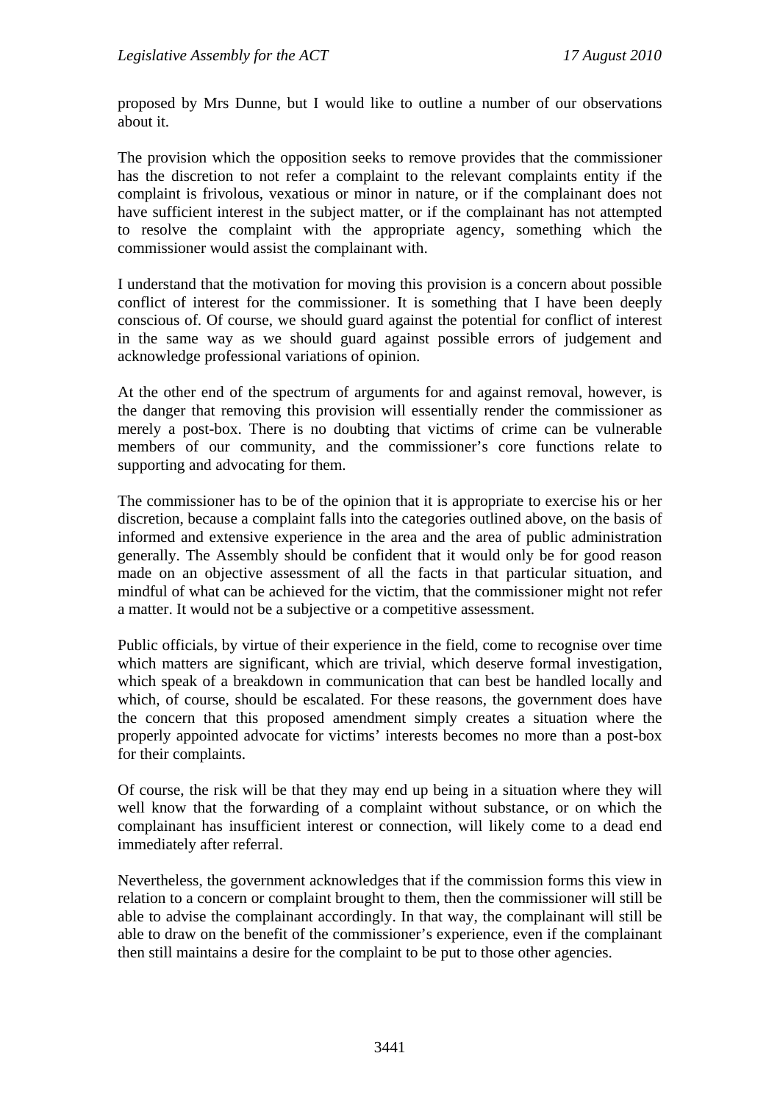proposed by Mrs Dunne, but I would like to outline a number of our observations about it.

The provision which the opposition seeks to remove provides that the commissioner has the discretion to not refer a complaint to the relevant complaints entity if the complaint is frivolous, vexatious or minor in nature, or if the complainant does not have sufficient interest in the subject matter, or if the complainant has not attempted to resolve the complaint with the appropriate agency, something which the commissioner would assist the complainant with.

I understand that the motivation for moving this provision is a concern about possible conflict of interest for the commissioner. It is something that I have been deeply conscious of. Of course, we should guard against the potential for conflict of interest in the same way as we should guard against possible errors of judgement and acknowledge professional variations of opinion.

At the other end of the spectrum of arguments for and against removal, however, is the danger that removing this provision will essentially render the commissioner as merely a post-box. There is no doubting that victims of crime can be vulnerable members of our community, and the commissioner's core functions relate to supporting and advocating for them.

The commissioner has to be of the opinion that it is appropriate to exercise his or her discretion, because a complaint falls into the categories outlined above, on the basis of informed and extensive experience in the area and the area of public administration generally. The Assembly should be confident that it would only be for good reason made on an objective assessment of all the facts in that particular situation, and mindful of what can be achieved for the victim, that the commissioner might not refer a matter. It would not be a subjective or a competitive assessment.

Public officials, by virtue of their experience in the field, come to recognise over time which matters are significant, which are trivial, which deserve formal investigation, which speak of a breakdown in communication that can best be handled locally and which, of course, should be escalated. For these reasons, the government does have the concern that this proposed amendment simply creates a situation where the properly appointed advocate for victims' interests becomes no more than a post-box for their complaints.

Of course, the risk will be that they may end up being in a situation where they will well know that the forwarding of a complaint without substance, or on which the complainant has insufficient interest or connection, will likely come to a dead end immediately after referral.

Nevertheless, the government acknowledges that if the commission forms this view in relation to a concern or complaint brought to them, then the commissioner will still be able to advise the complainant accordingly. In that way, the complainant will still be able to draw on the benefit of the commissioner's experience, even if the complainant then still maintains a desire for the complaint to be put to those other agencies.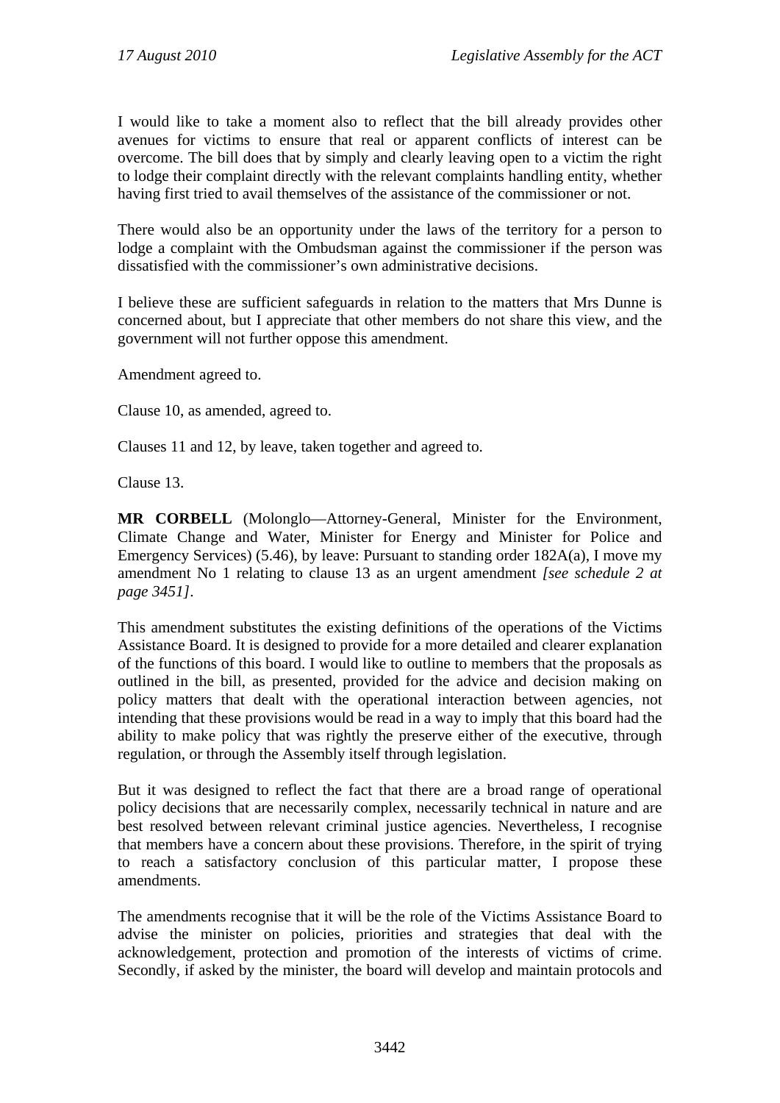I would like to take a moment also to reflect that the bill already provides other avenues for victims to ensure that real or apparent conflicts of interest can be overcome. The bill does that by simply and clearly leaving open to a victim the right to lodge their complaint directly with the relevant complaints handling entity, whether having first tried to avail themselves of the assistance of the commissioner or not.

There would also be an opportunity under the laws of the territory for a person to lodge a complaint with the Ombudsman against the commissioner if the person was dissatisfied with the commissioner's own administrative decisions.

I believe these are sufficient safeguards in relation to the matters that Mrs Dunne is concerned about, but I appreciate that other members do not share this view, and the government will not further oppose this amendment.

Amendment agreed to.

Clause 10, as amended, agreed to.

Clauses 11 and 12, by leave, taken together and agreed to.

Clause 13.

**MR CORBELL** (Molonglo—Attorney-General, Minister for the Environment, Climate Change and Water, Minister for Energy and Minister for Police and Emergency Services) (5.46), by leave: Pursuant to standing order 182A(a), I move my amendment No 1 relating to clause 13 as an urgent amendment *[see schedule 2 at page 3451]*.

This amendment substitutes the existing definitions of the operations of the Victims Assistance Board. It is designed to provide for a more detailed and clearer explanation of the functions of this board. I would like to outline to members that the proposals as outlined in the bill, as presented, provided for the advice and decision making on policy matters that dealt with the operational interaction between agencies, not intending that these provisions would be read in a way to imply that this board had the ability to make policy that was rightly the preserve either of the executive, through regulation, or through the Assembly itself through legislation.

But it was designed to reflect the fact that there are a broad range of operational policy decisions that are necessarily complex, necessarily technical in nature and are best resolved between relevant criminal justice agencies. Nevertheless, I recognise that members have a concern about these provisions. Therefore, in the spirit of trying to reach a satisfactory conclusion of this particular matter, I propose these amendments.

The amendments recognise that it will be the role of the Victims Assistance Board to advise the minister on policies, priorities and strategies that deal with the acknowledgement, protection and promotion of the interests of victims of crime. Secondly, if asked by the minister, the board will develop and maintain protocols and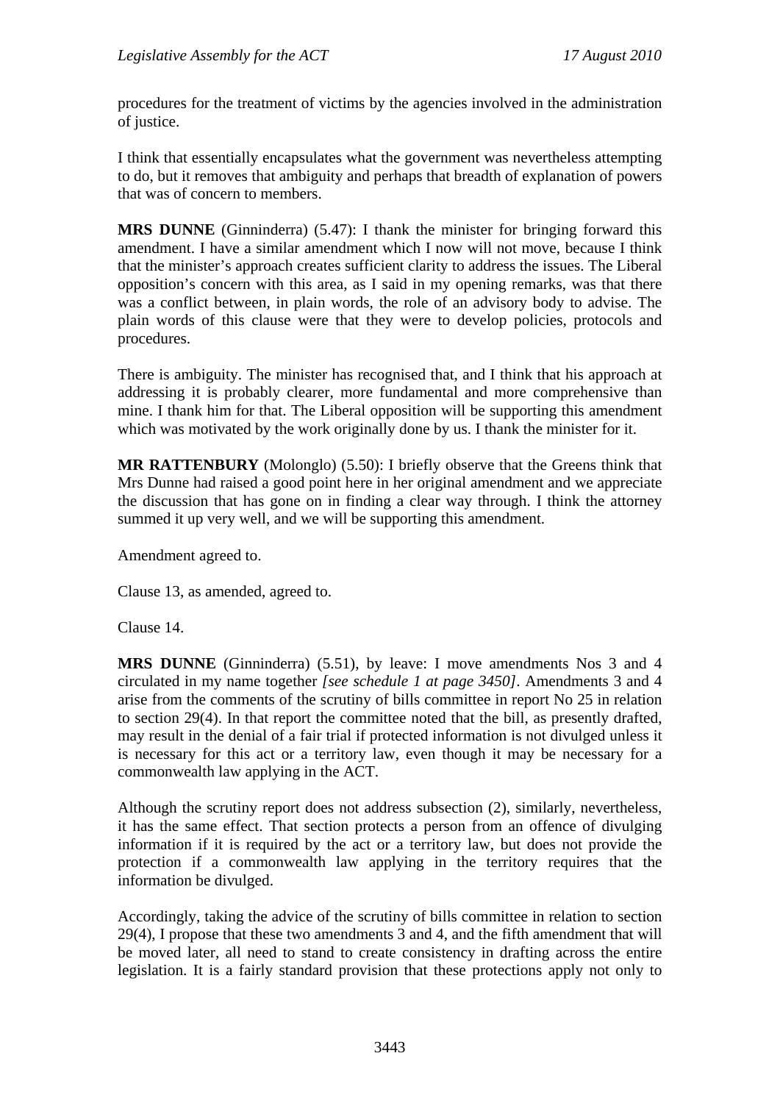procedures for the treatment of victims by the agencies involved in the administration of justice.

I think that essentially encapsulates what the government was nevertheless attempting to do, but it removes that ambiguity and perhaps that breadth of explanation of powers that was of concern to members.

**MRS DUNNE** (Ginninderra) (5.47): I thank the minister for bringing forward this amendment. I have a similar amendment which I now will not move, because I think that the minister's approach creates sufficient clarity to address the issues. The Liberal opposition's concern with this area, as I said in my opening remarks, was that there was a conflict between, in plain words, the role of an advisory body to advise. The plain words of this clause were that they were to develop policies, protocols and procedures.

There is ambiguity. The minister has recognised that, and I think that his approach at addressing it is probably clearer, more fundamental and more comprehensive than mine. I thank him for that. The Liberal opposition will be supporting this amendment which was motivated by the work originally done by us. I thank the minister for it.

**MR RATTENBURY** (Molonglo) (5.50): I briefly observe that the Greens think that Mrs Dunne had raised a good point here in her original amendment and we appreciate the discussion that has gone on in finding a clear way through. I think the attorney summed it up very well, and we will be supporting this amendment.

Amendment agreed to.

Clause 13, as amended, agreed to.

Clause 14.

**MRS DUNNE** (Ginninderra) (5.51), by leave: I move amendments Nos 3 and 4 circulated in my name together *[see schedule 1 at page 3450]*. Amendments 3 and 4 arise from the comments of the scrutiny of bills committee in report No 25 in relation to section 29(4). In that report the committee noted that the bill, as presently drafted, may result in the denial of a fair trial if protected information is not divulged unless it is necessary for this act or a territory law, even though it may be necessary for a commonwealth law applying in the ACT.

Although the scrutiny report does not address subsection (2), similarly, nevertheless, it has the same effect. That section protects a person from an offence of divulging information if it is required by the act or a territory law, but does not provide the protection if a commonwealth law applying in the territory requires that the information be divulged.

Accordingly, taking the advice of the scrutiny of bills committee in relation to section 29(4), I propose that these two amendments 3 and 4, and the fifth amendment that will be moved later, all need to stand to create consistency in drafting across the entire legislation. It is a fairly standard provision that these protections apply not only to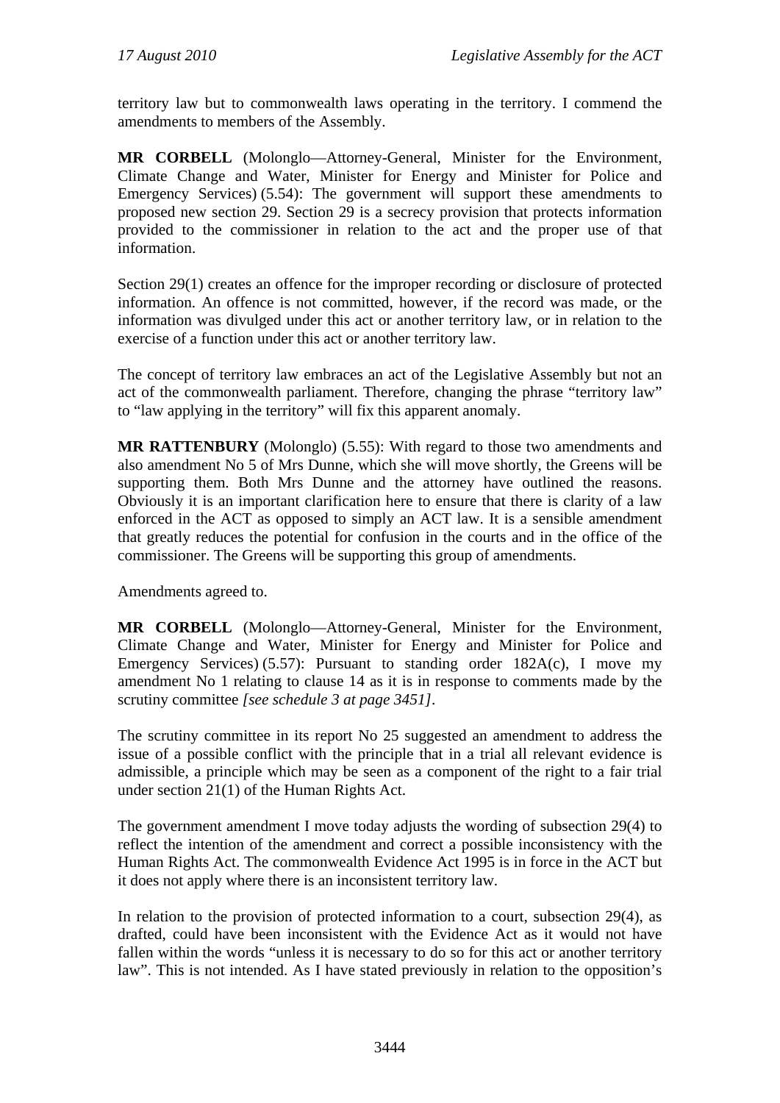territory law but to commonwealth laws operating in the territory. I commend the amendments to members of the Assembly.

**MR CORBELL** (Molonglo—Attorney-General, Minister for the Environment, Climate Change and Water, Minister for Energy and Minister for Police and Emergency Services) (5.54): The government will support these amendments to proposed new section 29. Section 29 is a secrecy provision that protects information provided to the commissioner in relation to the act and the proper use of that information.

Section 29(1) creates an offence for the improper recording or disclosure of protected information. An offence is not committed, however, if the record was made, or the information was divulged under this act or another territory law, or in relation to the exercise of a function under this act or another territory law.

The concept of territory law embraces an act of the Legislative Assembly but not an act of the commonwealth parliament. Therefore, changing the phrase "territory law" to "law applying in the territory" will fix this apparent anomaly.

**MR RATTENBURY** (Molonglo) (5.55): With regard to those two amendments and also amendment No 5 of Mrs Dunne, which she will move shortly, the Greens will be supporting them. Both Mrs Dunne and the attorney have outlined the reasons. Obviously it is an important clarification here to ensure that there is clarity of a law enforced in the ACT as opposed to simply an ACT law. It is a sensible amendment that greatly reduces the potential for confusion in the courts and in the office of the commissioner. The Greens will be supporting this group of amendments.

Amendments agreed to.

**MR CORBELL** (Molonglo—Attorney-General, Minister for the Environment, Climate Change and Water, Minister for Energy and Minister for Police and Emergency Services) (5.57): Pursuant to standing order 182A(c), I move my amendment No 1 relating to clause 14 as it is in response to comments made by the scrutiny committee *[see schedule 3 at page 3451]*.

The scrutiny committee in its report No 25 suggested an amendment to address the issue of a possible conflict with the principle that in a trial all relevant evidence is admissible, a principle which may be seen as a component of the right to a fair trial under section 21(1) of the Human Rights Act.

The government amendment I move today adjusts the wording of subsection 29(4) to reflect the intention of the amendment and correct a possible inconsistency with the Human Rights Act. The commonwealth Evidence Act 1995 is in force in the ACT but it does not apply where there is an inconsistent territory law.

In relation to the provision of protected information to a court, subsection 29(4), as drafted, could have been inconsistent with the Evidence Act as it would not have fallen within the words "unless it is necessary to do so for this act or another territory law". This is not intended. As I have stated previously in relation to the opposition's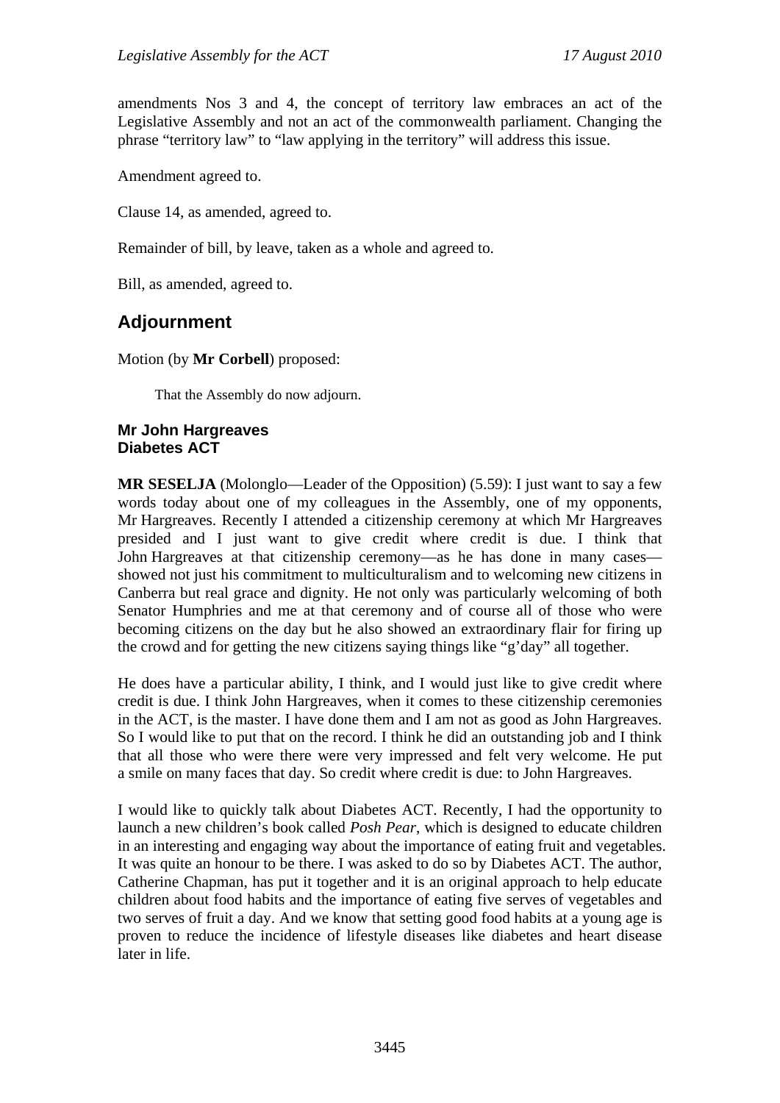amendments Nos 3 and 4, the concept of territory law embraces an act of the Legislative Assembly and not an act of the commonwealth parliament. Changing the phrase "territory law" to "law applying in the territory" will address this issue.

Amendment agreed to.

Clause 14, as amended, agreed to.

Remainder of bill, by leave, taken as a whole and agreed to.

Bill, as amended, agreed to.

## **Adjournment**

Motion (by **Mr Corbell**) proposed:

That the Assembly do now adjourn.

## **Mr John Hargreaves Diabetes ACT**

**MR SESELJA** (Molonglo—Leader of the Opposition) (5.59): I just want to say a few words today about one of my colleagues in the Assembly, one of my opponents, Mr Hargreaves. Recently I attended a citizenship ceremony at which Mr Hargreaves presided and I just want to give credit where credit is due. I think that John Hargreaves at that citizenship ceremony—as he has done in many cases showed not just his commitment to multiculturalism and to welcoming new citizens in Canberra but real grace and dignity. He not only was particularly welcoming of both Senator Humphries and me at that ceremony and of course all of those who were becoming citizens on the day but he also showed an extraordinary flair for firing up the crowd and for getting the new citizens saying things like "g'day" all together.

He does have a particular ability, I think, and I would just like to give credit where credit is due. I think John Hargreaves, when it comes to these citizenship ceremonies in the ACT, is the master. I have done them and I am not as good as John Hargreaves. So I would like to put that on the record. I think he did an outstanding job and I think that all those who were there were very impressed and felt very welcome. He put a smile on many faces that day. So credit where credit is due: to John Hargreaves.

I would like to quickly talk about Diabetes ACT. Recently, I had the opportunity to launch a new children's book called *Posh Pear*, which is designed to educate children in an interesting and engaging way about the importance of eating fruit and vegetables. It was quite an honour to be there. I was asked to do so by Diabetes ACT. The author, Catherine Chapman, has put it together and it is an original approach to help educate children about food habits and the importance of eating five serves of vegetables and two serves of fruit a day. And we know that setting good food habits at a young age is proven to reduce the incidence of lifestyle diseases like diabetes and heart disease later in life.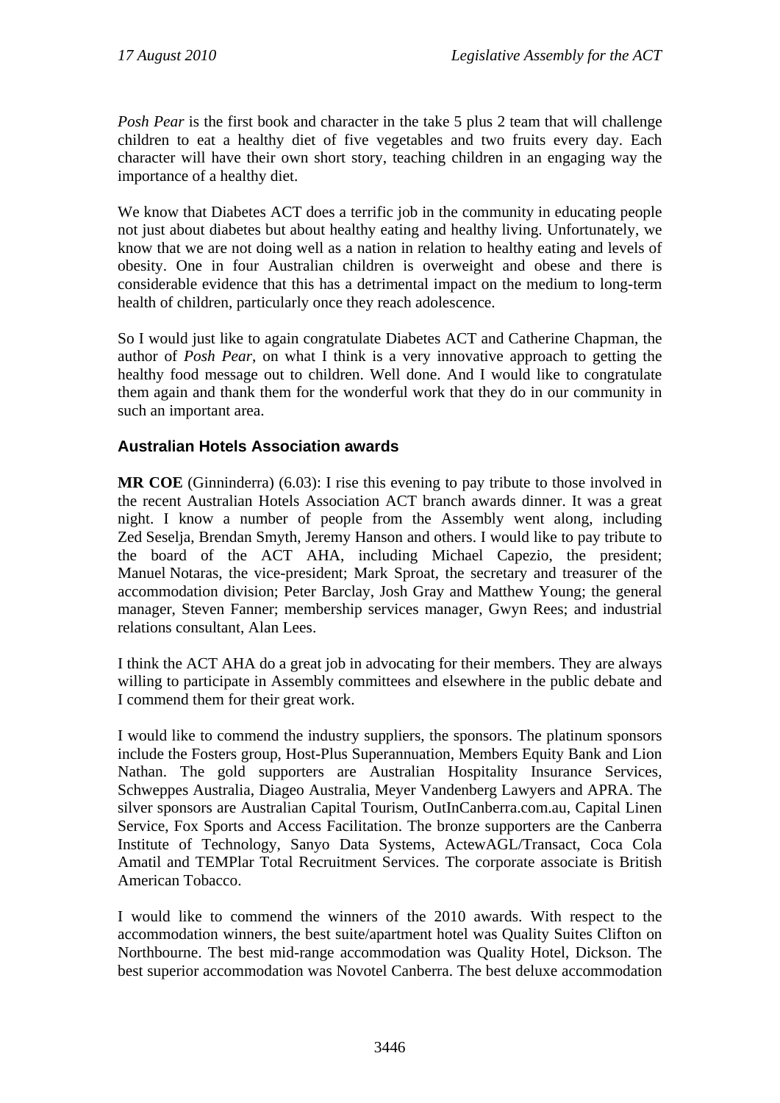*Posh Pear* is the first book and character in the take 5 plus 2 team that will challenge children to eat a healthy diet of five vegetables and two fruits every day. Each character will have their own short story, teaching children in an engaging way the importance of a healthy diet.

We know that Diabetes ACT does a terrific job in the community in educating people not just about diabetes but about healthy eating and healthy living. Unfortunately, we know that we are not doing well as a nation in relation to healthy eating and levels of obesity. One in four Australian children is overweight and obese and there is considerable evidence that this has a detrimental impact on the medium to long-term health of children, particularly once they reach adolescence.

So I would just like to again congratulate Diabetes ACT and Catherine Chapman, the author of *Posh Pear*, on what I think is a very innovative approach to getting the healthy food message out to children. Well done. And I would like to congratulate them again and thank them for the wonderful work that they do in our community in such an important area.

## **Australian Hotels Association awards**

**MR COE** (Ginninderra) (6.03): I rise this evening to pay tribute to those involved in the recent Australian Hotels Association ACT branch awards dinner. It was a great night. I know a number of people from the Assembly went along, including Zed Seselja, Brendan Smyth, Jeremy Hanson and others. I would like to pay tribute to the board of the ACT AHA, including Michael Capezio, the president; Manuel Notaras, the vice-president; Mark Sproat, the secretary and treasurer of the accommodation division; Peter Barclay, Josh Gray and Matthew Young; the general manager, Steven Fanner; membership services manager, Gwyn Rees; and industrial relations consultant, Alan Lees.

I think the ACT AHA do a great job in advocating for their members. They are always willing to participate in Assembly committees and elsewhere in the public debate and I commend them for their great work.

I would like to commend the industry suppliers, the sponsors. The platinum sponsors include the Fosters group, Host-Plus Superannuation, Members Equity Bank and Lion Nathan. The gold supporters are Australian Hospitality Insurance Services, Schweppes Australia, Diageo Australia, Meyer Vandenberg Lawyers and APRA. The silver sponsors are Australian Capital Tourism, OutInCanberra.com.au, Capital Linen Service, Fox Sports and Access Facilitation. The bronze supporters are the Canberra Institute of Technology, Sanyo Data Systems, ActewAGL/Transact, Coca Cola Amatil and TEMPlar Total Recruitment Services. The corporate associate is British American Tobacco.

I would like to commend the winners of the 2010 awards. With respect to the accommodation winners, the best suite/apartment hotel was Quality Suites Clifton on Northbourne. The best mid-range accommodation was Quality Hotel, Dickson. The best superior accommodation was Novotel Canberra. The best deluxe accommodation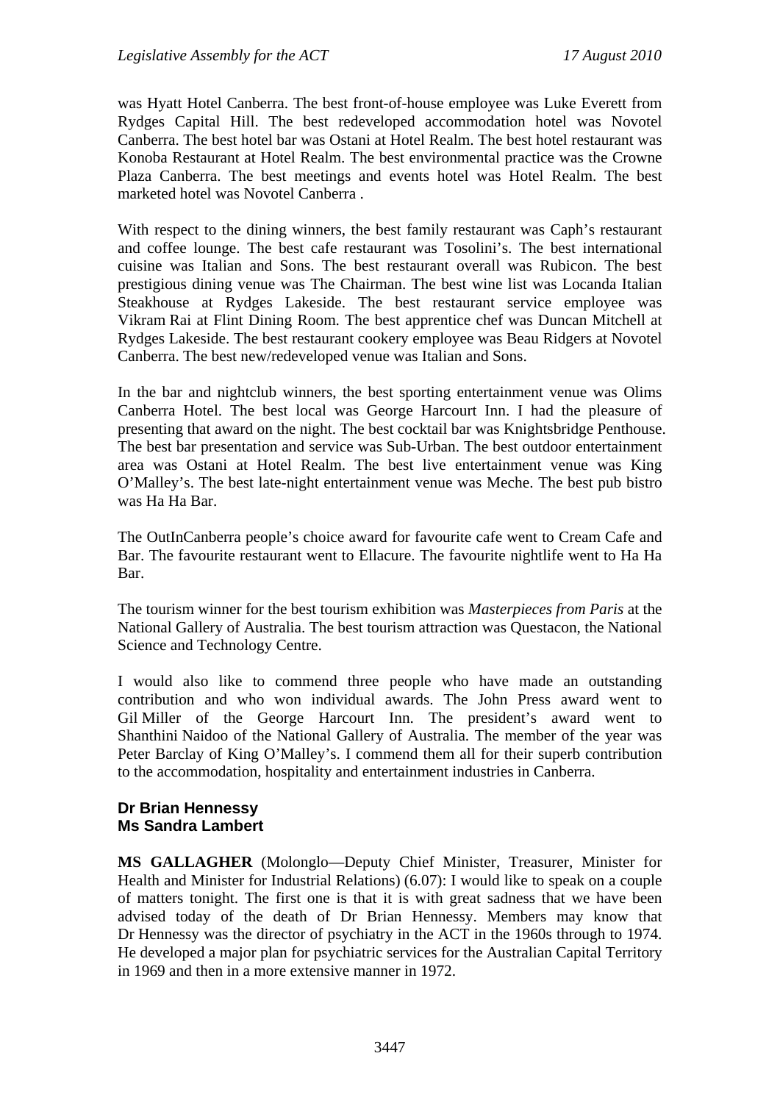was Hyatt Hotel Canberra. The best front-of-house employee was Luke Everett from Rydges Capital Hill. The best redeveloped accommodation hotel was Novotel Canberra. The best hotel bar was Ostani at Hotel Realm. The best hotel restaurant was Konoba Restaurant at Hotel Realm. The best environmental practice was the Crowne Plaza Canberra. The best meetings and events hotel was Hotel Realm. The best marketed hotel was Novotel Canberra .

With respect to the dining winners, the best family restaurant was Caph's restaurant and coffee lounge. The best cafe restaurant was Tosolini's. The best international cuisine was Italian and Sons. The best restaurant overall was Rubicon. The best prestigious dining venue was The Chairman. The best wine list was Locanda Italian Steakhouse at Rydges Lakeside. The best restaurant service employee was Vikram Rai at Flint Dining Room. The best apprentice chef was Duncan Mitchell at Rydges Lakeside. The best restaurant cookery employee was Beau Ridgers at Novotel Canberra. The best new/redeveloped venue was Italian and Sons.

In the bar and nightclub winners, the best sporting entertainment venue was Olims Canberra Hotel. The best local was George Harcourt Inn. I had the pleasure of presenting that award on the night. The best cocktail bar was Knightsbridge Penthouse. The best bar presentation and service was Sub-Urban. The best outdoor entertainment area was Ostani at Hotel Realm. The best live entertainment venue was King O'Malley's. The best late-night entertainment venue was Meche. The best pub bistro was Ha Ha Bar.

The OutInCanberra people's choice award for favourite cafe went to Cream Cafe and Bar. The favourite restaurant went to Ellacure. The favourite nightlife went to Ha Ha Bar.

The tourism winner for the best tourism exhibition was *Masterpieces from Paris* at the National Gallery of Australia. The best tourism attraction was Questacon, the National Science and Technology Centre.

I would also like to commend three people who have made an outstanding contribution and who won individual awards. The John Press award went to Gil Miller of the George Harcourt Inn. The president's award went to Shanthini Naidoo of the National Gallery of Australia. The member of the year was Peter Barclay of King O'Malley's. I commend them all for their superb contribution to the accommodation, hospitality and entertainment industries in Canberra.

### **Dr Brian Hennessy Ms Sandra Lambert**

**MS GALLAGHER** (Molonglo—Deputy Chief Minister, Treasurer, Minister for Health and Minister for Industrial Relations) (6.07): I would like to speak on a couple of matters tonight. The first one is that it is with great sadness that we have been advised today of the death of Dr Brian Hennessy. Members may know that Dr Hennessy was the director of psychiatry in the ACT in the 1960s through to 1974. He developed a major plan for psychiatric services for the Australian Capital Territory in 1969 and then in a more extensive manner in 1972.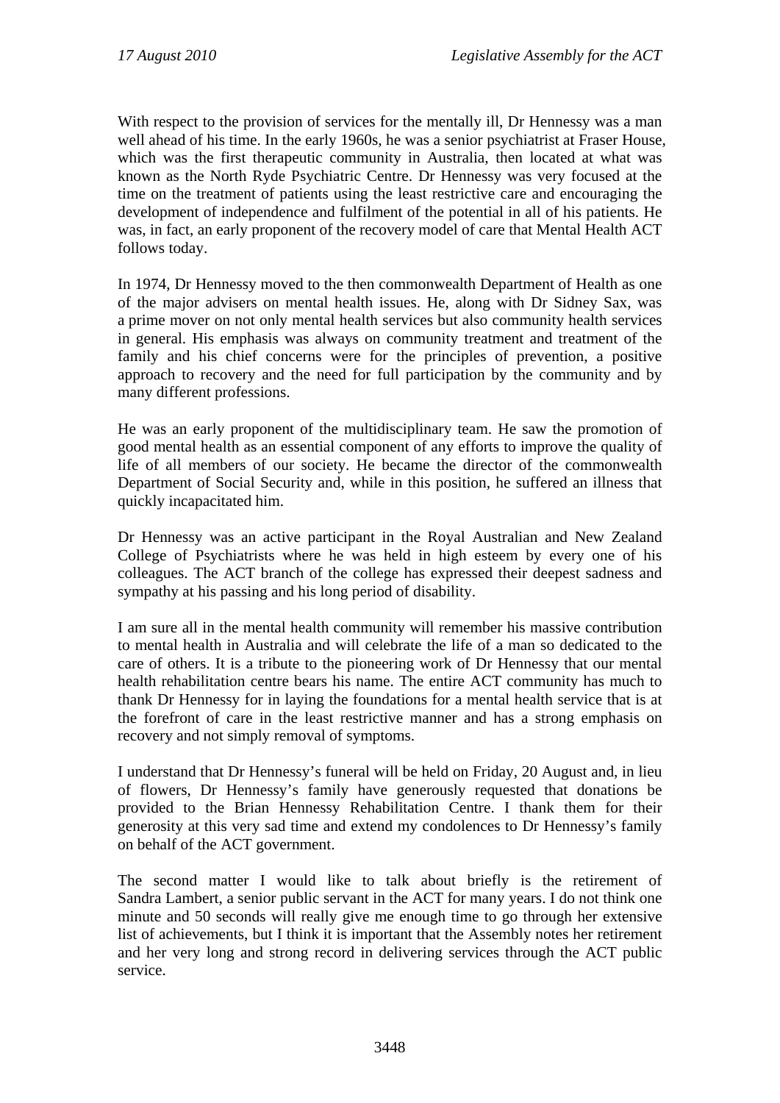With respect to the provision of services for the mentally ill, Dr Hennessy was a man well ahead of his time. In the early 1960s, he was a senior psychiatrist at Fraser House, which was the first therapeutic community in Australia, then located at what was known as the North Ryde Psychiatric Centre. Dr Hennessy was very focused at the time on the treatment of patients using the least restrictive care and encouraging the development of independence and fulfilment of the potential in all of his patients. He was, in fact, an early proponent of the recovery model of care that Mental Health ACT follows today.

In 1974, Dr Hennessy moved to the then commonwealth Department of Health as one of the major advisers on mental health issues. He, along with Dr Sidney Sax, was a prime mover on not only mental health services but also community health services in general. His emphasis was always on community treatment and treatment of the family and his chief concerns were for the principles of prevention, a positive approach to recovery and the need for full participation by the community and by many different professions.

He was an early proponent of the multidisciplinary team. He saw the promotion of good mental health as an essential component of any efforts to improve the quality of life of all members of our society. He became the director of the commonwealth Department of Social Security and, while in this position, he suffered an illness that quickly incapacitated him.

Dr Hennessy was an active participant in the Royal Australian and New Zealand College of Psychiatrists where he was held in high esteem by every one of his colleagues. The ACT branch of the college has expressed their deepest sadness and sympathy at his passing and his long period of disability.

I am sure all in the mental health community will remember his massive contribution to mental health in Australia and will celebrate the life of a man so dedicated to the care of others. It is a tribute to the pioneering work of Dr Hennessy that our mental health rehabilitation centre bears his name. The entire ACT community has much to thank Dr Hennessy for in laying the foundations for a mental health service that is at the forefront of care in the least restrictive manner and has a strong emphasis on recovery and not simply removal of symptoms.

I understand that Dr Hennessy's funeral will be held on Friday, 20 August and, in lieu of flowers, Dr Hennessy's family have generously requested that donations be provided to the Brian Hennessy Rehabilitation Centre. I thank them for their generosity at this very sad time and extend my condolences to Dr Hennessy's family on behalf of the ACT government.

The second matter I would like to talk about briefly is the retirement of Sandra Lambert, a senior public servant in the ACT for many years. I do not think one minute and 50 seconds will really give me enough time to go through her extensive list of achievements, but I think it is important that the Assembly notes her retirement and her very long and strong record in delivering services through the ACT public service.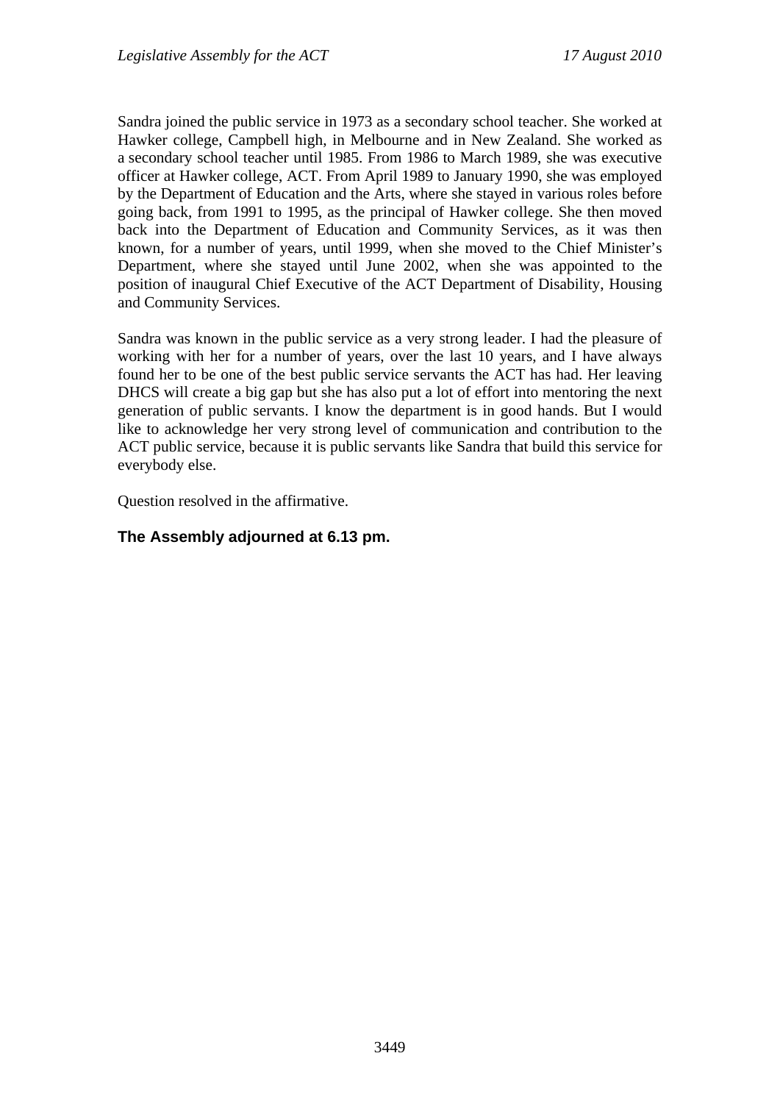Sandra joined the public service in 1973 as a secondary school teacher. She worked at Hawker college, Campbell high, in Melbourne and in New Zealand. She worked as a secondary school teacher until 1985. From 1986 to March 1989, she was executive officer at Hawker college, ACT. From April 1989 to January 1990, she was employed by the Department of Education and the Arts, where she stayed in various roles before going back, from 1991 to 1995, as the principal of Hawker college. She then moved back into the Department of Education and Community Services, as it was then known, for a number of years, until 1999, when she moved to the Chief Minister's Department, where she stayed until June 2002, when she was appointed to the position of inaugural Chief Executive of the ACT Department of Disability, Housing and Community Services.

Sandra was known in the public service as a very strong leader. I had the pleasure of working with her for a number of years, over the last 10 years, and I have always found her to be one of the best public service servants the ACT has had. Her leaving DHCS will create a big gap but she has also put a lot of effort into mentoring the next generation of public servants. I know the department is in good hands. But I would like to acknowledge her very strong level of communication and contribution to the ACT public service, because it is public servants like Sandra that build this service for everybody else.

Question resolved in the affirmative.

## **The Assembly adjourned at 6.13 pm.**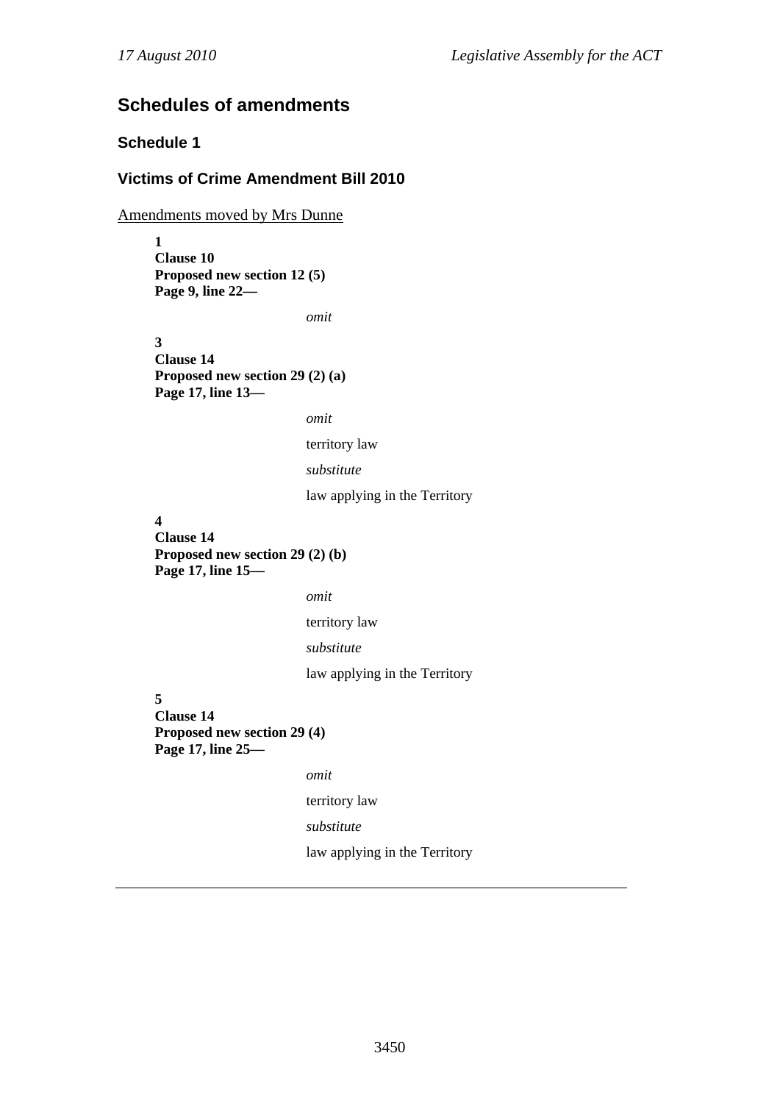# **Schedules of amendments**

## **Schedule 1**

#### **Victims of Crime Amendment Bill 2010**

Amendments moved by Mrs Dunne

**1 Clause 10 Proposed new section 12 (5) Page 9, line 22—** 

*omit* 

**3 Clause 14 Proposed new section 29 (2) (a) Page 17, line 13—** 

```
omit
```
territory law

```
substitute
```
law applying in the Territory

#### **4**

**Clause 14 Proposed new section 29 (2) (b) Page 17, line 15—** 

*omit* 

territory law

```
substitute
```
law applying in the Territory

**5** 

**Clause 14 Proposed new section 29 (4) Page 17, line 25—** 

*omit* 

territory law

*substitute* 

law applying in the Territory